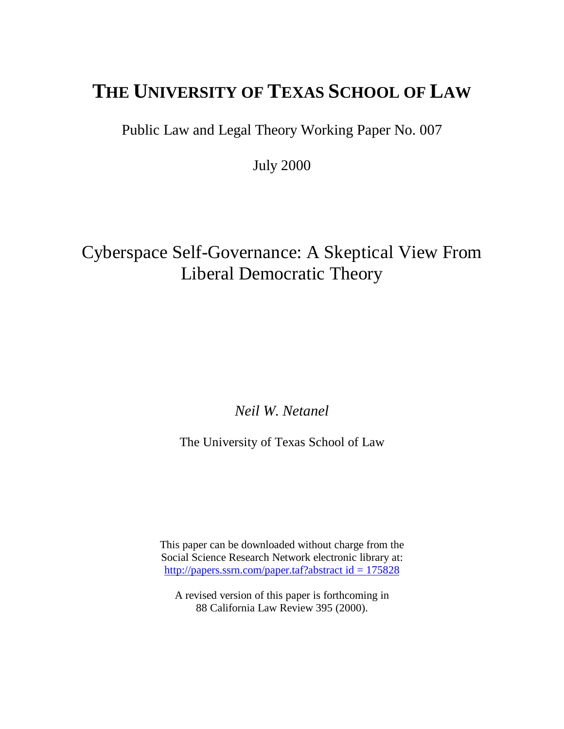# **THE UNIVERSITY OF TEXAS SCHOOL OF LAW**

Public Law and Legal Theory Working Paper No. 007

July 2000

Cyberspace Self-Governance: A Skeptical View From Liberal Democratic Theory

*Neil W. Netanel*

The University of Texas School of Law

This paper can be downloaded without charge from the Social Science Research Network electronic library at: <http://papers.ssrn.com/paper.taf?abstract id = 175828>

A revised version of this paper is forthcoming in 88 California Law Review 395 (2000).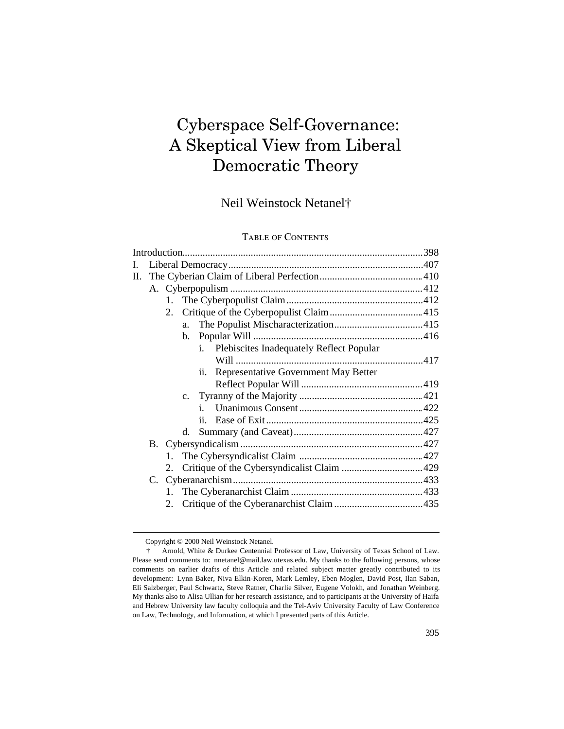# Cyberspace Self-Governance: A Skeptical View from Liberal Democratic Theory

Neil Weinstock Netanel†

## Table of Contents

| I. |  |          |    |                   |                                          |  |  |  |  |  |
|----|--|----------|----|-------------------|------------------------------------------|--|--|--|--|--|
| П. |  |          |    |                   |                                          |  |  |  |  |  |
|    |  |          |    |                   |                                          |  |  |  |  |  |
|    |  | 1.<br>2. |    |                   |                                          |  |  |  |  |  |
|    |  |          |    |                   |                                          |  |  |  |  |  |
|    |  |          | a. |                   |                                          |  |  |  |  |  |
|    |  |          | b. |                   |                                          |  |  |  |  |  |
|    |  |          |    | $i$ .             | Plebiscites Inadequately Reflect Popular |  |  |  |  |  |
|    |  |          |    |                   |                                          |  |  |  |  |  |
|    |  |          |    | 11.               | Representative Government May Better     |  |  |  |  |  |
|    |  |          |    |                   |                                          |  |  |  |  |  |
|    |  |          |    |                   |                                          |  |  |  |  |  |
|    |  |          |    |                   |                                          |  |  |  |  |  |
|    |  |          |    | $\overline{11}$ . |                                          |  |  |  |  |  |
|    |  |          | d. |                   |                                          |  |  |  |  |  |
|    |  |          |    |                   |                                          |  |  |  |  |  |
|    |  | 1.       |    |                   |                                          |  |  |  |  |  |
|    |  |          |    |                   |                                          |  |  |  |  |  |
|    |  |          |    |                   |                                          |  |  |  |  |  |
|    |  | 1.       |    |                   |                                          |  |  |  |  |  |
|    |  | 2.       |    |                   |                                          |  |  |  |  |  |
|    |  |          |    |                   |                                          |  |  |  |  |  |

Copyright © 2000 Neil Weinstock Netanel.

<sup>†</sup> Arnold, White & Durkee Centennial Professor of Law, University of Texas School of Law. Please send comments to: nnetanel@mail.law.utexas.edu. My thanks to the following persons, whose comments on earlier drafts of this Article and related subject matter greatly contributed to its development: Lynn Baker, Niva Elkin-Koren, Mark Lemley, Eben Moglen, David Post, Ilan Saban, Eli Salzberger, Paul Schwartz, Steve Ratner, Charlie Silver, Eugene Volokh, and Jonathan Weinberg. My thanks also to Alisa Ullian for her research assistance, and to participants at the University of Haifa and Hebrew University law faculty colloquia and the Tel-Aviv University Faculty of Law Conference on Law, Technology, and Information, at which I presented parts of this Article.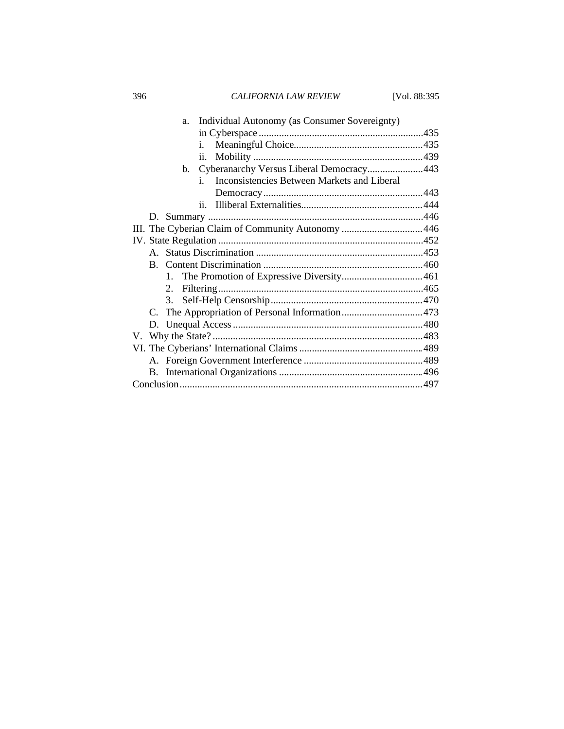396 *CALIFORNIA LAW REVIEW* [Vol. 88:395

|  |  |  | a. | Individual Autonomy (as Consumer Sovereignty) |                                                   |  |  |  |
|--|--|--|----|-----------------------------------------------|---------------------------------------------------|--|--|--|
|  |  |  |    |                                               |                                                   |  |  |  |
|  |  |  |    | $i_{-}$                                       |                                                   |  |  |  |
|  |  |  |    | $\overline{11}$ .                             |                                                   |  |  |  |
|  |  |  | b. |                                               | Cyberanarchy Versus Liberal Democracy443          |  |  |  |
|  |  |  |    | $\mathbf{i}$                                  | Inconsistencies Between Markets and Liberal       |  |  |  |
|  |  |  |    |                                               |                                                   |  |  |  |
|  |  |  |    | ii.                                           |                                                   |  |  |  |
|  |  |  |    |                                               |                                                   |  |  |  |
|  |  |  |    |                                               | III. The Cyberian Claim of Community Autonomy 446 |  |  |  |
|  |  |  |    |                                               |                                                   |  |  |  |
|  |  |  |    |                                               |                                                   |  |  |  |
|  |  |  |    |                                               |                                                   |  |  |  |
|  |  |  |    |                                               |                                                   |  |  |  |
|  |  |  |    |                                               |                                                   |  |  |  |
|  |  |  |    |                                               |                                                   |  |  |  |
|  |  |  |    |                                               |                                                   |  |  |  |
|  |  |  |    |                                               |                                                   |  |  |  |
|  |  |  |    |                                               |                                                   |  |  |  |
|  |  |  |    |                                               |                                                   |  |  |  |
|  |  |  |    |                                               |                                                   |  |  |  |
|  |  |  |    |                                               |                                                   |  |  |  |
|  |  |  |    |                                               |                                                   |  |  |  |
|  |  |  |    |                                               |                                                   |  |  |  |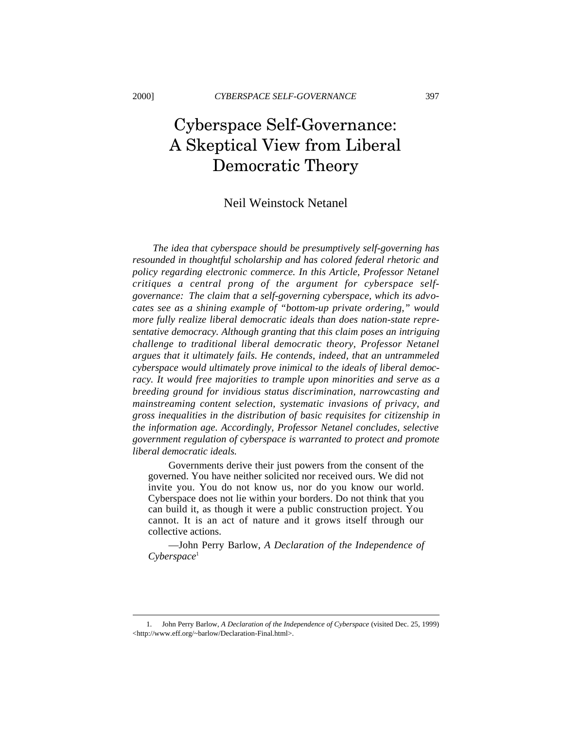# Cyberspace Self-Governance: A Skeptical View from Liberal Democratic Theory

# Neil Weinstock Netanel

*The idea that cyberspace should be presumptively self-governing has resounded in thoughtful scholarship and has colored federal rhetoric and policy regarding electronic commerce. In this Article, Professor Netanel critiques a central prong of the argument for cyberspace selfgovernance: The claim that a self-governing cyberspace, which its advocates see as a shining example of "bottom-up private ordering," would more fully realize liberal democratic ideals than does nation-state representative democracy. Although granting that this claim poses an intriguing challenge to traditional liberal democratic theory, Professor Netanel argues that it ultimately fails. He contends, indeed, that an untrammeled cyberspace would ultimately prove inimical to the ideals of liberal democracy. It would free majorities to trample upon minorities and serve as a breeding ground for invidious status discrimination, narrowcasting and mainstreaming content selection, systematic invasions of privacy, and gross inequalities in the distribution of basic requisites for citizenship in the information age. Accordingly, Professor Netanel concludes, selective government regulation of cyberspace is warranted to protect and promote liberal democratic ideals.*

Governments derive their just powers from the consent of the governed. You have neither solicited nor received ours. We did not invite you. You do not know us, nor do you know our world. Cyberspace does not lie within your borders. Do not think that you can build it, as though it were a public construction project. You cannot. It is an act of nature and it grows itself through our collective actions.

—John Perry Barlow, *A Declaration of the Independence of Cyberspace*<sup>1</sup>

 <sup>1 .</sup> John Perry Barlow, *A Declaration of the Independence of Cyberspace* (visited Dec. 25, 1999) <http://www.eff.org/~barlow/Declaration-Final.html>.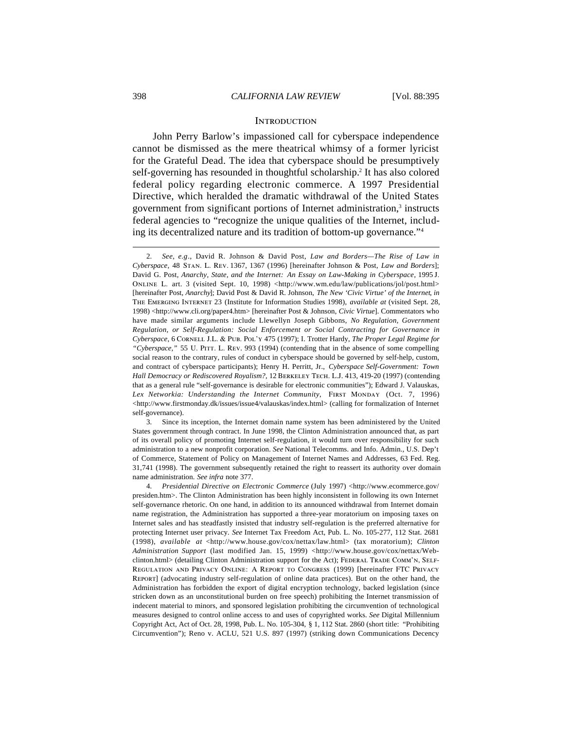#### **INTRODUCTION**

John Perry Barlow's impassioned call for cyberspace independence cannot be dismissed as the mere theatrical whimsy of a former lyricist for the Grateful Dead. The idea that cyberspace should be presumptively self-governing has resounded in thoughtful scholarship.<sup>2</sup> It has also colored federal policy regarding electronic commerce. A 1997 Presidential Directive, which heralded the dramatic withdrawal of the United States government from significant portions of Internet administration,<sup>3</sup> instructs federal agencies to "recognize the unique qualities of the Internet, including its decentralized nature and its tradition of bottom-up governance."4

3 . Since its inception, the Internet domain name system has been administered by the United States government through contract. In June 1998, the Clinton Administration announced that, as part of its overall policy of promoting Internet self-regulation, it would turn over responsibility for such administration to a new nonprofit corporation. *See* National Telecomms. and Info. Admin., U.S. Dep't of Commerce, Statement of Policy on Management of Internet Names and Addresses, 63 Fed. Reg. 31,741 (1998). The government subsequently retained the right to reassert its authority over domain name administration. *See infra* note 377.

4 . *Presidential Directive on Electronic Commerce* (July 1997) <http://www.ecommerce.gov/ presiden.htm>. The Clinton Administration has been highly inconsistent in following its own Internet self-governance rhetoric. On one hand, in addition to its announced withdrawal from Internet domain name registration, the Administration has supported a three-year moratorium on imposing taxes on Internet sales and has steadfastly insisted that industry self-regulation is the preferred alternative for protecting Internet user privacy. *See* Internet Tax Freedom Act, Pub. L. No. 105-277, 112 Stat. 2681 (1998), *available at* <http://www.house.gov/cox/nettax/law.html> (tax moratorium); *Clinton Administration Support* (last modified Jan. 15, 1999) <http://www.house.gov/cox/nettax/Webclinton.html> (detailing Clinton Administration support for the Act); FEDERAL TRADE COMM'N, SELF-Regulation and Privacy Online: A Report to Congress (1999) [hereinafter FTC Privacy Report] (advocating industry self-regulation of online data practices). But on the other hand, the Administration has forbidden the export of digital encryption technology, backed legislation (since stricken down as an unconstitutional burden on free speech) prohibiting the Internet transmission of indecent material to minors, and sponsored legislation prohibiting the circumvention of technological measures designed to control online access to and uses of copyrighted works. *See* Digital Millennium Copyright Act, Act of Oct. 28, 1998, Pub. L. No. 105-304, § 1, 112 Stat. 2860 (short title: "Prohibiting Circumvention"); Reno v. ACLU, 521 U.S. 897 (1997) (striking down Communications Decency

 <sup>2 .</sup> *See, e.g*., David R. Johnson & David Post, *Law and Borders—The Rise of Law in Cyberspace*, 48 Stan. L. Rev. 1367, 1367 (1996) [hereinafter Johnson & Post, *Law and Borders*]; David G. Post, *Anarchy, State, and the Internet: An Essay on Law-Making in Cyberspace*, 1995 J. ONLINE L. art. 3 (visited Sept. 10, 1998) <http://www.wm.edu/law/publications/jol/post.html> [hereinafter Post, *Anarchy*]; David Post & David R. Johnson, *The New 'Civic Virtue' of the Internet*, *in* The Emerging Internet 23 (Institute for Information Studies 1998), *available at* (visited Sept. 28, 1998) <http://www.cli.org/paper4.htm> [hereinafter Post & Johnson, *Civic Virtue*]. Commentators who have made similar arguments include Llewellyn Joseph Gibbons, *No Regulation, Government Regulation, or Self-Regulation: Social Enforcement or Social Contracting for Governance in Cyberspace*, 6 Cornell J.L. & Pub. Pol'y 475 (1997); I. Trotter Hardy, *The Proper Legal Regime for* "Cyberspace," 55 U. PITT. L. REV. 993 (1994) (contending that in the absence of some compelling social reason to the contrary, rules of conduct in cyberspace should be governed by self-help, custom, and contract of cyberspace participants); Henry H. Perritt, Jr., *Cyberspace Self-Government: Town Hall Democracy or Rediscovered Royalism?,* 12 Berkeley Tech. L.J. 413, 419-20 (1997) (contending that as a general rule "self-governance is desirable for electronic communities"); Edward J. Valauskas, Lex Networkia: Understanding the Internet Community, FIRST MONDAY (Oct. 7, 1996) <http://www.firstmonday.dk/issues/issue4/valauskas/index.html> (calling for formalization of Internet self-governance).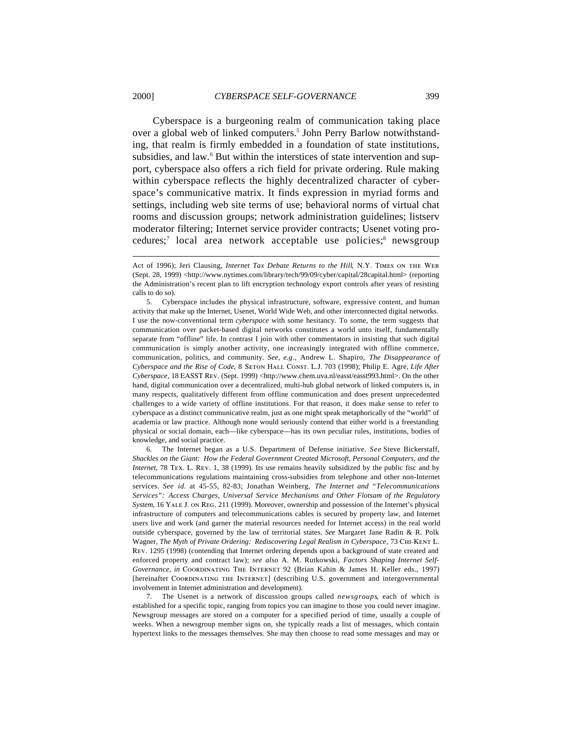Cyberspace is a burgeoning realm of communication taking place over a global web of linked computers.<sup>5</sup> John Perry Barlow notwithstanding, that realm is firmly embedded in a foundation of state institutions, subsidies, and law.<sup>6</sup> But within the interstices of state intervention and support, cyberspace also offers a rich field for private ordering. Rule making within cyberspace reflects the highly decentralized character of cyberspace's communicative matrix. It finds expression in myriad forms and settings, including web site terms of use; behavioral norms of virtual chat rooms and discussion groups; network administration guidelines; listserv moderator filtering; Internet service provider contracts; Usenet voting procedures;<sup>7</sup> local area network acceptable use policies;<sup>8</sup> newsgroup

5 . Cyberspace includes the physical infrastructure, software, expressive content, and human activity that make up the Internet, Usenet, World Wide Web, and other interconnected digital networks. I use the now-conventional term *cyberspace* with some hesitancy. To some, the term suggests that communication over packet-based digital networks constitutes a world unto itself, fundamentally separate from "offline" life. In contrast I join with other commentators in insisting that such digital communication is simply another activity, one increasingly integrated with offline commerce, communication, politics, and community. *See, e.g*., Andrew L. Shapiro, *The Disappearance of Cyberspace and the Rise of Code*, 8 Seton Hall Const. L.J. 703 (1998); Philip E. Agre, *Life After*  $Cyberspace$ , 18 EASST REV. (Sept. 1999) <http://www.chem.uva.nl/easst/easst993.html>. On the other hand, digital communication over a decentralized, multi-hub global network of linked computers is, in many respects, qualitatively different from offline communication and does present unprecedented challenges to a wide variety of offline institutions. For that reason, it does make sense to refer to cyberspace as a distinct communicative realm, just as one might speak metaphorically of the "world" of academia or law practice. Although none would seriously contend that either world is a freestanding physical or social domain, each—like cyberspace—has its own peculiar rules, institutions, bodies of knowledge, and social practice.

6 . The Internet began as a U.S. Department of Defense initiative. *See* Steve Bickerstaff, *Shackles on the Giant: How the Federal Government Created Microsoft, Personal Computers, and the Internet*, 78 Tex. L. Rev. 1, 38 (1999). Its use remains heavily subsidized by the public fisc and by telecommunications regulations maintaining cross-subsidies from telephone and other non-Internet services. *See id.* at 45-55, 82-83; Jonathan Weinberg, *The Internet and "Telecommunications Services": Access Charges, Universal Service Mechanisms and Other Flotsam of the Regulatory System*, 16 Yale J. on Reg. 211 (1999). Moreover, ownership and possession of the Internet's physical infrastructure of computers and telecommunications cables is secured by property law, and Internet users live and work (and garner the material resources needed for Internet access) in the real world outside cyberspace, governed by the law of territorial states. *See* Margaret Jane Radin & R. Polk Wagner, *The Myth of Private Ordering: Rediscovering Legal Realism in Cyberspace*, 73 Chi-Kent L. Rev. 1295 (1998) (contending that Internet ordering depends upon a background of state created and enforced property and contract law); *see also* A. M. Rutkowski, *Factors Shaping Internet Self-Governance, in* Coordinating The Internet 92 (Brian Kahin & James H. Keller eds., 1997) [hereinafter COORDINATING THE INTERNET] (describing U.S. government and intergovernmental involvement in Internet administration and development).

7 . The Usenet is a network of discussion groups called *newsgroups*, each of which is established for a specific topic, ranging from topics you can imagine to those you could never imagine. Newsgroup messages are stored on a computer for a specified period of time, usually a couple of weeks. When a newsgroup member signs on, she typically reads a list of messages, which contain hypertext links to the messages themselves. She may then choose to read some messages and may or

Act of 1996); Jeri Clausing, *Internet Tax Debate Returns to the Hill*, N.Y. Times on the Web (Sept. 28, 1999) <http://www.nytimes.com/library/tech/99/09/cyber/capital/28capital.html> (reporting the Administration's recent plan to lift encryption technology export controls after years of resisting calls to do so).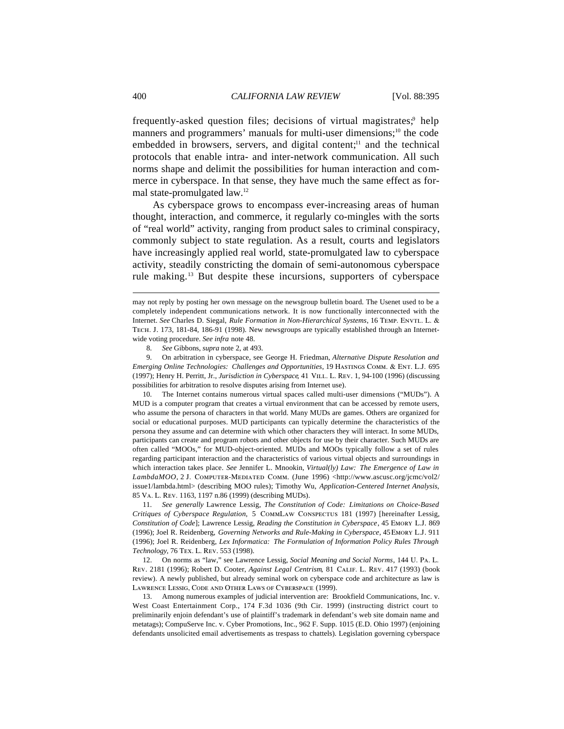frequently-asked question files; decisions of virtual magistrates;<sup>9</sup> help manners and programmers' manuals for multi-user dimensions;<sup>10</sup> the code embedded in browsers, servers, and digital content;<sup>11</sup> and the technical protocols that enable intra- and inter-network communication. All such norms shape and delimit the possibilities for human interaction and commerce in cyberspace. In that sense, they have much the same effect as formal state-promulgated law.12

As cyberspace grows to encompass ever-increasing areas of human thought, interaction, and commerce, it regularly co-mingles with the sorts of "real world" activity, ranging from product sales to criminal conspiracy, commonly subject to state regulation. As a result, courts and legislators have increasingly applied real world, state-promulgated law to cyberspace activity, steadily constricting the domain of semi-autonomous cyberspace rule making.13 But despite these incursions, supporters of cyberspace

10. The Internet contains numerous virtual spaces called multi-user dimensions ("MUDs"). A MUD is a computer program that creates a virtual environment that can be accessed by remote users, who assume the persona of characters in that world. Many MUDs are games. Others are organized for social or educational purposes. MUD participants can typically determine the characteristics of the persona they assume and can determine with which other characters they will interact. In some MUDs, participants can create and program robots and other objects for use by their character. Such MUDs are often called "MOOs," for MUD-object-oriented. MUDs and MOOs typically follow a set of rules regarding participant interaction and the characteristics of various virtual objects and surroundings in which interaction takes place. *See* Jennifer L. Mnookin, *Virtual(ly) Law: The Emergence of Law in LambdaMOO*, 2 J. COMPUTER-MEDIATED COMM. (June 1996) <http://www.ascusc.org/jcmc/vol2/ issue1/lambda.html> (describing MOO rules); Timothy Wu, *Application-Centered Internet Analysis*, 85 Va. L. Rev. 1163, 1197 n.86 (1999) (describing MUDs).

1 1 . *See generally* Lawrence Lessig, *The Constitution of Code: Limitations on Choice-Based Critiques of Cyberspace Regulation*, 5 CommLaw Conspectus 181 (1997) [hereinafter Lessig, *Constitution of Code*]; Lawrence Lessig, *Reading the Constitution in Cyberspace*, 45 Emory L.J. 869 (1996); Joel R. Reidenberg, *Governing Networks and Rule-Making in Cyberspace*, 45 Emory L.J. 911 (1996); Joel R. Reidenberg, *Lex Informatica: The Formulation of Information Policy Rules Through Technology*, 76 Tex. L. Rev. 553 (1998).

12. On norms as "law," see Lawrence Lessig, *Social Meaning and Social Norms*, 144 U. Pa. L. Rev. 2181 (1996); Robert D. Cooter, *Against Legal Centrism*, 81 Calif. L. Rev. 417 (1993) (book review). A newly published, but already seminal work on cyberspace code and architecture as law is Lawrence Lessig, Code and Other Laws of Cyberspace (1999).

Among numerous examples of judicial intervention are: Brookfield Communications, Inc. v. West Coast Entertainment Corp., 174 F.3d 1036 (9th Cir. 1999) (instructing district court to preliminarily enjoin defendant's use of plaintiff's trademark in defendant's web site domain name and metatags); CompuServe Inc. v. Cyber Promotions, Inc., 962 F. Supp. 1015 (E.D. Ohio 1997) (enjoining defendants unsolicited email advertisements as trespass to chattels). Legislation governing cyberspace

may not reply by posting her own message on the newsgroup bulletin board. The Usenet used to be a completely independent communications network. It is now functionally interconnected with the Internet. *See* Charles D. Siegal, *Rule Formation in Non-Hierarchical Systems*, 16 Temp. Envtl. L. & Tech. J. 173, 181-84, 186-91 (1998). New newsgroups are typically established through an Internetwide voting procedure. *See infra* note 48.

<sup>8 .</sup> *See* Gibbons, *supra* note 2, at 493.

<sup>9 .</sup> On arbitration in cyberspace, see George H. Friedman, *Alternative Dispute Resolution and Emerging Online Technologies: Challenges and Opportunities*, 19 Hastings Comm. & Ent. L.J. 695 (1997); Henry H. Perritt, Jr., *Jurisdiction in Cyberspace*, 41 Vill. L. Rev. 1, 94-100 (1996) (discussing possibilities for arbitration to resolve disputes arising from Internet use).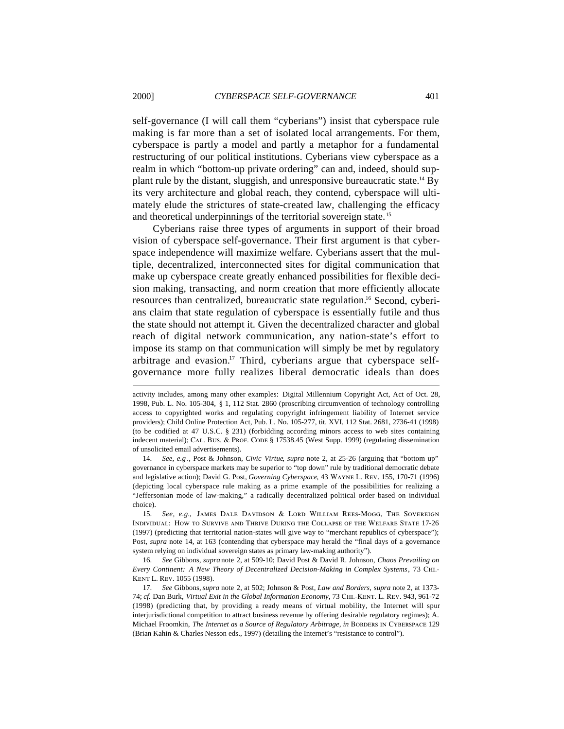self-governance (I will call them "cyberians") insist that cyberspace rule making is far more than a set of isolated local arrangements. For them, cyberspace is partly a model and partly a metaphor for a fundamental restructuring of our political institutions. Cyberians view cyberspace as a realm in which "bottom-up private ordering" can and, indeed, should supplant rule by the distant, sluggish, and unresponsive bureaucratic state.<sup>14</sup> By its very architecture and global reach, they contend, cyberspace will ultimately elude the strictures of state-created law, challenging the efficacy and theoretical underpinnings of the territorial sovereign state.<sup>15</sup>

Cyberians raise three types of arguments in support of their broad vision of cyberspace self-governance. Their first argument is that cyberspace independence will maximize welfare. Cyberians assert that the multiple, decentralized, interconnected sites for digital communication that make up cyberspace create greatly enhanced possibilities for flexible decision making, transacting, and norm creation that more efficiently allocate resources than centralized, bureaucratic state regulation.<sup>16</sup> Second, cyberians claim that state regulation of cyberspace is essentially futile and thus the state should not attempt it. Given the decentralized character and global reach of digital network communication, any nation-state's effort to impose its stamp on that communication will simply be met by regulatory arbitrage and evasion.<sup>17</sup> Third, cyberians argue that cyberspace selfgovernance more fully realizes liberal democratic ideals than does

1 4 . *See, e.g* ., Post & Johnson, *Civic Virtue*, *supra* note 2, at 25-26 (arguing that "bottom up" governance in cyberspace markets may be superior to "top down" rule by traditional democratic debate and legislative action); David G. Post, *Governing Cyberspace*, 43 Wayne L. Rev. 155, 170-71 (1996) (depicting local cyberspace rule making as a prime example of the possibilities for realizing a "Jeffersonian mode of law-making," a radically decentralized political order based on individual choice).

15. *See, e.g.*, JAMES DALE DAVIDSON & LORD WILLIAM REES-MOGG, THE SOVEREIGN Individual: How to Survive and Thrive During the Collapse of the Welfare State 17-26 (1997) (predicting that territorial nation-states will give way to "merchant republics of cyberspace"); Post, *supra* note 14, at 163 (contending that cyberspace may herald the "final days of a governance system relying on individual sovereign states as primary law-making authority").

1 6 . *See* Gibbons, *supra* note 2, at 509-10; David Post & David R. Johnson, *Chaos Prevailing on Every Continent: A New Theory of Decentralized Decision-Making in Complex Systems*, 73 Chi.- Kent L. Rev. 1055 (1998).

activity includes, among many other examples: Digital Millennium Copyright Act, Act of Oct. 28, 1998, Pub. L. No. 105-304, § 1, 112 Stat. 2860 (proscribing circumvention of technology controlling access to copyrighted works and regulating copyright infringement liability of Internet service providers); Child Online Protection Act, Pub. L. No. 105-277, tit. XVI, 112 Stat. 2681, 2736-41 (1998) (to be codified at 47 U.S.C. § 231) (forbidding according minors access to web sites containing indecent material); CAL. Bus. & PROF. CODE § 17538.45 (West Supp. 1999) (regulating dissemination of unsolicited email advertisements).

<sup>1 7 .</sup> *See* Gibbons, *supra* note 2, at 502; Johnson & Post, *Law and Borders*, *supra* note 2, at 1373- 74; *cf.* Dan Burk, *Virtual Exit in the Global Information Economy*, 73 Chi.-Kent. L. Rev. 943, 961-72 (1998) (predicting that, by providing a ready means of virtual mobility, the Internet will spur interjurisdictional competition to attract business revenue by offering desirable regulatory regimes); A. Michael Froomkin, *The Internet as a Source of Regulatory Arbitrage, in BORDERS IN CYBERSPACE 129* (Brian Kahin & Charles Nesson eds., 1997) (detailing the Internet's "resistance to control").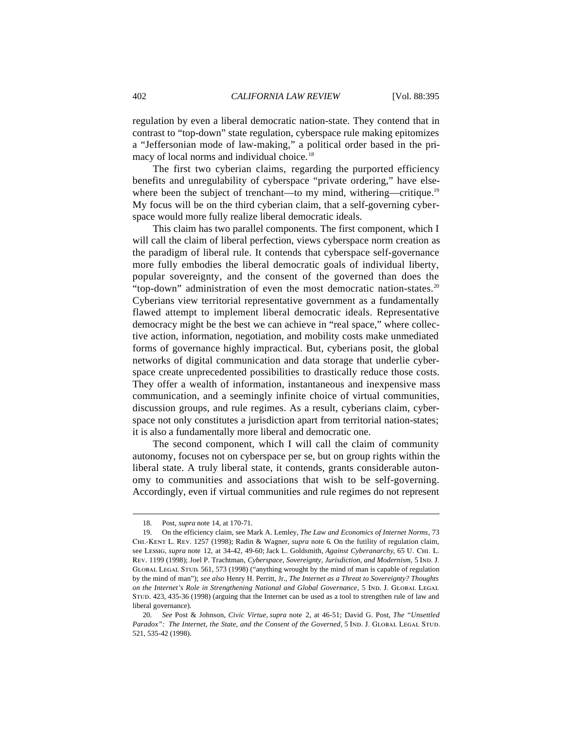regulation by even a liberal democratic nation-state. They contend that in contrast to "top-down" state regulation, cyberspace rule making epitomizes a "Jeffersonian mode of law-making," a political order based in the primacy of local norms and individual choice.<sup>18</sup>

The first two cyberian claims, regarding the purported efficiency benefits and unregulability of cyberspace "private ordering," have elsewhere been the subject of trenchant—to my mind, withering—critique.<sup>19</sup> My focus will be on the third cyberian claim, that a self-governing cyberspace would more fully realize liberal democratic ideals.

This claim has two parallel components. The first component, which I will call the claim of liberal perfection, views cyberspace norm creation as the paradigm of liberal rule. It contends that cyberspace self-governance more fully embodies the liberal democratic goals of individual liberty, popular sovereignty, and the consent of the governed than does the "top-down" administration of even the most democratic nation-states.20 Cyberians view territorial representative government as a fundamentally flawed attempt to implement liberal democratic ideals. Representative democracy might be the best we can achieve in "real space," where collective action, information, negotiation, and mobility costs make unmediated forms of governance highly impractical. But, cyberians posit, the global networks of digital communication and data storage that underlie cyberspace create unprecedented possibilities to drastically reduce those costs. They offer a wealth of information, instantaneous and inexpensive mass communication, and a seemingly infinite choice of virtual communities, discussion groups, and rule regimes. As a result, cyberians claim, cyberspace not only constitutes a jurisdiction apart from territorial nation-states; it is also a fundamentally more liberal and democratic one.

The second component, which I will call the claim of community autonomy, focuses not on cyberspace per se, but on group rights within the liberal state. A truly liberal state, it contends, grants considerable autonomy to communities and associations that wish to be self-governing. Accordingly, even if virtual communities and rule regimes do not represent

 <sup>1 8 .</sup> Post, *supra* note 14, at 170-71.

<sup>19.</sup> On the efficiency claim, see Mark A. Lemley, *The Law and Economics of Internet Norms*, 73 Chi.-Kent L. Rev. 1257 (1998); Radin & Wagner, *supra* note 6. On the futility of regulation claim, see Lessig, *supra* note 12, at 34-42, 49-60; Jack L. Goldsmith, *Against Cyberanarchy*, 65 U. Chi. L. Rev. 1199 (1998); Joel P. Trachtman, *Cyberspace, Sovereignty, Jurisdiction, and Modernism*, 5 Ind. J. GLOBAL LEGAL STUD. 561, 573 (1998) ("anything wrought by the mind of man is capable of regulation by the mind of man"); *see also* Henry H. Perritt, Jr., *The Internet as a Threat to Sovereignty? Thoughts on the Internet's Role in Strengthening National and Global Governance*, 5 IND. J. GLOBAL LEGAL Stud. 423, 435-36 (1998) (arguing that the Internet can be used as a tool to strengthen rule of law and liberal governance).

<sup>2 0 .</sup> *See* Post & Johnson, *Civic Virtue*, *supra* note 2, at 46-51; David G. Post, *The "Unsettled Paradox": The Internet, the State, and the Consent of the Governed, 5 IND. J. GLOBAL LEGAL STUD.* 521, 535-42 (1998).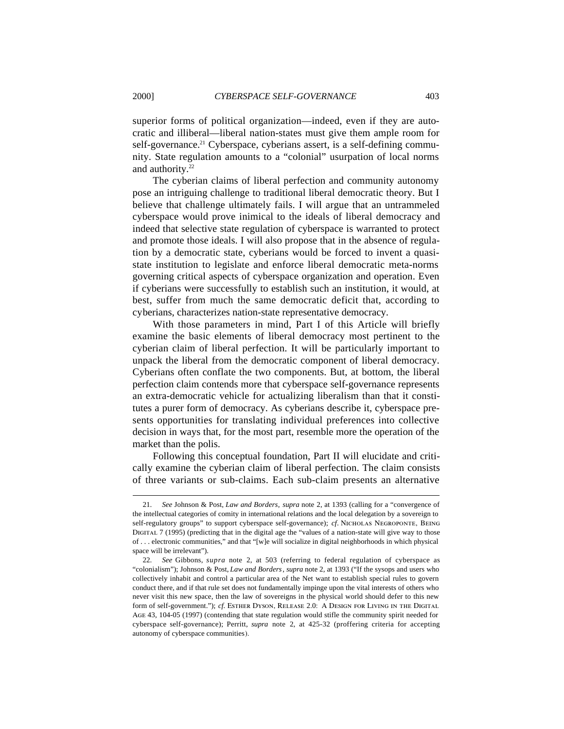superior forms of political organization—indeed, even if they are autocratic and illiberal—liberal nation-states must give them ample room for self-governance.<sup>21</sup> Cyberspace, cyberians assert, is a self-defining community. State regulation amounts to a "colonial" usurpation of local norms and authority.<sup>22</sup>

The cyberian claims of liberal perfection and community autonomy pose an intriguing challenge to traditional liberal democratic theory. But I believe that challenge ultimately fails. I will argue that an untrammeled cyberspace would prove inimical to the ideals of liberal democracy and indeed that selective state regulation of cyberspace is warranted to protect and promote those ideals. I will also propose that in the absence of regulation by a democratic state, cyberians would be forced to invent a quasistate institution to legislate and enforce liberal democratic meta-norms governing critical aspects of cyberspace organization and operation. Even if cyberians were successfully to establish such an institution, it would, at best, suffer from much the same democratic deficit that, according to cyberians, characterizes nation-state representative democracy.

With those parameters in mind, Part I of this Article will briefly examine the basic elements of liberal democracy most pertinent to the cyberian claim of liberal perfection. It will be particularly important to unpack the liberal from the democratic component of liberal democracy. Cyberians often conflate the two components. But, at bottom, the liberal perfection claim contends more that cyberspace self-governance represents an extra-democratic vehicle for actualizing liberalism than that it constitutes a purer form of democracy. As cyberians describe it, cyberspace presents opportunities for translating individual preferences into collective decision in ways that, for the most part, resemble more the operation of the market than the polis.

Following this conceptual foundation, Part II will elucidate and critically examine the cyberian claim of liberal perfection. The claim consists of three variants or sub-claims. Each sub-claim presents an alternative

 <sup>2 1 .</sup> *See* Johnson & Post, *Law and Borders*, *supra* note 2, at 1393 (calling for a "convergence of the intellectual categories of comity in international relations and the local delegation by a sovereign to self-regulatory groups" to support cyberspace self-governance); *cf*. Nicholas Negroponte, Being DIGITAL 7 (1995) (predicting that in the digital age the "values of a nation-state will give way to those of . . . electronic communities," and that "[w]e will socialize in digital neighborhoods in which physical space will be irrelevant").

<sup>22.</sup> See Gibbons, *supra* note 2, at 503 (referring to federal regulation of cyberspace as "colonialism"); Johnson & Post, *Law and Borders*, *supra* note 2, at 1393 ("If the sysops and users who collectively inhabit and control a particular area of the Net want to establish special rules to govern conduct there, and if that rule set does not fundamentally impinge upon the vital interests of others who never visit this new space, then the law of sovereigns in the physical world should defer to this new form of self-government."); *cf.* ESTHER DYSON, RELEASE 2.0: A DESIGN FOR LIVING IN THE DIGITAL Age 43, 104-05 (1997) (contending that state regulation would stifle the community spirit needed for cyberspace self-governance); Perritt, *supra* note 2, at 425-32 (proffering criteria for accepting autonomy of cyberspace communities).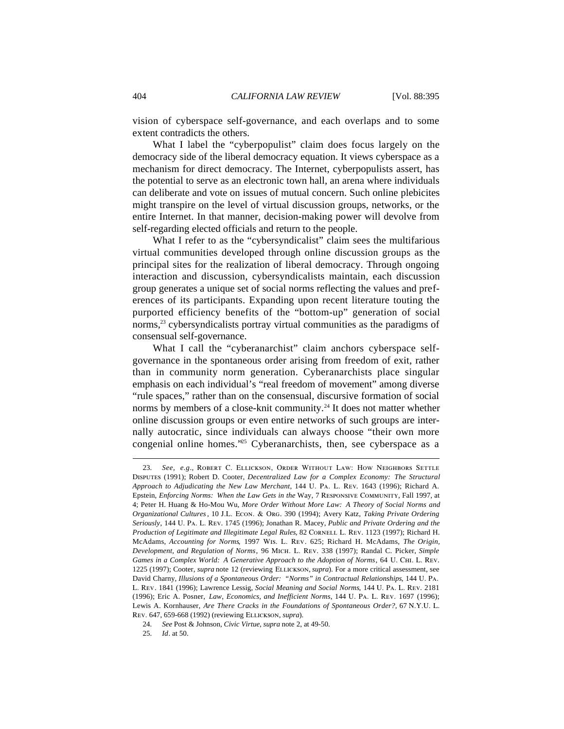vision of cyberspace self-governance, and each overlaps and to some extent contradicts the others.

What I label the "cyberpopulist" claim does focus largely on the democracy side of the liberal democracy equation. It views cyberspace as a mechanism for direct democracy. The Internet, cyberpopulists assert, has the potential to serve as an electronic town hall, an arena where individuals can deliberate and vote on issues of mutual concern. Such online plebicites might transpire on the level of virtual discussion groups, networks, or the entire Internet. In that manner, decision-making power will devolve from self-regarding elected officials and return to the people.

What I refer to as the "cybersyndicalist" claim sees the multifarious virtual communities developed through online discussion groups as the principal sites for the realization of liberal democracy. Through ongoing interaction and discussion, cybersyndicalists maintain, each discussion group generates a unique set of social norms reflecting the values and preferences of its participants. Expanding upon recent literature touting the purported efficiency benefits of the "bottom-up" generation of social norms,<sup>23</sup> cybersyndicalists portray virtual communities as the paradigms of consensual self-governance.

What I call the "cyberanarchist" claim anchors cyberspace selfgovernance in the spontaneous order arising from freedom of exit, rather than in community norm generation. Cyberanarchists place singular emphasis on each individual's "real freedom of movement" among diverse "rule spaces," rather than on the consensual, discursive formation of social norms by members of a close-knit community.<sup>24</sup> It does not matter whether online discussion groups or even entire networks of such groups are internally autocratic, since individuals can always choose "their own more congenial online homes."25 Cyberanarchists, then, see cyberspace as a

<sup>23.</sup> See, e.g., ROBERT C. ELLICKSON, ORDER WITHOUT LAW: HOW NEIGHBORS SETTLE Disputes (1991); Robert D. Cooter, *Decentralized Law for a Complex Economy: The Structural Approach to Adjudicating the New Law Merchant*, 144 U. Pa. L. Rev. 1643 (1996); Richard A. Epstein, *Enforcing Norms: When the Law Gets in the* Way, 7 Responsive Community, Fall 1997, at 4; Peter H. Huang & Ho-Mou Wu, *More Order Without More Law: A Theory of Social Norms and Organizational Cultures*, 10 J.L. Econ. & Org. 390 (1994); Avery Katz, *Taking Private Ordering Seriously*, 144 U. Pa. L. Rev. 1745 (1996); Jonathan R. Macey, *Public and Private Ordering and the* Production of Legitimate and Illegitimate Legal Rules, 82 CORNELL L. REV. 1123 (1997); Richard H. McAdams, *Accounting for Norms*, 1997 Wis. L. Rev. 625; Richard H. McAdams, *The Origin, Development, and Regulation of Norms*, 96 Mich. L. Rev. 338 (1997); Randal C. Picker, *Simple Games in a Complex World: A Generative Approach to the Adoption of Norms*, 64 U. Chi. L. Rev. 1225 (1997); Cooter, *supra* note 12 (reviewing Ellickson, *supra*). For a more critical assessment, see David Charny, *Illusions of a Spontaneous Order: "Norms" in Contractual Relationships*, 144 U. Pa. L. Rev. 1841 (1996); Lawrence Lessig, *Social Meaning and Social Norms*, 144 U. Pa. L. Rev. 2181 (1996); Eric A. Posner, *Law*, *Economics, and Inefficient Norms*, 144 U. Pa. L. Rev. 1697 (1996); Lewis A. Kornhauser, *Are There Cracks in the Foundations of Spontaneous Order?,* 67 N.Y.U. L. Rev. 647, 659-668 (1992) (reviewing Ellickson, *supra*).

<sup>2 4 .</sup> *See* Post & Johnson, *Civic Virtue*, *supra* note 2, at 49-50.

<sup>25.</sup> *Id.* at 50.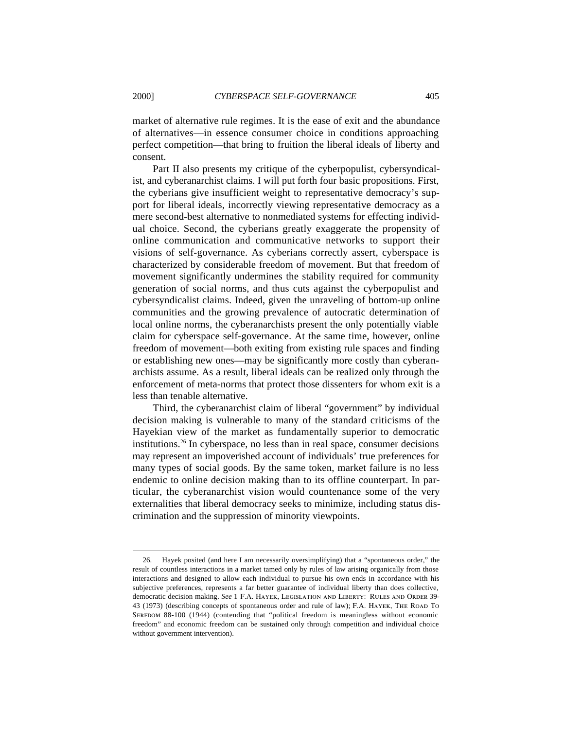market of alternative rule regimes. It is the ease of exit and the abundance of alternatives—in essence consumer choice in conditions approaching perfect competition—that bring to fruition the liberal ideals of liberty and consent.

Part II also presents my critique of the cyberpopulist, cybersyndicalist, and cyberanarchist claims. I will put forth four basic propositions. First, the cyberians give insufficient weight to representative democracy's support for liberal ideals, incorrectly viewing representative democracy as a mere second-best alternative to nonmediated systems for effecting individual choice. Second, the cyberians greatly exaggerate the propensity of online communication and communicative networks to support their visions of self-governance. As cyberians correctly assert, cyberspace is characterized by considerable freedom of movement. But that freedom of movement significantly undermines the stability required for community generation of social norms, and thus cuts against the cyberpopulist and cybersyndicalist claims. Indeed, given the unraveling of bottom-up online communities and the growing prevalence of autocratic determination of local online norms, the cyberanarchists present the only potentially viable claim for cyberspace self-governance. At the same time, however, online freedom of movement—both exiting from existing rule spaces and finding or establishing new ones—may be significantly more costly than cyberanarchists assume. As a result, liberal ideals can be realized only through the enforcement of meta-norms that protect those dissenters for whom exit is a less than tenable alternative.

Third, the cyberanarchist claim of liberal "government" by individual decision making is vulnerable to many of the standard criticisms of the Hayekian view of the market as fundamentally superior to democratic institutions.26 In cyberspace, no less than in real space, consumer decisions may represent an impoverished account of individuals' true preferences for many types of social goods. By the same token, market failure is no less endemic to online decision making than to its offline counterpart. In particular, the cyberanarchist vision would countenance some of the very externalities that liberal democracy seeks to minimize, including status discrimination and the suppression of minority viewpoints.

<sup>26.</sup> Hayek posited (and here I am necessarily oversimplifying) that a "spontaneous order," the result of countless interactions in a market tamed only by rules of law arising organically from those interactions and designed to allow each individual to pursue his own ends in accordance with his subjective preferences, represents a far better guarantee of individual liberty than does collective, democratic decision making. *See* 1 F.A. Hayek, Legislation and Liberty: Rules and Order 39- 43 (1973) (describing concepts of spontaneous order and rule of law); F.A. Hayek, The Road To SERFDOM 88-100 (1944) (contending that "political freedom is meaningless without economic freedom" and economic freedom can be sustained only through competition and individual choice without government intervention).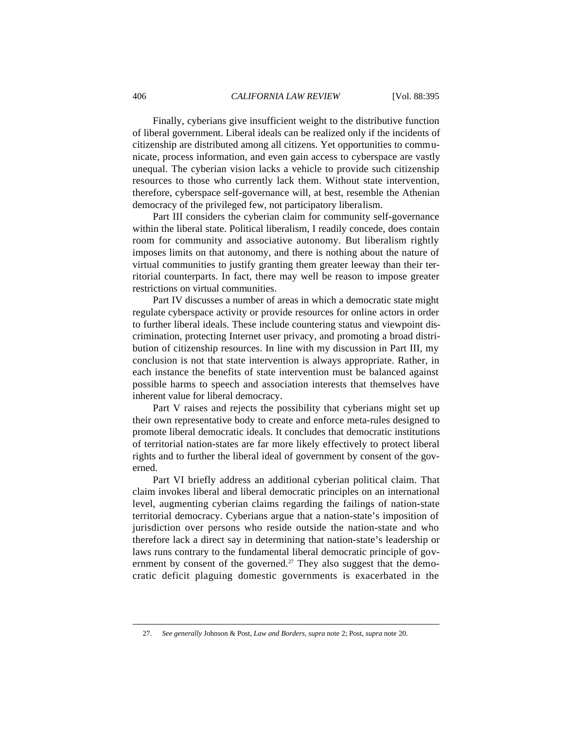Finally, cyberians give insufficient weight to the distributive function of liberal government. Liberal ideals can be realized only if the incidents of citizenship are distributed among all citizens. Yet opportunities to communicate, process information, and even gain access to cyberspace are vastly unequal. The cyberian vision lacks a vehicle to provide such citizenship resources to those who currently lack them. Without state intervention, therefore, cyberspace self-governance will, at best, resemble the Athenian democracy of the privileged few, not participatory liberalism.

Part III considers the cyberian claim for community self-governance within the liberal state. Political liberalism, I readily concede, does contain room for community and associative autonomy. But liberalism rightly imposes limits on that autonomy, and there is nothing about the nature of virtual communities to justify granting them greater leeway than their territorial counterparts. In fact, there may well be reason to impose greater restrictions on virtual communities.

Part IV discusses a number of areas in which a democratic state might regulate cyberspace activity or provide resources for online actors in order to further liberal ideals. These include countering status and viewpoint discrimination, protecting Internet user privacy, and promoting a broad distribution of citizenship resources. In line with my discussion in Part III, my conclusion is not that state intervention is always appropriate. Rather, in each instance the benefits of state intervention must be balanced against possible harms to speech and association interests that themselves have inherent value for liberal democracy.

Part V raises and rejects the possibility that cyberians might set up their own representative body to create and enforce meta-rules designed to promote liberal democratic ideals. It concludes that democratic institutions of territorial nation-states are far more likely effectively to protect liberal rights and to further the liberal ideal of government by consent of the governed.

Part VI briefly address an additional cyberian political claim. That claim invokes liberal and liberal democratic principles on an international level, augmenting cyberian claims regarding the failings of nation-state territorial democracy. Cyberians argue that a nation-state's imposition of jurisdiction over persons who reside outside the nation-state and who therefore lack a direct say in determining that nation-state's leadership or laws runs contrary to the fundamental liberal democratic principle of government by consent of the governed.<sup>27</sup> They also suggest that the democratic deficit plaguing domestic governments is exacerbated in the

 <sup>2 7 .</sup> *See generally* Johnson & Post, *Law and Borders*, *supra* note 2; Post, *supra* note 20.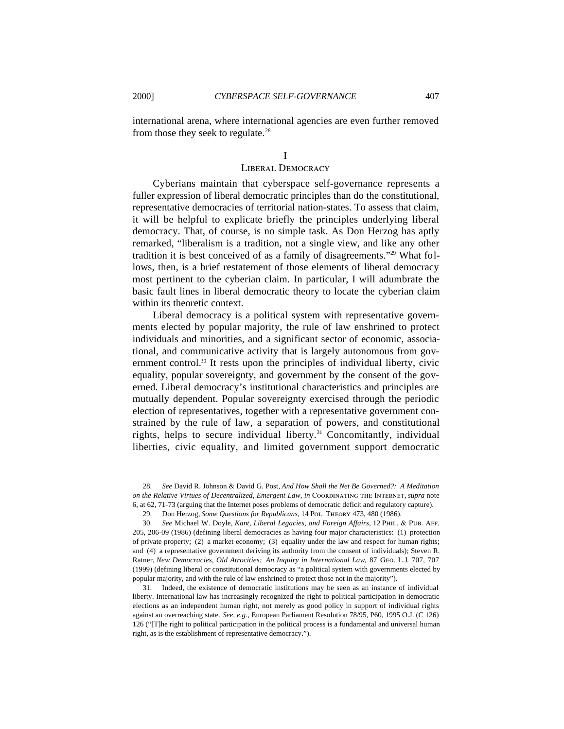international arena, where international agencies are even further removed from those they seek to regulate.<sup>28</sup>

### I

# Liberal Democracy

Cyberians maintain that cyberspace self-governance represents a fuller expression of liberal democratic principles than do the constitutional, representative democracies of territorial nation-states. To assess that claim, it will be helpful to explicate briefly the principles underlying liberal democracy. That, of course, is no simple task. As Don Herzog has aptly remarked, "liberalism is a tradition, not a single view, and like any other tradition it is best conceived of as a family of disagreements."29 What follows, then, is a brief restatement of those elements of liberal democracy most pertinent to the cyberian claim. In particular, I will adumbrate the basic fault lines in liberal democratic theory to locate the cyberian claim within its theoretic context.

Liberal democracy is a political system with representative governments elected by popular majority, the rule of law enshrined to protect individuals and minorities, and a significant sector of economic, associational, and communicative activity that is largely autonomous from government control.30 It rests upon the principles of individual liberty, civic equality, popular sovereignty, and government by the consent of the governed. Liberal democracy's institutional characteristics and principles are mutually dependent. Popular sovereignty exercised through the periodic election of representatives, together with a representative government constrained by the rule of law, a separation of powers, and constitutional rights, helps to secure individual liberty.<sup>31</sup> Concomitantly, individual liberties, civic equality, and limited government support democratic

 <sup>2 8 .</sup> *See* David R. Johnson & David G. Post, *And How Shall the Net Be Governed?: A Meditation on the Relative Virtues of Decentralized, Emergent Law, in* Coordinating the Internet, *supra* note 6, at 62, 71-73 (arguing that the Internet poses problems of democratic deficit and regulatory capture).

<sup>2 9 .</sup> Don Herzog, *Some Questions for Republicans*, 14 Pol. Theory 473, 480 (1986).

<sup>3 0 .</sup> *See* Michael W. Doyle, *Kant, Liberal Legacies, and Foreign Affairs*, 12 Phil. & Pub. Aff. 205, 206-09 (1986) (defining liberal democracies as having four major characteristics: (1) protection of private property; (2) a market economy; (3) equality under the law and respect for human rights; and (4) a representative government deriving its authority from the consent of individuals); Steven R. Ratner, *New Democracies, Old Atrocities: An Inquiry in International Law*, 87 Geo. L.J. 707, 707 (1999) (defining liberal or constitutional democracy as "a political system with governments elected by popular majority, and with the rule of law enshrined to protect those not in the majority").

<sup>31.</sup> Indeed, the existence of democratic institutions may be seen as an instance of individual liberty. International law has increasingly recognized the right to political participation in democratic elections as an independent human right, not merely as good policy in support of individual rights against an overreaching state. *See, e.g*., European Parliament Resolution 78/95, P60, 1995 O.J. (C 126) 126 ("[T]he right to political participation in the political process is a fundamental and universal human right, as is the establishment of representative democracy.").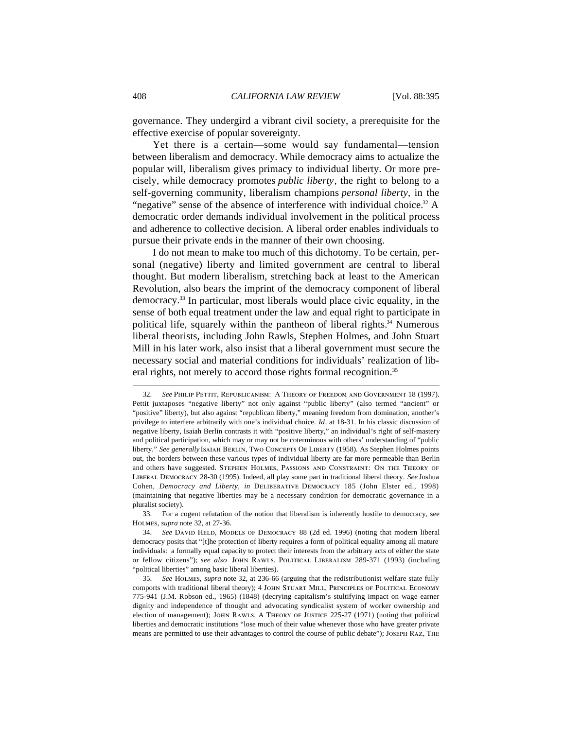governance. They undergird a vibrant civil society, a prerequisite for the effective exercise of popular sovereignty.

Yet there is a certain—some would say fundamental—tension between liberalism and democracy. While democracy aims to actualize the popular will, liberalism gives primacy to individual liberty. Or more precisely, while democracy promotes *public liberty*, the right to belong to a self-governing community, liberalism champions *personal liberty*, in the "negative" sense of the absence of interference with individual choice.<sup>32</sup> A democratic order demands individual involvement in the political process and adherence to collective decision. A liberal order enables individuals to pursue their private ends in the manner of their own choosing.

I do not mean to make too much of this dichotomy. To be certain, personal (negative) liberty and limited government are central to liberal thought. But modern liberalism, stretching back at least to the American Revolution, also bears the imprint of the democracy component of liberal democracy.33 In particular, most liberals would place civic equality, in the sense of both equal treatment under the law and equal right to participate in political life, squarely within the pantheon of liberal rights.<sup>34</sup> Numerous liberal theorists, including John Rawls, Stephen Holmes, and John Stuart Mill in his later work, also insist that a liberal government must secure the necessary social and material conditions for individuals' realization of liberal rights, not merely to accord those rights formal recognition.<sup>35</sup>

33. For a cogent refutation of the notion that liberalism is inherently hostile to democracy, see Holmes, *supra* note 32, at 27-36.

<sup>32.</sup> See Philip Pettit, Republicanism: A Theory of Freedom and Government 18 (1997). Pettit juxtaposes "negative liberty" not only against "public liberty" (also termed "ancient" or "positive" liberty), but also against "republican liberty," meaning freedom from domination, another's privilege to interfere arbitrarily with one's individual choice. *Id*. at 18-31. In his classic discussion of negative liberty, Isaiah Berlin contrasts it with "positive liberty," an individual's right of self-mastery and political participation, which may or may not be coterminous with others' understanding of "public liberty." See generally Isaiah BERLIN, Two CONCEPTS OF LIBERTY (1958). As Stephen Holmes points out, the borders between these various types of individual liberty are far more permeable than Berlin and others have suggested. Stephen Holmes, Passions and Constraint: On the Theory of Liberal Democracy 28-30 (1995). Indeed, all play some part in traditional liberal theory. *See* Joshua Cohen, *Democracy and Liberty, in* Deliberative Democracy 185 (John Elster ed., 1998) (maintaining that negative liberties may be a necessary condition for democratic governance in a pluralist society).

<sup>34.</sup> *See* David HELD, MODELS OF DEMOCRACY 88 (2d ed. 1996) (noting that modern liberal democracy posits that "[t]he protection of liberty requires a form of political equality among all mature individuals: a formally equal capacity to protect their interests from the arbitrary acts of either the state or fellow citizens"); *see also* John Rawls, Political Liberalism 289-371 (1993) (including "political liberties" among basic liberal liberties).

<sup>3 5 .</sup> *See* Holmes, *supra* note 32, at 236-66 (arguing that the redistributionist welfare state fully comports with traditional liberal theory); 4 John Stuart Mill, Principles of Political Economy 775-941 (J.M. Robson ed., 1965) (1848) (decrying capitalism's stultifying impact on wage earner dignity and independence of thought and advocating syndicalist system of worker ownership and election of management); JOHN RAWLS, A THEORY OF JUSTICE 225-27 (1971) (noting that political liberties and democratic institutions "lose much of their value whenever those who have greater private means are permitted to use their advantages to control the course of public debate"); Joseph Raz, The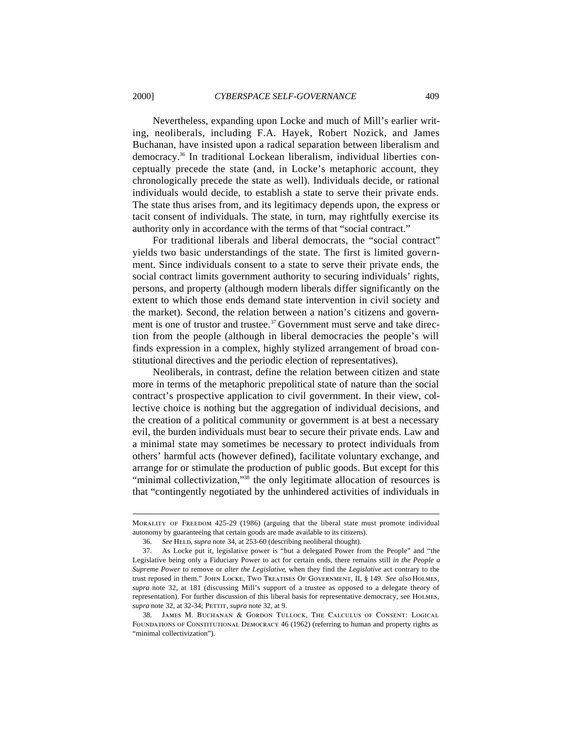Nevertheless, expanding upon Locke and much of Mill's earlier writing, neoliberals, including F.A. Hayek, Robert Nozick, and James Buchanan, have insisted upon a radical separation between liberalism and democracy.36 In traditional Lockean liberalism, individual liberties conceptually precede the state (and, in Locke's metaphoric account, they chronologically precede the state as well). Individuals decide, or rational individuals would decide, to establish a state to serve their private ends. The state thus arises from, and its legitimacy depends upon, the express or tacit consent of individuals. The state, in turn, may rightfully exercise its authority only in accordance with the terms of that "social contract."

For traditional liberals and liberal democrats, the "social contract" yields two basic understandings of the state. The first is limited government. Since individuals consent to a state to serve their private ends, the social contract limits government authority to securing individuals' rights, persons, and property (although modern liberals differ significantly on the extent to which those ends demand state intervention in civil society and the market). Second, the relation between a nation's citizens and government is one of trustor and trustee.<sup>37</sup> Government must serve and take direction from the people (although in liberal democracies the people's will finds expression in a complex, highly stylized arrangement of broad constitutional directives and the periodic election of representatives).

Neoliberals, in contrast, define the relation between citizen and state more in terms of the metaphoric prepolitical state of nature than the social contract's prospective application to civil government. In their view, collective choice is nothing but the aggregation of individual decisions, and the creation of a political community or government is at best a necessary evil, the burden individuals must bear to secure their private ends. Law and a minimal state may sometimes be necessary to protect individuals from others' harmful acts (however defined), facilitate voluntary exchange, and arrange for or stimulate the production of public goods. But except for this "minimal collectivization,"<sup>38</sup> the only legitimate allocation of resources is that "contingently negotiated by the unhindered activities of individuals in

<u>.</u>

MORALITY OF FREEDOM 425-29 (1986) (arguing that the liberal state must promote individual autonomy by guaranteeing that certain goods are made available to its citizens).

<sup>36.</sup> *See* HELD, *supra* note 34, at 253-60 (describing neoliberal thought).

<sup>3 7 .</sup> As Locke put it, legislative power is "but a delegated Power from the People" and "the Legislative being only a Fiduciary Power to act for certain ends, there remains still *in the People a Supreme Power* to remove or *alter the Legislative*, when they find the *Legislative* act contrary to the trust reposed in them." John Locke, Two Treatises Of Government, II, § 149. *See also* Holmes, *supra* note 32, at 181 (discussing Mill's support of a trustee as opposed to a delegate theory of representation). For further discussion of this liberal basis for representative democracy, see Holmes, *supra* note 32, at 32-34; PETTIT, *supra* note 32, at 9.

<sup>38.</sup> JAMES M. BUCHANAN & GORDON TULLOCK, THE CALCULUS OF CONSENT: LOGICAL FOUNDATIONS OF CONSTITUTIONAL DEMOCRACY 46 (1962) (referring to human and property rights as "minimal collectivization").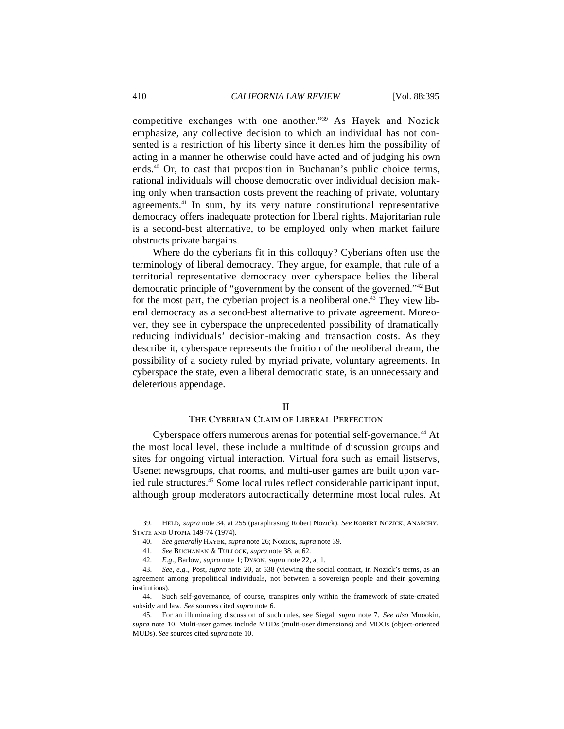competitive exchanges with one another."39 As Hayek and Nozick emphasize, any collective decision to which an individual has not consented is a restriction of his liberty since it denies him the possibility of acting in a manner he otherwise could have acted and of judging his own ends.40 Or, to cast that proposition in Buchanan's public choice terms, rational individuals will choose democratic over individual decision making only when transaction costs prevent the reaching of private, voluntary agreements.41 In sum, by its very nature constitutional representative democracy offers inadequate protection for liberal rights. Majoritarian rule is a second-best alternative, to be employed only when market failure obstructs private bargains.

Where do the cyberians fit in this colloquy? Cyberians often use the terminology of liberal democracy. They argue, for example, that rule of a territorial representative democracy over cyberspace belies the liberal democratic principle of "government by the consent of the governed."42 But for the most part, the cyberian project is a neoliberal one.<sup>43</sup> They view liberal democracy as a second-best alternative to private agreement. Moreover, they see in cyberspace the unprecedented possibility of dramatically reducing individuals' decision-making and transaction costs. As they describe it, cyberspace represents the fruition of the neoliberal dream, the possibility of a society ruled by myriad private, voluntary agreements. In cyberspace the state, even a liberal democratic state, is an unnecessary and deleterious appendage.

#### II

#### The Cyberian Claim of Liberal Perfection

Cyberspace offers numerous arenas for potential self-governance.<sup>44</sup> At the most local level, these include a multitude of discussion groups and sites for ongoing virtual interaction. Virtual fora such as email listservs, Usenet newsgroups, chat rooms, and multi-user games are built upon varied rule structures.45 Some local rules reflect considerable participant input, although group moderators autocractically determine most local rules. At

 <sup>3 9 .</sup> Held, *supra* note 34, at 255 (paraphrasing Robert Nozick). *See* Robert Nozick, Anarchy, STATE AND UTOPIA 149-74 (1974).

<sup>4 0 .</sup> *See generally* Hayek, *supra* note 26; Nozick, *supra* note 39.

<sup>4 1 .</sup> *See* Buchanan & Tullock, *supra* note 38, at 62.

<sup>4 2 .</sup> *E.g*., Barlow, *supra* note 1; Dyson, *supra* note 22, at 1.

<sup>4 3 .</sup> *See, e.g*., Post, *supra* note 20, at 538 (viewing the social contract, in Nozick's terms, as an agreement among prepolitical individuals, not between a sovereign people and their governing institutions).

<sup>44.</sup> Such self-governance, of course, transpires only within the framework of state-created subsidy and law. *See* sources cited *supra* note 6.

<sup>4 5 .</sup> For an illuminating discussion of such rules, see Siegal, *supra* note 7. *See also* Mnookin, *supra* note 10. Multi-user games include MUDs (multi-user dimensions) and MOOs (object-oriented MUDs). *See* sources cited *supra* note 10.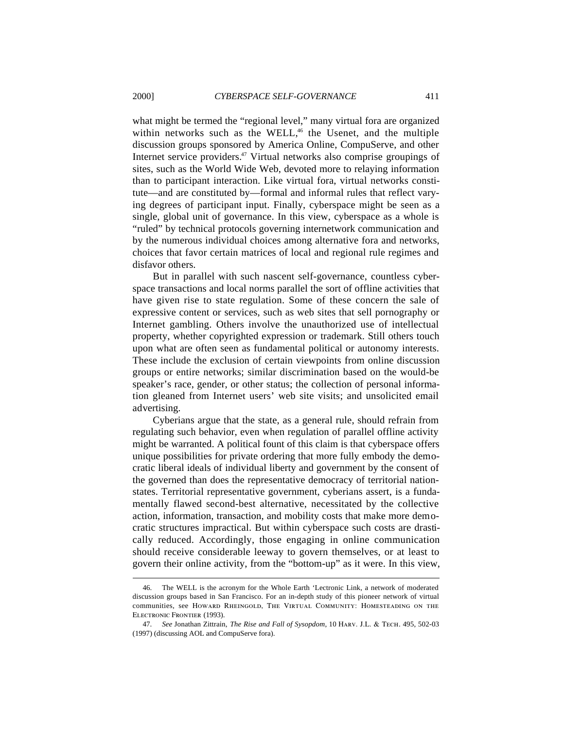what might be termed the "regional level," many virtual fora are organized within networks such as the WELL, $46$  the Usenet, and the multiple discussion groups sponsored by America Online, CompuServe, and other Internet service providers.47 Virtual networks also comprise groupings of sites, such as the World Wide Web, devoted more to relaying information than to participant interaction. Like virtual fora, virtual networks constitute—and are constituted by—formal and informal rules that reflect varying degrees of participant input. Finally, cyberspace might be seen as a single, global unit of governance. In this view, cyberspace as a whole is "ruled" by technical protocols governing internetwork communication and by the numerous individual choices among alternative fora and networks, choices that favor certain matrices of local and regional rule regimes and disfavor others.

But in parallel with such nascent self-governance, countless cyberspace transactions and local norms parallel the sort of offline activities that have given rise to state regulation. Some of these concern the sale of expressive content or services, such as web sites that sell pornography or Internet gambling. Others involve the unauthorized use of intellectual property, whether copyrighted expression or trademark. Still others touch upon what are often seen as fundamental political or autonomy interests. These include the exclusion of certain viewpoints from online discussion groups or entire networks; similar discrimination based on the would-be speaker's race, gender, or other status; the collection of personal information gleaned from Internet users' web site visits; and unsolicited email advertising.

Cyberians argue that the state, as a general rule, should refrain from regulating such behavior, even when regulation of parallel offline activity might be warranted. A political fount of this claim is that cyberspace offers unique possibilities for private ordering that more fully embody the democratic liberal ideals of individual liberty and government by the consent of the governed than does the representative democracy of territorial nationstates. Territorial representative government, cyberians assert, is a fundamentally flawed second-best alternative, necessitated by the collective action, information, transaction, and mobility costs that make more democratic structures impractical. But within cyberspace such costs are drastically reduced. Accordingly, those engaging in online communication should receive considerable leeway to govern themselves, or at least to govern their online activity, from the "bottom-up" as it were. In this view,

<sup>46.</sup> The WELL is the acronym for the Whole Earth 'Lectronic Link, a network of moderated discussion groups based in San Francisco. For an in-depth study of this pioneer network of virtual communities, see HOWARD RHEINGOLD, THE VIRTUAL COMMUNITY: HOMESTEADING ON THE ELECTRONIC FRONTIER (1993).

<sup>4 7 .</sup> *See* Jonathan Zittrain, *The Rise and Fall of Sysopdom*, 10 Harv. J.L. & Tech. 495, 502-03 (1997) (discussing AOL and CompuServe fora).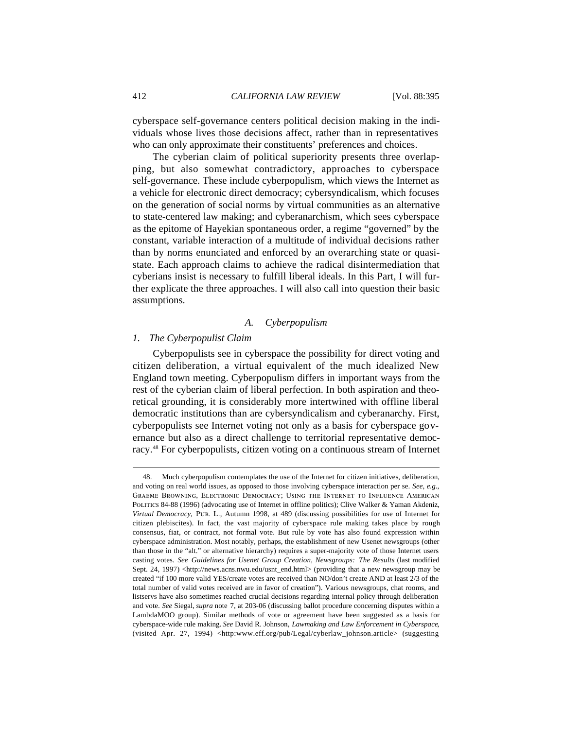cyberspace self-governance centers political decision making in the individuals whose lives those decisions affect, rather than in representatives who can only approximate their constituents' preferences and choices.

The cyberian claim of political superiority presents three overlapping, but also somewhat contradictory, approaches to cyberspace self-governance. These include cyberpopulism, which views the Internet as a vehicle for electronic direct democracy; cybersyndicalism, which focuses on the generation of social norms by virtual communities as an alternative to state-centered law making; and cyberanarchism, which sees cyberspace as the epitome of Hayekian spontaneous order, a regime "governed" by the constant, variable interaction of a multitude of individual decisions rather than by norms enunciated and enforced by an overarching state or quasistate. Each approach claims to achieve the radical disintermediation that cyberians insist is necessary to fulfill liberal ideals. In this Part, I will further explicate the three approaches. I will also call into question their basic assumptions.

### *A. Cyberpopulism*

### *1. The Cyberpopulist Claim*

Cyberpopulists see in cyberspace the possibility for direct voting and citizen deliberation, a virtual equivalent of the much idealized New England town meeting. Cyberpopulism differs in important ways from the rest of the cyberian claim of liberal perfection. In both aspiration and theoretical grounding, it is considerably more intertwined with offline liberal democratic institutions than are cybersyndicalism and cyberanarchy. First, cyberpopulists see Internet voting not only as a basis for cyberspace governance but also as a direct challenge to territorial representative democracy.48 For cyberpopulists, citizen voting on a continuous stream of Internet

 <sup>4 8 .</sup> Much cyberpopulism contemplates the use of the Internet for citizen initiatives, deliberation, and voting on real world issues, as opposed to those involving cyberspace interaction per se. *See, e.g*., Graeme Browning, Electronic Democracy; Using the Internet to Influence American POLITICS 84-88 (1996) (advocating use of Internet in offline politics); Clive Walker & Yaman Akdeniz, *Virtual Democracy*, Pub. L., Autumn 1998, at 489 (discussing possibilities for use of Internet for citizen plebiscites). In fact, the vast majority of cyberspace rule making takes place by rough consensus, fiat, or contract, not formal vote. But rule by vote has also found expression within cyberspace administration. Most notably, perhaps, the establishment of new Usenet newsgroups (other than those in the "alt." or alternative hierarchy) requires a super-majority vote of those Internet users casting votes. *See Guidelines for Usenet Group Creation, Newsgroups: The Results* (last modified Sept. 24, 1997) <http://news.acns.nwu.edu/usnt\_end.html> (providing that a new newsgroup may be created "if 100 more valid YES/create votes are received than NO/don't create AND at least 2/3 of the total number of valid votes received are in favor of creation"). Various newsgroups, chat rooms, and listservs have also sometimes reached crucial decisions regarding internal policy through deliberation and vote. *See* Siegal, *supra* note 7, at 203-06 (discussing ballot procedure concerning disputes within a LambdaMOO group). Similar methods of vote or agreement have been suggested as a basis for cyberspace-wide rule making. *See* David R. Johnson, *Lawmaking and Law Enforcement in Cyberspace*, (visited Apr. 27, 1994) <http:www.eff.org/pub/Legal/cyberlaw\_johnson.article> (suggesting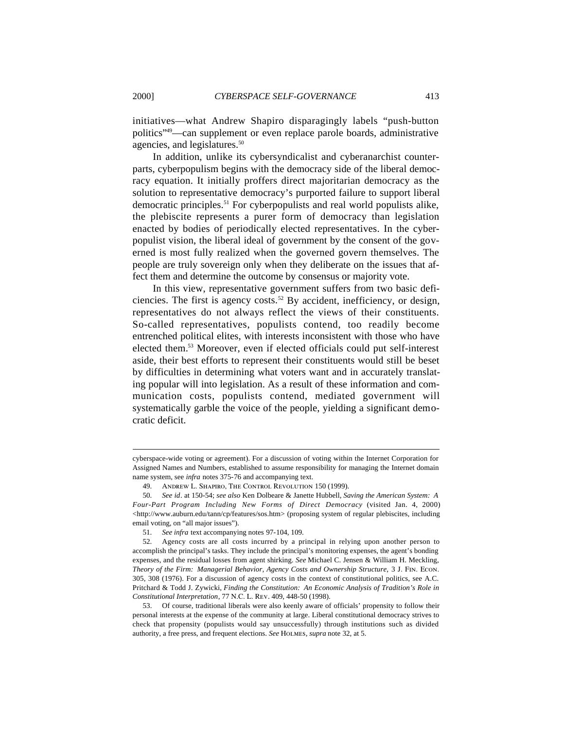initiatives—what Andrew Shapiro disparagingly labels "push-button politics"49—can supplement or even replace parole boards, administrative agencies, and legislatures.<sup>50</sup>

In addition, unlike its cybersyndicalist and cyberanarchist counterparts, cyberpopulism begins with the democracy side of the liberal democracy equation. It initially proffers direct majoritarian democracy as the solution to representative democracy's purported failure to support liberal democratic principles.51 For cyberpopulists and real world populists alike, the plebiscite represents a purer form of democracy than legislation enacted by bodies of periodically elected representatives. In the cyberpopulist vision, the liberal ideal of government by the consent of the governed is most fully realized when the governed govern themselves. The people are truly sovereign only when they deliberate on the issues that affect them and determine the outcome by consensus or majority vote.

In this view, representative government suffers from two basic deficiencies. The first is agency costs.<sup>52</sup> By accident, inefficiency, or design, representatives do not always reflect the views of their constituents. So-called representatives, populists contend, too readily become entrenched political elites, with interests inconsistent with those who have elected them.53 Moreover, even if elected officials could put self-interest aside, their best efforts to represent their constituents would still be beset by difficulties in determining what voters want and in accurately translating popular will into legislation. As a result of these information and communication costs, populists contend, mediated government will systematically garble the voice of the people, yielding a significant democratic deficit.

cyberspace-wide voting or agreement). For a discussion of voting within the Internet Corporation for Assigned Names and Numbers, established to assume responsibility for managing the Internet domain name system, see *infra* notes 375-76 and accompanying text.<br>49. ANDREW L. SHAPIRO, THE CONTROL REVOLUTION

ANDREW L. SHAPIRO, THE CONTROL REVOLUTION 150 (1999).

<sup>5 0 .</sup> *See id*. at 150-54; *see also* Ken Dolbeare & Janette Hubbell, *Saving the American System: A Four-Part Program Including New Forms of Direct Democracy* (visited Jan. 4, 2000) <http://www.auburn.edu/tann/cp/features/sos.htm> (proposing system of regular plebiscites, including email voting, on "all major issues").

<sup>5 1 .</sup> *See infra* text accompanying notes 97-104, 109.

<sup>5 2 .</sup> Agency costs are all costs incurred by a principal in relying upon another person to accomplish the principal's tasks. They include the principal's monitoring expenses, the agent's bonding expenses, and the residual losses from agent shirking. *See* Michael C. Jensen & William H. Meckling, *Theory of the Firm: Managerial Behavior, Agency Costs and Ownership Structure*, 3 J. Fin. Econ. 305, 308 (1976). For a discussion of agency costs in the context of constitutional politics, see A.C. Pritchard & Todd J. Zywicki, *Finding the Constitution: An Economic Analysis of Tradition's Role in Constitutional Interpretation*, 77 N.C. L. Rev. 409, 448-50 (1998).

<sup>5 3 .</sup> Of course, traditional liberals were also keenly aware of officials' propensity to follow their personal interests at the expense of the community at large. Liberal constitutional democracy strives to check that propensity (populists would say unsuccessfully) through institutions such as divided authority, a free press, and frequent elections. *See* Holmes, *supra* note 32, at 5.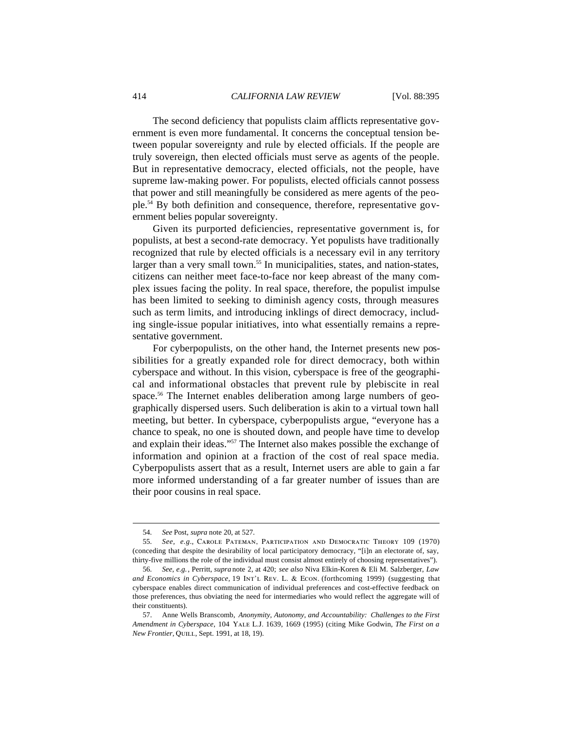The second deficiency that populists claim afflicts representative government is even more fundamental. It concerns the conceptual tension between popular sovereignty and rule by elected officials. If the people are truly sovereign, then elected officials must serve as agents of the people. But in representative democracy, elected officials, not the people, have supreme law-making power. For populists, elected officials cannot possess that power and still meaningfully be considered as mere agents of the people.54 By both definition and consequence, therefore, representative government belies popular sovereignty.

Given its purported deficiencies, representative government is, for populists, at best a second-rate democracy. Yet populists have traditionally recognized that rule by elected officials is a necessary evil in any territory larger than a very small town.<sup>55</sup> In municipalities, states, and nation-states, citizens can neither meet face-to-face nor keep abreast of the many complex issues facing the polity. In real space, therefore, the populist impulse has been limited to seeking to diminish agency costs, through measures such as term limits, and introducing inklings of direct democracy, including single-issue popular initiatives, into what essentially remains a representative government.

For cyberpopulists, on the other hand, the Internet presents new possibilities for a greatly expanded role for direct democracy, both within cyberspace and without. In this vision, cyberspace is free of the geographical and informational obstacles that prevent rule by plebiscite in real space.<sup>56</sup> The Internet enables deliberation among large numbers of geographically dispersed users. Such deliberation is akin to a virtual town hall meeting, but better. In cyberspace, cyberpopulists argue, "everyone has a chance to speak, no one is shouted down, and people have time to develop and explain their ideas."57 The Internet also makes possible the exchange of information and opinion at a fraction of the cost of real space media. Cyberpopulists assert that as a result, Internet users are able to gain a far more informed understanding of a far greater number of issues than are their poor cousins in real space.

 <sup>5 4 .</sup> *See* Post, *supra* note 20, at 527.

<sup>55.</sup> *See, e.g.*, CAROLE PATEMAN, PARTICIPATION AND DEMOCRATIC THEORY 109 (1970) (conceding that despite the desirability of local participatory democracy, "[i]n an electorate of, say, thirty-five millions the role of the individual must consist almost entirely of choosing representatives").

<sup>5 6 .</sup> *See, e.g.*, Perritt, *supra* note 2, at 420; *see also* Niva Elkin-Koren & Eli M. Salzberger, *Law and Economics in Cyberspace,* 19 Int'l Rev. L. & Econ. (forthcoming 1999) (suggesting that cyberspace enables direct communication of individual preferences and cost-effective feedback on those preferences, thus obviating the need for intermediaries who would reflect the aggregate will of their constituents).

<sup>5 7 .</sup> Anne Wells Branscomb, *Anonymity, Autonomy, and Accountability: Challenges to the First Amendment in Cyberspace*, 104 Yale L.J. 1639, 1669 (1995) (citing Mike Godwin*, The First on a New Frontier*, QUILL, Sept. 1991, at 18, 19).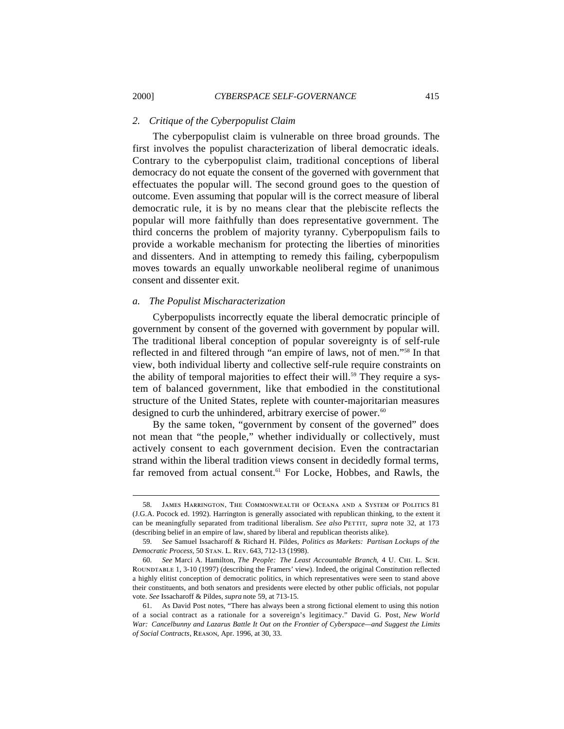### *2. Critique of the Cyberpopulist Claim*

The cyberpopulist claim is vulnerable on three broad grounds. The first involves the populist characterization of liberal democratic ideals. Contrary to the cyberpopulist claim, traditional conceptions of liberal democracy do not equate the consent of the governed with government that effectuates the popular will. The second ground goes to the question of outcome. Even assuming that popular will is the correct measure of liberal democratic rule, it is by no means clear that the plebiscite reflects the popular will more faithfully than does representative government. The third concerns the problem of majority tyranny. Cyberpopulism fails to provide a workable mechanism for protecting the liberties of minorities and dissenters. And in attempting to remedy this failing, cyberpopulism moves towards an equally unworkable neoliberal regime of unanimous consent and dissenter exit.

#### *a. The Populist Mischaracterization*

Cyberpopulists incorrectly equate the liberal democratic principle of government by consent of the governed with government by popular will. The traditional liberal conception of popular sovereignty is of self-rule reflected in and filtered through "an empire of laws, not of men."58 In that view, both individual liberty and collective self-rule require constraints on the ability of temporal majorities to effect their will.<sup>59</sup> They require a system of balanced government, like that embodied in the constitutional structure of the United States, replete with counter-majoritarian measures designed to curb the unhindered, arbitrary exercise of power. $60$ 

By the same token, "government by consent of the governed" does not mean that "the people," whether individually or collectively, must actively consent to each government decision. Even the contractarian strand within the liberal tradition views consent in decidedly formal terms, far removed from actual consent.<sup>61</sup> For Locke, Hobbes, and Rawls, the

<sup>58.</sup> JAMES HARRINGTON, THE COMMONWEALTH OF OCEANA AND A SYSTEM OF POLITICS 81 (J.G.A. Pocock ed. 1992). Harrington is generally associated with republican thinking, to the extent it can be meaningfully separated from traditional liberalism. *See also* PETTIT, *supra* note 32, at 173 (describing belief in an empire of law, shared by liberal and republican theorists alike).

<sup>5 9 .</sup> *See* Samuel Issacharoff & Richard H. Pildes, *Politics as Markets: Partisan Lockups of the Democratic Process*, 50 Stan. L. Rev. 643, 712-13 (1998).

<sup>6 0 .</sup> *See* Marci A. Hamilton, *The People: The Least Accountable Branch*, 4 U. Chi. L. Sch. ROUNDTABLE 1, 3-10 (1997) (describing the Framers' view). Indeed, the original Constitution reflected a highly elitist conception of democratic politics, in which representatives were seen to stand above their constituents, and both senators and presidents were elected by other public officials, not popular vote. *See* Issacharoff & Pildes, *supra* note 59, at 713-15.

<sup>61.</sup> As David Post notes, "There has always been a strong fictional element to using this notion of a social contract as a rationale for a sovereign's legitimacy." David G. Post, *New World War: Cancelbunny and Lazarus Battle It Out on the Frontier of Cyberspace—and Suggest the Limits of Social Contracts*, Reason, Apr. 1996, at 30, 33.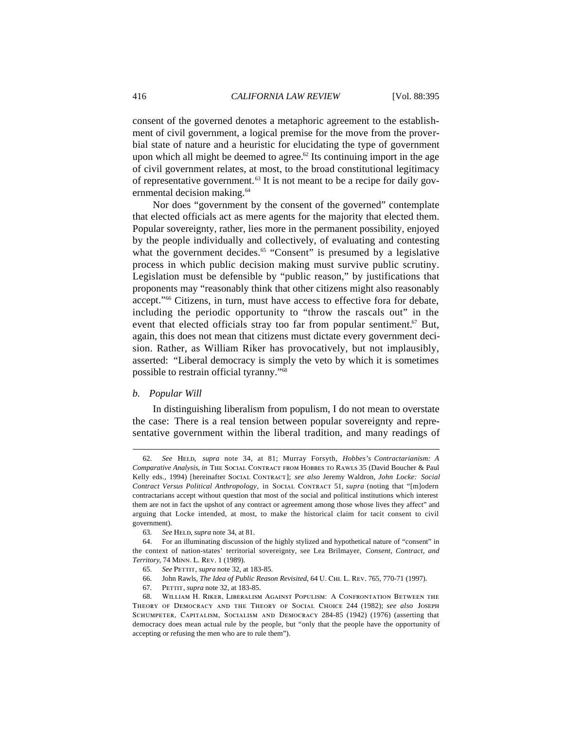consent of the governed denotes a metaphoric agreement to the establishment of civil government, a logical premise for the move from the proverbial state of nature and a heuristic for elucidating the type of government upon which all might be deemed to agree.<sup>62</sup> Its continuing import in the age of civil government relates, at most, to the broad constitutional legitimacy of representative government.<sup>63</sup> It is not meant to be a recipe for daily governmental decision making.<sup>64</sup>

Nor does "government by the consent of the governed" contemplate that elected officials act as mere agents for the majority that elected them. Popular sovereignty, rather, lies more in the permanent possibility, enjoyed by the people individually and collectively, of evaluating and contesting what the government decides.<sup>65</sup> "Consent" is presumed by a legislative process in which public decision making must survive public scrutiny. Legislation must be defensible by "public reason," by justifications that proponents may "reasonably think that other citizens might also reasonably accept."66 Citizens, in turn, must have access to effective fora for debate, including the periodic opportunity to "throw the rascals out" in the event that elected officials stray too far from popular sentiment.<sup>67</sup> But, again, this does not mean that citizens must dictate every government decision. Rather, as William Riker has provocatively, but not implausibly, asserted: "Liberal democracy is simply the veto by which it is sometimes possible to restrain official tyranny."68

#### *b. Popular Will*

In distinguishing liberalism from populism, I do not mean to overstate the case: There is a real tension between popular sovereignty and representative government within the liberal tradition, and many readings of

 <sup>6 2 .</sup> *See* Held, *supra* note 34, at 81; Murray Forsyth, *Hobbes's Contractarianism: A Comparative Analysis*, *in* The Social Contract from Hobbes to Rawls 35 (David Boucher & Paul Kelly eds., 1994) [hereinafter Social Contract]; *see also* Jeremy Waldron, *John Locke: Social Contract Versus Political Anthropology*, in Social Contract 51, *supra* (noting that "[m]odern contractarians accept without question that most of the social and political institutions which interest them are not in fact the upshot of any contract or agreement among those whose lives they affect" and arguing that Locke intended, at most, to make the historical claim for tacit consent to civil government).

<sup>6 3 .</sup> *See* Held, *supra* note 34, at 81.

<sup>6 4 .</sup> For an illuminating discussion of the highly stylized and hypothetical nature of "consent" in the context of nation-states' territorial sovereignty, see Lea Brilmayer, *Consent, Contract, and Territory*, 74 Minn. L. Rev. 1 (1989).

<sup>6 5 .</sup> *See* Pettit, *supra* note 32, at 183-85.

<sup>66.</sup> John Rawls, *The Idea of Public Reason Revisited*, 64 U. CHI. L. REV. 765, 770-71 (1997).

<sup>67.</sup> PETTIT, *supra* note 32, at 183-85.

<sup>68.</sup> WILLIAM H. RIKER, LIBERALISM AGAINST POPULISM: A CONFRONTATION BETWEEN THE Theory of Democracy and the Theory of Social Choice 244 (1982); *see also* Joseph Schumpeter, Capitalism, Socialism and Democracy 284-85 (1942) (1976) (asserting that democracy does mean actual rule by the people, but "only that the people have the opportunity of accepting or refusing the men who are to rule them").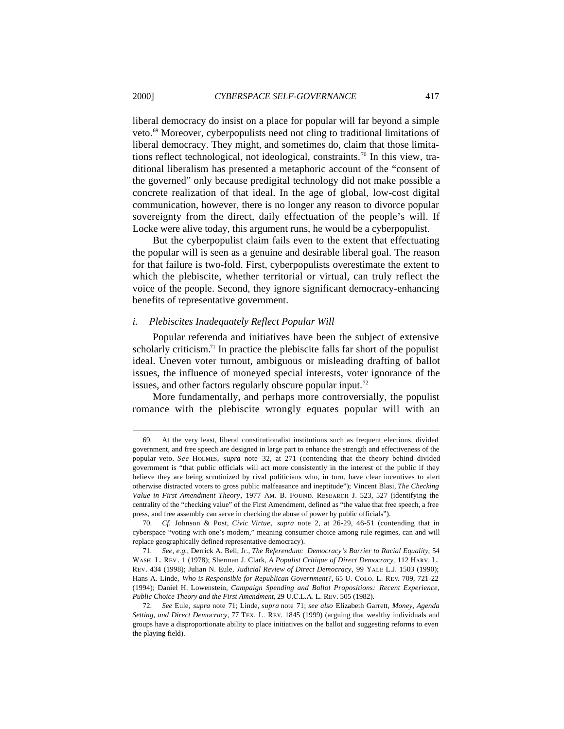liberal democracy do insist on a place for popular will far beyond a simple veto.69 Moreover, cyberpopulists need not cling to traditional limitations of liberal democracy. They might, and sometimes do, claim that those limitations reflect technological, not ideological, constraints. 70 In this view, traditional liberalism has presented a metaphoric account of the "consent of the governed" only because predigital technology did not make possible a concrete realization of that ideal. In the age of global, low-cost digital communication, however, there is no longer any reason to divorce popular sovereignty from the direct, daily effectuation of the people's will. If Locke were alive today, this argument runs, he would be a cyberpopulist.

But the cyberpopulist claim fails even to the extent that effectuating the popular will is seen as a genuine and desirable liberal goal. The reason for that failure is two-fold. First, cyberpopulists overestimate the extent to which the plebiscite, whether territorial or virtual, can truly reflect the voice of the people. Second, they ignore significant democracy-enhancing benefits of representative government.

### *i. Plebiscites Inadequately Reflect Popular Will*

Popular referenda and initiatives have been the subject of extensive scholarly criticism.<sup>71</sup> In practice the plebiscite falls far short of the populist ideal. Uneven voter turnout, ambiguous or misleading drafting of ballot issues, the influence of moneyed special interests, voter ignorance of the issues, and other factors regularly obscure popular input.<sup>72</sup>

More fundamentally, and perhaps more controversially, the populist romance with the plebiscite wrongly equates popular will with an

<sup>69.</sup> At the very least, liberal constitutionalist institutions such as frequent elections, divided government, and free speech are designed in large part to enhance the strength and effectiveness of the popular veto. *See* Holmes, *supra* note 32, at 271 (contending that the theory behind divided government is "that public officials will act more consistently in the interest of the public if they believe they are being scrutinized by rival politicians who, in turn, have clear incentives to alert otherwise distracted voters to gross public malfeasance and ineptitude"); Vincent Blasi, *The Checking* Value in First Amendment Theory, 1977 AM. B. FOUND. RESEARCH J. 523, 527 (identifying the centrality of the "checking value" of the First Amendment, defined as "the value that free speech, a free press, and free assembly can serve in checking the abuse of power by public officials").

<sup>7 0 .</sup> *Cf.* Johnson & Post, *Civic Virtue*, *supra* note 2, at 26-29, 46-51 (contending that in cyberspace "voting with one's modem," meaning consumer choice among rule regimes, can and will replace geographically defined representative democracy).

<sup>7 1 .</sup> *See, e.g*., Derrick A. Bell, Jr., *The Referendum: Democracy's Barrier to Racial Equality*, 54 Wash. L. Rev. 1 (1978); Sherman J. Clark, *A Populist Critique of Direct Democracy*, 112 Harv. L. Rev. 434 (1998); Julian N. Eule, *Judicial Review of Direct Democracy*, 99 Yale L.J. 1503 (1990); Hans A. Linde, *Who is Responsible for Republican Government?*, 65 U. Colo. L. Rev. 709, 721-22 (1994); Daniel H. Lowenstein, *Campaign Spending and Ballot Propositions: Recent Experience, Public Choice Theory and the First Amendment*, 29 U.C.L.A. L. Rev. 505 (1982).

<sup>7 2 .</sup> *See* Eule, *supra* note 71; Linde, *supra* note 71; *see also* Elizabeth Garrett, *Money, Agenda Setting, and Direct Democracy*, 77 Tex. L. Rev. 1845 (1999) (arguing that wealthy individuals and groups have a disproportionate ability to place initiatives on the ballot and suggesting reforms to even the playing field).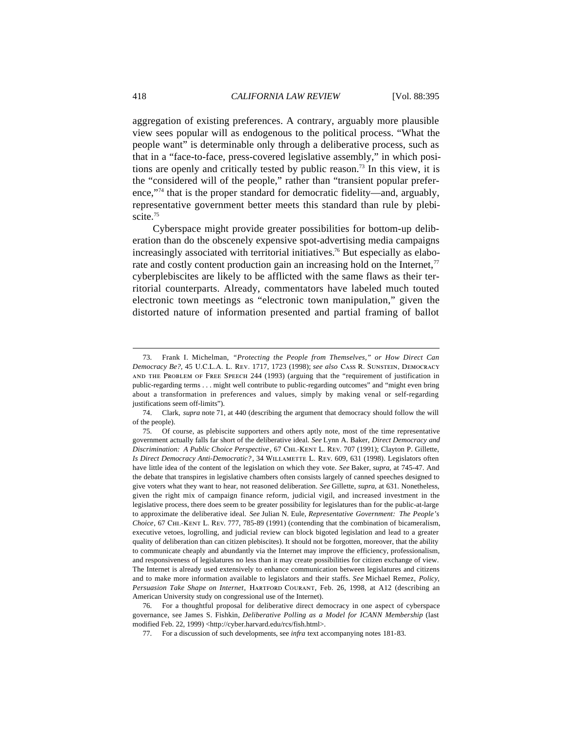aggregation of existing preferences. A contrary, arguably more plausible view sees popular will as endogenous to the political process. "What the people want" is determinable only through a deliberative process, such as that in a "face-to-face, press-covered legislative assembly," in which positions are openly and critically tested by public reason.<sup>73</sup> In this view, it is the "considered will of the people," rather than "transient popular preference,"74 that is the proper standard for democratic fidelity—and, arguably, representative government better meets this standard than rule by plebiscite.<sup>75</sup>

Cyberspace might provide greater possibilities for bottom-up deliberation than do the obscenely expensive spot-advertising media campaigns increasingly associated with territorial initiatives.76 But especially as elaborate and costly content production gain an increasing hold on the Internet, $\frac{7}{7}$ cyberplebiscites are likely to be afflicted with the same flaws as their territorial counterparts. Already, commentators have labeled much touted electronic town meetings as "electronic town manipulation," given the distorted nature of information presented and partial framing of ballot

 <sup>7 3 .</sup> Frank I. Michelman, *"Protecting the People from Themselves," or How Direct Can Democracy Be?,* 45 U.C.L.A. L. Rev. 1717, 1723 (1998); *see also* Cass R. Sunstein, Democracy and the Problem of Free Speech 244 (1993) (arguing that the "requirement of justification in public-regarding terms . . . might well contribute to public-regarding outcomes" and "might even bring about a transformation in preferences and values, simply by making venal or self-regarding justifications seem off-limits").

<sup>74.</sup> Clark, *supra* note 71, at 440 (describing the argument that democracy should follow the will of the people).

<sup>7 5 .</sup> Of course, as plebiscite supporters and others aptly note, most of the time representative government actually falls far short of the deliberative ideal. *See* Lynn A. Baker, *Direct Democracy and Discrimination: A Public Choice Perspective*, 67 Chi.-Kent L. Rev. 707 (1991); Clayton P. Gillette, *Is Direct Democracy Anti-Democratic?*, 34 WILLAMETTE L. REV. 609, 631 (1998). Legislators often have little idea of the content of the legislation on which they vote. *See* Baker, *supra*, at 745-47. And the debate that transpires in legislative chambers often consists largely of canned speeches designed to give voters what they want to hear, not reasoned deliberation. *See* Gillette, *supra*, at 631. Nonetheless, given the right mix of campaign finance reform, judicial vigil, and increased investment in the legislative process, there does seem to be greater possibility for legislatures than for the public-at-large to approximate the deliberative ideal. *See* Julian N. Eule, *Representative Government: The People's Choice*, 67 Chi.-Kent L. Rev. 777, 785-89 (1991) (contending that the combination of bicameralism, executive vetoes, logrolling, and judicial review can block bigoted legislation and lead to a greater quality of deliberation than can citizen plebiscites). It should not be forgotten, moreover, that the ability to communicate cheaply and abundantly via the Internet may improve the efficiency, professionalism, and responsiveness of legislatures no less than it may create possibilities for citizen exchange of view. The Internet is already used extensively to enhance communication between legislatures and citizens and to make more information available to legislators and their staffs. *See* Michael Remez, *Policy, Persuasion Take Shape on Internet*, Hartford Courant, Feb. 26, 1998, at A12 (describing an American University study on congressional use of the Internet).

<sup>76.</sup> For a thoughtful proposal for deliberative direct democracy in one aspect of cyberspace governance, see James S. Fishkin, *Deliberative Polling as a Model for ICANN Membership* (last modified Feb. 22, 1999) <http://cyber.harvard.edu/rcs/fish.html>.

<sup>77.</sup> For a discussion of such developments, see *infra* text accompanying notes 181-83.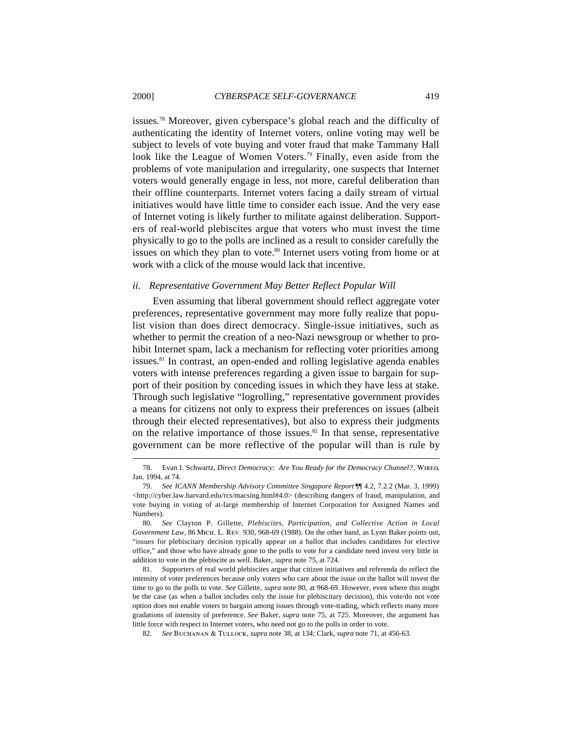issues.78 Moreover, given cyberspace's global reach and the difficulty of authenticating the identity of Internet voters, online voting may well be subject to levels of vote buying and voter fraud that make Tammany Hall look like the League of Women Voters.<sup>79</sup> Finally, even aside from the problems of vote manipulation and irregularity, one suspects that Internet voters would generally engage in less, not more, careful deliberation than their offline counterparts. Internet voters facing a daily stream of virtual initiatives would have little time to consider each issue. And the very ease of Internet voting is likely further to militate against deliberation. Supporters of real-world plebiscites argue that voters who must invest the time physically to go to the polls are inclined as a result to consider carefully the issues on which they plan to vote.<sup>80</sup> Internet users voting from home or at work with a click of the mouse would lack that incentive.

### *ii. Representative Government May Better Reflect Popular Will*

Even assuming that liberal government should reflect aggregate voter preferences, representative government may more fully realize that populist vision than does direct democracy. Single-issue initiatives, such as whether to permit the creation of a neo-Nazi newsgroup or whether to prohibit Internet spam, lack a mechanism for reflecting voter priorities among issues.<sup>81</sup> In contrast, an open-ended and rolling legislative agenda enables voters with intense preferences regarding a given issue to bargain for support of their position by conceding issues in which they have less at stake. Through such legislative "logrolling," representative government provides a means for citizens not only to express their preferences on issues (albeit through their elected representatives), but also to express their judgments on the relative importance of those issues. $82$  In that sense, representative government can be more reflective of the popular will than is rule by

81. Supporters of real world plebiscites argue that citizen initiatives and referenda do reflect the intensity of voter preferences because only voters who care about the issue on the ballot will invest the time to go to the polls to vote. *See* Gillette, *supra* note 80, at 968-69. However, even where this might be the case (as when a ballot includes only the issue for plebiscitary decision), this vote/do not vote option does not enable voters to bargain among issues through vote-trading, which reflects many more gradations of intensity of preference. *See* Baker, *supra* note 75, at 725. Moreover, the argument has little force with respect to Internet voters, who need not go to the polls in order to vote.

82. See BUCHANAN & TULLOCK, *supra* note 38, at 134; Clark, *supra* note 71, at 456-63.

<sup>78.</sup> Evan I. Schwartz, *Direct Democracy: Are You Ready for the Democracy Channel?*, WIRED, Jan. 1994, at 74.

<sup>7 9 .</sup> *See ICANN Membership Advisory Committee Singapore Report* ¶¶ 4.2, 7.2.2 (Mar. 3, 1999) <http://cyber.law.harvard.edu/rcs/macsing.html#4.0> (describing dangers of fraud, manipulation, and vote buying in voting of at-large membership of Internet Corporation for Assigned Names and Numbers).

<sup>8 0 .</sup> *See* Clayton P. Gillette, *Plebiscites, Participation, and Collective Action in Local Government Law*, 86 Mich. L. Rev. 930, 968-69 (1988). On the other hand, as Lynn Baker points out, "issues for plebiscitary decision typically appear on a ballot that includes candidates for elective office," and those who have already gone to the polls to vote for a candidate need invest very little in addition to vote in the plebiscite as well. Baker, *supra* note 75, at 724.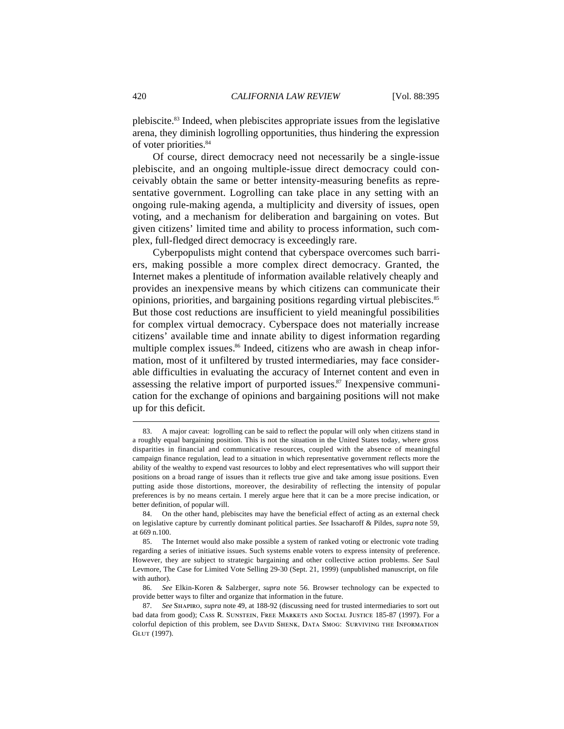plebiscite.83 Indeed, when plebiscites appropriate issues from the legislative arena, they diminish logrolling opportunities, thus hindering the expression of voter priorities.<sup>84</sup>

Of course, direct democracy need not necessarily be a single-issue plebiscite, and an ongoing multiple-issue direct democracy could conceivably obtain the same or better intensity-measuring benefits as representative government. Logrolling can take place in any setting with an ongoing rule-making agenda, a multiplicity and diversity of issues, open voting, and a mechanism for deliberation and bargaining on votes. But given citizens' limited time and ability to process information, such complex, full-fledged direct democracy is exceedingly rare.

Cyberpopulists might contend that cyberspace overcomes such barriers, making possible a more complex direct democracy. Granted, the Internet makes a plentitude of information available relatively cheaply and provides an inexpensive means by which citizens can communicate their opinions, priorities, and bargaining positions regarding virtual plebiscites.85 But those cost reductions are insufficient to yield meaningful possibilities for complex virtual democracy. Cyberspace does not materially increase citizens' available time and innate ability to digest information regarding multiple complex issues.<sup>86</sup> Indeed, citizens who are awash in cheap information, most of it unfiltered by trusted intermediaries, may face considerable difficulties in evaluating the accuracy of Internet content and even in assessing the relative import of purported issues.<sup>87</sup> Inexpensive communication for the exchange of opinions and bargaining positions will not make up for this deficit.

<sup>83.</sup> A major caveat: logrolling can be said to reflect the popular will only when citizens stand in a roughly equal bargaining position. This is not the situation in the United States today, where gross disparities in financial and communicative resources, coupled with the absence of meaningful campaign finance regulation, lead to a situation in which representative government reflects more the ability of the wealthy to expend vast resources to lobby and elect representatives who will support their positions on a broad range of issues than it reflects true give and take among issue positions. Even putting aside those distortions, moreover, the desirability of reflecting the intensity of popular preferences is by no means certain. I merely argue here that it can be a more precise indication, or better definition, of popular will.

<sup>84.</sup> On the other hand, plebiscites may have the beneficial effect of acting as an external check on legislative capture by currently dominant political parties. *See* Issacharoff & Pildes, *supra* note 59, at 669 n.100.

<sup>85.</sup> The Internet would also make possible a system of ranked voting or electronic vote trading regarding a series of initiative issues. Such systems enable voters to express intensity of preference. However, they are subject to strategic bargaining and other collective action problems. *See* Saul Levmore, The Case for Limited Vote Selling 29-30 (Sept. 21, 1999) (unpublished manuscript, on file with author).

<sup>8 6 .</sup> *See* Elkin-Koren & Salzberger, *supra* note 56. Browser technology can be expected to provide better ways to filter and organize that information in the future.

<sup>87.</sup> See SHAPIRO, *supra* note 49, at 188-92 (discussing need for trusted intermediaries to sort out bad data from good); CASS R. SUNSTEIN, FREE MARKETS AND SOCIAL JUSTICE 185-87 (1997). For a colorful depiction of this problem, see David Shenk, Data Smog: Surviving the Information GLUT (1997).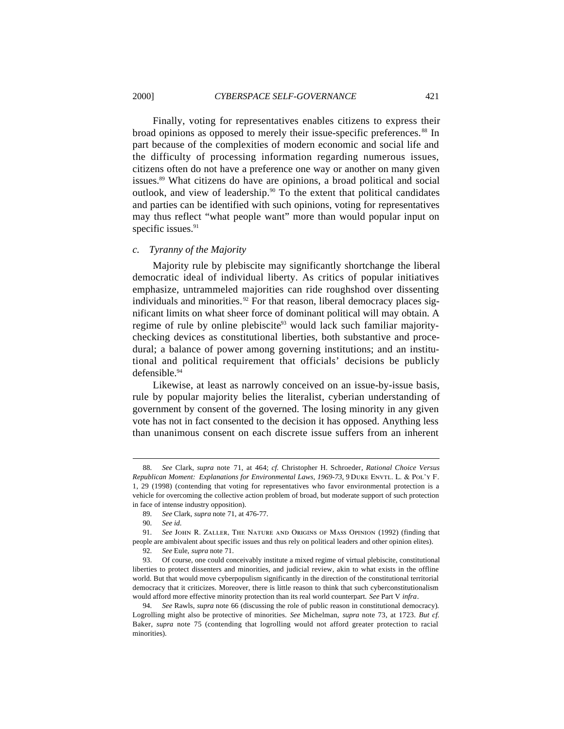Finally, voting for representatives enables citizens to express their broad opinions as opposed to merely their issue-specific preferences. 88 In part because of the complexities of modern economic and social life and the difficulty of processing information regarding numerous issues, citizens often do not have a preference one way or another on many given issues.89 What citizens do have are opinions, a broad political and social outlook, and view of leadership.<sup>90</sup> To the extent that political candidates and parties can be identified with such opinions, voting for representatives may thus reflect "what people want" more than would popular input on specific issues.<sup>91</sup>

# *c. Tyranny of the Majority*

Majority rule by plebiscite may significantly shortchange the liberal democratic ideal of individual liberty. As critics of popular initiatives emphasize, untrammeled majorities can ride roughshod over dissenting individuals and minorities.<sup>92</sup> For that reason, liberal democracy places significant limits on what sheer force of dominant political will may obtain. A regime of rule by online plebiscite<sup>93</sup> would lack such familiar majoritychecking devices as constitutional liberties, both substantive and procedural; a balance of power among governing institutions; and an institutional and political requirement that officials' decisions be publicly defensible.94

Likewise, at least as narrowly conceived on an issue-by-issue basis, rule by popular majority belies the literalist, cyberian understanding of government by consent of the governed. The losing minority in any given vote has not in fact consented to the decision it has opposed. Anything less than unanimous consent on each discrete issue suffers from an inherent

 <sup>8 8 .</sup> *See* Clark, *supra* note 71, at 464; *cf.* Christopher H. Schroeder*, Rational Choice Versus Republican Moment: Explanations for Environmental Laws, 1969-73, 9 DUKE ENVTL. L. & POL'Y F.* 1, 29 (1998) (contending that voting for representatives who favor environmental protection is a vehicle for overcoming the collective action problem of broad, but moderate support of such protection in face of intense industry opposition).

<sup>8 9 .</sup> *See* Clark, *supra* note 71, at 476-77.

<sup>90.</sup> See id.

<sup>91.</sup> *See JOHN R. ZALLER, THE NATURE AND ORIGINS OF MASS OPINION (1992) (finding that* people are ambivalent about specific issues and thus rely on political leaders and other opinion elites).

<sup>92.</sup> See Eule, *supra* note 71.

<sup>93.</sup> Of course, one could conceivably institute a mixed regime of virtual plebiscite, constitutional liberties to protect dissenters and minorities, and judicial review, akin to what exists in the offline world. But that would move cyberpopulism significantly in the direction of the constitutional territorial democracy that it criticizes. Moreover, there is little reason to think that such cyberconstitutionalism would afford more effective minority protection than its real world counterpart. *See* Part V *infra*.

<sup>9 4 .</sup> *See* Rawls, *supra* note 66 (discussing the role of public reason in constitutional democracy)*.* Logrolling might also be protective of minorities. *See* Michelman, *supra* note 73, at 1723. *But cf.* Baker, *supra* note 75 (contending that logrolling would not afford greater protection to racial minorities).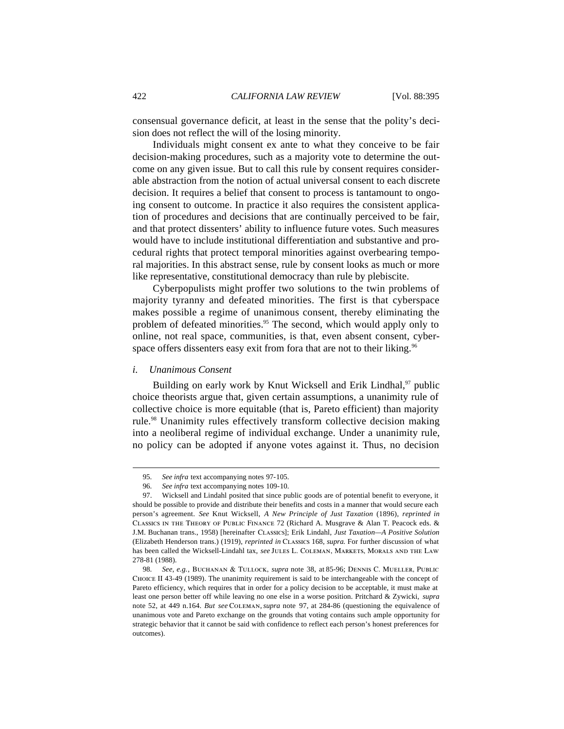consensual governance deficit, at least in the sense that the polity's decision does not reflect the will of the losing minority.

Individuals might consent ex ante to what they conceive to be fair decision-making procedures, such as a majority vote to determine the outcome on any given issue. But to call this rule by consent requires considerable abstraction from the notion of actual universal consent to each discrete decision. It requires a belief that consent to process is tantamount to ongoing consent to outcome. In practice it also requires the consistent application of procedures and decisions that are continually perceived to be fair, and that protect dissenters' ability to influence future votes. Such measures would have to include institutional differentiation and substantive and procedural rights that protect temporal minorities against overbearing temporal majorities. In this abstract sense, rule by consent looks as much or more like representative, constitutional democracy than rule by plebiscite.

Cyberpopulists might proffer two solutions to the twin problems of majority tyranny and defeated minorities. The first is that cyberspace makes possible a regime of unanimous consent, thereby eliminating the problem of defeated minorities.<sup>95</sup> The second, which would apply only to online, not real space, communities, is that, even absent consent, cyberspace offers dissenters easy exit from fora that are not to their liking.<sup>96</sup>

*i. Unanimous Consent*

Building on early work by Knut Wicksell and Erik Lindhal,<sup>97</sup> public choice theorists argue that, given certain assumptions, a unanimity rule of collective choice is more equitable (that is, Pareto efficient) than majority rule.98 Unanimity rules effectively transform collective decision making into a neoliberal regime of individual exchange. Under a unanimity rule, no policy can be adopted if anyone votes against it. Thus, no decision

<sup>95.</sup> See infra text accompanying notes 97-105.

<sup>96.</sup> *See infra text accompanying notes 109-10.* 

<sup>97.</sup> Wicksell and Lindahl posited that since public goods are of potential benefit to everyone, it should be possible to provide and distribute their benefits and costs in a manner that would secure each person's agreement. *See* Knut Wicksell, *A New Principle of Just Taxation* (1896), *reprinted in* Classics in the Theory of Public Finance 72 (Richard A. Musgrave & Alan T. Peacock eds. & J.M. Buchanan trans., 1958) [hereinafter Classics]; Erik Lindahl, *Just Taxation—A Positive Solution* (Elizabeth Henderson trans.) (1919), *reprinted in* Classics 168, *supra*. For further discussion of what has been called the Wicksell-Lindahl tax, see JULES L. COLEMAN, MARKETS, MORALS AND THE LAW 278-81 (1988).

<sup>9 8 .</sup> *See, e.g.*, Buchanan & Tullock, *supra* note 38, at 85-96; Dennis C. Mueller, Public Choice II 43-49 (1989). The unanimity requirement is said to be interchangeable with the concept of Pareto efficiency, which requires that in order for a policy decision to be acceptable, it must make at least one person better off while leaving no one else in a worse position. Pritchard & Zywicki, *supra* note 52, at 449 n.164. *But see* Coleman, *supra* note 97, at 284-86 (questioning the equivalence of unanimous vote and Pareto exchange on the grounds that voting contains such ample opportunity for strategic behavior that it cannot be said with confidence to reflect each person's honest preferences for outcomes).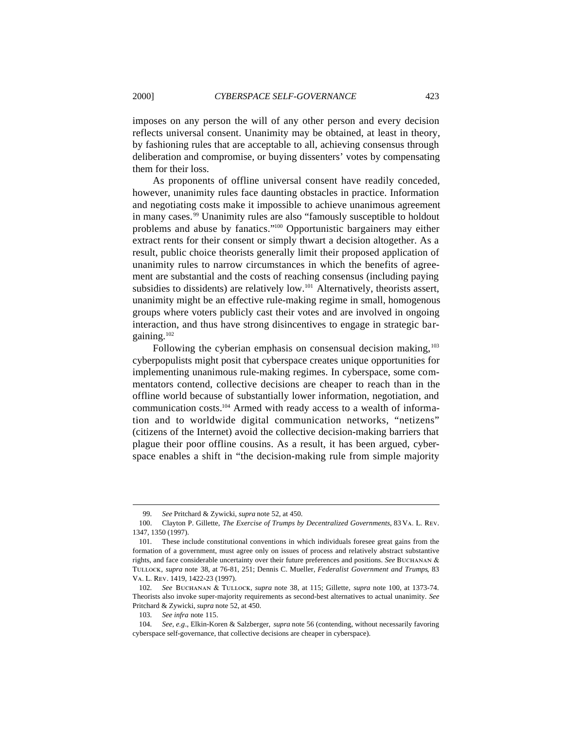imposes on any person the will of any other person and every decision reflects universal consent. Unanimity may be obtained, at least in theory, by fashioning rules that are acceptable to all, achieving consensus through deliberation and compromise, or buying dissenters' votes by compensating them for their loss.

As proponents of offline universal consent have readily conceded, however, unanimity rules face daunting obstacles in practice. Information and negotiating costs make it impossible to achieve unanimous agreement in many cases. 99 Unanimity rules are also "famously susceptible to holdout problems and abuse by fanatics."100 Opportunistic bargainers may either extract rents for their consent or simply thwart a decision altogether. As a result, public choice theorists generally limit their proposed application of unanimity rules to narrow circumstances in which the benefits of agreement are substantial and the costs of reaching consensus (including paying subsidies to dissidents) are relatively low.<sup>101</sup> Alternatively, theorists assert, unanimity might be an effective rule-making regime in small, homogenous groups where voters publicly cast their votes and are involved in ongoing interaction, and thus have strong disincentives to engage in strategic bargaining. $102$ 

Following the cyberian emphasis on consensual decision making,<sup>103</sup> cyberpopulists might posit that cyberspace creates unique opportunities for implementing unanimous rule-making regimes. In cyberspace, some commentators contend, collective decisions are cheaper to reach than in the offline world because of substantially lower information, negotiation, and communication costs.<sup>104</sup> Armed with ready access to a wealth of information and to worldwide digital communication networks, "netizens" (citizens of the Internet) avoid the collective decision-making barriers that plague their poor offline cousins. As a result, it has been argued, cyberspace enables a shift in "the decision-making rule from simple majority

 <sup>9 9 .</sup> *See* Pritchard & Zywicki, *supra* note 52, at 450.

<sup>100.</sup> Clayton P. Gillette, *The Exercise of Trumps by Decentralized Governments*, 83 VA. L. REV. 1347, 1350 (1997).

<sup>101.</sup> These include constitutional conventions in which individuals foresee great gains from the formation of a government, must agree only on issues of process and relatively abstract substantive rights, and face considerable uncertainty over their future preferences and positions. *See* Buchanan & Tullock, *supra* note 38, at 76-81, 251; Dennis C. Mueller, *Federalist Government and Trumps*, 83 Va. L. Rev. 1419, 1422-23 (1997).

<sup>1 0 2 .</sup> *See* Buchanan & Tullock, *supra* note 38, at 115; Gillette, *supra* note 100, at 1373-74. Theorists also invoke super-majority requirements as second-best alternatives to actual unanimity. *See* Pritchard & Zywicki, *supra* note 52, at 450.

<sup>103.</sup> *See infra* note 115.

<sup>104.</sup> *See, e.g.*, Elkin-Koren & Salzberger, *supra* note 56 (contending, without necessarily favoring cyberspace self-governance, that collective decisions are cheaper in cyberspace).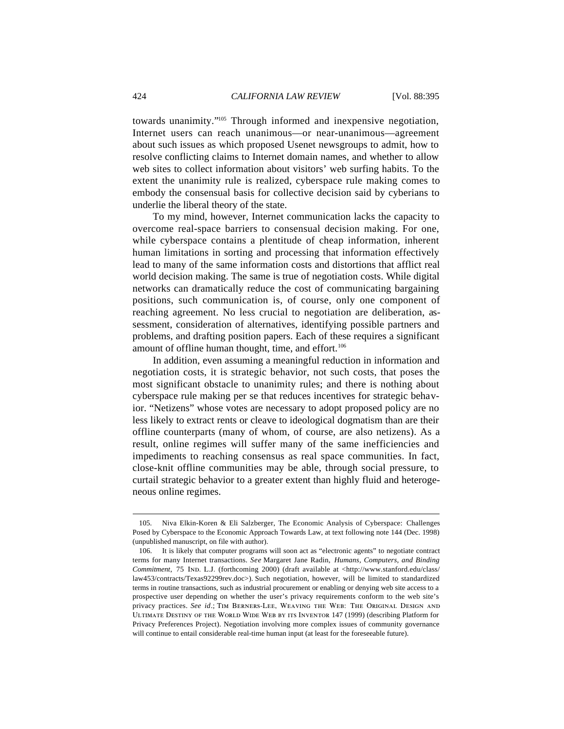towards unanimity."105 Through informed and inexpensive negotiation, Internet users can reach unanimous—or near-unanimous—agreement about such issues as which proposed Usenet newsgroups to admit, how to resolve conflicting claims to Internet domain names, and whether to allow web sites to collect information about visitors' web surfing habits. To the extent the unanimity rule is realized, cyberspace rule making comes to embody the consensual basis for collective decision said by cyberians to underlie the liberal theory of the state.

To my mind, however, Internet communication lacks the capacity to overcome real-space barriers to consensual decision making. For one, while cyberspace contains a plentitude of cheap information, inherent human limitations in sorting and processing that information effectively lead to many of the same information costs and distortions that afflict real world decision making. The same is true of negotiation costs. While digital networks can dramatically reduce the cost of communicating bargaining positions, such communication is, of course, only one component of reaching agreement. No less crucial to negotiation are deliberation, assessment, consideration of alternatives, identifying possible partners and problems, and drafting position papers. Each of these requires a significant amount of offline human thought, time, and effort.<sup>106</sup>

In addition, even assuming a meaningful reduction in information and negotiation costs, it is strategic behavior, not such costs, that poses the most significant obstacle to unanimity rules; and there is nothing about cyberspace rule making per se that reduces incentives for strategic behavior. "Netizens" whose votes are necessary to adopt proposed policy are no less likely to extract rents or cleave to ideological dogmatism than are their offline counterparts (many of whom, of course, are also netizens). As a result, online regimes will suffer many of the same inefficiencies and impediments to reaching consensus as real space communities. In fact, close-knit offline communities may be able, through social pressure, to curtail strategic behavior to a greater extent than highly fluid and heterogeneous online regimes.

<sup>105.</sup> Niva Elkin-Koren & Eli Salzberger, The Economic Analysis of Cyberspace: Challenges Posed by Cyberspace to the Economic Approach Towards Law, at text following note 144 (Dec. 1998) (unpublished manuscript, on file with author).

<sup>106.</sup> It is likely that computer programs will soon act as "electronic agents" to negotiate contract terms for many Internet transactions. *See* Margaret Jane Radin, *Humans, Computers, and Binding Commitment*, 75 IND. L.J. (forthcoming 2000) (draft available at <http://www.stanford.edu/class/ law453/contracts/Texas92299rev.doc>). Such negotiation, however, will be limited to standardized terms in routine transactions, such as industrial procurement or enabling or denying web site access to a prospective user depending on whether the user's privacy requirements conform to the web site's privacy practices. See id.; TIM BERNERS-LEE, WEAVING THE WEB: THE ORIGINAL DESIGN AND Ultimate Destiny of the World Wide Web by its Inventor 147 (1999) (describing Platform for Privacy Preferences Project). Negotiation involving more complex issues of community governance will continue to entail considerable real-time human input (at least for the foreseeable future).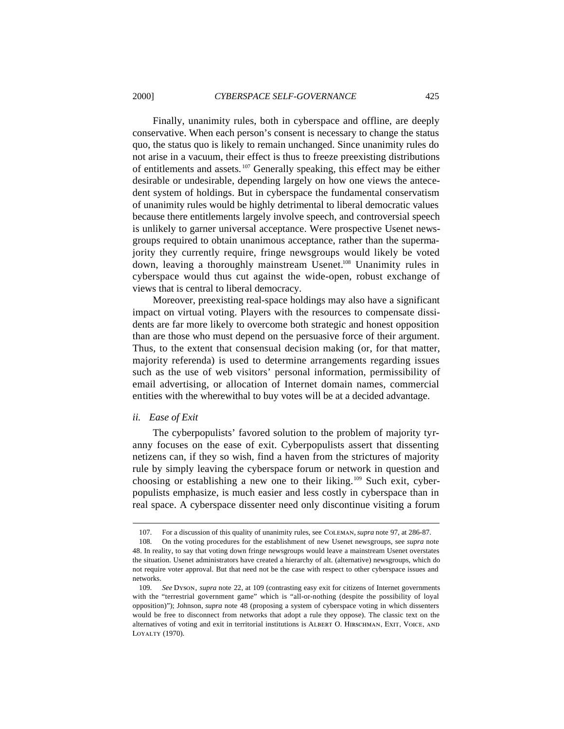Finally, unanimity rules, both in cyberspace and offline, are deeply conservative. When each person's consent is necessary to change the status quo, the status quo is likely to remain unchanged. Since unanimity rules do not arise in a vacuum, their effect is thus to freeze preexisting distributions of entitlements and assets. 107 Generally speaking, this effect may be either desirable or undesirable, depending largely on how one views the antecedent system of holdings. But in cyberspace the fundamental conservatism of unanimity rules would be highly detrimental to liberal democratic values because there entitlements largely involve speech, and controversial speech is unlikely to garner universal acceptance. Were prospective Usenet newsgroups required to obtain unanimous acceptance, rather than the supermajority they currently require, fringe newsgroups would likely be voted down, leaving a thoroughly mainstream Usenet.<sup>108</sup> Unanimity rules in cyberspace would thus cut against the wide-open, robust exchange of views that is central to liberal democracy.

Moreover, preexisting real-space holdings may also have a significant impact on virtual voting. Players with the resources to compensate dissidents are far more likely to overcome both strategic and honest opposition than are those who must depend on the persuasive force of their argument. Thus, to the extent that consensual decision making (or, for that matter, majority referenda) is used to determine arrangements regarding issues such as the use of web visitors' personal information, permissibility of email advertising, or allocation of Internet domain names, commercial entities with the wherewithal to buy votes will be at a decided advantage.

### *ii. Ease of Exit*

The cyberpopulists' favored solution to the problem of majority tyranny focuses on the ease of exit. Cyberpopulists assert that dissenting netizens can, if they so wish, find a haven from the strictures of majority rule by simply leaving the cyberspace forum or network in question and choosing or establishing a new one to their liking.109 Such exit, cyberpopulists emphasize, is much easier and less costly in cyberspace than in real space. A cyberspace dissenter need only discontinue visiting a forum

<sup>107.</sup> For a discussion of this quality of unanimity rules, see COLEMAN, *supra* note 97, at 286-87.

<sup>108.</sup> On the voting procedures for the establishment of new Usenet newsgroups, see *supra* note 48. In reality, to say that voting down fringe newsgroups would leave a mainstream Usenet overstates the situation. Usenet administrators have created a hierarchy of alt. (alternative) newsgroups, which do not require voter approval. But that need not be the case with respect to other cyberspace issues and networks.

<sup>109.</sup> *See Dyson, supra* note 22, at 109 (contrasting easy exit for citizens of Internet governments with the "terrestrial government game" which is "all-or-nothing (despite the possibility of loyal opposition)"); Johnson, *supra* note 48 (proposing a system of cyberspace voting in which dissenters would be free to disconnect from networks that adopt a rule they oppose). The classic text on the alternatives of voting and exit in territorial institutions is ALBERT O. HIRSCHMAN, EXIT, VOICE, AND Loyalty (1970).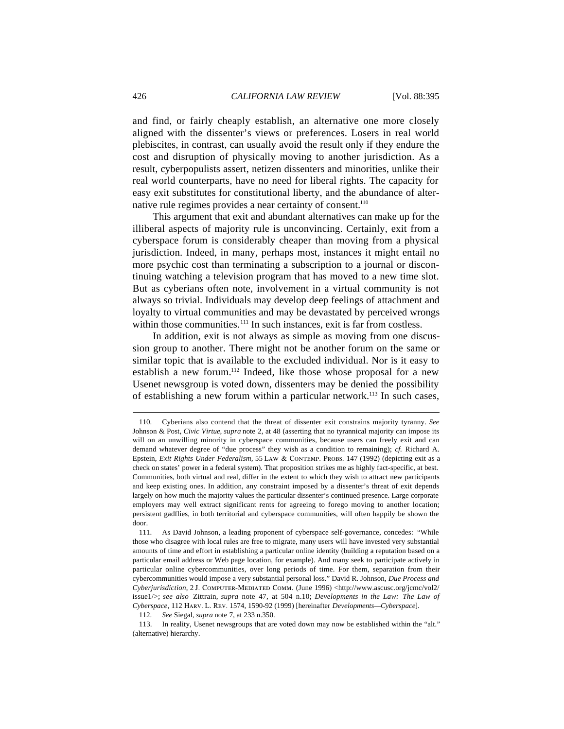and find, or fairly cheaply establish, an alternative one more closely aligned with the dissenter's views or preferences. Losers in real world plebiscites, in contrast, can usually avoid the result only if they endure the cost and disruption of physically moving to another jurisdiction. As a result, cyberpopulists assert, netizen dissenters and minorities, unlike their real world counterparts, have no need for liberal rights. The capacity for easy exit substitutes for constitutional liberty, and the abundance of alternative rule regimes provides a near certainty of consent.<sup>110</sup>

This argument that exit and abundant alternatives can make up for the illiberal aspects of majority rule is unconvincing. Certainly, exit from a cyberspace forum is considerably cheaper than moving from a physical jurisdiction. Indeed, in many, perhaps most, instances it might entail no more psychic cost than terminating a subscription to a journal or discontinuing watching a television program that has moved to a new time slot. But as cyberians often note, involvement in a virtual community is not always so trivial. Individuals may develop deep feelings of attachment and loyalty to virtual communities and may be devastated by perceived wrongs within those communities.<sup>111</sup> In such instances, exit is far from costless.

In addition, exit is not always as simple as moving from one discussion group to another. There might not be another forum on the same or similar topic that is available to the excluded individual. Nor is it easy to establish a new forum.<sup>112</sup> Indeed, like those whose proposal for a new Usenet newsgroup is voted down, dissenters may be denied the possibility of establishing a new forum within a particular network.<sup>113</sup> In such cases,

 <sup>1 1 0 .</sup> Cyberians also contend that the threat of dissenter exit constrains majority tyranny. *See* Johnson & Post, *Civic Virtue*, *supra* note 2, at 48 (asserting that no tyrannical majority can impose its will on an unwilling minority in cyberspace communities, because users can freely exit and can demand whatever degree of "due process" they wish as a condition to remaining); *cf.* Richard A. Epstein, *Exit Rights Under Federalism,* 55 Law & Contemp. Probs. 147 (1992) (depicting exit as a check on states' power in a federal system). That proposition strikes me as highly fact-specific, at best. Communities, both virtual and real, differ in the extent to which they wish to attract new participants and keep existing ones. In addition, any constraint imposed by a dissenter's threat of exit depends largely on how much the majority values the particular dissenter's continued presence. Large corporate employers may well extract significant rents for agreeing to forego moving to another location; persistent gadflies, in both territorial and cyberspace communities, will often happily be shown the door.

<sup>111.</sup> As David Johnson, a leading proponent of cyberspace self-governance, concedes: "While those who disagree with local rules are free to migrate, many users will have invested very substantial amounts of time and effort in establishing a particular online identity (building a reputation based on a particular email address or Web page location, for example). And many seek to participate actively in particular online cybercommunities, over long periods of time. For them, separation from their cybercommunities would impose a very substantial personal loss." David R. Johnson, *Due Process and Cyberjurisdiction*, 2 J. Computer-Mediated Comm. (June 1996) <http://www.ascusc.org/jcmc/vol2/ issue1/>; *see also* Zittrain, *supra* note 47, at 504 n.10; *Developments in the Law: The Law of Cyberspace*, 112 Harv. L. Rev. 1574, 1590-92 (1999) [hereinafter *Developments—Cyberspace*].

<sup>1 1 2 .</sup> *See* Siegal, *supra* note 7, at 233 n.350.

<sup>113.</sup> In reality, Usenet newsgroups that are voted down may now be established within the "alt." (alternative) hierarchy.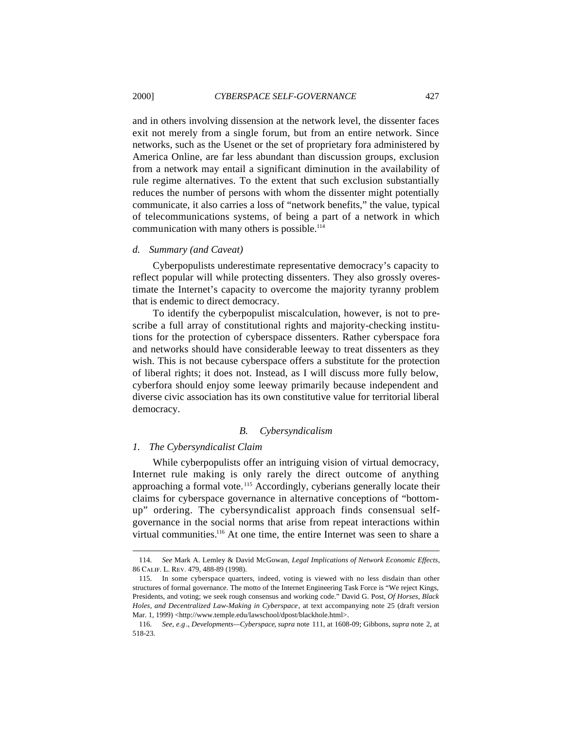and in others involving dissension at the network level, the dissenter faces exit not merely from a single forum, but from an entire network. Since networks, such as the Usenet or the set of proprietary fora administered by America Online, are far less abundant than discussion groups, exclusion from a network may entail a significant diminution in the availability of rule regime alternatives. To the extent that such exclusion substantially reduces the number of persons with whom the dissenter might potentially communicate, it also carries a loss of "network benefits," the value, typical of telecommunications systems, of being a part of a network in which communication with many others is possible.<sup>114</sup>

#### *d. Summary (and Caveat)*

Cyberpopulists underestimate representative democracy's capacity to reflect popular will while protecting dissenters. They also grossly overestimate the Internet's capacity to overcome the majority tyranny problem that is endemic to direct democracy.

To identify the cyberpopulist miscalculation, however, is not to prescribe a full array of constitutional rights and majority-checking institutions for the protection of cyberspace dissenters. Rather cyberspace fora and networks should have considerable leeway to treat dissenters as they wish. This is not because cyberspace offers a substitute for the protection of liberal rights; it does not. Instead, as I will discuss more fully below, cyberfora should enjoy some leeway primarily because independent and diverse civic association has its own constitutive value for territorial liberal democracy.

# *B. Cybersyndicalism*

#### *1. The Cybersyndicalist Claim*

While cyberpopulists offer an intriguing vision of virtual democracy, Internet rule making is only rarely the direct outcome of anything approaching a formal vote. 115 Accordingly, cyberians generally locate their claims for cyberspace governance in alternative conceptions of "bottomup" ordering. The cybersyndicalist approach finds consensual selfgovernance in the social norms that arise from repeat interactions within virtual communities.<sup>116</sup> At one time, the entire Internet was seen to share a

 <sup>1 1 4 .</sup> *See* Mark A. Lemley & David McGowan, *Legal Implications of Network Economic Effects*, 86 Calif. L. Rev. 479, 488-89 (1998).

<sup>115.</sup> In some cyberspace quarters, indeed, voting is viewed with no less disdain than other structures of formal governance. The motto of the Internet Engineering Task Force is "We reject Kings, Presidents, and voting; we seek rough consensus and working code." David G. Post, *Of Horses, Black Holes, and Decentralized Law-Making in Cyberspace*, at text accompanying note 25 (draft version Mar. 1, 1999) <http://www.temple.edu/lawschool/dpost/blackhole.html>.

<sup>1 1 6 .</sup> *See, e.g* ., *Developments—Cyberspace*, *supra* note 111, at 1608-09; Gibbons, *supra* note 2, at 518-23.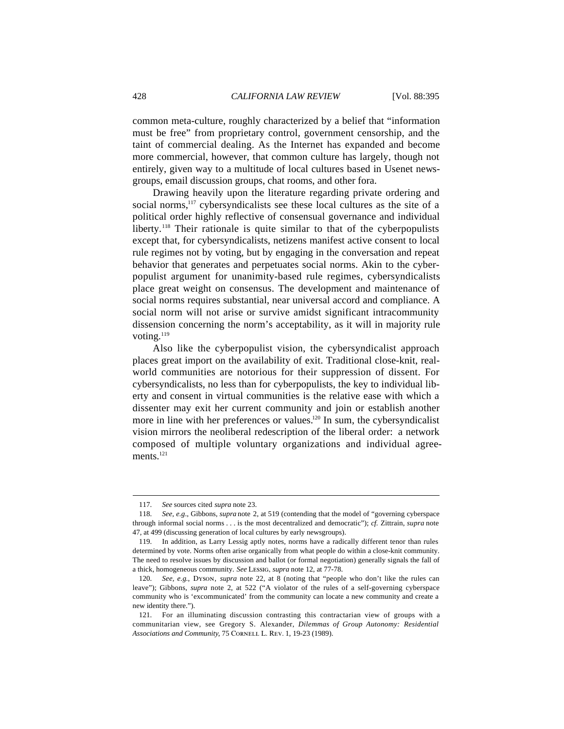common meta-culture, roughly characterized by a belief that "information must be free" from proprietary control, government censorship, and the taint of commercial dealing. As the Internet has expanded and become more commercial, however, that common culture has largely, though not entirely, given way to a multitude of local cultures based in Usenet newsgroups, email discussion groups, chat rooms, and other fora.

Drawing heavily upon the literature regarding private ordering and social norms,<sup>117</sup> cybersyndicalists see these local cultures as the site of a political order highly reflective of consensual governance and individual liberty.<sup>118</sup> Their rationale is quite similar to that of the cyberpopulists except that, for cybersyndicalists, netizens manifest active consent to local rule regimes not by voting, but by engaging in the conversation and repeat behavior that generates and perpetuates social norms. Akin to the cyberpopulist argument for unanimity-based rule regimes, cybersyndicalists place great weight on consensus. The development and maintenance of social norms requires substantial, near universal accord and compliance. A social norm will not arise or survive amidst significant intracommunity dissension concerning the norm's acceptability, as it will in majority rule voting.<sup>119</sup>

Also like the cyberpopulist vision, the cybersyndicalist approach places great import on the availability of exit. Traditional close-knit, realworld communities are notorious for their suppression of dissent. For cybersyndicalists, no less than for cyberpopulists, the key to individual liberty and consent in virtual communities is the relative ease with which a dissenter may exit her current community and join or establish another more in line with her preferences or values.<sup>120</sup> In sum, the cybersyndicalist vision mirrors the neoliberal redescription of the liberal order: a network composed of multiple voluntary organizations and individual agreements. $121$ 

<sup>117.</sup> *See* sources cited *supra* note 23.

<sup>1 1 8 .</sup> *See, e.g*., Gibbons, *supra* note 2, at 519 (contending that the model of "governing cyberspace through informal social norms . . . is the most decentralized and democratic"); *cf.* Zittrain, *supra* note 47, at 499 (discussing generation of local cultures by early newsgroups).

<sup>119.</sup> In addition, as Larry Lessig aptly notes, norms have a radically different tenor than rules determined by vote. Norms often arise organically from what people do within a close-knit community. The need to resolve issues by discussion and ballot (or formal negotiation) generally signals the fall of a thick, homogeneous community. *See* Lessig, *supra* note 12, at 77-78.

<sup>120.</sup> *See, e.g.*, Dyson, *supra* note 22, at 8 (noting that "people who don't like the rules can leave"); Gibbons, *supra* note 2, at 522 ("A violator of the rules of a self-governing cyberspace community who is 'excommunicated' from the community can locate a new community and create a new identity there.").

<sup>121.</sup> For an illuminating discussion contrasting this contractarian view of groups with a communitarian view, see Gregory S. Alexander, *Dilemmas of Group Autonomy: Residential* Associations and Community, 75 CORNELL L. REV. 1, 19-23 (1989).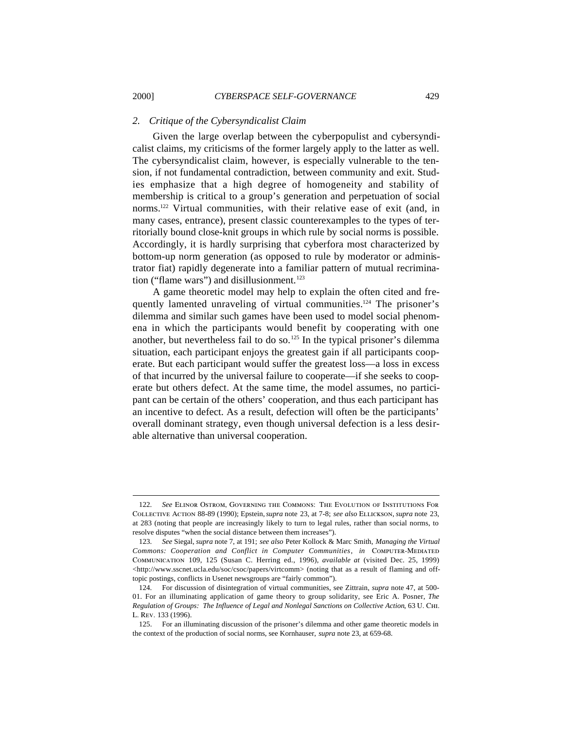## *2. Critique of the Cybersyndicalist Claim*

Given the large overlap between the cyberpopulist and cybersyndicalist claims, my criticisms of the former largely apply to the latter as well. The cybersyndicalist claim, however, is especially vulnerable to the tension, if not fundamental contradiction, between community and exit. Studies emphasize that a high degree of homogeneity and stability of membership is critical to a group's generation and perpetuation of social norms.122 Virtual communities, with their relative ease of exit (and, in many cases, entrance), present classic counterexamples to the types of territorially bound close-knit groups in which rule by social norms is possible. Accordingly, it is hardly surprising that cyberfora most characterized by bottom-up norm generation (as opposed to rule by moderator or administrator fiat) rapidly degenerate into a familiar pattern of mutual recrimination ("flame wars") and disillusionment.<sup>123</sup>

A game theoretic model may help to explain the often cited and frequently lamented unraveling of virtual communities.<sup>124</sup> The prisoner's dilemma and similar such games have been used to model social phenomena in which the participants would benefit by cooperating with one another, but nevertheless fail to do so.<sup>125</sup> In the typical prisoner's dilemma situation, each participant enjoys the greatest gain if all participants cooperate. But each participant would suffer the greatest loss—a loss in excess of that incurred by the universal failure to cooperate—if she seeks to cooperate but others defect. At the same time, the model assumes, no participant can be certain of the others' cooperation, and thus each participant has an incentive to defect. As a result, defection will often be the participants' overall dominant strategy, even though universal defection is a less desirable alternative than universal cooperation.

<sup>122.</sup> See ELINOR OSTROM, GOVERNING THE COMMONS: THE EVOLUTION OF INSTITUTIONS FOR Collective Action 88-89 (1990); Epstein, *supra* note 23, at 7-8; *see also* Ellickson, *supra* note 23, at 283 (noting that people are increasingly likely to turn to legal rules, rather than social norms, to resolve disputes "when the social distance between them increases").

<sup>1 2 3 .</sup> *See* Siegal, *supra* note 7, at 191; *see also* Peter Kollock & Marc Smith, *Managing the Virtual Commons: Cooperation and Conflict in Computer Communities*, *in* Computer-Mediated Communication 109, 125 (Susan C. Herring ed., 1996), *available at* (visited Dec. 25, 1999) <http://www.sscnet.ucla.edu/soc/csoc/papers/virtcomm> (noting that as a result of flaming and offtopic postings, conflicts in Usenet newsgroups are "fairly common").

<sup>124.</sup> For discussion of disintegration of virtual communities, see Zittrain, *supra* note 47, at 500-01. For an illuminating application of game theory to group solidarity, see Eric A. Posner, *The Regulation of Groups: The Influence of Legal and Nonlegal Sanctions on Collective Action*, 63 U. Chi. L. Rev. 133 (1996).

<sup>125.</sup> For an illuminating discussion of the prisoner's dilemma and other game theoretic models in the context of the production of social norms, see Kornhauser, *supra* note 23, at 659-68.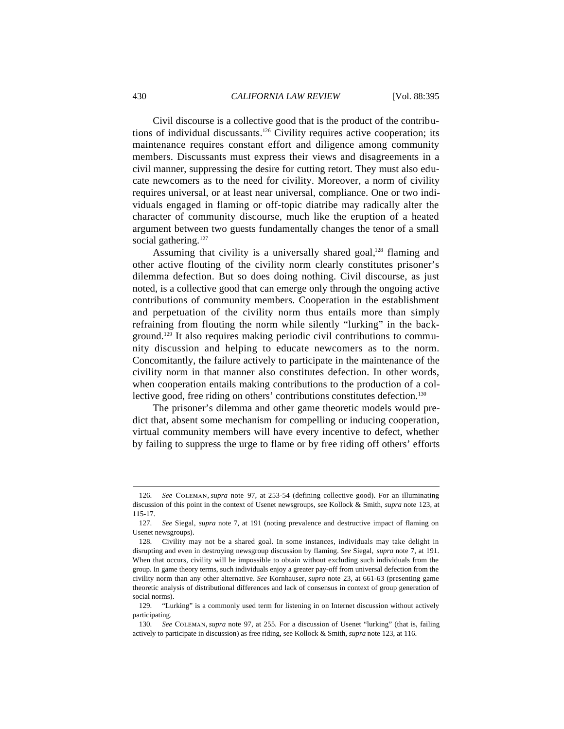Civil discourse is a collective good that is the product of the contributions of individual discussants.126 Civility requires active cooperation; its maintenance requires constant effort and diligence among community members. Discussants must express their views and disagreements in a civil manner, suppressing the desire for cutting retort. They must also educate newcomers as to the need for civility. Moreover, a norm of civility requires universal, or at least near universal, compliance. One or two individuals engaged in flaming or off-topic diatribe may radically alter the character of community discourse, much like the eruption of a heated argument between two guests fundamentally changes the tenor of a small social gathering.<sup>127</sup>

Assuming that civility is a universally shared goal,<sup>128</sup> flaming and other active flouting of the civility norm clearly constitutes prisoner's dilemma defection. But so does doing nothing. Civil discourse, as just noted, is a collective good that can emerge only through the ongoing active contributions of community members. Cooperation in the establishment and perpetuation of the civility norm thus entails more than simply refraining from flouting the norm while silently "lurking" in the background.129 It also requires making periodic civil contributions to community discussion and helping to educate newcomers as to the norm. Concomitantly, the failure actively to participate in the maintenance of the civility norm in that manner also constitutes defection. In other words, when cooperation entails making contributions to the production of a collective good, free riding on others' contributions constitutes defection.<sup>130</sup>

The prisoner's dilemma and other game theoretic models would predict that, absent some mechanism for compelling or inducing cooperation, virtual community members will have every incentive to defect, whether by failing to suppress the urge to flame or by free riding off others' efforts

<sup>126.</sup> *See* COLEMAN, *supra* note 97, at 253-54 (defining collective good). For an illuminating discussion of this point in the context of Usenet newsgroups, see Kollock & Smith, *supra* note 123, at 115-17.

<sup>127.</sup> *See* Siegal, *supra* note 7, at 191 (noting prevalence and destructive impact of flaming on Usenet newsgroups).

<sup>128.</sup> Civility may not be a shared goal. In some instances, individuals may take delight in disrupting and even in destroying newsgroup discussion by flaming. *See* Siegal, *supra* note 7, at 191. When that occurs, civility will be impossible to obtain without excluding such individuals from the group. In game theory terms, such individuals enjoy a greater pay-off from universal defection from the civility norm than any other alternative. *See* Kornhauser, *supra* note 23, at 661-63 (presenting game theoretic analysis of distributional differences and lack of consensus in context of group generation of social norms).

<sup>129. &</sup>quot;Lurking" is a commonly used term for listening in on Internet discussion without actively participating.

<sup>1 3 0 .</sup> *See* Coleman, *supra* note 97, at 255. For a discussion of Usenet "lurking" (that is, failing actively to participate in discussion) as free riding, see Kollock & Smith, *supra* note 123, at 116.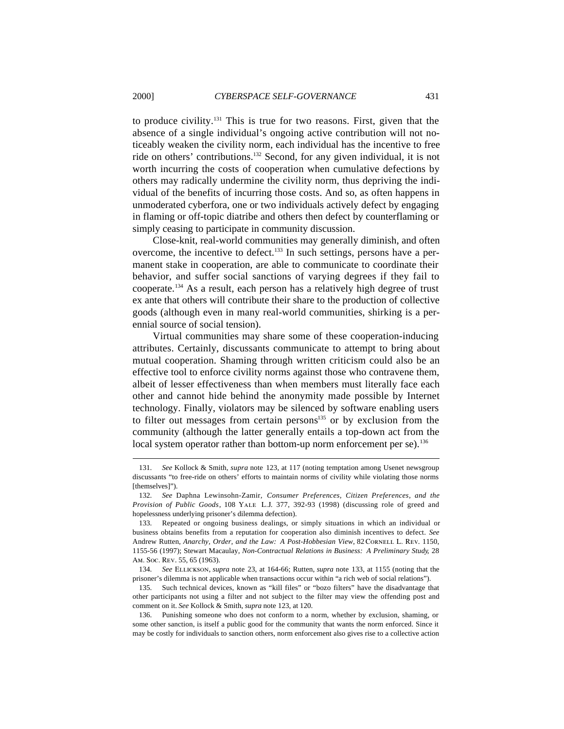to produce civility.131 This is true for two reasons. First, given that the absence of a single individual's ongoing active contribution will not noticeably weaken the civility norm, each individual has the incentive to free ride on others' contributions.132 Second, for any given individual, it is not worth incurring the costs of cooperation when cumulative defections by others may radically undermine the civility norm, thus depriving the individual of the benefits of incurring those costs. And so, as often happens in unmoderated cyberfora, one or two individuals actively defect by engaging in flaming or off-topic diatribe and others then defect by counterflaming or simply ceasing to participate in community discussion.

Close-knit, real-world communities may generally diminish, and often overcome, the incentive to defect.<sup>133</sup> In such settings, persons have a permanent stake in cooperation, are able to communicate to coordinate their behavior, and suffer social sanctions of varying degrees if they fail to cooperate.134 As a result, each person has a relatively high degree of trust ex ante that others will contribute their share to the production of collective goods (although even in many real-world communities, shirking is a perennial source of social tension).

Virtual communities may share some of these cooperation-inducing attributes. Certainly, discussants communicate to attempt to bring about mutual cooperation. Shaming through written criticism could also be an effective tool to enforce civility norms against those who contravene them, albeit of lesser effectiveness than when members must literally face each other and cannot hide behind the anonymity made possible by Internet technology. Finally, violators may be silenced by software enabling users to filter out messages from certain persons $135$  or by exclusion from the community (although the latter generally entails a top-down act from the local system operator rather than bottom-up norm enforcement per se).<sup>136</sup>

135. Such technical devices, known as "kill files" or "bozo filters" have the disadvantage that other participants not using a filter and not subject to the filter may view the offending post and comment on it. *See* Kollock & Smith, *supra* note 123, at 120.

<sup>131.</sup> *See* Kollock & Smith, *supra* note 123, at 117 (noting temptation among Usenet newsgroup discussants "to free-ride on others' efforts to maintain norms of civility while violating those norms [themselves]").

<sup>132.</sup> See Daphna Lewinsohn-Zamir, *Consumer Preferences, Citizen Preferences, and the Provision of Public Goods*, 108 Yale L.J. 377, 392-93 (1998) (discussing role of greed and hopelessness underlying prisoner's dilemma defection).

<sup>133.</sup> Repeated or ongoing business dealings, or simply situations in which an individual or business obtains benefits from a reputation for cooperation also diminish incentives to defect. *See* Andrew Rutten, *Anarchy, Order, and the Law: A Post-Hobbesian View*, 82 Cornell L. Rev. 1150, 1155-56 (1997); Stewart Macaulay, *Non-Contractual Relations in Business: A Preliminary Study*, 28 Am. Soc. Rev. 55, 65 (1963).

<sup>1 3 4 .</sup> *See* Ellickson, *supra* note 23, at 164-66; Rutten, *supra* note 133, at 1155 (noting that the prisoner's dilemma is not applicable when transactions occur within "a rich web of social relations").

<sup>136.</sup> Punishing someone who does not conform to a norm, whether by exclusion, shaming, or some other sanction, is itself a public good for the community that wants the norm enforced. Since it may be costly for individuals to sanction others, norm enforcement also gives rise to a collective action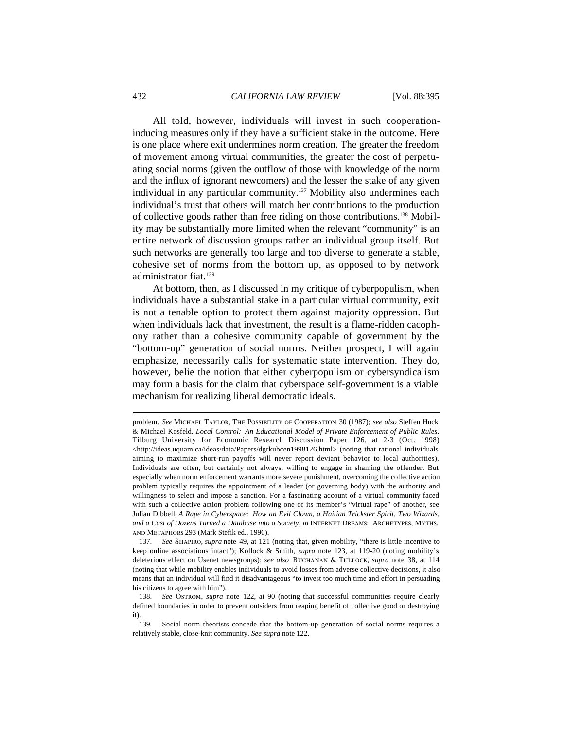All told, however, individuals will invest in such cooperationinducing measures only if they have a sufficient stake in the outcome. Here is one place where exit undermines norm creation. The greater the freedom of movement among virtual communities, the greater the cost of perpetuating social norms (given the outflow of those with knowledge of the norm and the influx of ignorant newcomers) and the lesser the stake of any given individual in any particular community.<sup>137</sup> Mobility also undermines each individual's trust that others will match her contributions to the production of collective goods rather than free riding on those contributions.138 Mobility may be substantially more limited when the relevant "community" is an entire network of discussion groups rather an individual group itself. But such networks are generally too large and too diverse to generate a stable, cohesive set of norms from the bottom up, as opposed to by network administrator fiat.<sup>139</sup>

At bottom, then, as I discussed in my critique of cyberpopulism, when individuals have a substantial stake in a particular virtual community, exit is not a tenable option to protect them against majority oppression. But when individuals lack that investment, the result is a flame-ridden cacophony rather than a cohesive community capable of government by the "bottom-up" generation of social norms. Neither prospect, I will again emphasize, necessarily calls for systematic state intervention. They do, however, belie the notion that either cyberpopulism or cybersyndicalism may form a basis for the claim that cyberspace self-government is a viable mechanism for realizing liberal democratic ideals.

problem. *See* Michael Taylor, The Possibility of Cooperation 30 (1987); *see also* Steffen Huck & Michael Kosfeld*, Local Control: An Educational Model of Private Enforcement of Public Rules*, Tilburg University for Economic Research Discussion Paper 126, at 2-3 (Oct. 1998) <http://ideas.uquam.ca/ideas/data/Papers/dgrkubcen1998126.html> (noting that rational individuals aiming to maximize short-run payoffs will never report deviant behavior to local authorities). Individuals are often, but certainly not always, willing to engage in shaming the offender. But especially when norm enforcement warrants more severe punishment, overcoming the collective action problem typically requires the appointment of a leader (or governing body) with the authority and willingness to select and impose a sanction. For a fascinating account of a virtual community faced with such a collective action problem following one of its member's "virtual rape" of another, see Julian Dibbell, *A Rape in Cyberspace: How an Evil Clown, a Haitian Trickster Spirit, Two Wizards, and a Cast of Dozens Turned a Database into a Society, in* Internet Dreams: Archetypes, Myths, and Metaphors 293 (Mark Stefik ed., 1996).

<sup>137.</sup> *See* SHAPIRO, *supra* note 49, at 121 (noting that, given mobility, "there is little incentive to keep online associations intact"); Kollock & Smith, *supra* note 123, at 119-20 (noting mobility's deleterious effect on Usenet newsgroups); *see also* Buchanan & Tullock, *supra* note 38, at 114 (noting that while mobility enables individuals to avoid losses from adverse collective decisions, it also means that an individual will find it disadvantageous "to invest too much time and effort in persuading his citizens to agree with him").

<sup>138.</sup> *See* Ostrom, *supra* note 122, at 90 (noting that successful communities require clearly defined boundaries in order to prevent outsiders from reaping benefit of collective good or destroying it).

<sup>139.</sup> Social norm theorists concede that the bottom-up generation of social norms requires a relatively stable, close-knit community. *See supra* note 122.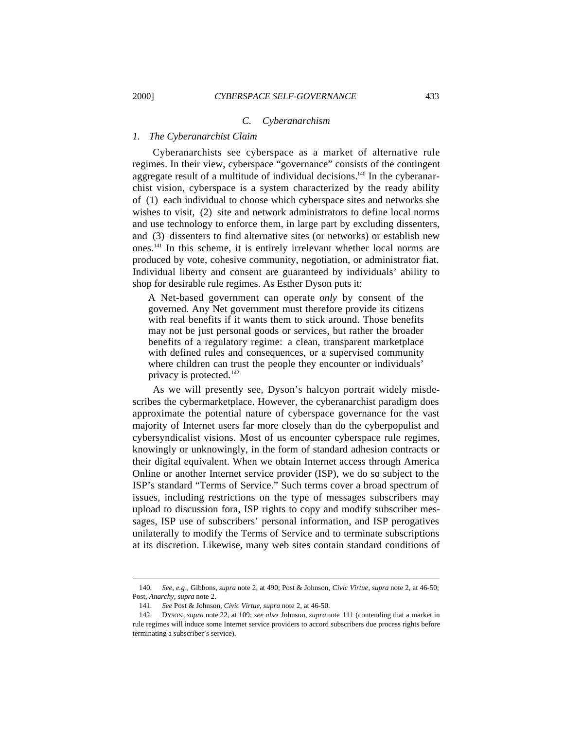### *C. Cyberanarchism*

# *1. The Cyberanarchist Claim*

Cyberanarchists see cyberspace as a market of alternative rule regimes. In their view, cyberspace "governance" consists of the contingent aggregate result of a multitude of individual decisions.<sup>140</sup> In the cyberanarchist vision, cyberspace is a system characterized by the ready ability of (1) each individual to choose which cyberspace sites and networks she wishes to visit, (2) site and network administrators to define local norms and use technology to enforce them, in large part by excluding dissenters, and (3) dissenters to find alternative sites (or networks) or establish new ones.141 In this scheme, it is entirely irrelevant whether local norms are produced by vote, cohesive community, negotiation, or administrator fiat. Individual liberty and consent are guaranteed by individuals' ability to shop for desirable rule regimes. As Esther Dyson puts it:

A Net-based government can operate *only* by consent of the governed. Any Net government must therefore provide its citizens with real benefits if it wants them to stick around. Those benefits may not be just personal goods or services, but rather the broader benefits of a regulatory regime: a clean, transparent marketplace with defined rules and consequences, or a supervised community where children can trust the people they encounter or individuals' privacy is protected.<sup>142</sup>

As we will presently see, Dyson's halcyon portrait widely misdescribes the cybermarketplace. However, the cyberanarchist paradigm does approximate the potential nature of cyberspace governance for the vast majority of Internet users far more closely than do the cyberpopulist and cybersyndicalist visions. Most of us encounter cyberspace rule regimes, knowingly or unknowingly, in the form of standard adhesion contracts or their digital equivalent. When we obtain Internet access through America Online or another Internet service provider (ISP), we do so subject to the ISP's standard "Terms of Service." Such terms cover a broad spectrum of issues, including restrictions on the type of messages subscribers may upload to discussion fora, ISP rights to copy and modify subscriber messages, ISP use of subscribers' personal information, and ISP perogatives unilaterally to modify the Terms of Service and to terminate subscriptions at its discretion. Likewise, many web sites contain standard conditions of

 <sup>1 4 0 .</sup> *See, e.g*., Gibbons, *supra* note 2, at 490; Post & Johnson, *Civic Virtue*, *supra* note 2, at 46-50; Post, *Anarchy*, *supra* note 2.

<sup>1 4 1 .</sup> *See* Post & Johnson, *Civic Virtue*, *supra* note 2, at 46-50.

<sup>1 4 2 .</sup> Dyson, *supra* note 22, at 109; *see also* Johnson, *supra* note 111 (contending that a market in rule regimes will induce some Internet service providers to accord subscribers due process rights before terminating a subscriber's service).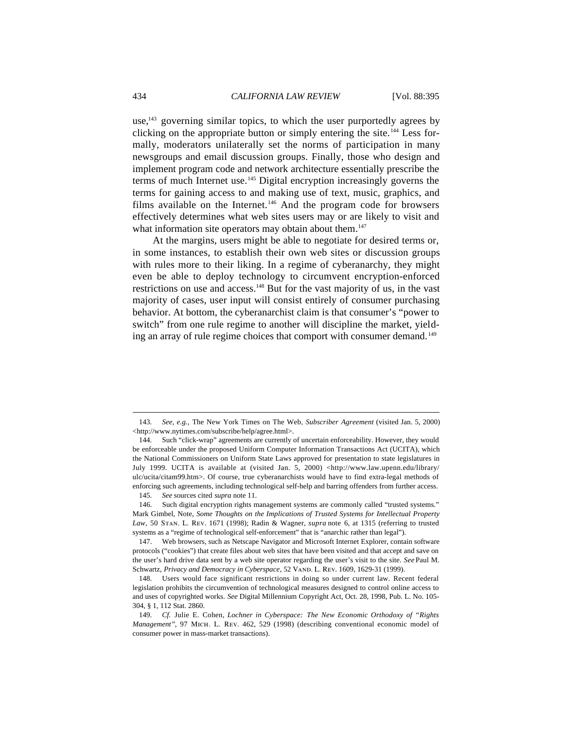use, $143$  governing similar topics, to which the user purportedly agrees by clicking on the appropriate button or simply entering the site.<sup>144</sup> Less formally, moderators unilaterally set the norms of participation in many newsgroups and email discussion groups. Finally, those who design and implement program code and network architecture essentially prescribe the terms of much Internet use.<sup>145</sup> Digital encryption increasingly governs the terms for gaining access to and making use of text, music, graphics, and films available on the Internet.<sup>146</sup> And the program code for browsers effectively determines what web sites users may or are likely to visit and what information site operators may obtain about them. $147$ 

At the margins, users might be able to negotiate for desired terms or, in some instances, to establish their own web sites or discussion groups with rules more to their liking. In a regime of cyberanarchy, they might even be able to deploy technology to circumvent encryption-enforced restrictions on use and access.<sup>148</sup> But for the vast majority of us, in the vast majority of cases, user input will consist entirely of consumer purchasing behavior. At bottom, the cyberanarchist claim is that consumer's "power to switch" from one rule regime to another will discipline the market, yielding an array of rule regime choices that comport with consumer demand. <sup>149</sup>

<sup>143.</sup> *See, e.g.,* The New York Times on The Web, *Subscriber Agreement* (visited Jan. 5, 2000) <http://www.nytimes.com/subscribe/help/agree.html>.

<sup>144.</sup> Such "click-wrap" agreements are currently of uncertain enforceability. However, they would be enforceable under the proposed Uniform Computer Information Transactions Act (UCITA), which the National Commissioners on Uniform State Laws approved for presentation to state legislatures in July 1999. UCITA is available at (visited Jan. 5, 2000) <http://www.law.upenn.edu/library/ ulc/ucita/citam99.htm>. Of course, true cyberanarchists would have to find extra-legal methods of enforcing such agreements, including technological self-help and barring offenders from further access. 145. See sources cited *supra* note 11.

<sup>146.</sup> Such digital encryption rights management systems are commonly called "trusted systems." Mark Gimbel, Note, *Some Thoughts on the Implications of Trusted Systems for Intellectual Property Law*, 50 Stan. L. Rev. 1671 (1998); Radin & Wagner, *supra* note 6, at 1315 (referring to trusted systems as a "regime of technological self-enforcement" that is "anarchic rather than legal").

<sup>147.</sup> Web browsers, such as Netscape Navigator and Microsoft Internet Explorer, contain software protocols ("cookies") that create files about web sites that have been visited and that accept and save on the user's hard drive data sent by a web site operator regarding the user's visit to the site. *See* Paul M. Schwartz, Privacy and Democracy in Cyberspace, 52 VAND. L. REV. 1609, 1629-31 (1999).

<sup>148.</sup> Users would face significant restrictions in doing so under current law. Recent federal legislation prohibits the circumvention of technological measures designed to control online access to and uses of copyrighted works. *See* Digital Millennium Copyright Act, Oct. 28, 1998, Pub. L. No. 105- 304, § 1, 112 Stat. 2860.

<sup>149.</sup> *Cf.* Julie E. Cohen, *Lochner in Cyberspace: The New Economic Orthodoxy of "Rights Management"*, 97 MICH. L. REV. 462, 529 (1998) (describing conventional economic model of consumer power in mass-market transactions).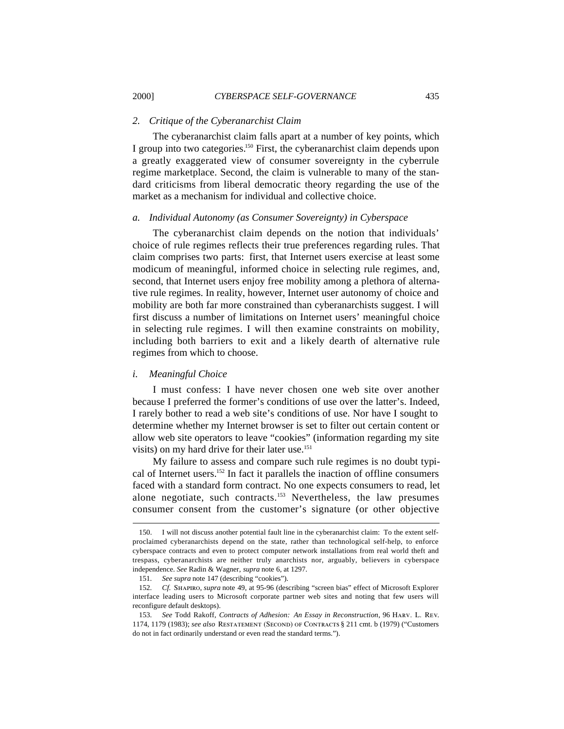## *2. Critique of the Cyberanarchist Claim*

The cyberanarchist claim falls apart at a number of key points, which I group into two categories.150 First, the cyberanarchist claim depends upon a greatly exaggerated view of consumer sovereignty in the cyberrule regime marketplace. Second, the claim is vulnerable to many of the standard criticisms from liberal democratic theory regarding the use of the market as a mechanism for individual and collective choice.

## *a. Individual Autonomy (as Consumer Sovereignty) in Cyberspace*

The cyberanarchist claim depends on the notion that individuals' choice of rule regimes reflects their true preferences regarding rules. That claim comprises two parts: first, that Internet users exercise at least some modicum of meaningful, informed choice in selecting rule regimes, and, second, that Internet users enjoy free mobility among a plethora of alternative rule regimes. In reality, however, Internet user autonomy of choice and mobility are both far more constrained than cyberanarchists suggest. I will first discuss a number of limitations on Internet users' meaningful choice in selecting rule regimes. I will then examine constraints on mobility, including both barriers to exit and a likely dearth of alternative rule regimes from which to choose.

# *i. Meaningful Choice*

I must confess: I have never chosen one web site over another because I preferred the former's conditions of use over the latter's. Indeed, I rarely bother to read a web site's conditions of use. Nor have I sought to determine whether my Internet browser is set to filter out certain content or allow web site operators to leave "cookies" (information regarding my site visits) on my hard drive for their later use.<sup>151</sup>

My failure to assess and compare such rule regimes is no doubt typical of Internet users.152 In fact it parallels the inaction of offline consumers faced with a standard form contract. No one expects consumers to read, let alone negotiate, such contracts.153 Nevertheless, the law presumes consumer consent from the customer's signature (or other objective

<sup>150.</sup> I will not discuss another potential fault line in the cyberanarchist claim: To the extent selfproclaimed cyberanarchists depend on the state, rather than technological self-help, to enforce cyberspace contracts and even to protect computer network installations from real world theft and trespass, cyberanarchists are neither truly anarchists nor, arguably, believers in cyberspace independence. *See* Radin & Wagner, *supra* note 6, at 1297.

<sup>151.</sup> See supra note 147 (describing "cookies").

<sup>152.</sup> Cf. SHAPIRO, *supra* note 49, at 95-96 (describing "screen bias" effect of Microsoft Explorer interface leading users to Microsoft corporate partner web sites and noting that few users will reconfigure default desktops).

<sup>153.</sup> See Todd Rakoff, *Contracts of Adhesion: An Essay in Reconstruction*, 96 Harv. L. Rev. 1174, 1179 (1983); *see also* Restatement (Second) of Contracts § 211 cmt. b (1979) ("Customers do not in fact ordinarily understand or even read the standard terms.").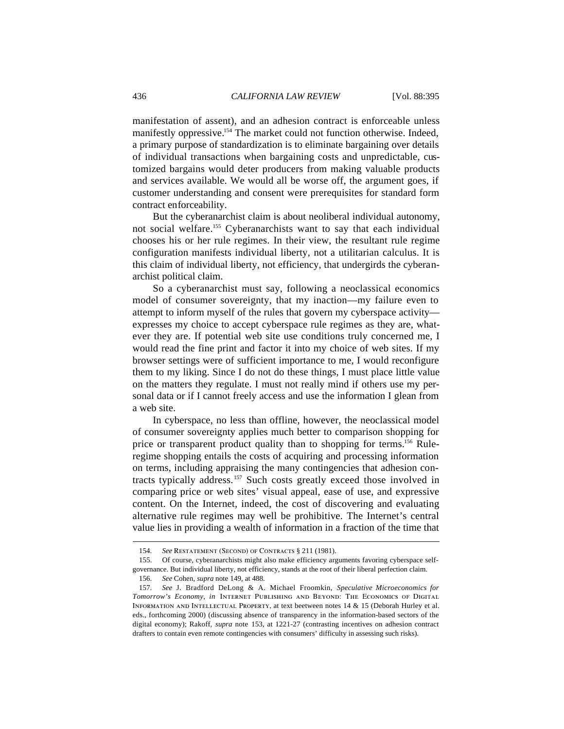manifestation of assent), and an adhesion contract is enforceable unless manifestly oppressive.<sup>154</sup> The market could not function otherwise. Indeed, a primary purpose of standardization is to eliminate bargaining over details of individual transactions when bargaining costs and unpredictable, customized bargains would deter producers from making valuable products and services available. We would all be worse off, the argument goes, if customer understanding and consent were prerequisites for standard form contract enforceability.

But the cyberanarchist claim is about neoliberal individual autonomy, not social welfare.155 Cyberanarchists want to say that each individual chooses his or her rule regimes. In their view, the resultant rule regime configuration manifests individual liberty, not a utilitarian calculus. It is this claim of individual liberty, not efficiency, that undergirds the cyberanarchist political claim.

So a cyberanarchist must say, following a neoclassical economics model of consumer sovereignty, that my inaction—my failure even to attempt to inform myself of the rules that govern my cyberspace activity expresses my choice to accept cyberspace rule regimes as they are, whatever they are. If potential web site use conditions truly concerned me, I would read the fine print and factor it into my choice of web sites. If my browser settings were of sufficient importance to me, I would reconfigure them to my liking. Since I do not do these things, I must place little value on the matters they regulate. I must not really mind if others use my personal data or if I cannot freely access and use the information I glean from a web site.

In cyberspace, no less than offline, however, the neoclassical model of consumer sovereignty applies much better to comparison shopping for price or transparent product quality than to shopping for terms.<sup>156</sup> Ruleregime shopping entails the costs of acquiring and processing information on terms, including appraising the many contingencies that adhesion contracts typically address.157 Such costs greatly exceed those involved in comparing price or web sites' visual appeal, ease of use, and expressive content. On the Internet, indeed, the cost of discovering and evaluating alternative rule regimes may well be prohibitive. The Internet's central value lies in providing a wealth of information in a fraction of the time that

<sup>154.</sup> See RESTATEMENT (SECOND) OF CONTRACTS § 211 (1981).

<sup>155.</sup> Of course, cyberanarchists might also make efficiency arguments favoring cyberspace selfgovernance. But individual liberty, not efficiency, stands at the root of their liberal perfection claim.

<sup>1 5 6 .</sup> *See* Cohen, *supra* note 149, at 488.

<sup>157.</sup> See J. Bradford DeLong & A. Michael Froomkin, Speculative Microeconomics for *Tomorrow's Economy, in* Internet Publishing and Beyond: The Economics of Digital Information and Intellectual Property, at text beetween notes 14 & 15 (Deborah Hurley et al. eds., forthcoming 2000) (discussing absence of transparency in the information-based sectors of the digital economy); Rakoff, *supra* note 153, at 1221-27 (contrasting incentives on adhesion contract drafters to contain even remote contingencies with consumers' difficulty in assessing such risks).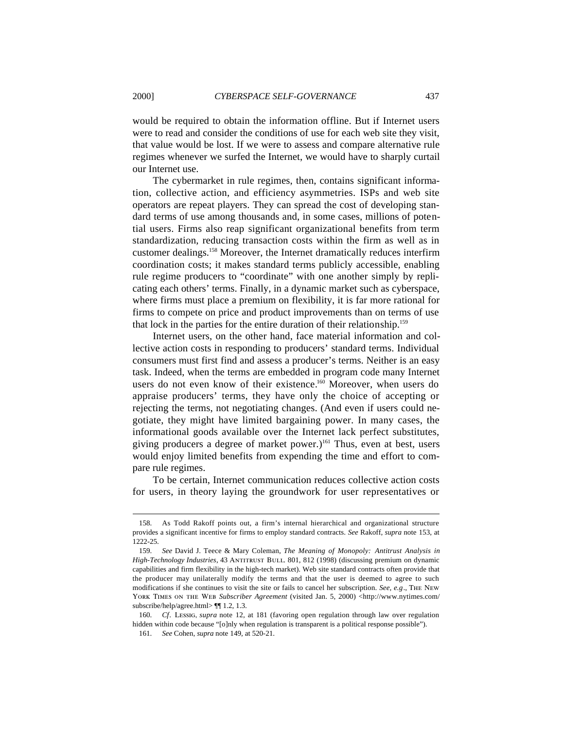would be required to obtain the information offline. But if Internet users were to read and consider the conditions of use for each web site they visit, that value would be lost. If we were to assess and compare alternative rule regimes whenever we surfed the Internet, we would have to sharply curtail our Internet use.

The cybermarket in rule regimes, then, contains significant information, collective action, and efficiency asymmetries. ISPs and web site operators are repeat players. They can spread the cost of developing standard terms of use among thousands and, in some cases, millions of potential users. Firms also reap significant organizational benefits from term standardization, reducing transaction costs within the firm as well as in customer dealings.158 Moreover, the Internet dramatically reduces interfirm coordination costs; it makes standard terms publicly accessible, enabling rule regime producers to "coordinate" with one another simply by replicating each others' terms. Finally, in a dynamic market such as cyberspace, where firms must place a premium on flexibility, it is far more rational for firms to compete on price and product improvements than on terms of use that lock in the parties for the entire duration of their relationship.159

Internet users, on the other hand, face material information and collective action costs in responding to producers' standard terms. Individual consumers must first find and assess a producer's terms. Neither is an easy task. Indeed, when the terms are embedded in program code many Internet users do not even know of their existence.<sup>160</sup> Moreover, when users do appraise producers' terms, they have only the choice of accepting or rejecting the terms, not negotiating changes. (And even if users could negotiate, they might have limited bargaining power. In many cases, the informational goods available over the Internet lack perfect substitutes, giving producers a degree of market power.)<sup>161</sup> Thus, even at best, users would enjoy limited benefits from expending the time and effort to compare rule regimes.

To be certain, Internet communication reduces collective action costs for users, in theory laying the groundwork for user representatives or

<sup>158.</sup> As Todd Rakoff points out, a firm's internal hierarchical and organizational structure provides a significant incentive for firms to employ standard contracts. *See* Rakoff, *supra* note 153, at 1222-25.

<sup>159.</sup> See David J. Teece & Mary Coleman, *The Meaning of Monopoly: Antitrust Analysis in* High-Technology Industries, 43 ANTITRUST BULL. 801, 812 (1998) (discussing premium on dynamic capabilities and firm flexibility in the high-tech market). Web site standard contracts often provide that the producer may unilaterally modify the terms and that the user is deemed to agree to such modifications if she continues to visit the site or fails to cancel her subscription. *See, e.g*., The New York Times on the Web *Subscriber Agreement* (visited Jan. 5, 2000) <http://www.nytimes.com/ subscribe/help/agree.html> ¶[ 1.2, 1.3.

<sup>160.</sup> *Cf.* LESSIG, *supra* note 12, at 181 (favoring open regulation through law over regulation hidden within code because "[o]nly when regulation is transparent is a political response possible").

<sup>1 6 1 .</sup> *See* Cohen, *supra* note 149, at 520-21.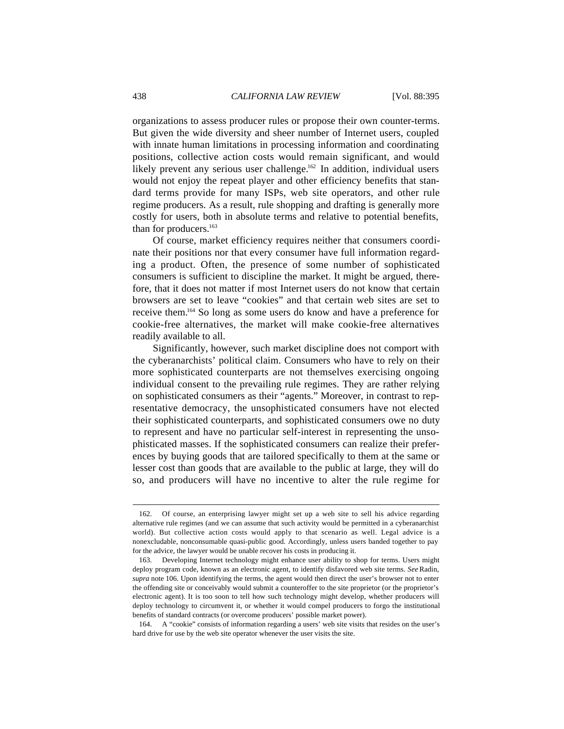organizations to assess producer rules or propose their own counter-terms. But given the wide diversity and sheer number of Internet users, coupled with innate human limitations in processing information and coordinating positions, collective action costs would remain significant, and would likely prevent any serious user challenge.<sup>162</sup> In addition, individual users would not enjoy the repeat player and other efficiency benefits that standard terms provide for many ISPs, web site operators, and other rule regime producers. As a result, rule shopping and drafting is generally more costly for users, both in absolute terms and relative to potential benefits, than for producers.<sup>163</sup>

Of course, market efficiency requires neither that consumers coordinate their positions nor that every consumer have full information regarding a product. Often, the presence of some number of sophisticated consumers is sufficient to discipline the market. It might be argued, therefore, that it does not matter if most Internet users do not know that certain browsers are set to leave "cookies" and that certain web sites are set to receive them.164 So long as some users do know and have a preference for cookie-free alternatives, the market will make cookie-free alternatives readily available to all.

Significantly, however, such market discipline does not comport with the cyberanarchists' political claim. Consumers who have to rely on their more sophisticated counterparts are not themselves exercising ongoing individual consent to the prevailing rule regimes. They are rather relying on sophisticated consumers as their "agents." Moreover, in contrast to representative democracy, the unsophisticated consumers have not elected their sophisticated counterparts, and sophisticated consumers owe no duty to represent and have no particular self-interest in representing the unsophisticated masses. If the sophisticated consumers can realize their preferences by buying goods that are tailored specifically to them at the same or lesser cost than goods that are available to the public at large, they will do so, and producers will have no incentive to alter the rule regime for

<sup>162.</sup> Of course, an enterprising lawyer might set up a web site to sell his advice regarding alternative rule regimes (and we can assume that such activity would be permitted in a cyberanarchist world). But collective action costs would apply to that scenario as well. Legal advice is a nonexcludable, nonconsumable quasi-public good. Accordingly, unless users banded together to pay for the advice, the lawyer would be unable recover his costs in producing it.

<sup>163.</sup> Developing Internet technology might enhance user ability to shop for terms. Users might deploy program code, known as an electronic agent, to identify disfavored web site terms. *See* Radin, *supra* note 106. Upon identifying the terms, the agent would then direct the user's browser not to enter the offending site or conceivably would submit a counteroffer to the site proprietor (or the proprietor's electronic agent). It is too soon to tell how such technology might develop, whether producers will deploy technology to circumvent it, or whether it would compel producers to forgo the institutional benefits of standard contracts (or overcome producers' possible market power).

<sup>164.</sup> A "cookie" consists of information regarding a users' web site visits that resides on the user's hard drive for use by the web site operator whenever the user visits the site.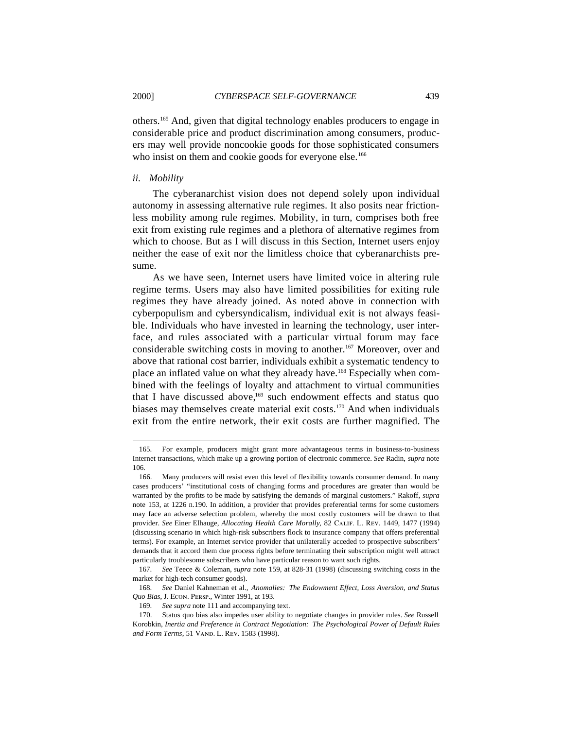others.165 And, given that digital technology enables producers to engage in considerable price and product discrimination among consumers, producers may well provide noncookie goods for those sophisticated consumers who insist on them and cookie goods for everyone else.<sup>166</sup>

#### *ii. Mobility*

The cyberanarchist vision does not depend solely upon individual autonomy in assessing alternative rule regimes. It also posits near frictionless mobility among rule regimes. Mobility, in turn, comprises both free exit from existing rule regimes and a plethora of alternative regimes from which to choose. But as I will discuss in this Section, Internet users enjoy neither the ease of exit nor the limitless choice that cyberanarchists presume.

As we have seen, Internet users have limited voice in altering rule regime terms. Users may also have limited possibilities for exiting rule regimes they have already joined. As noted above in connection with cyberpopulism and cybersyndicalism, individual exit is not always feasible. Individuals who have invested in learning the technology, user interface, and rules associated with a particular virtual forum may face considerable switching costs in moving to another.<sup>167</sup> Moreover, over and above that rational cost barrier, individuals exhibit a systematic tendency to place an inflated value on what they already have.<sup>168</sup> Especially when combined with the feelings of loyalty and attachment to virtual communities that I have discussed above, $169$  such endowment effects and status quo biases may themselves create material exit costs.170 And when individuals exit from the entire network, their exit costs are further magnified. The

168. See Daniel Kahneman et al., *Anomalies: The Endowment Effect, Loss Aversion, and Status Quo Bias*, J. Econ. Persp., Winter 1991, at 193.

<sup>165.</sup> For example, producers might grant more advantageous terms in business-to-business Internet transactions, which make up a growing portion of electronic commerce. *See* Radin, *supra* note 106.

<sup>166.</sup> Many producers will resist even this level of flexibility towards consumer demand. In many cases producers' "institutional costs of changing forms and procedures are greater than would be warranted by the profits to be made by satisfying the demands of marginal customers." Rakoff, *supra* note 153, at 1226 n.190. In addition, a provider that provides preferential terms for some customers may face an adverse selection problem, whereby the most costly customers will be drawn to that provider. *See* Einer Elhauge, *Allocating Health Care Morally*, 82 Calif. L. Rev. 1449, 1477 (1994) (discussing scenario in which high-risk subscribers flock to insurance company that offers preferential terms). For example, an Internet service provider that unilaterally acceded to prospective subscribers' demands that it accord them due process rights before terminating their subscription might well attract particularly troublesome subscribers who have particular reason to want such rights.

<sup>167.</sup> *See* Teece & Coleman, *supra* note 159, at 828-31 (1998) (discussing switching costs in the market for high-tech consumer goods).

<sup>169.</sup> See *supra* note 111 and accompanying text.

<sup>170.</sup> Status quo bias also impedes user ability to negotiate changes in provider rules. See Russell Korobkin, *Inertia and Preference in Contract Negotiation: The Psychological Power of Default Rules* and Form Terms, 51 VAND. L. REV. 1583 (1998).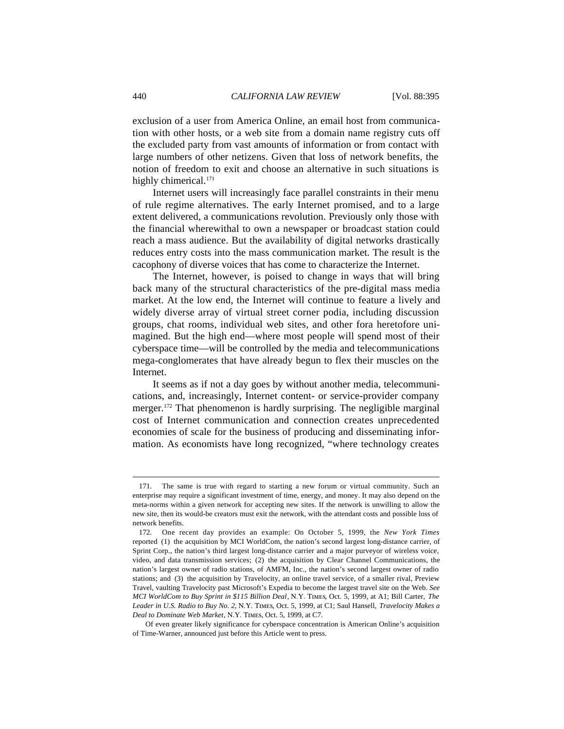exclusion of a user from America Online, an email host from communication with other hosts, or a web site from a domain name registry cuts off the excluded party from vast amounts of information or from contact with large numbers of other netizens. Given that loss of network benefits, the notion of freedom to exit and choose an alternative in such situations is highly chimerical.<sup>171</sup>

Internet users will increasingly face parallel constraints in their menu of rule regime alternatives. The early Internet promised, and to a large extent delivered, a communications revolution. Previously only those with the financial wherewithal to own a newspaper or broadcast station could reach a mass audience. But the availability of digital networks drastically reduces entry costs into the mass communication market. The result is the cacophony of diverse voices that has come to characterize the Internet.

The Internet, however, is poised to change in ways that will bring back many of the structural characteristics of the pre-digital mass media market. At the low end, the Internet will continue to feature a lively and widely diverse array of virtual street corner podia, including discussion groups, chat rooms, individual web sites, and other fora heretofore unimagined. But the high end—where most people will spend most of their cyberspace time—will be controlled by the media and telecommunications mega-conglomerates that have already begun to flex their muscles on the Internet.

It seems as if not a day goes by without another media, telecommunications, and, increasingly, Internet content- or service-provider company merger.<sup>172</sup> That phenomenon is hardly surprising. The negligible marginal cost of Internet communication and connection creates unprecedented economies of scale for the business of producing and disseminating information. As economists have long recognized, "where technology creates

<sup>171.</sup> The same is true with regard to starting a new forum or virtual community. Such an enterprise may require a significant investment of time, energy, and money. It may also depend on the meta-norms within a given network for accepting new sites. If the network is unwilling to allow the new site, then its would-be creators must exit the network, with the attendant costs and possible loss of network benefits.

<sup>172.</sup> One recent day provides an example: On October 5, 1999, the New York Times reported (1) the acquisition by MCI WorldCom, the nation's second largest long-distance carrier, of Sprint Corp., the nation's third largest long-distance carrier and a major purveyor of wireless voice, video, and data transmission services; (2) the acquisition by Clear Channel Communications, the nation's largest owner of radio stations, of AMFM, Inc., the nation's second largest owner of radio stations; and (3) the acquisition by Travelocity, an online travel service, of a smaller rival, Preview Travel, vaulting Travelocity past Microsoft's Expedia to become the largest travel site on the Web. *See MCI WorldCom to Buy Sprint in \$115 Billion Deal*, N.Y. Times, Oct. 5, 1999, at A1; Bill Carter, *The Leader in U.S. Radio to Buy No. 2*, N.Y. Times, Oct. 5, 1999, at C1; Saul Hansell, *Travelocity Makes a Deal to Dominate Web Market*, N.Y. Times, Oct. 5, 1999, at C7.

Of even greater likely significance for cyberspace concentration is American Online's acquisition of Time-Warner, announced just before this Article went to press.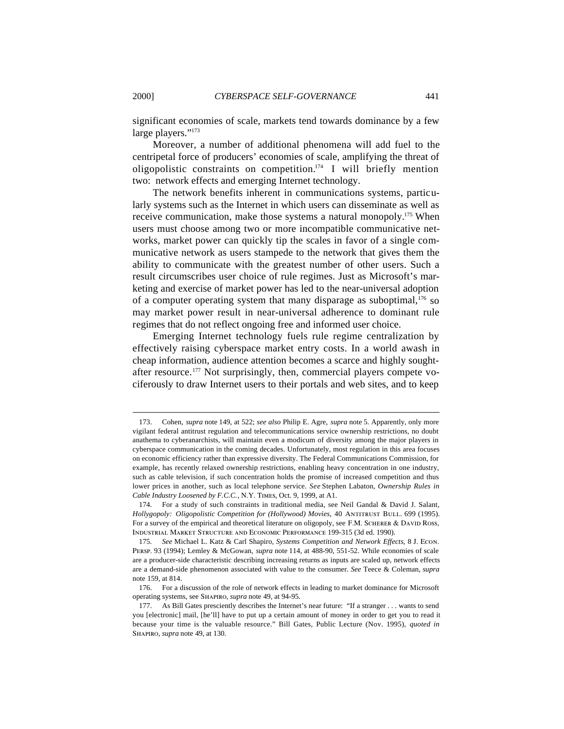significant economies of scale, markets tend towards dominance by a few large players."<sup>173</sup>

Moreover, a number of additional phenomena will add fuel to the centripetal force of producers' economies of scale, amplifying the threat of oligopolistic constraints on competition.<sup>174</sup> I will briefly mention two: network effects and emerging Internet technology.

The network benefits inherent in communications systems, particularly systems such as the Internet in which users can disseminate as well as receive communication, make those systems a natural monopoly.175 When users must choose among two or more incompatible communicative networks, market power can quickly tip the scales in favor of a single communicative network as users stampede to the network that gives them the ability to communicate with the greatest number of other users. Such a result circumscribes user choice of rule regimes. Just as Microsoft's marketing and exercise of market power has led to the near-universal adoption of a computer operating system that many disparage as suboptimal,  $176$  so may market power result in near-universal adherence to dominant rule regimes that do not reflect ongoing free and informed user choice.

Emerging Internet technology fuels rule regime centralization by effectively raising cyberspace market entry costs. In a world awash in cheap information, audience attention becomes a scarce and highly soughtafter resource.177 Not surprisingly, then, commercial players compete vociferously to draw Internet users to their portals and web sites, and to keep

<sup>173.</sup> Cohen, *supra* note 149, at 522; *see also* Philip E. Agre, *supra* note 5. Apparently, only more vigilant federal antitrust regulation and telecommunications service ownership restrictions, no doubt anathema to cyberanarchists, will maintain even a modicum of diversity among the major players in cyberspace communication in the coming decades. Unfortunately, most regulation in this area focuses on economic efficiency rather than expressive diversity. The Federal Communications Commission, for example, has recently relaxed ownership restrictions, enabling heavy concentration in one industry, such as cable television, if such concentration holds the promise of increased competition and thus lower prices in another, such as local telephone service. *See* Stephen Labaton, *Ownership Rules in Cable Industry Loosened by F.C.C.*, N.Y. Times, Oct. 9, 1999, at A1.

<sup>174.</sup> For a study of such constraints in traditional media, see Neil Gandal & David J. Salant, *Hollygopoly: Oligopolistic Competition for (Hollywood) Movies*, 40 ANTITRUST BULL. 699 (1995). For a survey of the empirical and theoretical literature on oligopoly, see F.M. SCHERER & DAVID Ross, Industrial Market Structure and Economic Performance 199-315 (3d ed. 1990).

<sup>175.</sup> See Michael L. Katz & Carl Shapiro, Systems Competition and Network Effects, 8 J. Econ. Persp. 93 (1994); Lemley & McGowan, *supra* note 114, at 488-90, 551-52. While economies of scale are a producer-side characteristic describing increasing returns as inputs are scaled up, network effects are a demand-side phenomenon associated with value to the consumer. *See* Teece & Coleman, *supra* note 159, at 814.

<sup>176.</sup> For a discussion of the role of network effects in leading to market dominance for Microsoft operating systems, see Shapiro, *supra* note 49, at 94-95.

<sup>177.</sup> As Bill Gates presciently describes the Internet's near future: "If a stranger . . . wants to send you [electronic] mail, [he'll] have to put up a certain amount of money in order to get you to read it because your time is the valuable resource." Bill Gates, Public Lecture (Nov. 1995), *quoted in* SHAPIRO, *supra* note 49, at 130.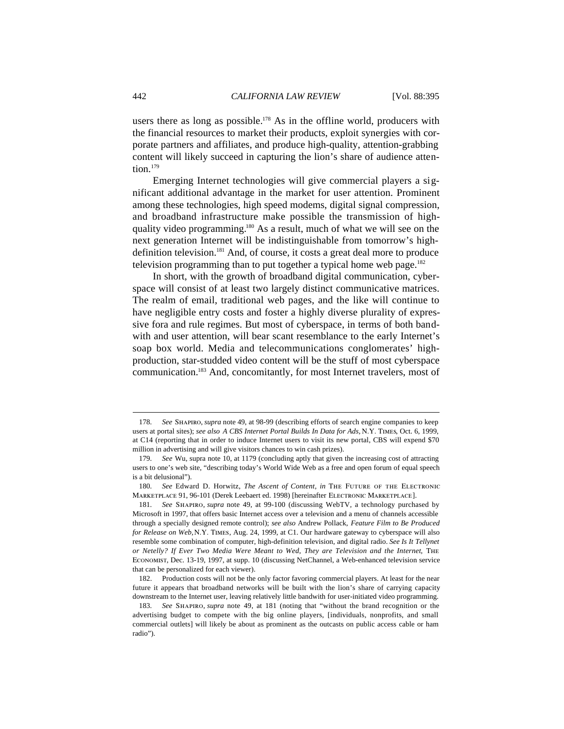users there as long as possible.<sup>178</sup> As in the offline world, producers with the financial resources to market their products, exploit synergies with corporate partners and affiliates, and produce high-quality, attention-grabbing content will likely succeed in capturing the lion's share of audience attention. $179$ 

Emerging Internet technologies will give commercial players a significant additional advantage in the market for user attention. Prominent among these technologies, high speed modems, digital signal compression, and broadband infrastructure make possible the transmission of highquality video programming.<sup>180</sup> As a result, much of what we will see on the next generation Internet will be indistinguishable from tomorrow's highdefinition television.<sup>181</sup> And, of course, it costs a great deal more to produce television programming than to put together a typical home web page.<sup>182</sup>

In short, with the growth of broadband digital communication, cyberspace will consist of at least two largely distinct communicative matrices. The realm of email, traditional web pages, and the like will continue to have negligible entry costs and foster a highly diverse plurality of expressive fora and rule regimes. But most of cyberspace, in terms of both bandwith and user attention, will bear scant resemblance to the early Internet's soap box world. Media and telecommunications conglomerates' highproduction, star-studded video content will be the stuff of most cyberspace communication.183 And, concomitantly, for most Internet travelers, most of

182. Production costs will not be the only factor favoring commercial players. At least for the near future it appears that broadband networks will be built with the lion's share of carrying capacity downstream to the Internet user, leaving relatively little bandwith for user-initiated video programming.

 <sup>1 7 8 .</sup> *See* Shapiro, *supra* note 49, at 98-99 (describing efforts of search engine companies to keep users at portal sites); *see also A CBS Internet Portal Builds In Data for Ads*, N.Y. Times, Oct. 6, 1999, at C14 (reporting that in order to induce Internet users to visit its new portal, CBS will expend \$70 million in advertising and will give visitors chances to win cash prizes).

<sup>179.</sup> *See* Wu, supra note 10, at 1179 (concluding aptly that given the increasing cost of attracting users to one's web site, "describing today's World Wide Web as a free and open forum of equal speech is a bit delusional").

<sup>180.</sup> See Edward D. Horwitz, *The Ascent of Content*, in THE FUTURE OF THE ELECTRONIC Marketplace 91, 96-101 (Derek Leebaert ed. 1998) [hereinafter Electronic Marketplace].

<sup>181.</sup> See SHAPIRO, *supra* note 49, at 99-100 (discussing WebTV, a technology purchased by Microsoft in 1997, that offers basic Internet access over a television and a menu of channels accessible through a specially designed remote control); *see also* Andrew Pollack, *Feature Film to Be Produced for Release on Web*, N.Y. Times, Aug. 24, 1999, at C1. Our hardware gateway to cyberspace will also resemble some combination of computer, high-definition television, and digital radio. *See Is It Tellynet or Netelly? If Ever Two Media Were Meant to Wed, They are Television and the Internet*, The Economist, Dec. 13-19, 1997, at supp. 10 (discussing NetChannel, a Web-enhanced television service that can be personalized for each viewer).

<sup>183.</sup> *See* SHAPIRO, *supra* note 49, at 181 (noting that "without the brand recognition or the advertising budget to compete with the big online players, [individuals, nonprofits, and small commercial outlets] will likely be about as prominent as the outcasts on public access cable or ham radio").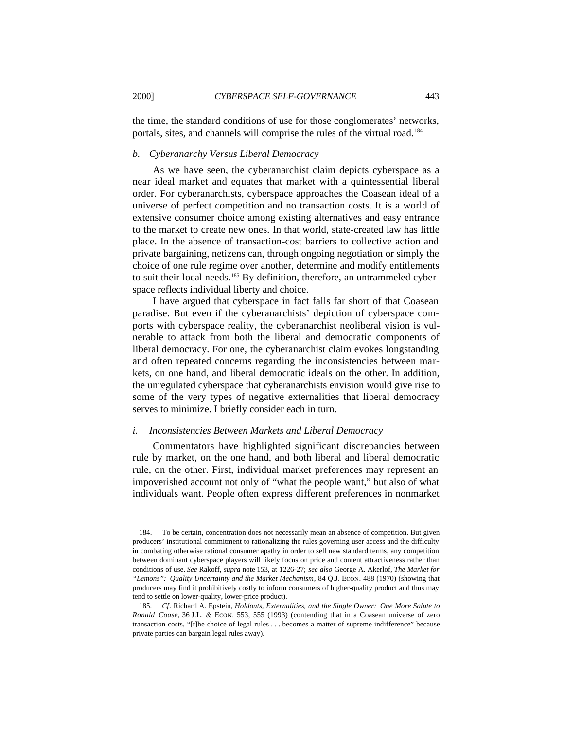the time, the standard conditions of use for those conglomerates' networks, portals, sites, and channels will comprise the rules of the virtual road.<sup>184</sup>

# *b. Cyberanarchy Versus Liberal Democracy*

As we have seen, the cyberanarchist claim depicts cyberspace as a near ideal market and equates that market with a quintessential liberal order. For cyberanarchists, cyberspace approaches the Coasean ideal of a universe of perfect competition and no transaction costs. It is a world of extensive consumer choice among existing alternatives and easy entrance to the market to create new ones. In that world, state-created law has little place. In the absence of transaction-cost barriers to collective action and private bargaining, netizens can, through ongoing negotiation or simply the choice of one rule regime over another, determine and modify entitlements to suit their local needs.<sup>185</sup> By definition, therefore, an untrammeled cyberspace reflects individual liberty and choice.

I have argued that cyberspace in fact falls far short of that Coasean paradise. But even if the cyberanarchists' depiction of cyberspace comports with cyberspace reality, the cyberanarchist neoliberal vision is vulnerable to attack from both the liberal and democratic components of liberal democracy. For one, the cyberanarchist claim evokes longstanding and often repeated concerns regarding the inconsistencies between markets, on one hand, and liberal democratic ideals on the other. In addition, the unregulated cyberspace that cyberanarchists envision would give rise to some of the very types of negative externalities that liberal democracy serves to minimize. I briefly consider each in turn.

# *i. Inconsistencies Between Markets and Liberal Democracy*

Commentators have highlighted significant discrepancies between rule by market, on the one hand, and both liberal and liberal democratic rule, on the other. First, individual market preferences may represent an impoverished account not only of "what the people want," but also of what individuals want. People often express different preferences in nonmarket

<sup>184.</sup> To be certain, concentration does not necessarily mean an absence of competition. But given producers' institutional commitment to rationalizing the rules governing user access and the difficulty in combating otherwise rational consumer apathy in order to sell new standard terms, any competition between dominant cyberspace players will likely focus on price and content attractiveness rather than conditions of use. *See* Rakoff, *supra* note 153, at 1226-27; *see also* George A. Akerlof, *The Market for "Lemons": Quality Uncertainty and the Market Mechanism*, 84 Q.J. Econ. 488 (1970) (showing that producers may find it prohibitively costly to inform consumers of higher-quality product and thus may tend to settle on lower-quality, lower-price product).

<sup>185.</sup> *Cf.* Richard A. Epstein, *Holdouts, Externalities, and the Single Owner: One More Salute to Ronald Coase*, 36 J.L. & Econ. 553, 555 (1993) (contending that in a Coasean universe of zero transaction costs, "[t]he choice of legal rules . . . becomes a matter of supreme indifference" because private parties can bargain legal rules away).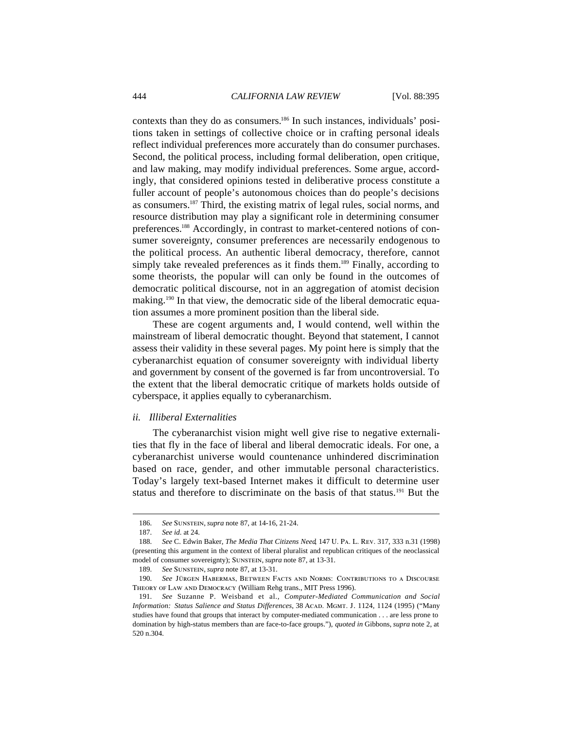contexts than they do as consumers.186 In such instances, individuals' positions taken in settings of collective choice or in crafting personal ideals reflect individual preferences more accurately than do consumer purchases. Second, the political process, including formal deliberation, open critique, and law making, may modify individual preferences. Some argue, accordingly, that considered opinions tested in deliberative process constitute a fuller account of people's autonomous choices than do people's decisions as consumers.187 Third, the existing matrix of legal rules, social norms, and resource distribution may play a significant role in determining consumer preferences.188 Accordingly, in contrast to market-centered notions of consumer sovereignty, consumer preferences are necessarily endogenous to the political process. An authentic liberal democracy, therefore, cannot simply take revealed preferences as it finds them.<sup>189</sup> Finally, according to some theorists, the popular will can only be found in the outcomes of democratic political discourse, not in an aggregation of atomist decision making.<sup>190</sup> In that view, the democratic side of the liberal democratic equation assumes a more prominent position than the liberal side.

These are cogent arguments and, I would contend, well within the mainstream of liberal democratic thought. Beyond that statement, I cannot assess their validity in these several pages. My point here is simply that the cyberanarchist equation of consumer sovereignty with individual liberty and government by consent of the governed is far from uncontroversial. To the extent that the liberal democratic critique of markets holds outside of cyberspace, it applies equally to cyberanarchism.

### *ii. Illiberal Externalities*

The cyberanarchist vision might well give rise to negative externalities that fly in the face of liberal and liberal democratic ideals. For one, a cyberanarchist universe would countenance unhindered discrimination based on race, gender, and other immutable personal characteristics. Today's largely text-based Internet makes it difficult to determine user status and therefore to discriminate on the basis of that status.191 But the

 <sup>1 8 6 .</sup> *See* Sunstein, *supra* note 87, at 14-16, 21-24.

<sup>187.</sup> See id. at 24.

<sup>1 8 8 .</sup> *See* C. Edwin Baker, *The Media That Citizens Need*, 147 U. Pa. L. Rev. 317, 333 n.31 (1998) (presenting this argument in the context of liberal pluralist and republican critiques of the neoclassical model of consumer sovereignty); Sunstein, *supra* note 87, at 13-31.

<sup>189.</sup> *See SUNSTEIN, supra* note 87, at 13-31.

<sup>190.</sup> See Jürgen Habermas, Between Facts and Norms: Contributions to a Discourse Theory of Law and Democracy (William Rehg trans., MIT Press 1996).

<sup>191.</sup> See Suzanne P. Weisband et al., *Computer-Mediated Communication and Social Information: Status Salience and Status Differences*, 38 ACAD. MGMT. J. 1124, 1124 (1995) ("Many studies have found that groups that interact by computer-mediated communication . . . are less prone to domination by high-status members than are face-to-face groups."), *quoted in* Gibbons, *supra* note 2, at 520 n.304.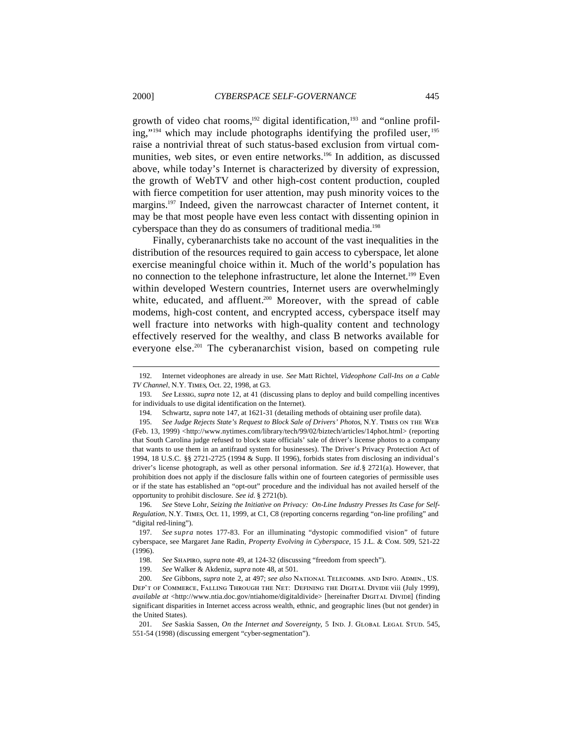growth of video chat rooms,<sup>192</sup> digital identification,<sup>193</sup> and "online profiling,"<sup>194</sup> which may include photographs identifying the profiled user, $195$ raise a nontrivial threat of such status-based exclusion from virtual communities, web sites, or even entire networks.<sup>196</sup> In addition, as discussed above, while today's Internet is characterized by diversity of expression, the growth of WebTV and other high-cost content production, coupled with fierce competition for user attention, may push minority voices to the margins.<sup>197</sup> Indeed, given the narrowcast character of Internet content, it may be that most people have even less contact with dissenting opinion in cyberspace than they do as consumers of traditional media.198

Finally, cyberanarchists take no account of the vast inequalities in the distribution of the resources required to gain access to cyberspace, let alone exercise meaningful choice within it. Much of the world's population has no connection to the telephone infrastructure, let alone the Internet.<sup>199</sup> Even within developed Western countries, Internet users are overwhelmingly white, educated, and affluent.<sup>200</sup> Moreover, with the spread of cable modems, high-cost content, and encrypted access, cyberspace itself may well fracture into networks with high-quality content and technology effectively reserved for the wealthy, and class B networks available for everyone else.<sup>201</sup> The cyberanarchist vision, based on competing rule

196. See Steve Lohr, Seizing the Initiative on Privacy: On-Line Industry Presses Its Case for Self-*Regulation*, N.Y. Times, Oct. 11, 1999, at C1, C8 (reporting concerns regarding "on-line profiling" and "digital red-lining").

197. See supra notes 177-83. For an illuminating "dystopic commodified vision" of future cyberspace, see Margaret Jane Radin, *Property Evolving in Cyberspace*, 15 J.L. & Com. 509, 521-22 (1996).

<sup>192.</sup> Internet videophones are already in use. See Matt Richtel, Videophone Call-Ins on a Cable *TV Channel*, N.Y. Times, Oct. 22, 1998, at G3.

<sup>193.</sup> See Lessig, *supra* note 12, at 41 (discussing plans to deploy and build compelling incentives for individuals to use digital identification on the Internet).

<sup>1 9 4 .</sup> Schwartz, *supra* note 147, at 1621-31 (detailing methods of obtaining user profile data).

<sup>195.</sup> See Judge Rejects State's Request to Block Sale of Drivers' Photos, N.Y. TIMES ON THE WEB (Feb. 13, 1999) <http://www.nytimes.com/library/tech/99/02/biztech/articles/14phot.html> (reporting that South Carolina judge refused to block state officials' sale of driver's license photos to a company that wants to use them in an antifraud system for businesses). The Driver's Privacy Protection Act of 1994, 18 U.S.C. §§ 2721-2725 (1994 & Supp. II 1996), forbids states from disclosing an individual's driver's license photograph, as well as other personal information. *See id*. § 2721(a). However, that prohibition does not apply if the disclosure falls within one of fourteen categories of permissible uses or if the state has established an "opt-out" procedure and the individual has not availed herself of the opportunity to prohibit disclosure. *See id*. § 2721(b).

<sup>198.</sup> See SHAPIRO, *supra* note 49, at 124-32 (discussing "freedom from speech").

<sup>1 9 9 .</sup> *See* Walker & Akdeniz, *supra* note 48, at 501.

<sup>2 0 0 .</sup> *See* Gibbons, *supra* note 2, at 497; *see also* National Telecomms. and Info. Admin., US. Dep't of Commerce, Falling Through the Net: Defining the Digital Divide viii (July 1999), *available at* <http://www.ntia.doc.gov/ntiahome/digitaldivide> [hereinafter DIGITAL DIVIDE] (finding significant disparities in Internet access across wealth, ethnic, and geographic lines (but not gender) in the United States).

<sup>201.</sup> *See* Saskia Sassen, *On the Internet and Sovereignty*, 5 IND. J. GLOBAL LEGAL STUD. 545, 551-54 (1998) (discussing emergent "cyber-segmentation").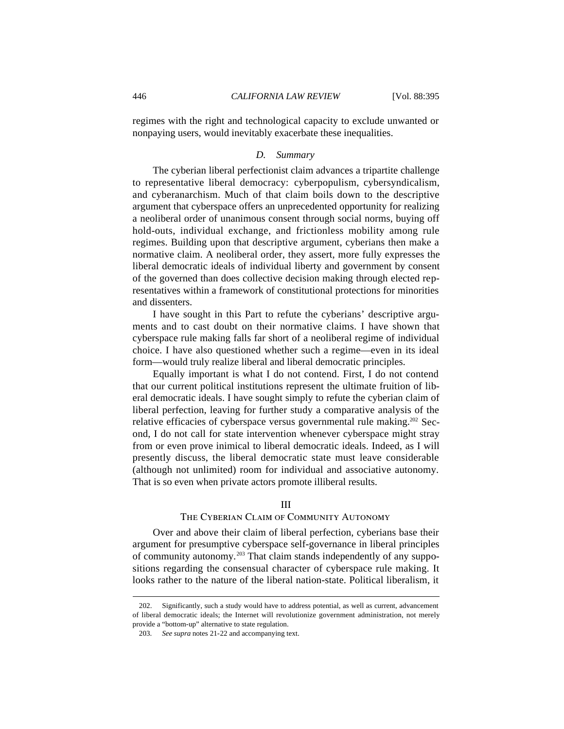regimes with the right and technological capacity to exclude unwanted or nonpaying users, would inevitably exacerbate these inequalities.

#### *D. Summary*

The cyberian liberal perfectionist claim advances a tripartite challenge to representative liberal democracy: cyberpopulism, cybersyndicalism, and cyberanarchism. Much of that claim boils down to the descriptive argument that cyberspace offers an unprecedented opportunity for realizing a neoliberal order of unanimous consent through social norms, buying off hold-outs, individual exchange, and frictionless mobility among rule regimes. Building upon that descriptive argument, cyberians then make a normative claim. A neoliberal order, they assert, more fully expresses the liberal democratic ideals of individual liberty and government by consent of the governed than does collective decision making through elected representatives within a framework of constitutional protections for minorities and dissenters.

I have sought in this Part to refute the cyberians' descriptive arguments and to cast doubt on their normative claims. I have shown that cyberspace rule making falls far short of a neoliberal regime of individual choice. I have also questioned whether such a regime—even in its ideal form—would truly realize liberal and liberal democratic principles.

Equally important is what I do not contend. First, I do not contend that our current political institutions represent the ultimate fruition of liberal democratic ideals. I have sought simply to refute the cyberian claim of liberal perfection, leaving for further study a comparative analysis of the relative efficacies of cyberspace versus governmental rule making.<sup>202</sup> Second, I do not call for state intervention whenever cyberspace might stray from or even prove inimical to liberal democratic ideals. Indeed, as I will presently discuss, the liberal democratic state must leave considerable (although not unlimited) room for individual and associative autonomy. That is so even when private actors promote illiberal results.

#### III

# The Cyberian Claim of Community Autonomy

Over and above their claim of liberal perfection, cyberians base their argument for presumptive cyberspace self-governance in liberal principles of community autonomy.203 That claim stands independently of any suppositions regarding the consensual character of cyberspace rule making. It looks rather to the nature of the liberal nation-state. Political liberalism, it

<sup>202.</sup> Significantly, such a study would have to address potential, as well as current, advancement of liberal democratic ideals; the Internet will revolutionize government administration, not merely provide a "bottom-up" alternative to state regulation.

<sup>203.</sup> See *supra* notes 21-22 and accompanying text.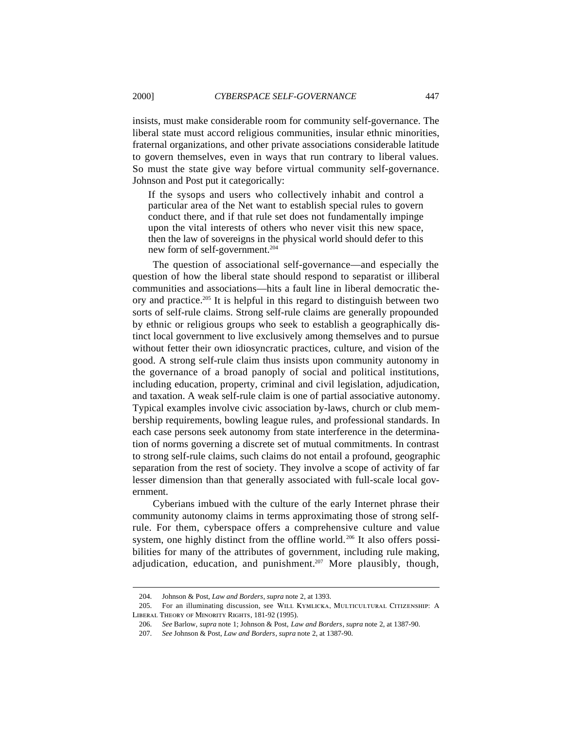insists, must make considerable room for community self-governance. The liberal state must accord religious communities, insular ethnic minorities, fraternal organizations, and other private associations considerable latitude to govern themselves, even in ways that run contrary to liberal values. So must the state give way before virtual community self-governance. Johnson and Post put it categorically:

If the sysops and users who collectively inhabit and control a particular area of the Net want to establish special rules to govern conduct there, and if that rule set does not fundamentally impinge upon the vital interests of others who never visit this new space, then the law of sovereigns in the physical world should defer to this new form of self-government.<sup>204</sup>

The question of associational self-governance—and especially the question of how the liberal state should respond to separatist or illiberal communities and associations—hits a fault line in liberal democratic theory and practice.205 It is helpful in this regard to distinguish between two sorts of self-rule claims. Strong self-rule claims are generally propounded by ethnic or religious groups who seek to establish a geographically distinct local government to live exclusively among themselves and to pursue without fetter their own idiosyncratic practices, culture, and vision of the good. A strong self-rule claim thus insists upon community autonomy in the governance of a broad panoply of social and political institutions, including education, property, criminal and civil legislation, adjudication, and taxation. A weak self-rule claim is one of partial associative autonomy. Typical examples involve civic association by-laws, church or club membership requirements, bowling league rules, and professional standards. In each case persons seek autonomy from state interference in the determination of norms governing a discrete set of mutual commitments. In contrast to strong self-rule claims, such claims do not entail a profound, geographic separation from the rest of society. They involve a scope of activity of far lesser dimension than that generally associated with full-scale local government.

Cyberians imbued with the culture of the early Internet phrase their community autonomy claims in terms approximating those of strong selfrule. For them, cyberspace offers a comprehensive culture and value system, one highly distinct from the offline world.<sup>206</sup> It also offers possibilities for many of the attributes of government, including rule making, adjudication, education, and punishment.<sup>207</sup> More plausibly, though,

<sup>204.</sup> Johnson & Post, *Law and Borders*, *supra* note 2, at 1393.

<sup>205.</sup> For an illuminating discussion, see WILL KYMLICKA, MULTICULTURAL CITIZENSHIP: A Liberal Theory of Minority Rights, 181-92 (1995).

<sup>2 0 6 .</sup> *See* Barlow, *supra* note 1; Johnson & Post, *Law and Borders*, *supra* note 2, at 1387-90.

<sup>207.</sup> See Johnson & Post, *Law and Borders*, *supra* note 2, at 1387-90.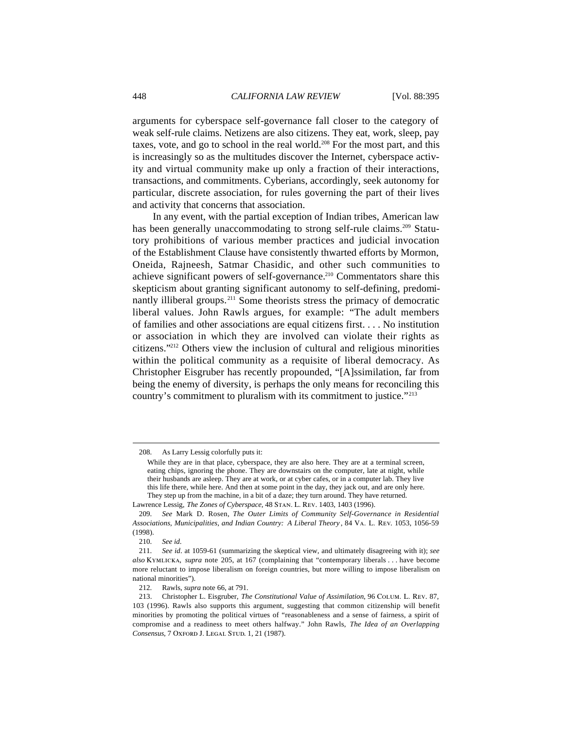arguments for cyberspace self-governance fall closer to the category of weak self-rule claims. Netizens are also citizens. They eat, work, sleep, pay taxes, vote, and go to school in the real world.<sup>208</sup> For the most part, and this is increasingly so as the multitudes discover the Internet, cyberspace activity and virtual community make up only a fraction of their interactions, transactions, and commitments. Cyberians, accordingly, seek autonomy for particular, discrete association, for rules governing the part of their lives and activity that concerns that association.

In any event, with the partial exception of Indian tribes, American law has been generally unaccommodating to strong self-rule claims.<sup>209</sup> Statutory prohibitions of various member practices and judicial invocation of the Establishment Clause have consistently thwarted efforts by Mormon, Oneida, Rajneesh, Satmar Chasidic, and other such communities to achieve significant powers of self-governance.<sup>210</sup> Commentators share this skepticism about granting significant autonomy to self-defining, predominantly illiberal groups.<sup>211</sup> Some theorists stress the primacy of democratic liberal values. John Rawls argues, for example: "The adult members of families and other associations are equal citizens first. . . . No institution or association in which they are involved can violate their rights as citizens."212 Others view the inclusion of cultural and religious minorities within the political community as a requisite of liberal democracy. As Christopher Eisgruber has recently propounded, "[A]ssimilation, far from being the enemy of diversity, is perhaps the only means for reconciling this country's commitment to pluralism with its commitment to justice."213

<sup>208.</sup> As Larry Lessig colorfully puts it:

While they are in that place, cyberspace, they are also here. They are at a terminal screen, eating chips, ignoring the phone. They are downstairs on the computer, late at night, while their husbands are asleep. They are at work, or at cyber cafes, or in a computer lab. They live this life there, while here. And then at some point in the day, they jack out, and are only here. They step up from the machine, in a bit of a daze; they turn around. They have returned.

Lawrence Lessig, *The Zones of Cyberspace*, 48 Stan. L. Rev. 1403, 1403 (1996).

<sup>209.</sup> See Mark D. Rosen, *The Outer Limits of Community Self-Governance in Residential Associations, Municipalities, and Indian Country: A Liberal Theory* , 84 Va. L. Rev. 1053, 1056-59 (1998).

<sup>210.</sup> See id.

<sup>2 1 1 .</sup> *See id*. at 1059-61 (summarizing the skeptical view, and ultimately disagreeing with it); *see also* Kymlicka, *supra* note 205, at 167 (complaining that "contemporary liberals . . . have become more reluctant to impose liberalism on foreign countries, but more willing to impose liberalism on national minorities").

<sup>212.</sup> Rawls, *supra* note 66, at 791.

<sup>2 1 3 .</sup> Christopher L. Eisgruber, *The Constitutional Value of Assimilation*, 96 Colum. L. Rev. 87, 103 (1996). Rawls also supports this argument, suggesting that common citizenship will benefit minorities by promoting the political virtues of "reasonableness and a sense of fairness, a spirit of compromise and a readiness to meet others halfway." John Rawls, *The Idea of an Overlapping* Consensus, 7 OXFORD J. LEGAL STUD. 1, 21 (1987).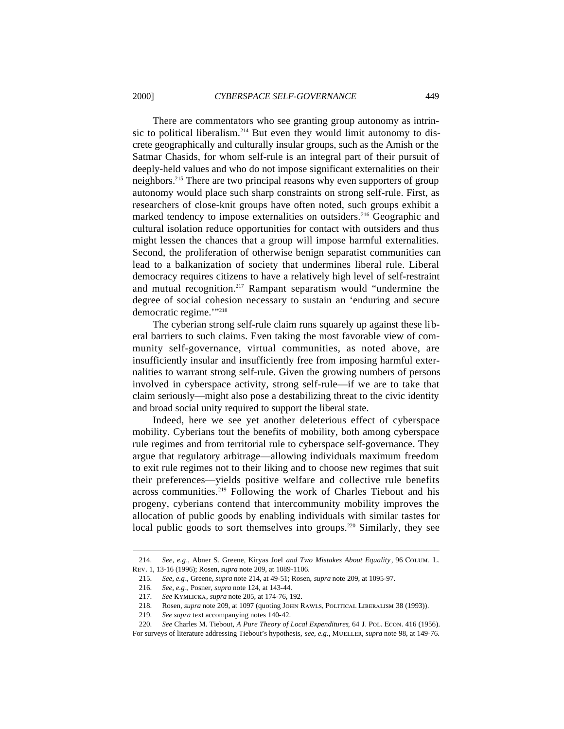There are commentators who see granting group autonomy as intrinsic to political liberalism.<sup>214</sup> But even they would limit autonomy to discrete geographically and culturally insular groups, such as the Amish or the Satmar Chasids, for whom self-rule is an integral part of their pursuit of deeply-held values and who do not impose significant externalities on their neighbors.215 There are two principal reasons why even supporters of group autonomy would place such sharp constraints on strong self-rule. First, as researchers of close-knit groups have often noted, such groups exhibit a marked tendency to impose externalities on outsiders.<sup>216</sup> Geographic and cultural isolation reduce opportunities for contact with outsiders and thus might lessen the chances that a group will impose harmful externalities. Second, the proliferation of otherwise benign separatist communities can lead to a balkanization of society that undermines liberal rule. Liberal democracy requires citizens to have a relatively high level of self-restraint and mutual recognition.217 Rampant separatism would "undermine the degree of social cohesion necessary to sustain an 'enduring and secure democratic regime.'"218

The cyberian strong self-rule claim runs squarely up against these liberal barriers to such claims. Even taking the most favorable view of community self-governance, virtual communities, as noted above, are insufficiently insular and insufficiently free from imposing harmful externalities to warrant strong self-rule. Given the growing numbers of persons involved in cyberspace activity, strong self-rule—if we are to take that claim seriously—might also pose a destabilizing threat to the civic identity and broad social unity required to support the liberal state.

Indeed, here we see yet another deleterious effect of cyberspace mobility. Cyberians tout the benefits of mobility, both among cyberspace rule regimes and from territorial rule to cyberspace self-governance. They argue that regulatory arbitrage—allowing individuals maximum freedom to exit rule regimes not to their liking and to choose new regimes that suit their preferences—yields positive welfare and collective rule benefits across communities.<sup>219</sup> Following the work of Charles Tiebout and his progeny, cyberians contend that intercommunity mobility improves the allocation of public goods by enabling individuals with similar tastes for local public goods to sort themselves into groups.<sup>220</sup> Similarly, they see

 <sup>2 1 4 .</sup> *See, e.g*., Abner S. Greene, Kiryas Joel *and Two Mistakes About Equality* , 96 Colum. L. Rev. 1, 13-16 (1996); Rosen, *supra* note 209, at 1089-1106.

<sup>2 1 5 .</sup> *See, e.g*., Greene, *supra* note 214, at 49-51; Rosen, *supra* note 209, at 1095-97.

<sup>2 1 6 .</sup> *See, e.g*., Posner, *supra* note 124, at 143-44.

<sup>217.</sup> See KYMLICKA, *supra* note 205, at 174-76, 192.

<sup>218.</sup> Rosen, *supra* note 209, at 1097 (quoting JOHN RAWLS, POLITICAL LIBERALISM 38 (1993)).

<sup>219.</sup> See supra text accompanying notes 140-42.

<sup>2 2 0 .</sup> *See* Charles M. Tiebout, *A Pure Theory of Local Expenditures*, 64 J. Pol. Econ. 416 (1956). For surveys of literature addressing Tiebout's hypothesis, *see, e.g.*, MUELLER, *supra* note 98, at 149-76.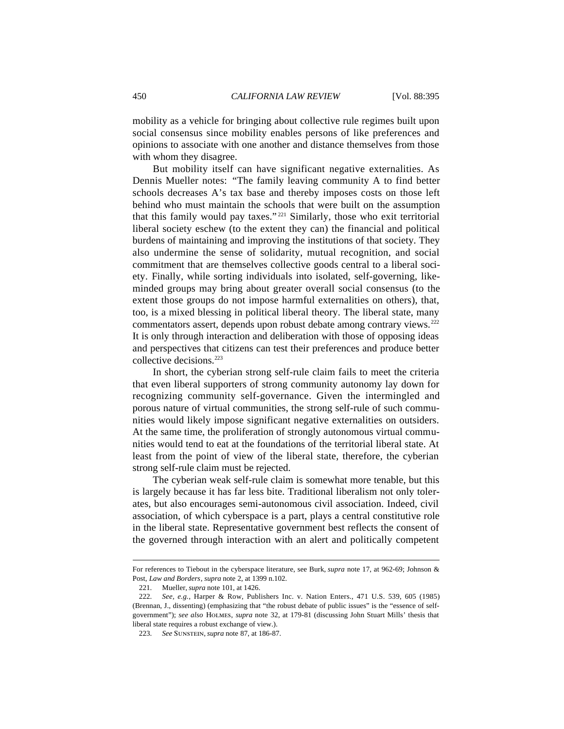mobility as a vehicle for bringing about collective rule regimes built upon social consensus since mobility enables persons of like preferences and opinions to associate with one another and distance themselves from those with whom they disagree.

But mobility itself can have significant negative externalities. As Dennis Mueller notes: "The family leaving community A to find better schools decreases A's tax base and thereby imposes costs on those left behind who must maintain the schools that were built on the assumption that this family would pay taxes." 221 Similarly, those who exit territorial liberal society eschew (to the extent they can) the financial and political burdens of maintaining and improving the institutions of that society. They also undermine the sense of solidarity, mutual recognition, and social commitment that are themselves collective goods central to a liberal society. Finally, while sorting individuals into isolated, self-governing, likeminded groups may bring about greater overall social consensus (to the extent those groups do not impose harmful externalities on others), that, too, is a mixed blessing in political liberal theory. The liberal state, many commentators assert, depends upon robust debate among contrary views.<sup>222</sup> It is only through interaction and deliberation with those of opposing ideas and perspectives that citizens can test their preferences and produce better collective decisions.223

In short, the cyberian strong self-rule claim fails to meet the criteria that even liberal supporters of strong community autonomy lay down for recognizing community self-governance. Given the intermingled and porous nature of virtual communities, the strong self-rule of such communities would likely impose significant negative externalities on outsiders. At the same time, the proliferation of strongly autonomous virtual communities would tend to eat at the foundations of the territorial liberal state. At least from the point of view of the liberal state, therefore, the cyberian strong self-rule claim must be rejected.

The cyberian weak self-rule claim is somewhat more tenable, but this is largely because it has far less bite. Traditional liberalism not only tolerates, but also encourages semi-autonomous civil association. Indeed, civil association, of which cyberspace is a part, plays a central constitutive role in the liberal state. Representative government best reflects the consent of the governed through interaction with an alert and politically competent

For references to Tiebout in the cyberspace literature, see Burk, *supra* note 17, at 962-69; Johnson & Post, *Law and Borders*, *supra* note 2, at 1399 n.102.

<sup>221.</sup> Mueller, *supra* note 101, at 1426.

<sup>222.</sup> *See, e.g.*, Harper & Row, Publishers Inc. v. Nation Enters., 471 U.S. 539, 605 (1985) (Brennan, J., dissenting) (emphasizing that "the robust debate of public issues" is the "essence of selfgovernment"); *see also* Holmes, *supra* note 32, at 179-81 (discussing John Stuart Mills' thesis that liberal state requires a robust exchange of view.).

<sup>2 2 3 .</sup> *See* Sunstein, *supra* note 87, at 186-87.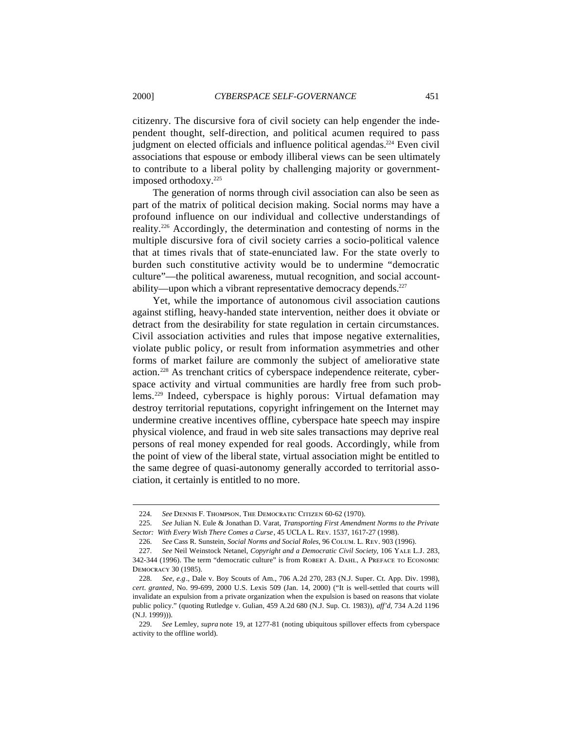citizenry. The discursive fora of civil society can help engender the independent thought, self-direction, and political acumen required to pass judgment on elected officials and influence political agendas.<sup>224</sup> Even civil associations that espouse or embody illiberal views can be seen ultimately to contribute to a liberal polity by challenging majority or governmentimposed orthodoxy.225

The generation of norms through civil association can also be seen as part of the matrix of political decision making. Social norms may have a profound influence on our individual and collective understandings of reality.226 Accordingly, the determination and contesting of norms in the multiple discursive fora of civil society carries a socio-political valence that at times rivals that of state-enunciated law. For the state overly to burden such constitutive activity would be to undermine "democratic culture"—the political awareness, mutual recognition, and social accountability—upon which a vibrant representative democracy depends.<sup>227</sup>

Yet, while the importance of autonomous civil association cautions against stifling, heavy-handed state intervention, neither does it obviate or detract from the desirability for state regulation in certain circumstances. Civil association activities and rules that impose negative externalities, violate public policy, or result from information asymmetries and other forms of market failure are commonly the subject of ameliorative state action.228 As trenchant critics of cyberspace independence reiterate, cyberspace activity and virtual communities are hardly free from such problems.229 Indeed, cyberspace is highly porous: Virtual defamation may destroy territorial reputations, copyright infringement on the Internet may undermine creative incentives offline, cyberspace hate speech may inspire physical violence, and fraud in web site sales transactions may deprive real persons of real money expended for real goods. Accordingly, while from the point of view of the liberal state, virtual association might be entitled to the same degree of quasi-autonomy generally accorded to territorial association, it certainly is entitled to no more.

<sup>224.</sup> See DENNIS F. THOMPSON, THE DEMOCRATIC CITIZEN 60-62 (1970).

<sup>2 2 5 .</sup> *See* Julian N. Eule & Jonathan D. Varat, *Transporting First Amendment Norms to the Private Sector: With Every Wish There Comes a Curse*, 45 UCLA L. Rev. 1537, 1617-27 (1998).

<sup>2 2 6 .</sup> *See* Cass R. Sunstein, *Social Norms and Social Roles*, 96 Colum. L. Rev. 903 (1996).

<sup>2 2 7 .</sup> *See* Neil Weinstock Netanel, *Copyright and a Democratic Civil Society*, 106 Yale L.J. 283, 342-344 (1996). The term "democratic culture" is from Robert A. Dahl, A Preface to Economic Democracy 30 (1985).

<sup>2 2 8 .</sup> *See, e.g*., Dale v. Boy Scouts of Am., 706 A.2d 270, 283 (N.J. Super. Ct. App. Div. 1998), *cert. granted*, No. 99-699, 2000 U.S. Lexis 509 (Jan. 14, 2000) ("It is well-settled that courts will invalidate an expulsion from a private organization when the expulsion is based on reasons that violate public policy." (quoting Rutledge v. Gulian, 459 A.2d 680 (N.J. Sup. Ct. 1983)), *aff'd,* 734 A.2d 1196 (N.J. 1999))).

<sup>2 2 9 .</sup> *See* Lemley, *supra* note 19, at 1277-81 (noting ubiquitous spillover effects from cyberspace activity to the offline world).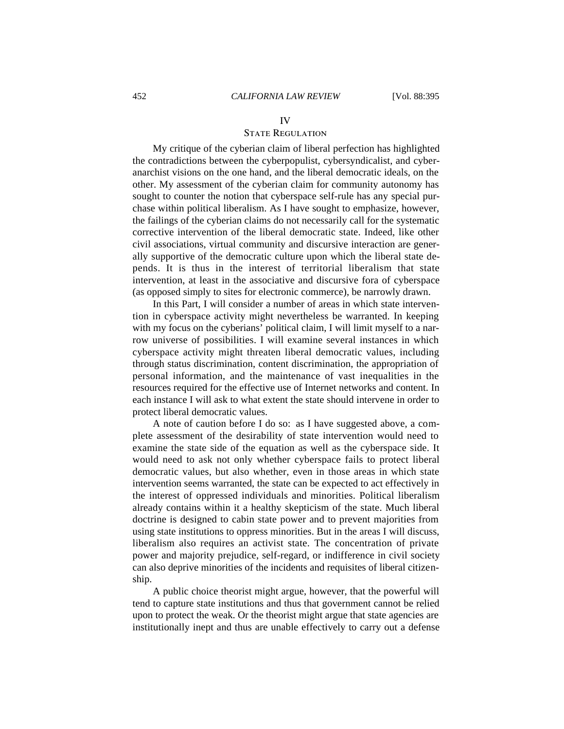# IV

# **STATE REGULATION**

My critique of the cyberian claim of liberal perfection has highlighted the contradictions between the cyberpopulist, cybersyndicalist, and cyberanarchist visions on the one hand, and the liberal democratic ideals, on the other. My assessment of the cyberian claim for community autonomy has sought to counter the notion that cyberspace self-rule has any special purchase within political liberalism. As I have sought to emphasize, however, the failings of the cyberian claims do not necessarily call for the systematic corrective intervention of the liberal democratic state. Indeed, like other civil associations, virtual community and discursive interaction are generally supportive of the democratic culture upon which the liberal state depends. It is thus in the interest of territorial liberalism that state intervention, at least in the associative and discursive fora of cyberspace (as opposed simply to sites for electronic commerce), be narrowly drawn.

In this Part, I will consider a number of areas in which state intervention in cyberspace activity might nevertheless be warranted. In keeping with my focus on the cyberians' political claim, I will limit myself to a narrow universe of possibilities. I will examine several instances in which cyberspace activity might threaten liberal democratic values, including through status discrimination, content discrimination, the appropriation of personal information, and the maintenance of vast inequalities in the resources required for the effective use of Internet networks and content. In each instance I will ask to what extent the state should intervene in order to protect liberal democratic values.

A note of caution before I do so: as I have suggested above, a complete assessment of the desirability of state intervention would need to examine the state side of the equation as well as the cyberspace side. It would need to ask not only whether cyberspace fails to protect liberal democratic values, but also whether, even in those areas in which state intervention seems warranted, the state can be expected to act effectively in the interest of oppressed individuals and minorities. Political liberalism already contains within it a healthy skepticism of the state. Much liberal doctrine is designed to cabin state power and to prevent majorities from using state institutions to oppress minorities. But in the areas I will discuss, liberalism also requires an activist state. The concentration of private power and majority prejudice, self-regard, or indifference in civil society can also deprive minorities of the incidents and requisites of liberal citizenship.

A public choice theorist might argue, however, that the powerful will tend to capture state institutions and thus that government cannot be relied upon to protect the weak. Or the theorist might argue that state agencies are institutionally inept and thus are unable effectively to carry out a defense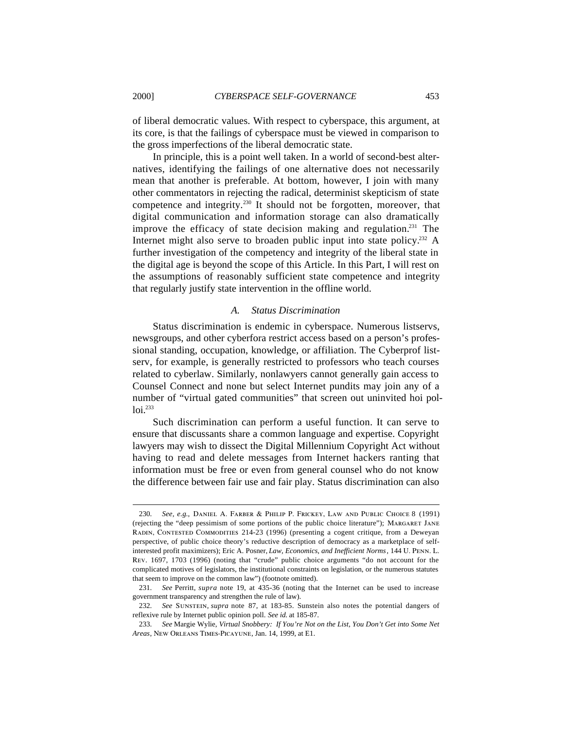of liberal democratic values. With respect to cyberspace, this argument, at its core, is that the failings of cyberspace must be viewed in comparison to the gross imperfections of the liberal democratic state.

In principle, this is a point well taken. In a world of second-best alternatives, identifying the failings of one alternative does not necessarily mean that another is preferable. At bottom, however, I join with many other commentators in rejecting the radical, determinist skepticism of state competence and integrity.230 It should not be forgotten, moreover, that digital communication and information storage can also dramatically improve the efficacy of state decision making and regulation.<sup>231</sup> The Internet might also serve to broaden public input into state policy.<sup>232</sup> A further investigation of the competency and integrity of the liberal state in the digital age is beyond the scope of this Article. In this Part, I will rest on the assumptions of reasonably sufficient state competence and integrity that regularly justify state intervention in the offline world.

### *A. Status Discrimination*

Status discrimination is endemic in cyberspace. Numerous listservs, newsgroups, and other cyberfora restrict access based on a person's professional standing, occupation, knowledge, or affiliation. The Cyberprof listserv, for example, is generally restricted to professors who teach courses related to cyberlaw. Similarly, nonlawyers cannot generally gain access to Counsel Connect and none but select Internet pundits may join any of a number of "virtual gated communities" that screen out uninvited hoi polloi.<sup>233</sup>

Such discrimination can perform a useful function. It can serve to ensure that discussants share a common language and expertise. Copyright lawyers may wish to dissect the Digital Millennium Copyright Act without having to read and delete messages from Internet hackers ranting that information must be free or even from general counsel who do not know the difference between fair use and fair play. Status discrimination can also

<sup>230.</sup> *See, e.g.*, DANIEL A. FARBER & PHILIP P. FRICKEY, LAW AND PUBLIC CHOICE 8 (1991) (rejecting the "deep pessimism of some portions of the public choice literature"); Margaret Jane RADIN, CONTESTED COMMODITIES 214-23 (1996) (presenting a cogent critique, from a Deweyan perspective, of public choice theory's reductive description of democracy as a marketplace of selfinterested profit maximizers); Eric A. Posner, *Law, Economics, and Inefficient Norms*, 144 U. Penn. L. Rev. 1697, 1703 (1996) (noting that "crude" public choice arguments "do not account for the complicated motives of legislators, the institutional constraints on legislation, or the numerous statutes that seem to improve on the common law") (footnote omitted).

<sup>231.</sup> *See* Perritt, *supra* note 19, at 435-36 (noting that the Internet can be used to increase government transparency and strengthen the rule of law).

<sup>2 3 2 .</sup> *See* Sunstein, *supra* note 87, at 183-85. Sunstein also notes the potential dangers of reflexive rule by Internet public opinion poll. *See id.* at 185-87.

<sup>2 3 3 .</sup> *See* Margie Wylie, *Virtual Snobbery: If You're Not on the List, You Don't Get into Some Net Areas*, New Orleans Times-Picayune, Jan. 14, 1999, at E1.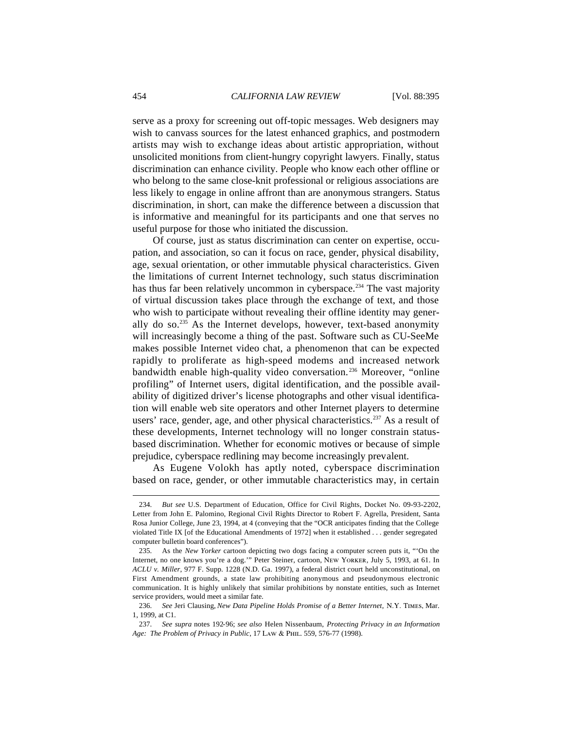serve as a proxy for screening out off-topic messages. Web designers may wish to canvass sources for the latest enhanced graphics, and postmodern artists may wish to exchange ideas about artistic appropriation, without unsolicited monitions from client-hungry copyright lawyers. Finally, status discrimination can enhance civility. People who know each other offline or who belong to the same close-knit professional or religious associations are less likely to engage in online affront than are anonymous strangers. Status discrimination, in short, can make the difference between a discussion that is informative and meaningful for its participants and one that serves no useful purpose for those who initiated the discussion.

Of course, just as status discrimination can center on expertise, occupation, and association, so can it focus on race, gender, physical disability, age, sexual orientation, or other immutable physical characteristics. Given the limitations of current Internet technology, such status discrimination has thus far been relatively uncommon in cyberspace.<sup>234</sup> The vast majority of virtual discussion takes place through the exchange of text, and those who wish to participate without revealing their offline identity may generally do so.235 As the Internet develops, however, text-based anonymity will increasingly become a thing of the past. Software such as CU-SeeMe makes possible Internet video chat, a phenomenon that can be expected rapidly to proliferate as high-speed modems and increased network bandwidth enable high-quality video conversation. 236 Moreover, "online profiling" of Internet users, digital identification, and the possible availability of digitized driver's license photographs and other visual identification will enable web site operators and other Internet players to determine users' race, gender, age, and other physical characteristics.<sup>237</sup> As a result of these developments, Internet technology will no longer constrain statusbased discrimination. Whether for economic motives or because of simple prejudice, cyberspace redlining may become increasingly prevalent.

As Eugene Volokh has aptly noted, cyberspace discrimination based on race, gender, or other immutable characteristics may, in certain

<sup>234.</sup> *But see* U.S. Department of Education, Office for Civil Rights, Docket No. 09-93-2202, Letter from John E. Palomino, Regional Civil Rights Director to Robert F. Agrella, President, Santa Rosa Junior College, June 23, 1994, at 4 (conveying that the "OCR anticipates finding that the College violated Title IX [of the Educational Amendments of 1972] when it established . . . gender segregated computer bulletin board conferences").

<sup>235.</sup> As the *New Yorker* cartoon depicting two dogs facing a computer screen puts it, "On the Internet, no one knows you're a dog.'" Peter Steiner, cartoon, New Yorker, July 5, 1993, at 61. In *ACLU v. Miller*, 977 F. Supp. 1228 (N.D. Ga. 1997), a federal district court held unconstitutional, on First Amendment grounds, a state law prohibiting anonymous and pseudonymous electronic communication. It is highly unlikely that similar prohibitions by nonstate entities, such as Internet service providers, would meet a similar fate.

<sup>2 3 6 .</sup> *See* Jeri Clausing, *New Data Pipeline Holds Promise of a Better Internet*, N.Y. Times, Mar. 1, 1999, at C1.

<sup>2 3 7 .</sup> *See supra* notes 192-96; *see also* Helen Nissenbaum, *Protecting Privacy in an Information Age: The Problem of Privacy in Public*, 17 Law & Phil. 559, 576-77 (1998).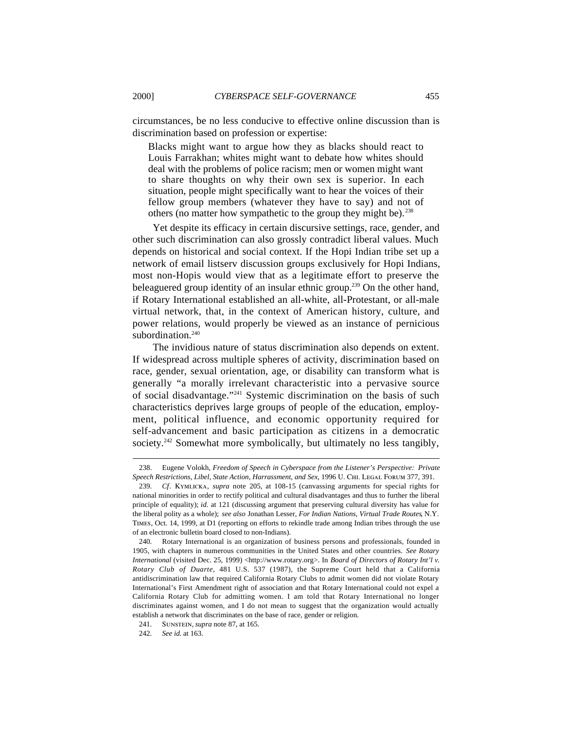circumstances, be no less conducive to effective online discussion than is discrimination based on profession or expertise:

Blacks might want to argue how they as blacks should react to Louis Farrakhan; whites might want to debate how whites should deal with the problems of police racism; men or women might want to share thoughts on why their own sex is superior. In each situation, people might specifically want to hear the voices of their fellow group members (whatever they have to say) and not of others (no matter how sympathetic to the group they might be). $238$ 

Yet despite its efficacy in certain discursive settings, race, gender, and other such discrimination can also grossly contradict liberal values. Much depends on historical and social context. If the Hopi Indian tribe set up a network of email listserv discussion groups exclusively for Hopi Indians, most non-Hopis would view that as a legitimate effort to preserve the beleaguered group identity of an insular ethnic group.<sup>239</sup> On the other hand, if Rotary International established an all-white, all-Protestant, or all-male virtual network, that, in the context of American history, culture, and power relations, would properly be viewed as an instance of pernicious subordination.<sup>240</sup>

The invidious nature of status discrimination also depends on extent. If widespread across multiple spheres of activity, discrimination based on race, gender, sexual orientation, age, or disability can transform what is generally "a morally irrelevant characteristic into a pervasive source of social disadvantage."241 Systemic discrimination on the basis of such characteristics deprives large groups of people of the education, employment, political influence, and economic opportunity required for self-advancement and basic participation as citizens in a democratic society.<sup>242</sup> Somewhat more symbolically, but ultimately no less tangibly,

241. SUNSTEIN, *supra* note 87, at 165.

<sup>238.</sup> Eugene Volokh, *Freedom of Speech in Cyberspace from the Listener's Perspective: Private Speech Restrictions, Libel, State Action, Harrassment, and Sex*, 1996 U. Chi. Legal Forum 377, 391.

<sup>239.</sup> *Cf.* KYMLICKA, *supra* note 205, at 108-15 (canvassing arguments for special rights for national minorities in order to rectify political and cultural disadvantages and thus to further the liberal principle of equality); *id.* at 121 (discussing argument that preserving cultural diversity has value for the liberal polity as a whole); *see also* Jonathan Lesser, *For Indian Nations, Virtual Trade Routes*, N.Y. Times, Oct. 14, 1999, at D1 (reporting on efforts to rekindle trade among Indian tribes through the use of an electronic bulletin board closed to non-Indians).

<sup>240.</sup> Rotary International is an organization of business persons and professionals, founded in 1905, with chapters in numerous communities in the United States and other countries. *See Rotary International* (visited Dec. 25, 1999) <http://www.rotary.org>. In *Board of Directors of Rotary Int'l v. Rotary Club of Duarte*, 481 U.S. 537 (1987), the Supreme Court held that a California antidiscrimination law that required California Rotary Clubs to admit women did not violate Rotary International's First Amendment right of association and that Rotary International could not expel a California Rotary Club for admitting women. I am told that Rotary International no longer discriminates against women, and I do not mean to suggest that the organization would actually establish a network that discriminates on the base of race, gender or religion.

<sup>242.</sup> *See id.* at 163.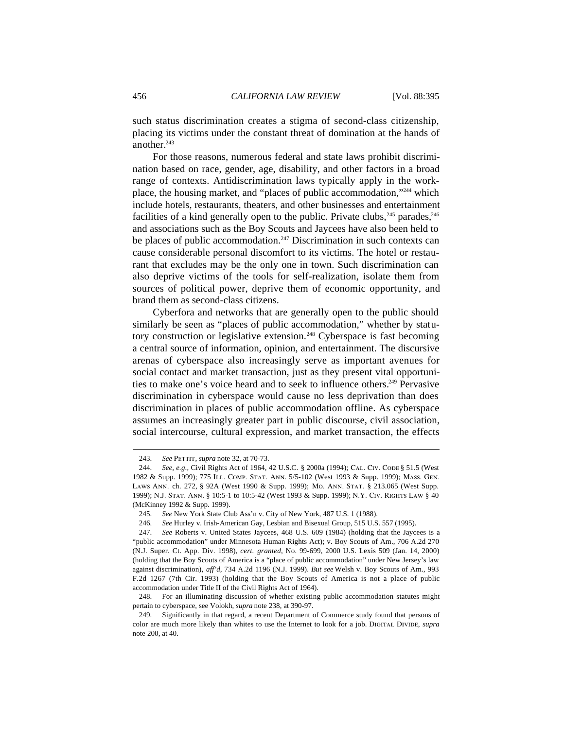such status discrimination creates a stigma of second-class citizenship, placing its victims under the constant threat of domination at the hands of another.<sup>243</sup>

For those reasons, numerous federal and state laws prohibit discrimination based on race, gender, age, disability, and other factors in a broad range of contexts. Antidiscrimination laws typically apply in the workplace, the housing market, and "places of public accommodation,"244 which include hotels, restaurants, theaters, and other businesses and entertainment facilities of a kind generally open to the public. Private clubs,  $245$  parades,  $246$ and associations such as the Boy Scouts and Jaycees have also been held to be places of public accommodation.<sup>247</sup> Discrimination in such contexts can cause considerable personal discomfort to its victims. The hotel or restaurant that excludes may be the only one in town. Such discrimination can also deprive victims of the tools for self-realization, isolate them from sources of political power, deprive them of economic opportunity, and brand them as second-class citizens.

Cyberfora and networks that are generally open to the public should similarly be seen as "places of public accommodation," whether by statutory construction or legislative extension.<sup>248</sup> Cyberspace is fast becoming a central source of information, opinion, and entertainment. The discursive arenas of cyberspace also increasingly serve as important avenues for social contact and market transaction, just as they present vital opportunities to make one's voice heard and to seek to influence others.<sup>249</sup> Pervasive discrimination in cyberspace would cause no less deprivation than does discrimination in places of public accommodation offline. As cyberspace assumes an increasingly greater part in public discourse, civil association, social intercourse, cultural expression, and market transaction, the effects

248. For an illuminating discussion of whether existing public accommodation statutes might pertain to cyberspace, see Volokh, *supra* note 238, at 390-97.

<sup>243.</sup> *See* PETTIT, *supra* note 32, at 70-73.

<sup>244.</sup> *See, e.g.*, Civil Rights Act of 1964, 42 U.S.C. § 2000a (1994); CAL. CIV. CODE § 51.5 (West 1982 & Supp. 1999); 775 Ill. Comp. Stat. Ann. 5/5-102 (West 1993 & Supp. 1999); Mass. Gen. Laws Ann. ch. 272, § 92A (West 1990 & Supp. 1999); Mo. Ann. Stat. § 213.065 (West Supp. 1999); N.J. Stat. Ann. § 10:5-1 to 10:5-42 (West 1993 & Supp. 1999); N.Y. Civ. Rights Law § 40 (McKinney 1992 & Supp. 1999).

<sup>245.</sup> See New York State Club Ass'n v. City of New York, 487 U.S. 1 (1988).

<sup>246.</sup> *See* Hurley v. Irish-American Gay, Lesbian and Bisexual Group, 515 U.S. 557 (1995).

<sup>247.</sup> *See* Roberts v. United States Jaycees, 468 U.S. 609 (1984) (holding that the Jaycees is a "public accommodation" under Minnesota Human Rights Act); v. Boy Scouts of Am., 706 A.2d 270 (N.J. Super. Ct. App. Div. 1998), *cert. granted*, No. 99-699, 2000 U.S. Lexis 509 (Jan. 14, 2000) (holding that the Boy Scouts of America is a "place of public accommodation" under New Jersey's law against discrimination), *aff'd,* 734 A.2d 1196 (N.J. 1999). *But see* Welsh v. Boy Scouts of Am., 993 F.2d 1267 (7th Cir. 1993) (holding that the Boy Scouts of America is not a place of public accommodation under Title II of the Civil Rights Act of 1964).

<sup>249.</sup> Significantly in that regard, a recent Department of Commerce study found that persons of color are much more likely than whites to use the Internet to look for a job. DIGITAL DIVIDE, *supra* note 200, at 40.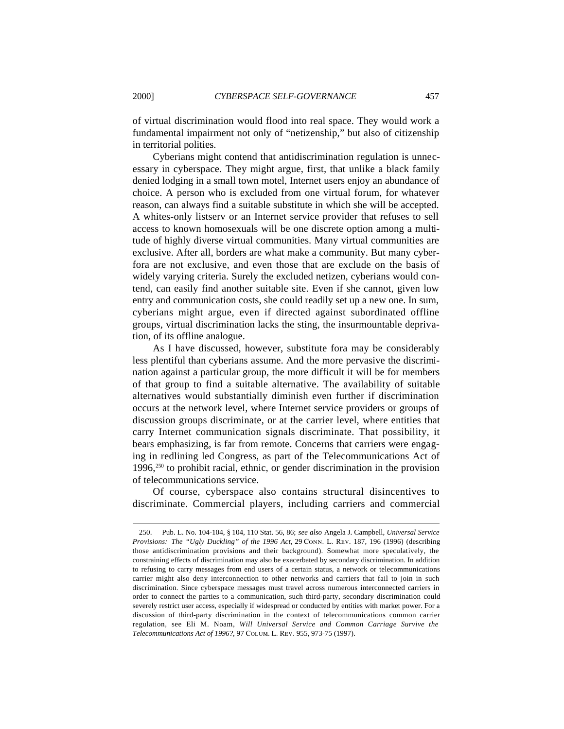of virtual discrimination would flood into real space. They would work a fundamental impairment not only of "netizenship," but also of citizenship in territorial polities.

Cyberians might contend that antidiscrimination regulation is unnecessary in cyberspace. They might argue, first, that unlike a black family denied lodging in a small town motel, Internet users enjoy an abundance of choice. A person who is excluded from one virtual forum, for whatever reason, can always find a suitable substitute in which she will be accepted. A whites-only listserv or an Internet service provider that refuses to sell access to known homosexuals will be one discrete option among a multitude of highly diverse virtual communities. Many virtual communities are exclusive. After all, borders are what make a community. But many cyberfora are not exclusive, and even those that are exclude on the basis of widely varying criteria. Surely the excluded netizen, cyberians would contend, can easily find another suitable site. Even if she cannot, given low entry and communication costs, she could readily set up a new one. In sum, cyberians might argue, even if directed against subordinated offline groups, virtual discrimination lacks the sting, the insurmountable deprivation, of its offline analogue.

As I have discussed, however, substitute fora may be considerably less plentiful than cyberians assume. And the more pervasive the discrimination against a particular group, the more difficult it will be for members of that group to find a suitable alternative. The availability of suitable alternatives would substantially diminish even further if discrimination occurs at the network level, where Internet service providers or groups of discussion groups discriminate, or at the carrier level, where entities that carry Internet communication signals discriminate. That possibility, it bears emphasizing, is far from remote. Concerns that carriers were engaging in redlining led Congress, as part of the Telecommunications Act of  $1996$ ,<sup> $250$ </sup> to prohibit racial, ethnic, or gender discrimination in the provision of telecommunications service.

Of course, cyberspace also contains structural disincentives to discriminate. Commercial players, including carriers and commercial

 <sup>2 5 0 .</sup> Pub. L. No. 104-104, § 104, 110 Stat. 56, 86; *see also* Angela J. Campbell, *Universal Service Provisions: The "Ugly Duckling" of the 1996 Act*, 29 Conn. L. Rev. 187, 196 (1996) (describing those antidiscrimination provisions and their background). Somewhat more speculatively, the constraining effects of discrimination may also be exacerbated by secondary discrimination. In addition to refusing to carry messages from end users of a certain status, a network or telecommunications carrier might also deny interconnection to other networks and carriers that fail to join in such discrimination. Since cyberspace messages must travel across numerous interconnected carriers in order to connect the parties to a communication, such third-party, secondary discrimination could severely restrict user access, especially if widespread or conducted by entities with market power. For a discussion of third-party discrimination in the context of telecommunications common carrier regulation, see Eli M. Noam, *Will Universal Service and Common Carriage Survive the Telecommunications Act of 1996?*, 97 Colum. L. Rev. 955, 973-75 (1997).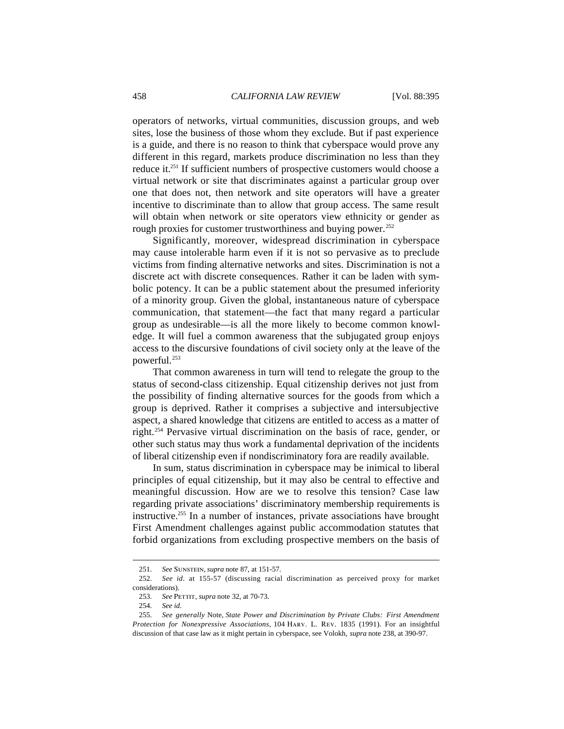operators of networks, virtual communities, discussion groups, and web sites, lose the business of those whom they exclude. But if past experience is a guide, and there is no reason to think that cyberspace would prove any different in this regard, markets produce discrimination no less than they reduce it.251 If sufficient numbers of prospective customers would choose a virtual network or site that discriminates against a particular group over one that does not, then network and site operators will have a greater incentive to discriminate than to allow that group access. The same result will obtain when network or site operators view ethnicity or gender as rough proxies for customer trustworthiness and buying power.<sup>252</sup>

Significantly, moreover, widespread discrimination in cyberspace may cause intolerable harm even if it is not so pervasive as to preclude victims from finding alternative networks and sites. Discrimination is not a discrete act with discrete consequences. Rather it can be laden with symbolic potency. It can be a public statement about the presumed inferiority of a minority group. Given the global, instantaneous nature of cyberspace communication, that statement—the fact that many regard a particular group as undesirable—is all the more likely to become common knowledge. It will fuel a common awareness that the subjugated group enjoys access to the discursive foundations of civil society only at the leave of the powerful.<sup>253</sup>

That common awareness in turn will tend to relegate the group to the status of second-class citizenship. Equal citizenship derives not just from the possibility of finding alternative sources for the goods from which a group is deprived. Rather it comprises a subjective and intersubjective aspect, a shared knowledge that citizens are entitled to access as a matter of right.254 Pervasive virtual discrimination on the basis of race, gender, or other such status may thus work a fundamental deprivation of the incidents of liberal citizenship even if nondiscriminatory fora are readily available.

In sum, status discrimination in cyberspace may be inimical to liberal principles of equal citizenship, but it may also be central to effective and meaningful discussion. How are we to resolve this tension? Case law regarding private associations' discriminatory membership requirements is instructive.255 In a number of instances, private associations have brought First Amendment challenges against public accommodation statutes that forbid organizations from excluding prospective members on the basis of

 <sup>2 5 1 .</sup> *See* Sunstein, *supra* note 87, at 151-57.

<sup>252.</sup> See id. at 155-57 (discussing racial discrimination as perceived proxy for market considerations).

<sup>2 5 3 .</sup> *See* Pettit, *supra* note 32, at 70-73.

<sup>254.</sup> *See id.* 

<sup>255.</sup> See generally Note, State Power and Discrimination by Private Clubs: First Amendment *Protection for Nonexpressive Associations*, 104 Harv. L. Rev. 1835 (1991). For an insightful discussion of that case law as it might pertain in cyberspace, see Volokh, *supra* note 238, at 390-97.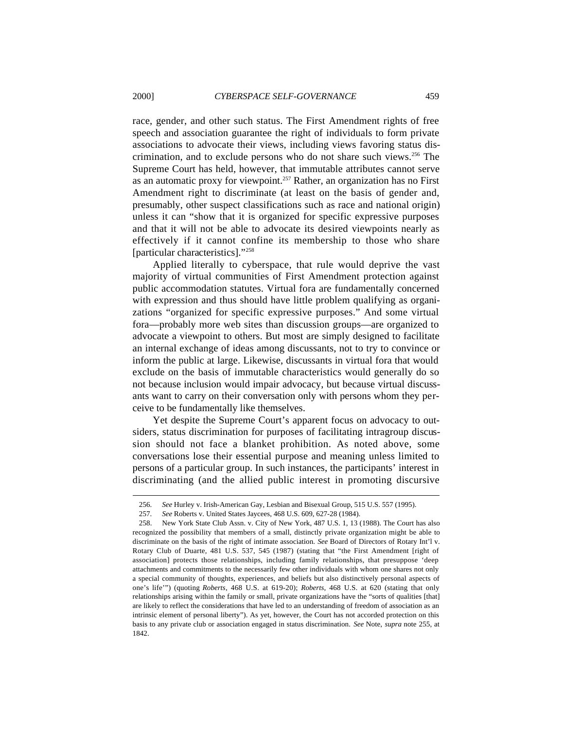race, gender, and other such status. The First Amendment rights of free speech and association guarantee the right of individuals to form private associations to advocate their views, including views favoring status discrimination, and to exclude persons who do not share such views.256 The Supreme Court has held, however, that immutable attributes cannot serve as an automatic proxy for viewpoint.<sup>257</sup> Rather, an organization has no First Amendment right to discriminate (at least on the basis of gender and, presumably, other suspect classifications such as race and national origin) unless it can "show that it is organized for specific expressive purposes and that it will not be able to advocate its desired viewpoints nearly as effectively if it cannot confine its membership to those who share [particular characteristics]."258

Applied literally to cyberspace, that rule would deprive the vast majority of virtual communities of First Amendment protection against public accommodation statutes. Virtual fora are fundamentally concerned with expression and thus should have little problem qualifying as organizations "organized for specific expressive purposes." And some virtual fora—probably more web sites than discussion groups—are organized to advocate a viewpoint to others. But most are simply designed to facilitate an internal exchange of ideas among discussants, not to try to convince or inform the public at large. Likewise, discussants in virtual fora that would exclude on the basis of immutable characteristics would generally do so not because inclusion would impair advocacy, but because virtual discussants want to carry on their conversation only with persons whom they perceive to be fundamentally like themselves.

Yet despite the Supreme Court's apparent focus on advocacy to outsiders, status discrimination for purposes of facilitating intragroup discussion should not face a blanket prohibition. As noted above, some conversations lose their essential purpose and meaning unless limited to persons of a particular group. In such instances, the participants' interest in discriminating (and the allied public interest in promoting discursive

<sup>256.</sup> See Hurley v. Irish-American Gay, Lesbian and Bisexual Group, 515 U.S. 557 (1995).

<sup>257.</sup> See Roberts v. United States Jaycees, 468 U.S. 609, 627-28 (1984).

<sup>258.</sup> New York State Club Assn. v. City of New York, 487 U.S. 1, 13 (1988). The Court has also recognized the possibility that members of a small, distinctly private organization might be able to discriminate on the basis of the right of intimate association. *See* Board of Directors of Rotary Int'l v. Rotary Club of Duarte, 481 U.S. 537, 545 (1987) (stating that "the First Amendment [right of association] protects those relationships, including family relationships, that presuppose 'deep attachments and commitments to the necessarily few other individuals with whom one shares not only a special community of thoughts, experiences, and beliefs but also distinctively personal aspects of one's life'") (quoting *Roberts*, 468 U.S. at 619-20); *Roberts*, 468 U.S. at 620 (stating that only relationships arising within the family or small, private organizations have the "sorts of qualities [that] are likely to reflect the considerations that have led to an understanding of freedom of association as an intrinsic element of personal liberty"). As yet, however, the Court has not accorded protection on this basis to any private club or association engaged in status discrimination. *See* Note, *supra* note 255, at 1842.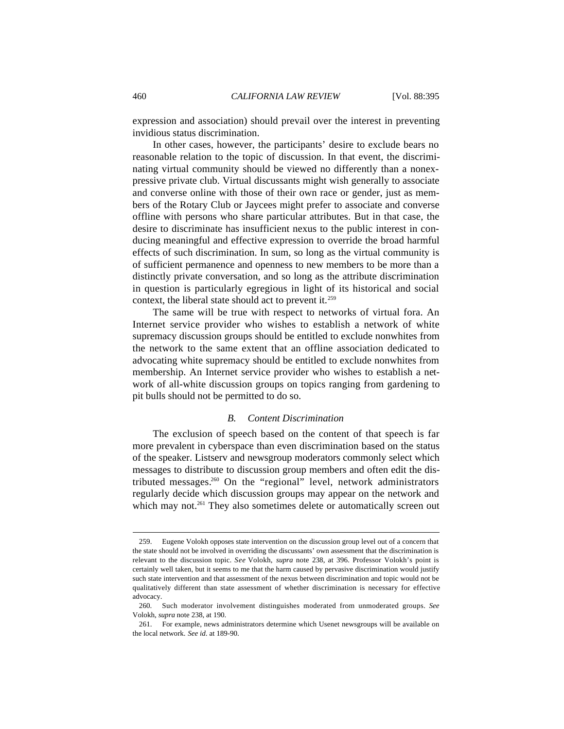expression and association) should prevail over the interest in preventing invidious status discrimination.

In other cases, however, the participants' desire to exclude bears no reasonable relation to the topic of discussion. In that event, the discriminating virtual community should be viewed no differently than a nonexpressive private club. Virtual discussants might wish generally to associate and converse online with those of their own race or gender, just as members of the Rotary Club or Jaycees might prefer to associate and converse offline with persons who share particular attributes. But in that case, the desire to discriminate has insufficient nexus to the public interest in conducing meaningful and effective expression to override the broad harmful effects of such discrimination. In sum, so long as the virtual community is of sufficient permanence and openness to new members to be more than a distinctly private conversation, and so long as the attribute discrimination in question is particularly egregious in light of its historical and social context, the liberal state should act to prevent it.<sup>259</sup>

The same will be true with respect to networks of virtual fora. An Internet service provider who wishes to establish a network of white supremacy discussion groups should be entitled to exclude nonwhites from the network to the same extent that an offline association dedicated to advocating white supremacy should be entitled to exclude nonwhites from membership. An Internet service provider who wishes to establish a network of all-white discussion groups on topics ranging from gardening to pit bulls should not be permitted to do so.

#### *B. Content Discrimination*

The exclusion of speech based on the content of that speech is far more prevalent in cyberspace than even discrimination based on the status of the speaker. Listserv and newsgroup moderators commonly select which messages to distribute to discussion group members and often edit the distributed messages.260 On the "regional" level, network administrators regularly decide which discussion groups may appear on the network and which may not.<sup>261</sup> They also sometimes delete or automatically screen out

<sup>259.</sup> Eugene Volokh opposes state intervention on the discussion group level out of a concern that the state should not be involved in overriding the discussants' own assessment that the discrimination is relevant to the discussion topic. *See* Volokh, *supra* note 238, at 396. Professor Volokh's point is certainly well taken, but it seems to me that the harm caused by pervasive discrimination would justify such state intervention and that assessment of the nexus between discrimination and topic would not be qualitatively different than state assessment of whether discrimination is necessary for effective advocacy.

<sup>260.</sup> Such moderator involvement distinguishes moderated from unmoderated groups. See Volokh, *supra* note 238, at 190.

<sup>261.</sup> For example, news administrators determine which Usenet newsgroups will be available on the local network. *See id*. at 189-90.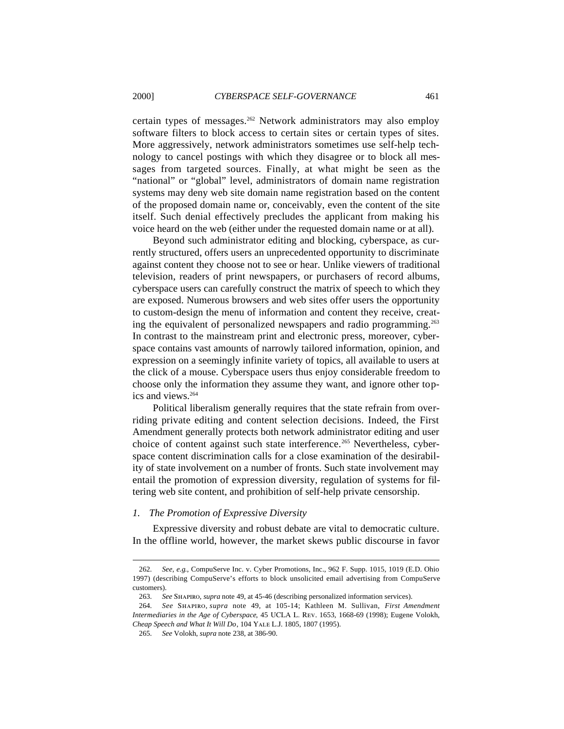certain types of messages.<sup>262</sup> Network administrators may also employ software filters to block access to certain sites or certain types of sites. More aggressively, network administrators sometimes use self-help technology to cancel postings with which they disagree or to block all messages from targeted sources. Finally, at what might be seen as the "national" or "global" level, administrators of domain name registration systems may deny web site domain name registration based on the content of the proposed domain name or, conceivably, even the content of the site itself. Such denial effectively precludes the applicant from making his voice heard on the web (either under the requested domain name or at all).

Beyond such administrator editing and blocking, cyberspace, as currently structured, offers users an unprecedented opportunity to discriminate against content they choose not to see or hear. Unlike viewers of traditional television, readers of print newspapers, or purchasers of record albums, cyberspace users can carefully construct the matrix of speech to which they are exposed. Numerous browsers and web sites offer users the opportunity to custom-design the menu of information and content they receive, creating the equivalent of personalized newspapers and radio programming.<sup>263</sup> In contrast to the mainstream print and electronic press, moreover, cyberspace contains vast amounts of narrowly tailored information, opinion, and expression on a seemingly infinite variety of topics, all available to users at the click of a mouse. Cyberspace users thus enjoy considerable freedom to choose only the information they assume they want, and ignore other topics and views.264

Political liberalism generally requires that the state refrain from overriding private editing and content selection decisions. Indeed, the First Amendment generally protects both network administrator editing and user choice of content against such state interference.<sup>265</sup> Nevertheless, cyberspace content discrimination calls for a close examination of the desirability of state involvement on a number of fronts. Such state involvement may entail the promotion of expression diversity, regulation of systems for filtering web site content, and prohibition of self-help private censorship.

### *1. The Promotion of Expressive Diversity*

Expressive diversity and robust debate are vital to democratic culture. In the offline world, however, the market skews public discourse in favor

<sup>262.</sup> *See, e.g.*, CompuServe Inc. v. Cyber Promotions, Inc., 962 F. Supp. 1015, 1019 (E.D. Ohio 1997) (describing CompuServe's efforts to block unsolicited email advertising from CompuServe customers).

<sup>263.</sup> *See* SHAPIRO, *supra* note 49, at 45-46 (describing personalized information services).

<sup>2 6 4 .</sup> *See* Shapiro, *supra* note 49, at 105-14; Kathleen M. Sullivan, *First Amendment Intermediaries in the Age of Cyberspace*, 45 UCLA L. Rev. 1653, 1668-69 (1998); Eugene Volokh, *Cheap Speech and What It Will Do*, 104 Yale L.J. 1805, 1807 (1995).

<sup>2 6 5 .</sup> *See* Volokh, *supra* note 238, at 386-90.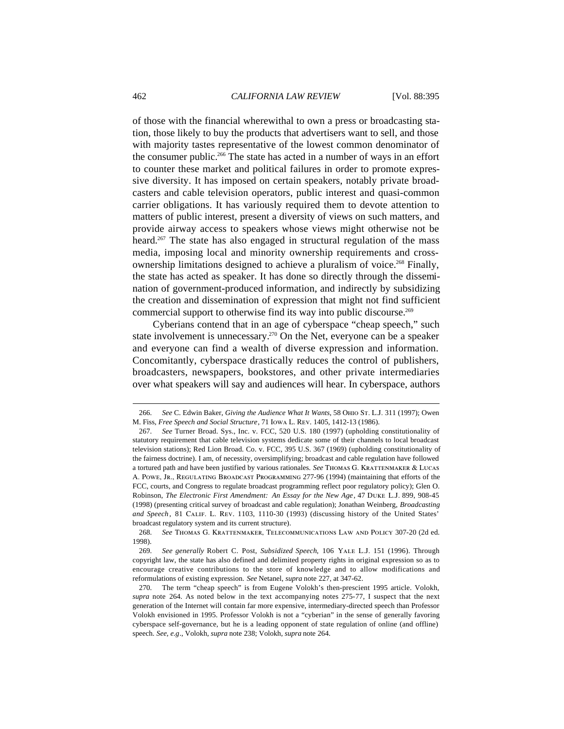of those with the financial wherewithal to own a press or broadcasting station, those likely to buy the products that advertisers want to sell, and those with majority tastes representative of the lowest common denominator of the consumer public.<sup>266</sup> The state has acted in a number of ways in an effort to counter these market and political failures in order to promote expressive diversity. It has imposed on certain speakers, notably private broadcasters and cable television operators, public interest and quasi-common carrier obligations. It has variously required them to devote attention to matters of public interest, present a diversity of views on such matters, and provide airway access to speakers whose views might otherwise not be heard.<sup>267</sup> The state has also engaged in structural regulation of the mass media, imposing local and minority ownership requirements and crossownership limitations designed to achieve a pluralism of voice.<sup>268</sup> Finally, the state has acted as speaker. It has done so directly through the dissemination of government-produced information, and indirectly by subsidizing the creation and dissemination of expression that might not find sufficient commercial support to otherwise find its way into public discourse.<sup>269</sup>

Cyberians contend that in an age of cyberspace "cheap speech," such state involvement is unnecessary.270 On the Net, everyone can be a speaker and everyone can find a wealth of diverse expression and information. Concomitantly, cyberspace drastically reduces the control of publishers, broadcasters, newspapers, bookstores, and other private intermediaries over what speakers will say and audiences will hear. In cyberspace, authors

<sup>266.</sup> See C. Edwin Baker, *Giving the Audience What It Wants*, 58 OHIO ST. L.J. 311 (1997); Owen M. Fiss, *Free Speech and Social Structure*, 71 Iowa L. Rev. 1405, 1412-13 (1986).

<sup>267.</sup> See Turner Broad. Sys., Inc. v. FCC, 520 U.S. 180 (1997) (upholding constitutionality of statutory requirement that cable television systems dedicate some of their channels to local broadcast television stations); Red Lion Broad. Co. v. FCC, 395 U.S. 367 (1969) (upholding constitutionality of the fairness doctrine). I am, of necessity, oversimplifying; broadcast and cable regulation have followed a tortured path and have been justified by various rationales. *See* THOMAS G. KRATTENMAKER & LUCAS A. POWE, JR., REGULATING BROADCAST PROGRAMMING 277-96 (1994) (maintaining that efforts of the FCC, courts, and Congress to regulate broadcast programming reflect poor regulatory policy); Glen O. Robinson, *The Electronic First Amendment: An Essay for the New Age*, 47 Duke L.J. 899, 908-45 (1998) (presenting critical survey of broadcast and cable regulation); Jonathan Weinberg, *Broadcasting* and Speech, 81 CALIF. L. REV. 1103, 1110-30 (1993) (discussing history of the United States' broadcast regulatory system and its current structure).

<sup>2 6 8 .</sup> *See* Thomas G. Krattenmaker, Telecommunications Law and Policy 307-20 (2d ed. 1998).

<sup>269.</sup> See generally Robert C. Post, *Subsidized Speech*, 106 YALE L.J. 151 (1996). Through copyright law, the state has also defined and delimited property rights in original expression so as to encourage creative contributions to the store of knowledge and to allow modifications and reformulations of existing expression. *See* Netanel, *supra* note 227, at 347-62.

<sup>270.</sup> The term "cheap speech" is from Eugene Volokh's then-prescient 1995 article. Volokh, *supra* note 264. As noted below in the text accompanying notes 275-77, I suspect that the next generation of the Internet will contain far more expensive, intermediary-directed speech than Professor Volokh envisioned in 1995. Professor Volokh is not a "cyberian" in the sense of generally favoring cyberspace self-governance, but he is a leading opponent of state regulation of online (and offline) speech. *See, e.g*., Volokh, *supra* note 238; Volokh, *supra* note 264.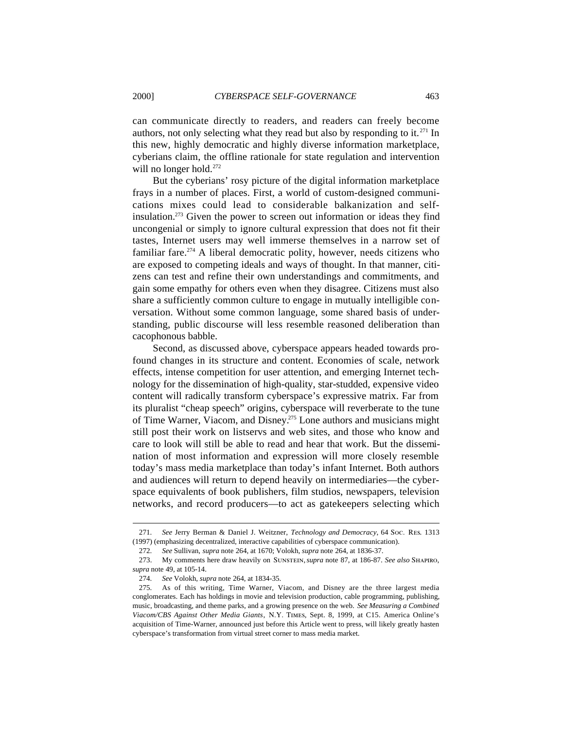can communicate directly to readers, and readers can freely become authors, not only selecting what they read but also by responding to it.<sup>271</sup> In this new, highly democratic and highly diverse information marketplace, cyberians claim, the offline rationale for state regulation and intervention will no longer hold. $272$ 

But the cyberians' rosy picture of the digital information marketplace frays in a number of places. First, a world of custom-designed communications mixes could lead to considerable balkanization and selfinsulation.273 Given the power to screen out information or ideas they find uncongenial or simply to ignore cultural expression that does not fit their tastes, Internet users may well immerse themselves in a narrow set of familiar fare.<sup> $274$ </sup> A liberal democratic polity, however, needs citizens who are exposed to competing ideals and ways of thought. In that manner, citizens can test and refine their own understandings and commitments, and gain some empathy for others even when they disagree. Citizens must also share a sufficiently common culture to engage in mutually intelligible conversation. Without some common language, some shared basis of understanding, public discourse will less resemble reasoned deliberation than cacophonous babble.

Second, as discussed above, cyberspace appears headed towards profound changes in its structure and content. Economies of scale, network effects, intense competition for user attention, and emerging Internet technology for the dissemination of high-quality, star-studded, expensive video content will radically transform cyberspace's expressive matrix. Far from its pluralist "cheap speech" origins, cyberspace will reverberate to the tune of Time Warner, Viacom, and Disney.275 Lone authors and musicians might still post their work on listservs and web sites, and those who know and care to look will still be able to read and hear that work. But the dissemination of most information and expression will more closely resemble today's mass media marketplace than today's infant Internet. Both authors and audiences will return to depend heavily on intermediaries—the cyberspace equivalents of book publishers, film studios, newspapers, television networks, and record producers—to act as gatekeepers selecting which

 <sup>2 7 1 .</sup> *See* Jerry Berman & Daniel J. Weitzner, *Technology and Democracy*, 64 Soc. Res. 1313 (1997) (emphasizing decentralized, interactive capabilities of cyberspace communication).

<sup>2 7 2 .</sup> *See* Sullivan, *supra* note 264, at 1670; Volokh, *supra* note 264, at 1836-37.

<sup>2 7 3 .</sup> My comments here draw heavily on Sunstein, *supra* note 87, at 186-87. *See also* Shapiro, *supra* note 49, at 105-14.

<sup>2 7 4 .</sup> *See* Volokh, *supra* note 264, at 1834-35.

<sup>275.</sup> As of this writing, Time Warner, Viacom, and Disney are the three largest media conglomerates. Each has holdings in movie and television production, cable programming, publishing, music, broadcasting, and theme parks, and a growing presence on the web. *See Measuring a Combined Viacom/CBS Against Other Media Giants*, N.Y. Times, Sept. 8, 1999, at C15. America Online's acquisition of Time-Warner, announced just before this Article went to press, will likely greatly hasten cyberspace's transformation from virtual street corner to mass media market.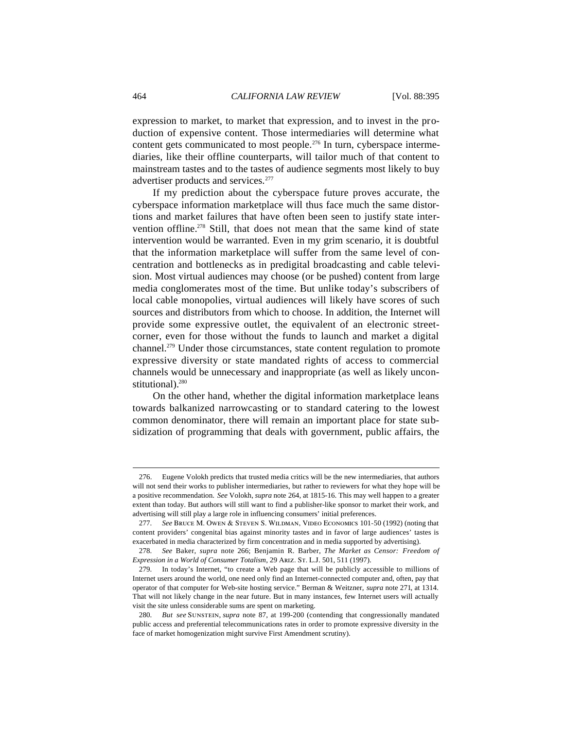expression to market, to market that expression, and to invest in the production of expensive content. Those intermediaries will determine what content gets communicated to most people.<sup>276</sup> In turn, cyberspace intermediaries, like their offline counterparts, will tailor much of that content to mainstream tastes and to the tastes of audience segments most likely to buy advertiser products and services.277

If my prediction about the cyberspace future proves accurate, the cyberspace information marketplace will thus face much the same distortions and market failures that have often been seen to justify state intervention offline.<sup>278</sup> Still, that does not mean that the same kind of state intervention would be warranted. Even in my grim scenario, it is doubtful that the information marketplace will suffer from the same level of concentration and bottlenecks as in predigital broadcasting and cable television. Most virtual audiences may choose (or be pushed) content from large media conglomerates most of the time. But unlike today's subscribers of local cable monopolies, virtual audiences will likely have scores of such sources and distributors from which to choose. In addition, the Internet will provide some expressive outlet, the equivalent of an electronic streetcorner, even for those without the funds to launch and market a digital channel.279 Under those circumstances, state content regulation to promote expressive diversity or state mandated rights of access to commercial channels would be unnecessary and inappropriate (as well as likely unconstitutional).<sup>280</sup>

On the other hand, whether the digital information marketplace leans towards balkanized narrowcasting or to standard catering to the lowest common denominator, there will remain an important place for state subsidization of programming that deals with government, public affairs, the

<sup>276.</sup> Eugene Volokh predicts that trusted media critics will be the new intermediaries, that authors will not send their works to publisher intermediaries, but rather to reviewers for what they hope will be a positive recommendation. *See* Volokh, *supra* note 264, at 1815-16. This may well happen to a greater extent than today. But authors will still want to find a publisher-like sponsor to market their work, and advertising will still play a large role in influencing consumers' initial preferences.

<sup>277.</sup> *See* BRUCE M. OWEN & STEVEN S. WILDMAN, VIDEO ECONOMICS 101-50 (1992) (noting that content providers' congenital bias against minority tastes and in favor of large audiences' tastes is exacerbated in media characterized by firm concentration and in media supported by advertising).

<sup>2 7 8 .</sup> *See* Baker, *supra* note 266; Benjamin R. Barber, *The Market as Censor: Freedom of Expression in a World of Consumer Totalism*, 29 Ariz. St. L.J. 501, 511 (1997).

<sup>279.</sup> In today's Internet, "to create a Web page that will be publicly accessible to millions of Internet users around the world, one need only find an Internet-connected computer and, often, pay that operator of that computer for Web-site hosting service." Berman & Weitzner, *supra* note 271, at 1314. That will not likely change in the near future. But in many instances, few Internet users will actually visit the site unless considerable sums are spent on marketing.

<sup>280.</sup> *But see* SUNSTEIN, *supra* note 87, at 199-200 (contending that congressionally mandated public access and preferential telecommunications rates in order to promote expressive diversity in the face of market homogenization might survive First Amendment scrutiny).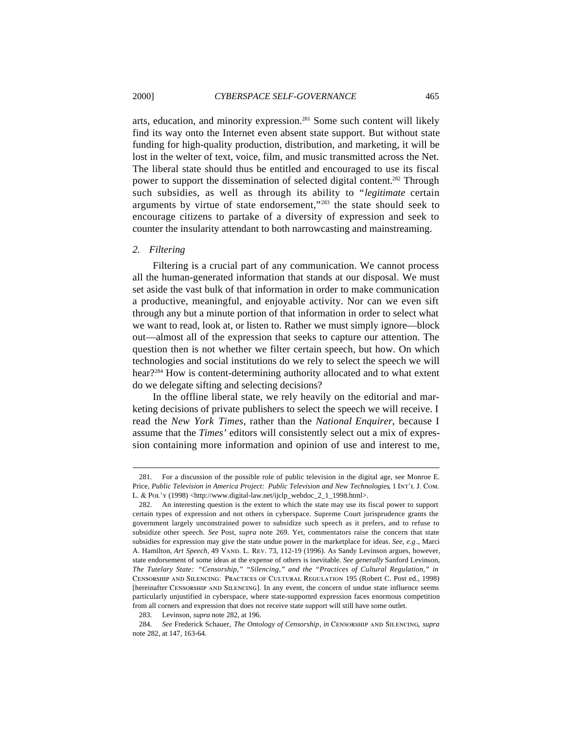arts, education, and minority expression.<sup>281</sup> Some such content will likely find its way onto the Internet even absent state support. But without state funding for high-quality production, distribution, and marketing, it will be lost in the welter of text, voice, film, and music transmitted across the Net. The liberal state should thus be entitled and encouraged to use its fiscal power to support the dissemination of selected digital content.282 Through such subsidies, as well as through its ability to "*legitimate* certain arguments by virtue of state endorsement,"283 the state should seek to encourage citizens to partake of a diversity of expression and seek to counter the insularity attendant to both narrowcasting and mainstreaming.

#### *2. Filtering*

Filtering is a crucial part of any communication. We cannot process all the human-generated information that stands at our disposal. We must set aside the vast bulk of that information in order to make communication a productive, meaningful, and enjoyable activity. Nor can we even sift through any but a minute portion of that information in order to select what we want to read, look at, or listen to. Rather we must simply ignore—block out—almost all of the expression that seeks to capture our attention. The question then is not whether we filter certain speech, but how. On which technologies and social institutions do we rely to select the speech we will hear?<sup>284</sup> How is content-determining authority allocated and to what extent do we delegate sifting and selecting decisions?

In the offline liberal state, we rely heavily on the editorial and marketing decisions of private publishers to select the speech we will receive. I read the *New York Times*, rather than the *National Enquirer*, because I assume that the *Times'* editors will consistently select out a mix of expression containing more information and opinion of use and interest to me,

<sup>281.</sup> For a discussion of the possible role of public television in the digital age, see Monroe E. Price, *Public Television in America Project: Public Television and New Technologies*, 1 Int'l J. Com. L. & Pol'y (1998) <http://www.digital-law.net/ijclp\_webdoc\_2\_1\_1998.html>.

<sup>282.</sup> An interesting question is the extent to which the state may use its fiscal power to support certain types of expression and not others in cyberspace. Supreme Court jurisprudence grants the government largely unconstrained power to subsidize such speech as it prefers, and to refuse to subsidize other speech. *See* Post, *supra* note 269. Yet, commentators raise the concern that state subsidies for expression may give the state undue power in the marketplace for ideas. *See, e.g*., Marci A. Hamilton, *Art Speech*, 49 VAND. L. REV. 73, 112-19 (1996). As Sandy Levinson argues, however, state endorsement of some ideas at the expense of others is inevitable. *See generally* Sanford Levinson, *The Tutelary State: "Censorship," "Silencing," and the "Practices of Cultural Regulation," in* Censorship and Silencing: Practices of Cultural Regulation 195 (Robert C. Post ed., 1998) [hereinafter Censorship and Silencing]. In any event, the concern of undue state influence seems particularly unjustified in cyberspace, where state-supported expression faces enormous competition from all corners and expression that does not receive state support will still have some outlet.

<sup>283.</sup> Levinson, *supra* note 282, at 196.

<sup>2 8 4 .</sup> *See* Frederick Schauer, *The Ontology of Censorship*, *in* Censorship and Silencing, *supra* note 282, at 147, 163-64.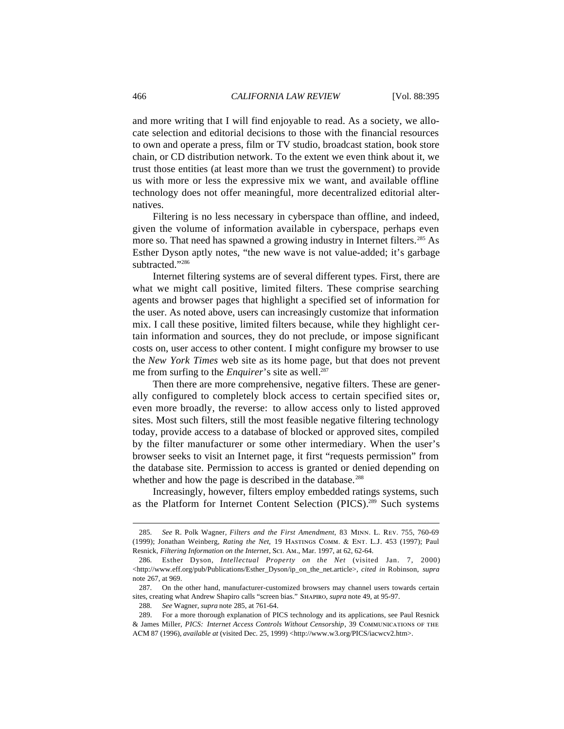and more writing that I will find enjoyable to read. As a society, we allocate selection and editorial decisions to those with the financial resources to own and operate a press, film or TV studio, broadcast station, book store chain, or CD distribution network. To the extent we even think about it, we trust those entities (at least more than we trust the government) to provide us with more or less the expressive mix we want, and available offline technology does not offer meaningful, more decentralized editorial alternatives.

Filtering is no less necessary in cyberspace than offline, and indeed, given the volume of information available in cyberspace, perhaps even more so. That need has spawned a growing industry in Internet filters.<sup>285</sup> As Esther Dyson aptly notes, "the new wave is not value-added; it's garbage subtracted."<sup>286</sup>

Internet filtering systems are of several different types. First, there are what we might call positive, limited filters. These comprise searching agents and browser pages that highlight a specified set of information for the user. As noted above, users can increasingly customize that information mix. I call these positive, limited filters because, while they highlight certain information and sources, they do not preclude, or impose significant costs on, user access to other content. I might configure my browser to use the *New York Times* web site as its home page, but that does not prevent me from surfing to the *Enquirer*'s site as well.<sup>287</sup>

Then there are more comprehensive, negative filters. These are generally configured to completely block access to certain specified sites or, even more broadly, the reverse: to allow access only to listed approved sites. Most such filters, still the most feasible negative filtering technology today, provide access to a database of blocked or approved sites, compiled by the filter manufacturer or some other intermediary. When the user's browser seeks to visit an Internet page, it first "requests permission" from the database site. Permission to access is granted or denied depending on whether and how the page is described in the database.<sup>288</sup>

Increasingly, however, filters employ embedded ratings systems, such as the Platform for Internet Content Selection (PICS).<sup>289</sup> Such systems

<sup>285.</sup> See R. Polk Wagner, *Filters and the First Amendment*, 83 MINN. L. REV. 755, 760-69 (1999); Jonathan Weinberg, *Rating the Net*, 19 Hastings Comm. & Ent. L.J. 453 (1997); Paul Resnick, *Filtering Information on the Internet*, Sci. Am., Mar. 1997, at 62, 62-64.

<sup>286.</sup> Esther Dyson, *Intellectual Property on the Net* (visited Jan. 7, 2000)  $\text{-(http://www.eff.org/publications/Esther_Dyson/ip\_on\_the\_net.article>}, cited in Robinson, *supra*$ note 267, at 969.

<sup>287.</sup> On the other hand, manufacturer-customized browsers may channel users towards certain sites, creating what Andrew Shapiro calls "screen bias." SHAPIRO, *supra* note 49, at 95-97.

<sup>2 8 8 .</sup> *See* Wagner, *supra* note 285, at 761-64.

<sup>289.</sup> For a more thorough explanation of PICS technology and its applications, see Paul Resnick & James Miller, *PICS: Internet Access Controls Without Censorship*, 39 Communications of the ACM 87 (1996), *available at* (visited Dec. 25, 1999) <http://www.w3.org/PICS/iacwcv2.htm>.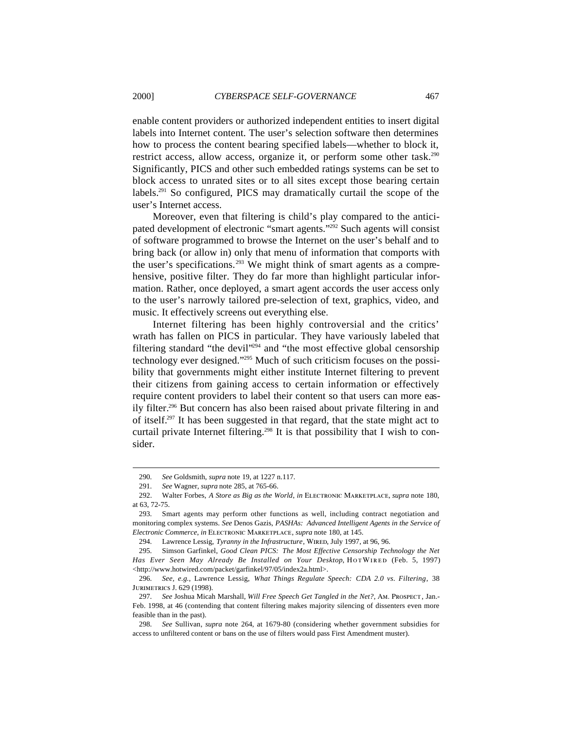enable content providers or authorized independent entities to insert digital labels into Internet content. The user's selection software then determines how to process the content bearing specified labels—whether to block it, restrict access, allow access, organize it, or perform some other task.<sup>290</sup> Significantly, PICS and other such embedded ratings systems can be set to block access to unrated sites or to all sites except those bearing certain labels.291 So configured, PICS may dramatically curtail the scope of the user's Internet access.

Moreover, even that filtering is child's play compared to the anticipated development of electronic "smart agents."292 Such agents will consist of software programmed to browse the Internet on the user's behalf and to bring back (or allow in) only that menu of information that comports with the user's specifications.<sup>293</sup> We might think of smart agents as a comprehensive, positive filter. They do far more than highlight particular information. Rather, once deployed, a smart agent accords the user access only to the user's narrowly tailored pre-selection of text, graphics, video, and music. It effectively screens out everything else.

Internet filtering has been highly controversial and the critics' wrath has fallen on PICS in particular. They have variously labeled that filtering standard "the devil"294 and "the most effective global censorship technology ever designed."295 Much of such criticism focuses on the possibility that governments might either institute Internet filtering to prevent their citizens from gaining access to certain information or effectively require content providers to label their content so that users can more easily filter.296 But concern has also been raised about private filtering in and of itself.297 It has been suggested in that regard, that the state might act to curtail private Internet filtering.<sup>298</sup> It is that possibility that I wish to consider.

<sup>290.</sup> *See* Goldsmith, *supra* note 19, at 1227 n.117.

<sup>2 9 1 .</sup> *See* Wagner, *supra* note 285, at 765-66.

<sup>2 9 2 .</sup> Walter Forbes, *A Store as Big as the World*, *in* Electronic Marketplace, *supra* note 180, at 63, 72-75.

<sup>293.</sup> Smart agents may perform other functions as well, including contract negotiation and monitoring complex systems. *See* Denos Gazis, *PASHAs: Advanced Intelligent Agents in the Service of Electronic Commerce*, *in* Electronic Marketplace, *supra* note 180, at 145.

<sup>294.</sup> Lawrence Lessig, *Tyranny in the Infrastructure*, WIRED, July 1997, at 96, 96.

<sup>295.</sup> Simson Garfinkel, *Good Clean PICS: The Most Effective Censorship Technology the Net* Has Ever Seen May Already Be Installed on Your Desktop, HOTWIRED (Feb. 5, 1997) <http://www.hotwired.com/packet/garfinkel/97/05/index2a.html>.

<sup>296.</sup> See, e.g., Lawrence Lessig, What Things Regulate Speech: CDA 2.0 vs. Filtering, 38 Jurimetrics J. 629 (1998).

<sup>2 9 7 .</sup> *See* Joshua Micah Marshall, *Will Free Speech Get Tangled in the Net?*, Am. Prospect, Jan.- Feb. 1998, at 46 (contending that content filtering makes majority silencing of dissenters even more feasible than in the past).

<sup>2 9 8 .</sup> *See* Sullivan, *supra* note 264, at 1679-80 (considering whether government subsidies for access to unfiltered content or bans on the use of filters would pass First Amendment muster).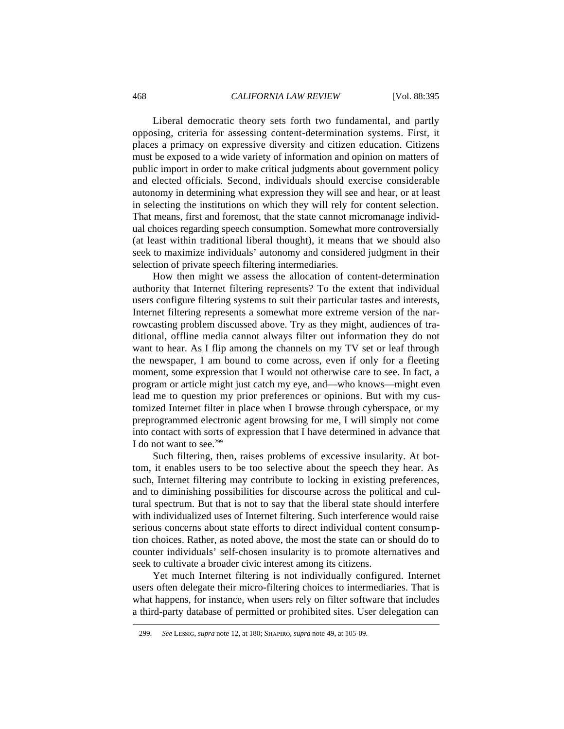Liberal democratic theory sets forth two fundamental, and partly opposing, criteria for assessing content-determination systems. First, it places a primacy on expressive diversity and citizen education. Citizens must be exposed to a wide variety of information and opinion on matters of public import in order to make critical judgments about government policy and elected officials. Second, individuals should exercise considerable autonomy in determining what expression they will see and hear, or at least in selecting the institutions on which they will rely for content selection. That means, first and foremost, that the state cannot micromanage individual choices regarding speech consumption. Somewhat more controversially (at least within traditional liberal thought), it means that we should also seek to maximize individuals' autonomy and considered judgment in their selection of private speech filtering intermediaries.

How then might we assess the allocation of content-determination authority that Internet filtering represents? To the extent that individual users configure filtering systems to suit their particular tastes and interests, Internet filtering represents a somewhat more extreme version of the narrowcasting problem discussed above. Try as they might, audiences of traditional, offline media cannot always filter out information they do not want to hear. As I flip among the channels on my TV set or leaf through the newspaper, I am bound to come across, even if only for a fleeting moment, some expression that I would not otherwise care to see. In fact, a program or article might just catch my eye, and—who knows—might even lead me to question my prior preferences or opinions. But with my customized Internet filter in place when I browse through cyberspace, or my preprogrammed electronic agent browsing for me, I will simply not come into contact with sorts of expression that I have determined in advance that I do not want to see.<sup>299</sup>

Such filtering, then, raises problems of excessive insularity. At bottom, it enables users to be too selective about the speech they hear. As such, Internet filtering may contribute to locking in existing preferences, and to diminishing possibilities for discourse across the political and cultural spectrum. But that is not to say that the liberal state should interfere with individualized uses of Internet filtering. Such interference would raise serious concerns about state efforts to direct individual content consumption choices. Rather, as noted above, the most the state can or should do to counter individuals' self-chosen insularity is to promote alternatives and seek to cultivate a broader civic interest among its citizens.

Yet much Internet filtering is not individually configured. Internet users often delegate their micro-filtering choices to intermediaries. That is what happens, for instance, when users rely on filter software that includes a third-party database of permitted or prohibited sites. User delegation can

 <sup>2 9 9 .</sup> *See* Lessig, *supra* note 12, at 180; Shapiro, *supra* note 49, at 105-09.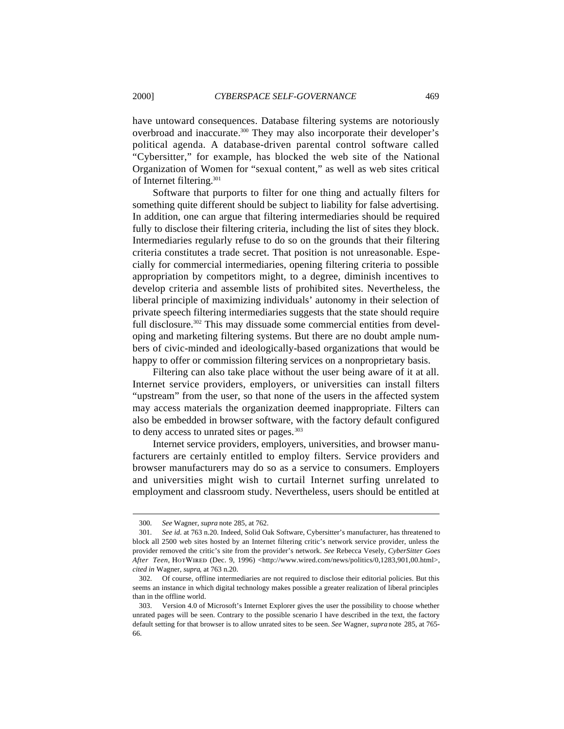have untoward consequences. Database filtering systems are notoriously overbroad and inaccurate.300 They may also incorporate their developer's political agenda. A database-driven parental control software called "Cybersitter," for example, has blocked the web site of the National Organization of Women for "sexual content," as well as web sites critical of Internet filtering.301

Software that purports to filter for one thing and actually filters for something quite different should be subject to liability for false advertising. In addition, one can argue that filtering intermediaries should be required fully to disclose their filtering criteria, including the list of sites they block. Intermediaries regularly refuse to do so on the grounds that their filtering criteria constitutes a trade secret. That position is not unreasonable. Especially for commercial intermediaries, opening filtering criteria to possible appropriation by competitors might, to a degree, diminish incentives to develop criteria and assemble lists of prohibited sites. Nevertheless, the liberal principle of maximizing individuals' autonomy in their selection of private speech filtering intermediaries suggests that the state should require full disclosure.<sup>302</sup> This may dissuade some commercial entities from developing and marketing filtering systems. But there are no doubt ample numbers of civic-minded and ideologically-based organizations that would be happy to offer or commission filtering services on a nonproprietary basis.

Filtering can also take place without the user being aware of it at all. Internet service providers, employers, or universities can install filters "upstream" from the user, so that none of the users in the affected system may access materials the organization deemed inappropriate. Filters can also be embedded in browser software, with the factory default configured to deny access to unrated sites or pages.<sup>303</sup>

Internet service providers, employers, universities, and browser manufacturers are certainly entitled to employ filters. Service providers and browser manufacturers may do so as a service to consumers. Employers and universities might wish to curtail Internet surfing unrelated to employment and classroom study. Nevertheless, users should be entitled at

 <sup>3 0 0 .</sup> *See* Wagner, *supra* note 285, at 762.

<sup>301.</sup> *See id.* at 763 n.20. Indeed, Solid Oak Software, Cybersitter's manufacturer, has threatened to block all 2500 web sites hosted by an Internet filtering critic's network service provider, unless the provider removed the critic's site from the provider's network. *See* Rebecca Vesely, *CyberSitter Goes* After Teen, HOTWIRED (Dec. 9, 1996) <http://www.wired.com/news/politics/0,1283,901,00.html>, *cited in* Wagner, *supra*, at 763 n.20.

<sup>302.</sup> Of course, offline intermediaries are not required to disclose their editorial policies. But this seems an instance in which digital technology makes possible a greater realization of liberal principles than in the offline world.

<sup>303.</sup> Version 4.0 of Microsoft's Internet Explorer gives the user the possibility to choose whether unrated pages will be seen. Contrary to the possible scenario I have described in the text, the factory default setting for that browser is to allow unrated sites to be seen. *See* Wagner, *supra* note 285, at 765- 66.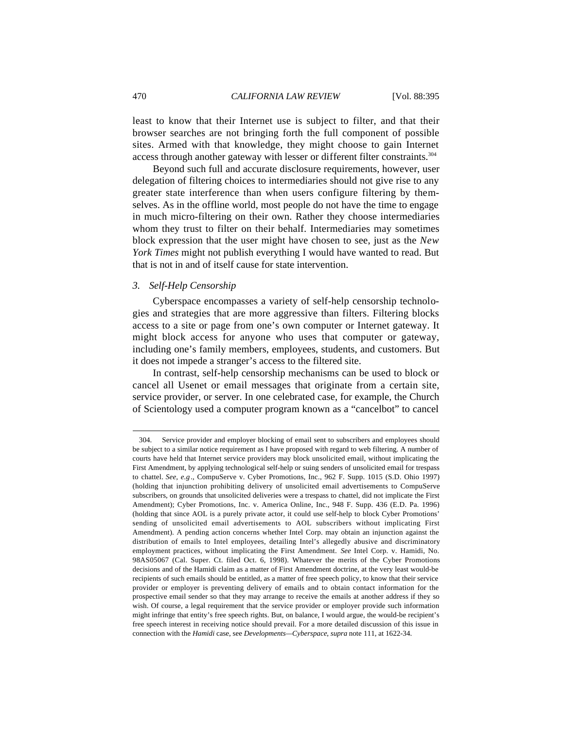least to know that their Internet use is subject to filter, and that their browser searches are not bringing forth the full component of possible sites. Armed with that knowledge, they might choose to gain Internet access through another gateway with lesser or different filter constraints.<sup>304</sup>

Beyond such full and accurate disclosure requirements, however, user delegation of filtering choices to intermediaries should not give rise to any greater state interference than when users configure filtering by themselves. As in the offline world, most people do not have the time to engage in much micro-filtering on their own. Rather they choose intermediaries whom they trust to filter on their behalf. Intermediaries may sometimes block expression that the user might have chosen to see, just as the *New York Times* might not publish everything I would have wanted to read. But that is not in and of itself cause for state intervention.

## *3. Self-Help Censorship*

Cyberspace encompasses a variety of self-help censorship technologies and strategies that are more aggressive than filters. Filtering blocks access to a site or page from one's own computer or Internet gateway. It might block access for anyone who uses that computer or gateway, including one's family members, employees, students, and customers. But it does not impede a stranger's access to the filtered site.

In contrast, self-help censorship mechanisms can be used to block or cancel all Usenet or email messages that originate from a certain site, service provider, or server. In one celebrated case, for example, the Church of Scientology used a computer program known as a "cancelbot" to cancel

<sup>304.</sup> Service provider and employer blocking of email sent to subscribers and employees should be subject to a similar notice requirement as I have proposed with regard to web filtering. A number of courts have held that Internet service providers may block unsolicited email, without implicating the First Amendment, by applying technological self-help or suing senders of unsolicited email for trespass to chattel. *See, e.g*., CompuServe v. Cyber Promotions, Inc., 962 F. Supp. 1015 (S.D. Ohio 1997) (holding that injunction prohibiting delivery of unsolicited email advertisements to CompuServe subscribers, on grounds that unsolicited deliveries were a trespass to chattel, did not implicate the First Amendment); Cyber Promotions, Inc. v. America Online, Inc., 948 F. Supp. 436 (E.D. Pa. 1996) (holding that since AOL is a purely private actor, it could use self-help to block Cyber Promotions' sending of unsolicited email advertisements to AOL subscribers without implicating First Amendment). A pending action concerns whether Intel Corp. may obtain an injunction against the distribution of emails to Intel employees, detailing Intel's allegedly abusive and discriminatory employment practices, without implicating the First Amendment. *See* Intel Corp. v. Hamidi, No. 98AS05067 (Cal. Super. Ct. filed Oct. 6, 1998). Whatever the merits of the Cyber Promotions decisions and of the Hamidi claim as a matter of First Amendment doctrine, at the very least would-be recipients of such emails should be entitled, as a matter of free speech policy, to know that their service provider or employer is preventing delivery of emails and to obtain contact information for the prospective email sender so that they may arrange to receive the emails at another address if they so wish. Of course, a legal requirement that the service provider or employer provide such information might infringe that entity's free speech rights. But, on balance, I would argue, the would-be recipient's free speech interest in receiving notice should prevail. For a more detailed discussion of this issue in connection with the *Hamidi* case, see *Developments—Cyberspace*, *supra* note 111, at 1622-34.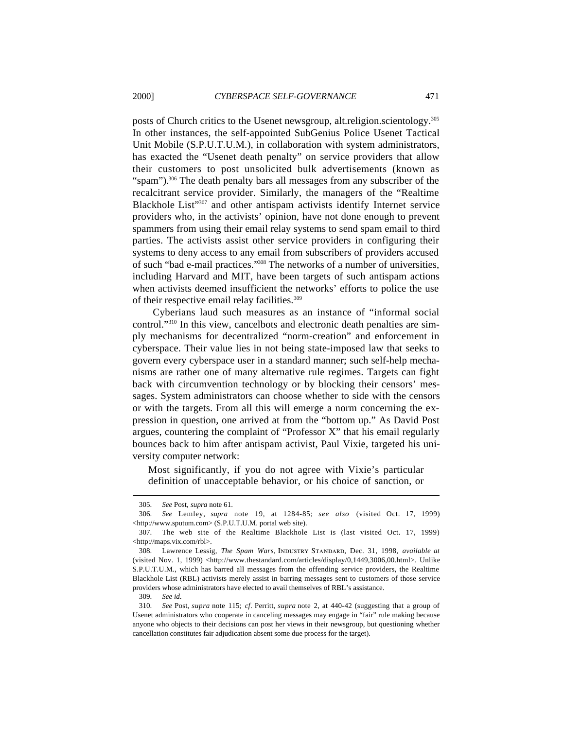posts of Church critics to the Usenet newsgroup, alt.religion.scientology.<sup>305</sup> In other instances, the self-appointed SubGenius Police Usenet Tactical Unit Mobile (S.P.U.T.U.M.), in collaboration with system administrators, has exacted the "Usenet death penalty" on service providers that allow their customers to post unsolicited bulk advertisements (known as "spam").<sup>306</sup> The death penalty bars all messages from any subscriber of the recalcitrant service provider. Similarly, the managers of the "Realtime Blackhole List"<sup>307</sup> and other antispam activists identify Internet service providers who, in the activists' opinion, have not done enough to prevent spammers from using their email relay systems to send spam email to third parties. The activists assist other service providers in configuring their systems to deny access to any email from subscribers of providers accused of such "bad e-mail practices."308 The networks of a number of universities, including Harvard and MIT, have been targets of such antispam actions when activists deemed insufficient the networks' efforts to police the use of their respective email relay facilities.309

Cyberians laud such measures as an instance of "informal social control."310 In this view, cancelbots and electronic death penalties are simply mechanisms for decentralized "norm-creation" and enforcement in cyberspace. Their value lies in not being state-imposed law that seeks to govern every cyberspace user in a standard manner; such self-help mechanisms are rather one of many alternative rule regimes. Targets can fight back with circumvention technology or by blocking their censors' messages. System administrators can choose whether to side with the censors or with the targets. From all this will emerge a norm concerning the expression in question, one arrived at from the "bottom up." As David Post argues, countering the complaint of "Professor X" that his email regularly bounces back to him after antispam activist, Paul Vixie, targeted his university computer network:

Most significantly, if you do not agree with Vixie's particular definition of unacceptable behavior, or his choice of sanction, or

 <sup>3 0 5 .</sup> *See* Post, *supra* note 61.

<sup>3 0 6 .</sup> *See* Lemley, *supra* note 19, at 1284-85; *see also* (visited Oct. 17, 1999) <http://www.sputum.com> (S.P.U.T.U.M. portal web site).

<sup>307.</sup> The web site of the Realtime Blackhole List is (last visited Oct. 17, 1999) <http://maps.vix.com/rbl>.

<sup>3 0 8 .</sup> Lawrence Lessig, *The Spam Wars*, Industry Standard, Dec. 31, 1998, *available at* (visited Nov. 1, 1999) <http://www.thestandard.com/articles/display/0,1449,3006,00.html>. Unlike S.P.U.T.U.M., which has barred all messages from the offending service providers, the Realtime Blackhole List (RBL) activists merely assist in barring messages sent to customers of those service providers whose administrators have elected to avail themselves of RBL's assistance.

<sup>309.</sup> See id.

<sup>3 1 0 .</sup> *See* Post, *supra* note 115; *cf*. Perritt, *supra* note 2, at 440-42 (suggesting that a group of Usenet administrators who cooperate in canceling messages may engage in "fair" rule making because anyone who objects to their decisions can post her views in their newsgroup, but questioning whether cancellation constitutes fair adjudication absent some due process for the target).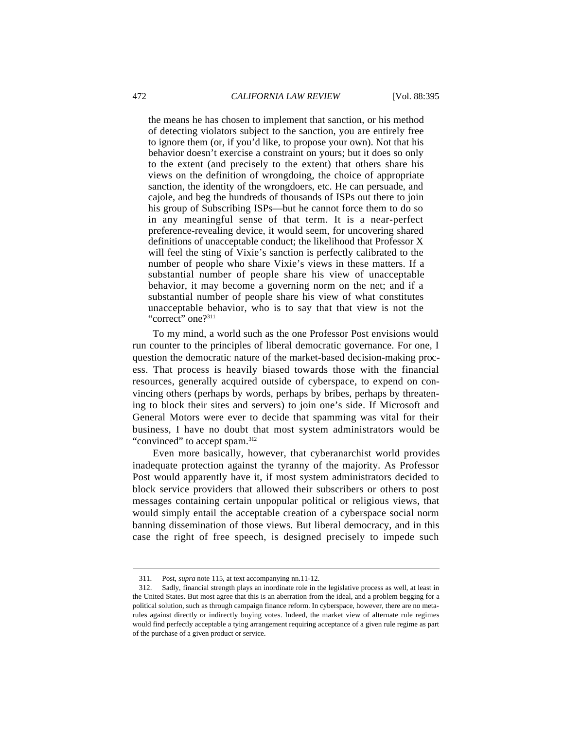the means he has chosen to implement that sanction, or his method of detecting violators subject to the sanction, you are entirely free to ignore them (or, if you'd like, to propose your own). Not that his behavior doesn't exercise a constraint on yours; but it does so only to the extent (and precisely to the extent) that others share his views on the definition of wrongdoing, the choice of appropriate sanction, the identity of the wrongdoers, etc. He can persuade, and cajole, and beg the hundreds of thousands of ISPs out there to join his group of Subscribing ISPs—but he cannot force them to do so in any meaningful sense of that term. It is a near-perfect preference-revealing device, it would seem, for uncovering shared definitions of unacceptable conduct; the likelihood that Professor X will feel the sting of Vixie's sanction is perfectly calibrated to the number of people who share Vixie's views in these matters. If a substantial number of people share his view of unacceptable behavior, it may become a governing norm on the net; and if a substantial number of people share his view of what constitutes unacceptable behavior, who is to say that that view is not the "correct" one?<sup>311</sup>

To my mind, a world such as the one Professor Post envisions would run counter to the principles of liberal democratic governance. For one, I question the democratic nature of the market-based decision-making process. That process is heavily biased towards those with the financial resources, generally acquired outside of cyberspace, to expend on convincing others (perhaps by words, perhaps by bribes, perhaps by threatening to block their sites and servers) to join one's side. If Microsoft and General Motors were ever to decide that spamming was vital for their business, I have no doubt that most system administrators would be "convinced" to accept spam.<sup>312</sup>

Even more basically, however, that cyberanarchist world provides inadequate protection against the tyranny of the majority. As Professor Post would apparently have it, if most system administrators decided to block service providers that allowed their subscribers or others to post messages containing certain unpopular political or religious views, that would simply entail the acceptable creation of a cyberspace social norm banning dissemination of those views. But liberal democracy, and in this case the right of free speech, is designed precisely to impede such

<sup>311.</sup> Post, *supra* note 115, at text accompanying nn.11-12.

<sup>312.</sup> Sadly, financial strength plays an inordinate role in the legislative process as well, at least in the United States. But most agree that this is an aberration from the ideal, and a problem begging for a political solution, such as through campaign finance reform. In cyberspace, however, there are no metarules against directly or indirectly buying votes. Indeed, the market view of alternate rule regimes would find perfectly acceptable a tying arrangement requiring acceptance of a given rule regime as part of the purchase of a given product or service.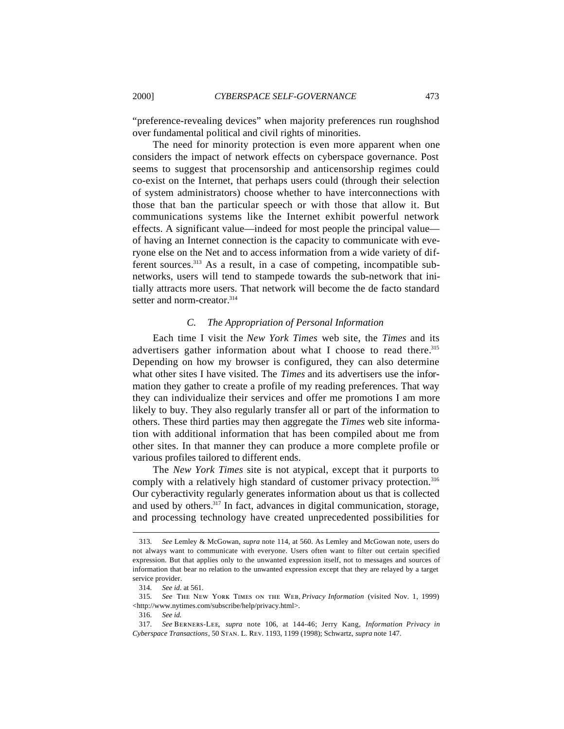"preference-revealing devices" when majority preferences run roughshod over fundamental political and civil rights of minorities.

The need for minority protection is even more apparent when one considers the impact of network effects on cyberspace governance. Post seems to suggest that procensorship and anticensorship regimes could co-exist on the Internet, that perhaps users could (through their selection of system administrators) choose whether to have interconnections with those that ban the particular speech or with those that allow it. But communications systems like the Internet exhibit powerful network effects. A significant value—indeed for most people the principal value of having an Internet connection is the capacity to communicate with everyone else on the Net and to access information from a wide variety of different sources.313 As a result, in a case of competing, incompatible subnetworks, users will tend to stampede towards the sub-network that initially attracts more users. That network will become the de facto standard setter and norm-creator.<sup>314</sup>

## *C. The Appropriation of Personal Information*

Each time I visit the *New York Times* web site, the *Times* and its advertisers gather information about what I choose to read there.<sup>315</sup> Depending on how my browser is configured, they can also determine what other sites I have visited. The *Times* and its advertisers use the information they gather to create a profile of my reading preferences. That way they can individualize their services and offer me promotions I am more likely to buy. They also regularly transfer all or part of the information to others. These third parties may then aggregate the *Times* web site information with additional information that has been compiled about me from other sites. In that manner they can produce a more complete profile or various profiles tailored to different ends.

The *New York Times* site is not atypical, except that it purports to comply with a relatively high standard of customer privacy protection.<sup>316</sup> Our cyberactivity regularly generates information about us that is collected and used by others.317 In fact, advances in digital communication, storage, and processing technology have created unprecedented possibilities for

 <sup>3 1 3 .</sup> *See* Lemley & McGowan, *supra* note 114, at 560. As Lemley and McGowan note, users do not always want to communicate with everyone. Users often want to filter out certain specified expression. But that applies only to the unwanted expression itself, not to messages and sources of information that bear no relation to the unwanted expression except that they are relayed by a target service provider.

<sup>314.</sup> *See id.* at 561.

<sup>315.</sup> See THE NEW YORK TIMES ON THE WEB, *Privacy Information* (visited Nov. 1, 1999) <http://www.nytimes.com/subscribe/help/privacy.html>.

<sup>316.</sup> See id.

<sup>3 1 7 .</sup> *See* Berners-Lee, *supra* note 106, at 144-46; Jerry Kang, *Information Privacy in Cyberspace Transactions*, 50 Stan. L. Rev. 1193, 1199 (1998); Schwartz, *supra* note 147.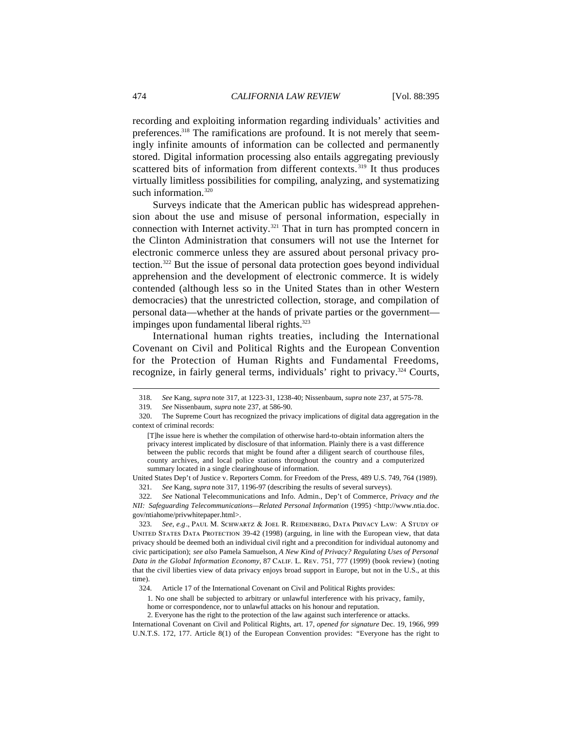recording and exploiting information regarding individuals' activities and preferences.318 The ramifications are profound. It is not merely that seemingly infinite amounts of information can be collected and permanently stored. Digital information processing also entails aggregating previously scattered bits of information from different contexts.<sup>319</sup> It thus produces virtually limitless possibilities for compiling, analyzing, and systematizing such information.<sup>320</sup>

Surveys indicate that the American public has widespread apprehension about the use and misuse of personal information, especially in connection with Internet activity.<sup>321</sup> That in turn has prompted concern in the Clinton Administration that consumers will not use the Internet for electronic commerce unless they are assured about personal privacy protection.322 But the issue of personal data protection goes beyond individual apprehension and the development of electronic commerce. It is widely contended (although less so in the United States than in other Western democracies) that the unrestricted collection, storage, and compilation of personal data—whether at the hands of private parties or the government impinges upon fundamental liberal rights.<sup>323</sup>

International human rights treaties, including the International Covenant on Civil and Political Rights and the European Convention for the Protection of Human Rights and Fundamental Freedoms, recognize, in fairly general terms, individuals' right to privacy.<sup>324</sup> Courts,

United States Dep't of Justice v. Reporters Comm. for Freedom of the Press, 489 U.S. 749, 764 (1989). 321. *See* Kang, *supra* note 317, 1196-97 (describing the results of several surveys).

322. See National Telecommunications and Info. Admin., Dep't of Commerce, Privacy and the *NII: Safeguarding Telecommunications—Related Personal Information* (1995) <http://www.ntia.doc. gov/ntiahome/privwhitepaper.html>.

323. See, e.g., Paul M. Schwartz & Joel R. Reidenberg, Data Privacy Law: A Study of UNITED STATES DATA PROTECTION 39-42 (1998) (arguing, in line with the European view, that data privacy should be deemed both an individual civil right and a precondition for individual autonomy and civic participation); *see also* Pamela Samuelson, *A New Kind of Privacy? Regulating Uses of Personal Data in the Global Information Economy*, 87 Calif. L. Rev. 751, 777 (1999) (book review) (noting that the civil liberties view of data privacy enjoys broad support in Europe, but not in the U.S., at this time).

324. Article 17 of the International Covenant on Civil and Political Rights provides:

1. No one shall be subjected to arbitrary or unlawful interference with his privacy, family,

home or correspondence, nor to unlawful attacks on his honour and reputation.

2. Everyone has the right to the protection of the law against such interference or attacks.

International Covenant on Civil and Political Rights, art. 17, *opened for signature* Dec. 19, 1966, 999 U.N.T.S. 172, 177. Article 8(1) of the European Convention provides: "Everyone has the right to

 <sup>3 1 8 .</sup> *See* Kang, *supra* note 317, at 1223-31, 1238-40; Nissenbaum, *supra* note 237, at 575-78.

<sup>319.</sup> *See* Nissenbaum, *supra* note 237, at 586-90.

<sup>320.</sup> The Supreme Court has recognized the privacy implications of digital data aggregation in the context of criminal records:

<sup>[</sup>T]he issue here is whether the compilation of otherwise hard-to-obtain information alters the privacy interest implicated by disclosure of that information. Plainly there is a vast difference between the public records that might be found after a diligent search of courthouse files, county archives, and local police stations throughout the country and a computerized summary located in a single clearinghouse of information.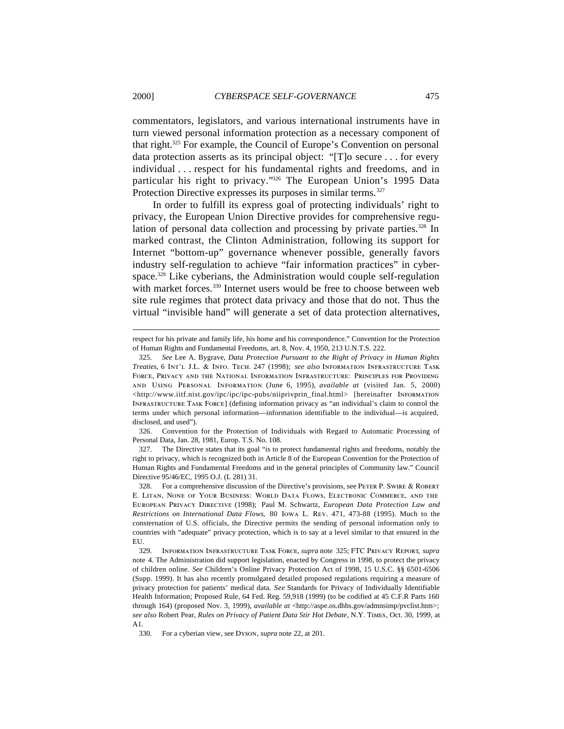commentators, legislators, and various international instruments have in turn viewed personal information protection as a necessary component of that right.325 For example, the Council of Europe's Convention on personal data protection asserts as its principal object: "[T]o secure . . . for every individual . . . respect for his fundamental rights and freedoms, and in particular his right to privacy."326 The European Union's 1995 Data Protection Directive expresses its purposes in similar terms.<sup>327</sup>

In order to fulfill its express goal of protecting individuals' right to privacy, the European Union Directive provides for comprehensive regulation of personal data collection and processing by private parties.<sup>328</sup> In marked contrast, the Clinton Administration, following its support for Internet "bottom-up" governance whenever possible, generally favors industry self-regulation to achieve "fair information practices" in cyberspace.<sup>329</sup> Like cyberians, the Administration would couple self-regulation with market forces.<sup>330</sup> Internet users would be free to choose between web site rule regimes that protect data privacy and those that do not. Thus the virtual "invisible hand" will generate a set of data protection alternatives,

326. Convention for the Protection of Individuals with Regard to Automatic Processing of Personal Data, Jan. 28, 1981, Europ. T.S. No. 108.

327. The Directive states that its goal "is to protect fundamental rights and freedoms, notably the right to privacy, which is recognized both in Article 8 of the European Convention for the Protection of Human Rights and Fundamental Freedoms and in the general principles of Community law." Council Directive 95/46/EC, 1995 O.J. (L 281) 31.

328. For a comprehensive discussion of the Directive's provisions, see PETER P. SWIRE & ROBERT E. Litan, None of Your Business: World Data Flows, Electronic Commerce, and the European Privacy Directive (1998); Paul M. Schwartz, *European Data Protection Law and Restrictions on International Data Flows*, 80 Iowa L. Rev. 471, 473-88 (1995). Much to the consternation of U.S. officials, the Directive permits the sending of personal information only to countries with "adequate" privacy protection, which is to say at a level similar to that ensured in the EU.

respect for his private and family life, his home and his correspondence." Convention for the Protection of Human Rights and Fundamental Freedoms, art. 8, Nov. 4, 1950, 213 U.N.T.S. 222.

<sup>3 2 5 .</sup> *See* Lee A. Bygrave, *Data Protection Pursuant to the Right of Privacy in Human Rights Treaties*, 6 Int'l J.L. & Info. Tech. 247 (1998); *see also* Information Infrastructure Task Force, Privacy and the National Information Infrastructure: Principles for Providing and Using Personal Information (June 6, 1995), *available at* (visited Jan. 5, 2000) <http://www.iitf.nist.gov/ipc/ipc/ipc-pubs/niiprivprin\_final.html> [hereinafter Information Infrastructure Task Force] (defining information privacy as "an individual's claim to control the terms under which personal information—information identifiable to the individual—is acquired, disclosed, and used").

<sup>3 2 9 .</sup> Information Infrastructure Task Force, *supra* note 325; FTC Privacy Report, *supra* note 4. The Administration did support legislation, enacted by Congress in 1998, to protect the privacy of children online. *See* Children's Online Privacy Protection Act of 1998, 15 U.S.C. §§ 6501-6506 (Supp. 1999). It has also recently promulgated detailed proposed regulations requiring a measure of privacy protection for patients' medical data. *See* Standards for Privacy of Individually Identifiable Health Information; Proposed Rule, 64 Fed. Reg. 59,918 (1999) (to be codified at 45 C.F.R Parts 160 through 164) (proposed Nov. 3, 1999), *available at* <http://aspe.os.dhhs.gov/admnsimp/pvclist.htm>; *see also* Robert Pear, *Rules on Privacy of Patient Data Stir Hot Debate*, N.Y. Times, Oct. 30, 1999, at A1.

<sup>330.</sup> For a cyberian view, see Dyson, *supra* note 22, at 201.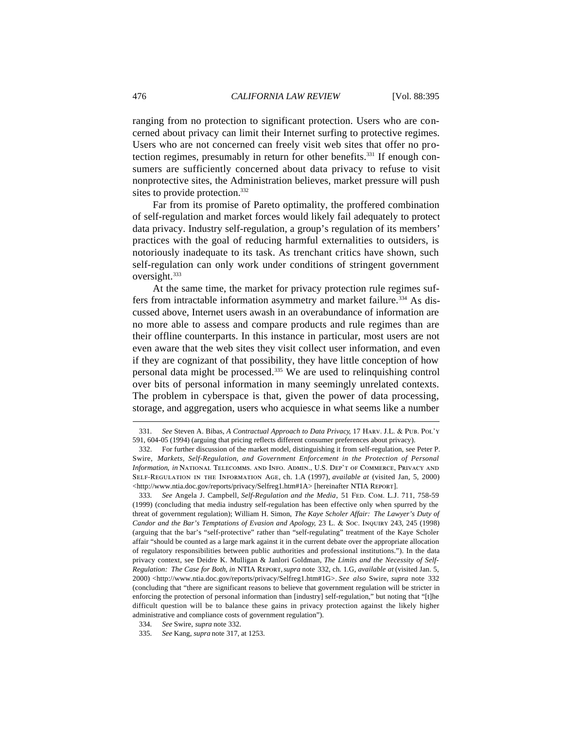ranging from no protection to significant protection. Users who are concerned about privacy can limit their Internet surfing to protective regimes. Users who are not concerned can freely visit web sites that offer no protection regimes, presumably in return for other benefits.<sup>331</sup> If enough consumers are sufficiently concerned about data privacy to refuse to visit nonprotective sites, the Administration believes, market pressure will push sites to provide protection.<sup>332</sup>

Far from its promise of Pareto optimality, the proffered combination of self-regulation and market forces would likely fail adequately to protect data privacy. Industry self-regulation, a group's regulation of its members' practices with the goal of reducing harmful externalities to outsiders, is notoriously inadequate to its task. As trenchant critics have shown, such self-regulation can only work under conditions of stringent government oversight.<sup>333</sup>

At the same time, the market for privacy protection rule regimes suffers from intractable information asymmetry and market failure.<sup>334</sup> As discussed above, Internet users awash in an overabundance of information are no more able to assess and compare products and rule regimes than are their offline counterparts. In this instance in particular, most users are not even aware that the web sites they visit collect user information, and even if they are cognizant of that possibility, they have little conception of how personal data might be processed.335 We are used to relinquishing control over bits of personal information in many seemingly unrelated contexts. The problem in cyberspace is that, given the power of data processing, storage, and aggregation, users who acquiesce in what seems like a number

<sup>331.</sup> See Steven A. Bibas, *A Contractual Approach to Data Privacy*, 17 HARV. J.L. & PUB. POL'Y 591, 604-05 (1994) (arguing that pricing reflects different consumer preferences about privacy).

<sup>3 3 2 .</sup> For further discussion of the market model, distinguishing it from self-regulation, see Peter P. Swire, *Markets, Self-Regulation, and Government Enforcement in the Protection of Personal Information*, *in* National Telecomms. and Info. Admin., U.S. Dep't of Commerce, Privacy and Self-Regulation in the Information Age, ch. 1.A (1997), *available at* (visited Jan, 5, 2000) <http://www.ntia.doc.gov/reports/privacy/Selfreg1.htm#1A> [hereinafter NTIA Report].

<sup>333.</sup> See Angela J. Campbell, Self-Regulation and the Media, 51 FED. COM. L.J. 711, 758-59 (1999) (concluding that media industry self-regulation has been effective only when spurred by the threat of government regulation); William H. Simon, *The Kaye Scholer Affair: The Lawyer's Duty of Candor and the Bar's Temptations of Evasion and Apology*, 23 L. & Soc. Inquiry 243, 245 (1998) (arguing that the bar's "self-protective" rather than "self-regulating" treatment of the Kaye Scholer affair "should be counted as a large mark against it in the current debate over the appropriate allocation of regulatory responsibilities between public authorities and professional institutions."). In the data privacy context, see Deidre K. Mulligan & Janlori Goldman, *The Limits and the Necessity of Self-Regulation: The Case for Both*, *in* NTIA Report, *supra* note 332, ch. 1.G, *available at* (visited Jan. 5, 2000) <http://www.ntia.doc.gov/reports/privacy/Selfreg1.htm#1G>. *See also* Swire, *supra* note 332 (concluding that "there are significant reasons to believe that government regulation will be stricter in enforcing the protection of personal information than [industry] self-regulation," but noting that "[t]he difficult question will be to balance these gains in privacy protection against the likely higher administrative and compliance costs of government regulation").

<sup>3 3 4 .</sup> *See* Swire, *supra* note 332.

<sup>3 3 5 .</sup> *See* Kang, *supra* note 317, at 1253.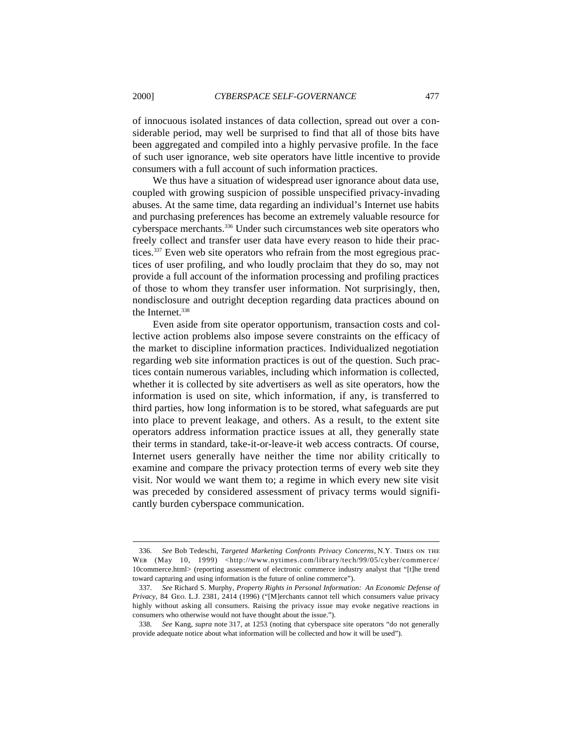of innocuous isolated instances of data collection, spread out over a considerable period, may well be surprised to find that all of those bits have been aggregated and compiled into a highly pervasive profile. In the face of such user ignorance, web site operators have little incentive to provide consumers with a full account of such information practices.

We thus have a situation of widespread user ignorance about data use, coupled with growing suspicion of possible unspecified privacy-invading abuses. At the same time, data regarding an individual's Internet use habits and purchasing preferences has become an extremely valuable resource for cyberspace merchants.336 Under such circumstances web site operators who freely collect and transfer user data have every reason to hide their practices.337 Even web site operators who refrain from the most egregious practices of user profiling, and who loudly proclaim that they do so, may not provide a full account of the information processing and profiling practices of those to whom they transfer user information. Not surprisingly, then, nondisclosure and outright deception regarding data practices abound on the Internet.<sup>338</sup>

Even aside from site operator opportunism, transaction costs and collective action problems also impose severe constraints on the efficacy of the market to discipline information practices. Individualized negotiation regarding web site information practices is out of the question. Such practices contain numerous variables, including which information is collected, whether it is collected by site advertisers as well as site operators, how the information is used on site, which information, if any, is transferred to third parties, how long information is to be stored, what safeguards are put into place to prevent leakage, and others. As a result, to the extent site operators address information practice issues at all, they generally state their terms in standard, take-it-or-leave-it web access contracts. Of course, Internet users generally have neither the time nor ability critically to examine and compare the privacy protection terms of every web site they visit. Nor would we want them to; a regime in which every new site visit was preceded by considered assessment of privacy terms would significantly burden cyberspace communication.

 <sup>3 3 6 .</sup> *See* Bob Tedeschi, *Targeted Marketing Confronts Privacy Concerns*, N.Y. Times on the Web (May 10, 1999) <http://www.nytimes.com/library/tech/99/05/cyber/commerce/ 10commerce.html> (reporting assessment of electronic commerce industry analyst that "[t]he trend toward capturing and using information is the future of online commerce").

<sup>3 3 7 .</sup> *See* Richard S. Murphy, *Property Rights in Personal Information: An Economic Defense of Privacy*, 84 Geo. L.J. 2381, 2414 (1996) ("[M]erchants cannot tell which consumers value privacy highly without asking all consumers. Raising the privacy issue may evoke negative reactions in consumers who otherwise would not have thought about the issue.").

<sup>3 3 8 .</sup> *See* Kang, *supra* note 317, at 1253 (noting that cyberspace site operators "do not generally provide adequate notice about what information will be collected and how it will be used").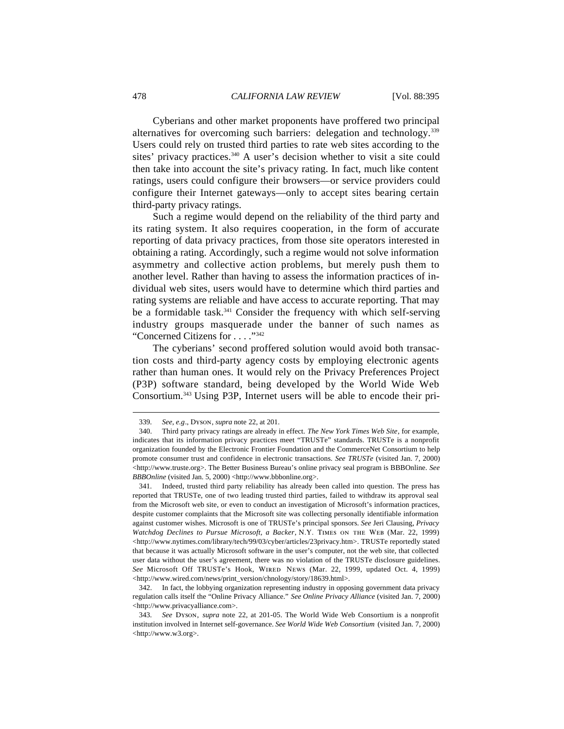Cyberians and other market proponents have proffered two principal alternatives for overcoming such barriers: delegation and technology.<sup>339</sup> Users could rely on trusted third parties to rate web sites according to the sites' privacy practices.<sup>340</sup> A user's decision whether to visit a site could then take into account the site's privacy rating. In fact, much like content ratings, users could configure their browsers—or service providers could configure their Internet gateways—only to accept sites bearing certain third-party privacy ratings.

Such a regime would depend on the reliability of the third party and its rating system. It also requires cooperation, in the form of accurate reporting of data privacy practices, from those site operators interested in obtaining a rating. Accordingly, such a regime would not solve information asymmetry and collective action problems, but merely push them to another level. Rather than having to assess the information practices of individual web sites, users would have to determine which third parties and rating systems are reliable and have access to accurate reporting. That may be a formidable task.<sup>341</sup> Consider the frequency with which self-serving industry groups masquerade under the banner of such names as "Concerned Citizens for . . . ."342

The cyberians' second proffered solution would avoid both transaction costs and third-party agency costs by employing electronic agents rather than human ones. It would rely on the Privacy Preferences Project (P3P) software standard, being developed by the World Wide Web Consortium.343 Using P3P, Internet users will be able to encode their pri-

342. In fact, the lobbying organization representing industry in opposing government data privacy regulation calls itself the "Online Privacy Alliance." *See Online Privacy Alliance* (visited Jan. 7, 2000) <http://www.privacyalliance.com>.

 <sup>3 3 9 .</sup> *See, e.g*., Dyson, *supra* note 22, at 201.

<sup>340.</sup> Third party privacy ratings are already in effect. *The New York Times Web Site*, for example, indicates that its information privacy practices meet "TRUSTe" standards. TRUSTe is a nonprofit organization founded by the Electronic Frontier Foundation and the CommerceNet Consortium to help promote consumer trust and confidence in electronic transactions. *See TRUSTe* (visited Jan. 7, 2000)  $\text{http://www.truste.org>}.$  The Better Business Bureau's online privacy seal program is BBBOnline. *See BBBOnline* (visited Jan. 5, 2000) <http://www.bbbonline.org>.

<sup>341.</sup> Indeed, trusted third party reliability has already been called into question. The press has reported that TRUSTe, one of two leading trusted third parties, failed to withdraw its approval seal from the Microsoft web site, or even to conduct an investigation of Microsoft's information practices, despite customer complaints that the Microsoft site was collecting personally identifiable information against customer wishes. Microsoft is one of TRUSTe's principal sponsors. *See* Jeri Clausing, *Privacy Watchdog Declines to Pursue Microsoft, a Backer*, N.Y. Times on the Web (Mar. 22, 1999) <http://www.nytimes.com/library/tech/99/03/cyber/articles/23privacy.htm>. TRUSTe reportedly stated that because it was actually Microsoft software in the user's computer, not the web site, that collected user data without the user's agreement, there was no violation of the TRUSTe disclosure guidelines. *See* Microsoft Off TRUSTe's Hook, Wired News (Mar. 22, 1999, updated Oct. 4, 1999) <http://www.wired.com/news/print\_version/chnology/story/18639.html>.

<sup>343.</sup> *See* Dyson, *supra* note 22, at 201-05. The World Wide Web Consortium is a nonprofit institution involved in Internet self-governance. *See World Wide Web Consortium* (visited Jan. 7, 2000) <http://www.w3.org>.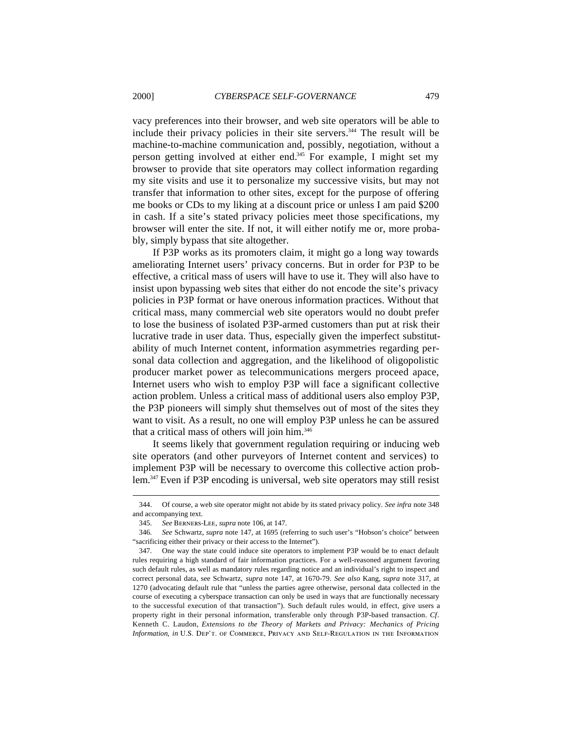vacy preferences into their browser, and web site operators will be able to include their privacy policies in their site servers.<sup>344</sup> The result will be machine-to-machine communication and, possibly, negotiation, without a person getting involved at either end.<sup>345</sup> For example, I might set my browser to provide that site operators may collect information regarding my site visits and use it to personalize my successive visits, but may not transfer that information to other sites, except for the purpose of offering me books or CDs to my liking at a discount price or unless I am paid \$200 in cash. If a site's stated privacy policies meet those specifications, my browser will enter the site. If not, it will either notify me or, more probably, simply bypass that site altogether.

If P3P works as its promoters claim, it might go a long way towards ameliorating Internet users' privacy concerns. But in order for P3P to be effective, a critical mass of users will have to use it. They will also have to insist upon bypassing web sites that either do not encode the site's privacy policies in P3P format or have onerous information practices. Without that critical mass, many commercial web site operators would no doubt prefer to lose the business of isolated P3P-armed customers than put at risk their lucrative trade in user data. Thus, especially given the imperfect substitutability of much Internet content, information asymmetries regarding personal data collection and aggregation, and the likelihood of oligopolistic producer market power as telecommunications mergers proceed apace, Internet users who wish to employ P3P will face a significant collective action problem. Unless a critical mass of additional users also employ P3P, the P3P pioneers will simply shut themselves out of most of the sites they want to visit. As a result, no one will employ P3P unless he can be assured that a critical mass of others will join him.346

It seems likely that government regulation requiring or inducing web site operators (and other purveyors of Internet content and services) to implement P3P will be necessary to overcome this collective action problem.347 Even if P3P encoding is universal, web site operators may still resist

<sup>344.</sup> Of course, a web site operator might not abide by its stated privacy policy. See infra note 348 and accompanying text.

<sup>345.</sup> *See* BERNERS-LEE, *supra* note 106, at 147.

<sup>3 4 6 .</sup> *See* Schwartz, *supra* note 147, at 1695 (referring to such user's "Hobson's choice" between "sacrificing either their privacy or their access to the Internet").

<sup>347.</sup> One way the state could induce site operators to implement P3P would be to enact default rules requiring a high standard of fair information practices. For a well-reasoned argument favoring such default rules, as well as mandatory rules regarding notice and an individual's right to inspect and correct personal data, see Schwartz, *supra* note 147, at 1670-79. *See also* Kang, *supra* note 317, at 1270 (advocating default rule that "unless the parties agree otherwise, personal data collected in the course of executing a cyberspace transaction can only be used in ways that are functionally necessary to the successful execution of that transaction"). Such default rules would, in effect, give users a property right in their personal information, transferable only through P3P-based transaction. *Cf*. Kenneth C. Laudon, *Extensions to the Theory of Markets and Privacy: Mechanics of Pricing Information*, *in* U.S. Dep't. of COMMERCE, PRIVACY AND SELF-REGULATION IN THE INFORMATION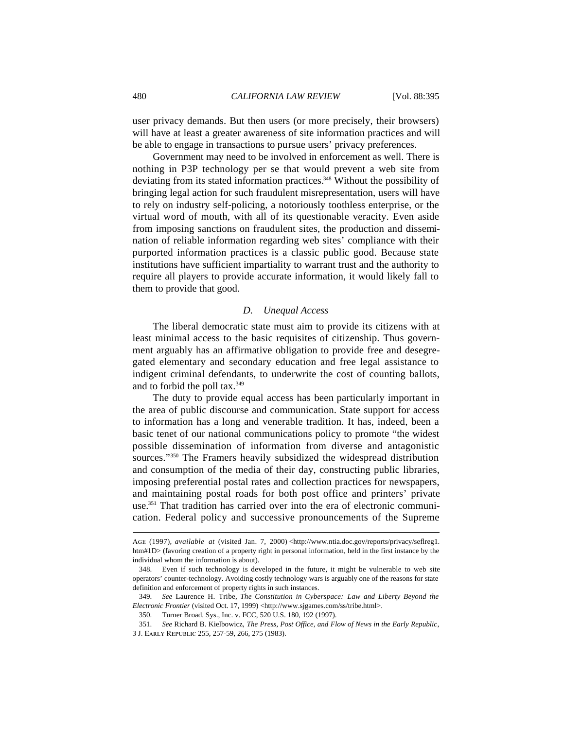user privacy demands. But then users (or more precisely, their browsers) will have at least a greater awareness of site information practices and will be able to engage in transactions to pursue users' privacy preferences.

Government may need to be involved in enforcement as well. There is nothing in P3P technology per se that would prevent a web site from deviating from its stated information practices.<sup>348</sup> Without the possibility of bringing legal action for such fraudulent misrepresentation, users will have to rely on industry self-policing, a notoriously toothless enterprise, or the virtual word of mouth, with all of its questionable veracity. Even aside from imposing sanctions on fraudulent sites, the production and dissemination of reliable information regarding web sites' compliance with their purported information practices is a classic public good. Because state institutions have sufficient impartiality to warrant trust and the authority to require all players to provide accurate information, it would likely fall to them to provide that good.

## *D. Unequal Access*

The liberal democratic state must aim to provide its citizens with at least minimal access to the basic requisites of citizenship. Thus government arguably has an affirmative obligation to provide free and desegregated elementary and secondary education and free legal assistance to indigent criminal defendants, to underwrite the cost of counting ballots, and to forbid the poll tax.349

The duty to provide equal access has been particularly important in the area of public discourse and communication. State support for access to information has a long and venerable tradition. It has, indeed, been a basic tenet of our national communications policy to promote "the widest possible dissemination of information from diverse and antagonistic sources."350 The Framers heavily subsidized the widespread distribution and consumption of the media of their day, constructing public libraries, imposing preferential postal rates and collection practices for newspapers, and maintaining postal roads for both post office and printers' private use.<sup>351</sup> That tradition has carried over into the era of electronic communication. Federal policy and successive pronouncements of the Supreme

 $\overline{a}$ 

Age (1997), *available at* (visited Jan. 7, 2000) <http://www.ntia.doc.gov/reports/privacy/seflreg1. htm#1D> (favoring creation of a property right in personal information, held in the first instance by the individual whom the information is about).

<sup>348.</sup> Even if such technology is developed in the future, it might be vulnerable to web site operators' counter-technology. Avoiding costly technology wars is arguably one of the reasons for state definition and enforcement of property rights in such instances.

<sup>349.</sup> See Laurence H. Tribe, *The Constitution in Cyberspace: Law and Liberty Beyond the Electronic Frontier* (visited Oct. 17, 1999) <http://www.sjgames.com/ss/tribe.html>.

<sup>350.</sup> Turner Broad. Sys., Inc. v. FCC, 520 U.S. 180, 192 (1997).

<sup>3 5 1 .</sup> *See* Richard B. Kielbowicz, *The Press, Post Office, and Flow of News in the Early Republic*, 3 J. Early Republic 255, 257-59, 266, 275 (1983).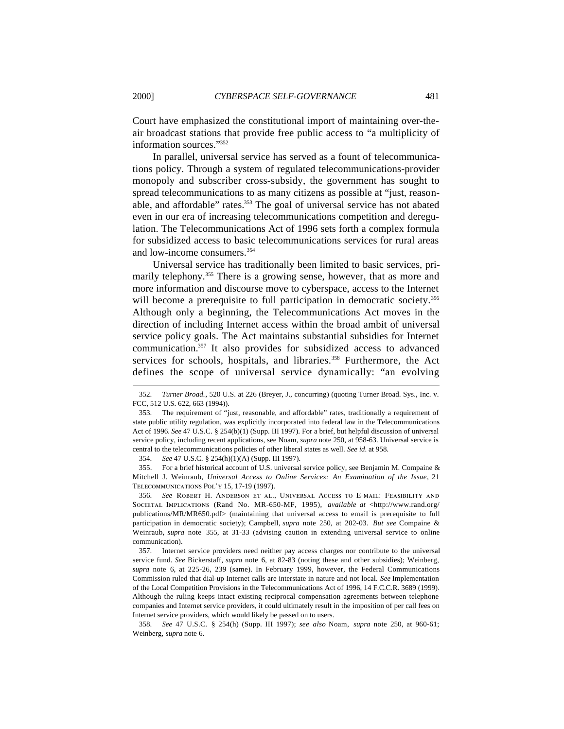Court have emphasized the constitutional import of maintaining over-theair broadcast stations that provide free public access to "a multiplicity of information sources."352

In parallel, universal service has served as a fount of telecommunications policy. Through a system of regulated telecommunications-provider monopoly and subscriber cross-subsidy, the government has sought to spread telecommunications to as many citizens as possible at "just, reasonable, and affordable" rates.<sup>353</sup> The goal of universal service has not abated even in our era of increasing telecommunications competition and deregulation. The Telecommunications Act of 1996 sets forth a complex formula for subsidized access to basic telecommunications services for rural areas and low-income consumers.354

Universal service has traditionally been limited to basic services, primarily telephony.<sup>355</sup> There is a growing sense, however, that as more and more information and discourse move to cyberspace, access to the Internet will become a prerequisite to full participation in democratic society.<sup>356</sup> Although only a beginning, the Telecommunications Act moves in the direction of including Internet access within the broad ambit of universal service policy goals. The Act maintains substantial subsidies for Internet communication.357 It also provides for subsidized access to advanced services for schools, hospitals, and libraries.<sup>358</sup> Furthermore, the Act defines the scope of universal service dynamically: "an evolving

3 5 4 . *See* 47 U.S.C. § 254(h)(1)(A) (Supp. III 1997).

355. For a brief historical account of U.S. universal service policy, see Benjamin M. Compaine & Mitchell J. Weinraub, *Universal Access to Online Services: An Examination of the Issue*, 21 Telecommunications Pol'y 15, 17-19 (1997).

356. See ROBERT H. ANDERSON ET AL., UNIVERSAL ACCESS TO E-MAIL: FEASIBILITY AND Societal Implications (Rand No. MR-650-MF, 1995), *available at* <http://www.rand.org/ publications/MR/MR650.pdf> (maintaining that universal access to email is prerequisite to full participation in democratic society); Campbell, *supra* note 250, at 202-03. *But see* Compaine & Weinraub, *supra* note 355, at 31-33 (advising caution in extending universal service to online communication).

<sup>352.</sup> *Turner Broad.*, 520 U.S. at 226 (Breyer, J., concurring) (quoting Turner Broad. Sys., Inc. v. FCC, 512 U.S. 622, 663 (1994)).

<sup>353.</sup> The requirement of "just, reasonable, and affordable" rates, traditionally a requirement of state public utility regulation, was explicitly incorporated into federal law in the Telecommunications Act of 1996. *See* 47 U.S.C. § 254(b)(1) (Supp. III 1997). For a brief, but helpful discussion of universal service policy, including recent applications, see Noam, *supra* note 250, at 958-63. Universal service is central to the telecommunications policies of other liberal states as well. *See id*. at 958.

<sup>357.</sup> Internet service providers need neither pay access charges nor contribute to the universal service fund. *See* Bickerstaff, *supra* note 6, at 82-83 (noting these and other subsidies); Weinberg, *supra* note 6, at 225-26, 239 (same). In February 1999, however, the Federal Communications Commission ruled that dial-up Internet calls are interstate in nature and not local. *See* Implementation of the Local Competition Provisions in the Telecommunications Act of 1996, 14 F.C.C.R. 3689 (1999). Although the ruling keeps intact existing reciprocal compensation agreements between telephone companies and Internet service providers, it could ultimately result in the imposition of per call fees on Internet service providers, which would likely be passed on to users.

<sup>3 5 8 .</sup> *See* 47 U.S.C. § 254(h) (Supp. III 1997); *see also* Noam, *supra* note 250, at 960-61; Weinberg, *supra* note 6.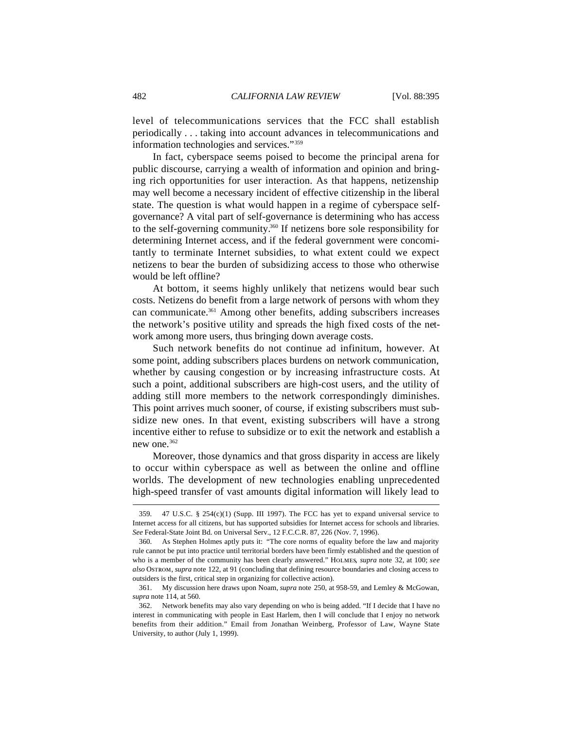level of telecommunications services that the FCC shall establish periodically . . . taking into account advances in telecommunications and information technologies and services."359

In fact, cyberspace seems poised to become the principal arena for public discourse, carrying a wealth of information and opinion and bringing rich opportunities for user interaction. As that happens, netizenship may well become a necessary incident of effective citizenship in the liberal state. The question is what would happen in a regime of cyberspace selfgovernance? A vital part of self-governance is determining who has access to the self-governing community.360 If netizens bore sole responsibility for determining Internet access, and if the federal government were concomitantly to terminate Internet subsidies, to what extent could we expect netizens to bear the burden of subsidizing access to those who otherwise would be left offline?

At bottom, it seems highly unlikely that netizens would bear such costs. Netizens do benefit from a large network of persons with whom they can communicate.<sup>361</sup> Among other benefits, adding subscribers increases the network's positive utility and spreads the high fixed costs of the network among more users, thus bringing down average costs.

Such network benefits do not continue ad infinitum, however. At some point, adding subscribers places burdens on network communication, whether by causing congestion or by increasing infrastructure costs. At such a point, additional subscribers are high-cost users, and the utility of adding still more members to the network correspondingly diminishes. This point arrives much sooner, of course, if existing subscribers must subsidize new ones. In that event, existing subscribers will have a strong incentive either to refuse to subsidize or to exit the network and establish a new one.<sup>362</sup>

Moreover, those dynamics and that gross disparity in access are likely to occur within cyberspace as well as between the online and offline worlds. The development of new technologies enabling unprecedented high-speed transfer of vast amounts digital information will likely lead to

<sup>359. 47</sup> U.S.C. § 254 $(c)(1)$  (Supp. III 1997). The FCC has yet to expand universal service to Internet access for all citizens, but has supported subsidies for Internet access for schools and libraries. *See* Federal-State Joint Bd. on Universal Serv., 12 F.C.C.R. 87, 226 (Nov. 7, 1996).

<sup>360.</sup> As Stephen Holmes aptly puts it: "The core norms of equality before the law and majority rule cannot be put into practice until territorial borders have been firmly established and the question of who is a member of the community has been clearly answered." Holmes, *supra* note 32, at 100; *see also* Ostrom, *supra* note 122, at 91 (concluding that defining resource boundaries and closing access to outsiders is the first, critical step in organizing for collective action).

<sup>361.</sup> My discussion here draws upon Noam, *supra* note 250, at 958-59, and Lemley & McGowan, *supra* note 114, at 560.

<sup>362.</sup> Network benefits may also vary depending on who is being added. "If I decide that I have no interest in communicating with people in East Harlem, then I will conclude that I enjoy no network benefits from their addition." Email from Jonathan Weinberg, Professor of Law, Wayne State University, to author (July 1, 1999).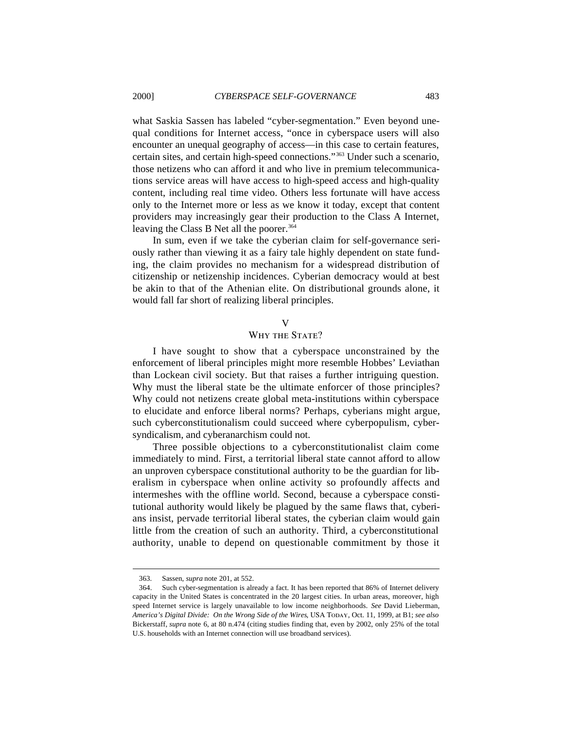what Saskia Sassen has labeled "cyber-segmentation." Even beyond unequal conditions for Internet access, "once in cyberspace users will also encounter an unequal geography of access—in this case to certain features, certain sites, and certain high-speed connections."363 Under such a scenario, those netizens who can afford it and who live in premium telecommunications service areas will have access to high-speed access and high-quality content, including real time video. Others less fortunate will have access only to the Internet more or less as we know it today, except that content providers may increasingly gear their production to the Class A Internet, leaving the Class B Net all the poorer.<sup>364</sup>

In sum, even if we take the cyberian claim for self-governance seriously rather than viewing it as a fairy tale highly dependent on state funding, the claim provides no mechanism for a widespread distribution of citizenship or netizenship incidences. Cyberian democracy would at best be akin to that of the Athenian elite. On distributional grounds alone, it would fall far short of realizing liberal principles.

#### $\overline{V}$

# WHY THE STATE?

I have sought to show that a cyberspace unconstrained by the enforcement of liberal principles might more resemble Hobbes' Leviathan than Lockean civil society. But that raises a further intriguing question. Why must the liberal state be the ultimate enforcer of those principles? Why could not netizens create global meta-institutions within cyberspace to elucidate and enforce liberal norms? Perhaps, cyberians might argue, such cyberconstitutionalism could succeed where cyberpopulism, cybersyndicalism, and cyberanarchism could not.

Three possible objections to a cyberconstitutionalist claim come immediately to mind. First, a territorial liberal state cannot afford to allow an unproven cyberspace constitutional authority to be the guardian for liberalism in cyberspace when online activity so profoundly affects and intermeshes with the offline world. Second, because a cyberspace constitutional authority would likely be plagued by the same flaws that, cyberians insist, pervade territorial liberal states, the cyberian claim would gain little from the creation of such an authority. Third, a cyberconstitutional authority, unable to depend on questionable commitment by those it

<sup>363.</sup> Sassen, *supra* note 201, at 552.

<sup>364.</sup> Such cyber-segmentation is already a fact. It has been reported that 86% of Internet delivery capacity in the United States is concentrated in the 20 largest cities. In urban areas, moreover, high speed Internet service is largely unavailable to low income neighborhoods. *See* David Lieberman*, America's Digital Divide: On the Wrong Side of the Wires*, USA Today, Oct. 11, 1999, at B1; *see also* Bickerstaff, *supra* note 6, at 80 n.474 (citing studies finding that, even by 2002, only 25% of the total U.S. households with an Internet connection will use broadband services).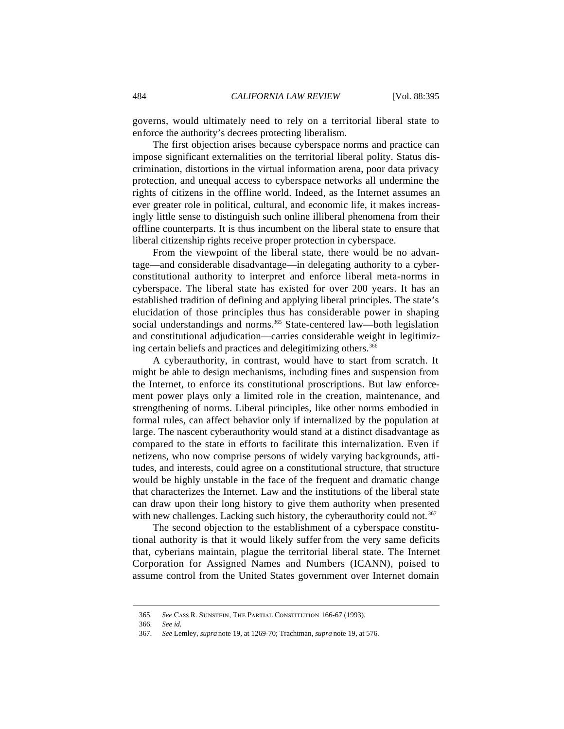governs, would ultimately need to rely on a territorial liberal state to enforce the authority's decrees protecting liberalism.

The first objection arises because cyberspace norms and practice can impose significant externalities on the territorial liberal polity. Status discrimination, distortions in the virtual information arena, poor data privacy protection, and unequal access to cyberspace networks all undermine the rights of citizens in the offline world. Indeed, as the Internet assumes an ever greater role in political, cultural, and economic life, it makes increasingly little sense to distinguish such online illiberal phenomena from their offline counterparts. It is thus incumbent on the liberal state to ensure that liberal citizenship rights receive proper protection in cyberspace.

From the viewpoint of the liberal state, there would be no advantage—and considerable disadvantage—in delegating authority to a cyberconstitutional authority to interpret and enforce liberal meta-norms in cyberspace. The liberal state has existed for over 200 years. It has an established tradition of defining and applying liberal principles. The state's elucidation of those principles thus has considerable power in shaping social understandings and norms.<sup>365</sup> State-centered law—both legislation and constitutional adjudication—carries considerable weight in legitimizing certain beliefs and practices and delegitimizing others.<sup>366</sup>

A cyberauthority, in contrast, would have to start from scratch. It might be able to design mechanisms, including fines and suspension from the Internet, to enforce its constitutional proscriptions. But law enforcement power plays only a limited role in the creation, maintenance, and strengthening of norms. Liberal principles, like other norms embodied in formal rules, can affect behavior only if internalized by the population at large. The nascent cyberauthority would stand at a distinct disadvantage as compared to the state in efforts to facilitate this internalization. Even if netizens, who now comprise persons of widely varying backgrounds, attitudes, and interests, could agree on a constitutional structure, that structure would be highly unstable in the face of the frequent and dramatic change that characterizes the Internet. Law and the institutions of the liberal state can draw upon their long history to give them authority when presented with new challenges. Lacking such history, the cyberauthority could not.<sup>367</sup>

The second objection to the establishment of a cyberspace constitutional authority is that it would likely suffer from the very same deficits that, cyberians maintain, plague the territorial liberal state. The Internet Corporation for Assigned Names and Numbers (ICANN), poised to assume control from the United States government over Internet domain

<sup>365.</sup> See Cass R. SUNSTEIN, THE PARTIAL CONSTITUTION 166-67 (1993).

<sup>366.</sup> See id.

<sup>3 6 7 .</sup> *See* Lemley, *supra* note 19, at 1269-70; Trachtman, *supra* note 19, at 576.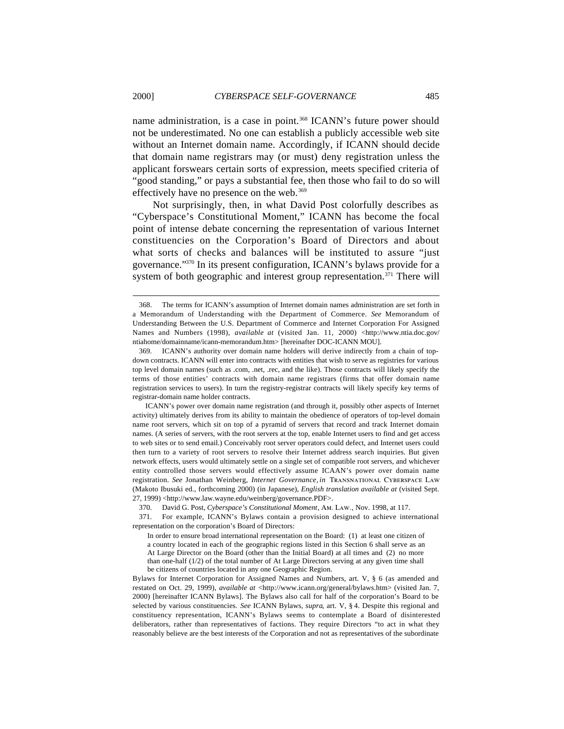name administration, is a case in point.<sup>368</sup> ICANN's future power should not be underestimated. No one can establish a publicly accessible web site without an Internet domain name. Accordingly, if ICANN should decide that domain name registrars may (or must) deny registration unless the applicant forswears certain sorts of expression, meets specified criteria of "good standing," or pays a substantial fee, then those who fail to do so will effectively have no presence on the web.<sup>369</sup>

Not surprisingly, then, in what David Post colorfully describes as "Cyberspace's Constitutional Moment," ICANN has become the focal point of intense debate concerning the representation of various Internet constituencies on the Corporation's Board of Directors and about what sorts of checks and balances will be instituted to assure "just governance."370 In its present configuration, ICANN's bylaws provide for a system of both geographic and interest group representation.<sup>371</sup> There will

<sup>368.</sup> The terms for ICANN's assumption of Internet domain names administration are set forth in a Memorandum of Understanding with the Department of Commerce. *See* Memorandum of Understanding Between the U.S. Department of Commerce and Internet Corporation For Assigned Names and Numbers (1998), *available at* (visited Jan. 11, 2000) <http://www.ntia.doc.gov/ ntiahome/domainname/icann-memorandum.htm> [hereinafter DOC-ICANN MOU].

<sup>369.</sup> ICANN's authority over domain name holders will derive indirectly from a chain of topdown contracts. ICANN will enter into contracts with entities that wish to serve as registries for various top level domain names (such as .com, .net, .rec, and the like). Those contracts will likely specify the terms of those entities' contracts with domain name registrars (firms that offer domain name registration services to users). In turn the registry-registrar contracts will likely specify key terms of registrar-domain name holder contracts.

ICANN's power over domain name registration (and through it, possibly other aspects of Internet activity) ultimately derives from its ability to maintain the obedience of operators of top-level domain name root servers, which sit on top of a pyramid of servers that record and track Internet domain names. (A series of servers, with the root servers at the top, enable Internet users to find and get access to web sites or to send email.) Conceivably root server operators could defect, and Internet users could then turn to a variety of root servers to resolve their Internet address search inquiries. But given network effects, users would ultimately settle on a single set of compatible root servers, and whichever entity controlled those servers would effectively assume ICAAN's power over domain name registration. *See* Jonathan Weinberg, *Internet Governance*, *in* Transnational Cyberspace Law (Makoto Ibusuki ed., forthcoming 2000) (in Japanese), *English translation available at* (visited Sept. 27, 1999) <http://www.law.wayne.edu/weinberg/governance.PDF>.

<sup>3 7 0 .</sup> David G. Post, *Cyberspace's Constitutional Moment*, Am. Law., Nov. 1998, at 117.

<sup>371.</sup> For example, ICANN's Bylaws contain a provision designed to achieve international representation on the corporation's Board of Directors:

In order to ensure broad international representation on the Board: (1) at least one citizen of a country located in each of the geographic regions listed in this Section 6 shall serve as an At Large Director on the Board (other than the Initial Board) at all times and (2) no more than one-half (1/2) of the total number of At Large Directors serving at any given time shall be citizens of countries located in any one Geographic Region.

Bylaws for Internet Corporation for Assigned Names and Numbers, art. V, § 6 (as amended and restated on Oct. 29, 1999), *available at* <http://www.icann.org/general/bylaws.htm> (visited Jan. 7, 2000) [hereinafter ICANN Bylaws]. The Bylaws also call for half of the corporation's Board to be selected by various constituencies. *See* ICANN Bylaws, *supra*, art. V, § 4. Despite this regional and constituency representation, ICANN's Bylaws seems to contemplate a Board of disinterested deliberators, rather than representatives of factions. They require Directors "to act in what they reasonably believe are the best interests of the Corporation and not as representatives of the subordinate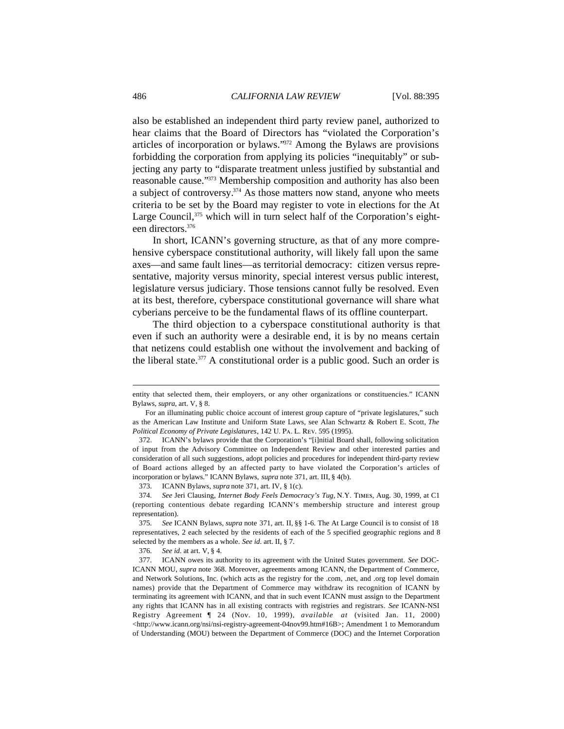also be established an independent third party review panel, authorized to hear claims that the Board of Directors has "violated the Corporation's articles of incorporation or bylaws."372 Among the Bylaws are provisions forbidding the corporation from applying its policies "inequitably" or subjecting any party to "disparate treatment unless justified by substantial and reasonable cause."373 Membership composition and authority has also been a subject of controversy. $374$  As those matters now stand, anyone who meets criteria to be set by the Board may register to vote in elections for the At Large Council,<sup>375</sup> which will in turn select half of the Corporation's eighteen directors.376

In short, ICANN's governing structure, as that of any more comprehensive cyberspace constitutional authority, will likely fall upon the same axes—and same fault lines—as territorial democracy: citizen versus representative, majority versus minority, special interest versus public interest, legislature versus judiciary. Those tensions cannot fully be resolved. Even at its best, therefore, cyberspace constitutional governance will share what cyberians perceive to be the fundamental flaws of its offline counterpart.

The third objection to a cyberspace constitutional authority is that even if such an authority were a desirable end, it is by no means certain that netizens could establish one without the involvement and backing of the liberal state. $377$  A constitutional order is a public good. Such an order is

3 7 6 . *See id*. at art. V, § 4.

entity that selected them, their employers, or any other organizations or constituencies." ICANN Bylaws, *supra*, art. V, § 8.

For an illuminating public choice account of interest group capture of "private legislatures," such as the American Law Institute and Uniform State Laws, see Alan Schwartz & Robert E. Scott, *The Political Economy of Private Legislatures*, 142 U. Pa. L. Rev. 595 (1995).

<sup>372.</sup> ICANN's bylaws provide that the Corporation's "[i]nitial Board shall, following solicitation of input from the Advisory Committee on Independent Review and other interested parties and consideration of all such suggestions, adopt policies and procedures for independent third-party review of Board actions alleged by an affected party to have violated the Corporation's articles of incorporation or bylaws." ICANN Bylaws, *supra* note 371, art. III, § 4(b).

<sup>373.</sup> ICANN Bylaws, *supra* note 371, art. IV, § 1(c).

<sup>3 7 4 .</sup> *See* Jeri Clausing, *Internet Body Feels Democracy's Tug*, N.Y. Times, Aug. 30, 1999, at C1 (reporting contentious debate regarding ICANN's membership structure and interest group representation).

<sup>3 7 5 .</sup> *See* ICANN Bylaws, *supra* note 371, art. II, §§ 1-6. The At Large Council is to consist of 18 representatives, 2 each selected by the residents of each of the 5 specified geographic regions and 8 selected by the members as a whole. *See id*. art. II, § 7.

<sup>377.</sup> ICANN owes its authority to its agreement with the United States government. See DOC-ICANN MOU, *supra* note 368. Moreover, agreements among ICANN, the Department of Commerce, and Network Solutions, Inc. (which acts as the registry for the .com, .net, and .org top level domain names) provide that the Department of Commerce may withdraw its recognition of ICANN by terminating its agreement with ICANN, and that in such event ICANN must assign to the Department any rights that ICANN has in all existing contracts with registries and registrars. *See* ICANN-NSI Registry Agreement ¶ 24 (Nov. 10, 1999), *available at* (visited Jan. 11, 2000) <http://www.icann.org/nsi/nsi-registry-agreement-04nov99.htm#16B>; Amendment 1 to Memorandum of Understanding (MOU) between the Department of Commerce (DOC) and the Internet Corporation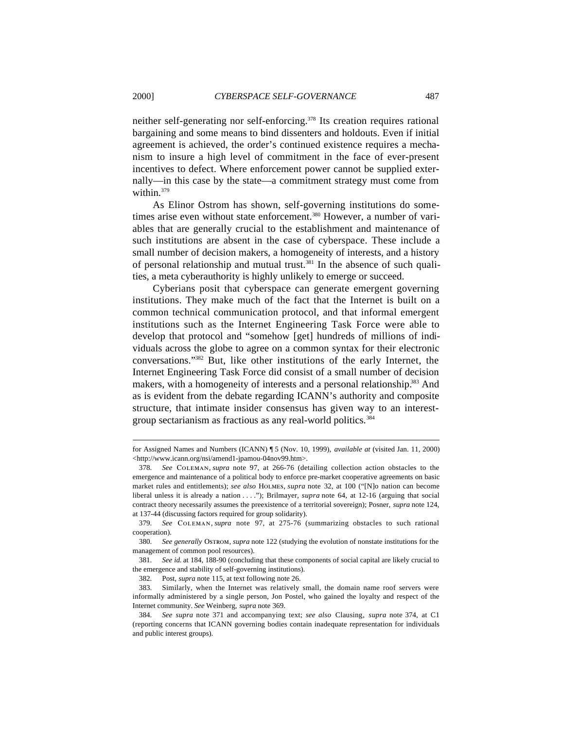neither self-generating nor self-enforcing.378 Its creation requires rational bargaining and some means to bind dissenters and holdouts. Even if initial agreement is achieved, the order's continued existence requires a mechanism to insure a high level of commitment in the face of ever-present incentives to defect. Where enforcement power cannot be supplied externally—in this case by the state—a commitment strategy must come from within.<sup>379</sup>

As Elinor Ostrom has shown, self-governing institutions do sometimes arise even without state enforcement.<sup>380</sup> However, a number of variables that are generally crucial to the establishment and maintenance of such institutions are absent in the case of cyberspace. These include a small number of decision makers, a homogeneity of interests, and a history of personal relationship and mutual trust.<sup>381</sup> In the absence of such qualities, a meta cyberauthority is highly unlikely to emerge or succeed.

Cyberians posit that cyberspace can generate emergent governing institutions. They make much of the fact that the Internet is built on a common technical communication protocol, and that informal emergent institutions such as the Internet Engineering Task Force were able to develop that protocol and "somehow [get] hundreds of millions of individuals across the globe to agree on a common syntax for their electronic conversations."382 But, like other institutions of the early Internet, the Internet Engineering Task Force did consist of a small number of decision makers, with a homogeneity of interests and a personal relationship.<sup>383</sup> And as is evident from the debate regarding ICANN's authority and composite structure, that intimate insider consensus has given way to an interestgroup sectarianism as fractious as any real-world politics.<sup>384</sup>

for Assigned Names and Numbers (ICANN) ¶ 5 (Nov. 10, 1999), *available at* (visited Jan. 11, 2000) <http://www.icann.org/nsi/amend1-jpamou-04nov99.htm>.

<sup>378.</sup> *See* COLEMAN, *supra* note 97, at 266-76 (detailing collection action obstacles to the emergence and maintenance of a political body to enforce pre-market cooperative agreements on basic market rules and entitlements); *see also* Holmes, *supra* note 32, at 100 ("[N]o nation can become liberal unless it is already a nation . . . ."); Brilmayer, *supra* note 64, at 12-16 (arguing that social contract theory necessarily assumes the preexistence of a territorial sovereign); Posner, *supra* note 124, at 137-44 (discussing factors required for group solidarity).

<sup>3 7 9 .</sup> *See* Coleman, *supra* note 97, at 275-76 (summarizing obstacles to such rational cooperation).

<sup>380.</sup> *See generally OSTROM, supra* note 122 (studying the evolution of nonstate institutions for the management of common pool resources).

<sup>381.</sup> *See id.* at 184, 188-90 (concluding that these components of social capital are likely crucial to the emergence and stability of self-governing institutions).

<sup>382.</sup> Post, *supra* note 115, at text following note 26.

<sup>383.</sup> Similarly, when the Internet was relatively small, the domain name roof servers were informally administered by a single person, Jon Postel, who gained the loyalty and respect of the Internet community. *See* Weinberg, *supra* note 369.

<sup>3 8 4 .</sup> *See supra* note 371 and accompanying text; *see also* Clausing*, supra* note 374, at C1 (reporting concerns that ICANN governing bodies contain inadequate representation for individuals and public interest groups).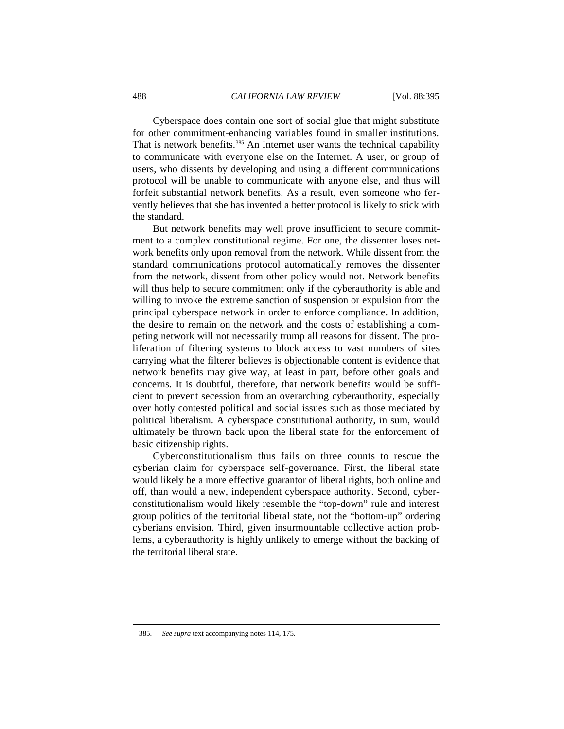Cyberspace does contain one sort of social glue that might substitute for other commitment-enhancing variables found in smaller institutions. That is network benefits.<sup>385</sup> An Internet user wants the technical capability to communicate with everyone else on the Internet. A user, or group of users, who dissents by developing and using a different communications protocol will be unable to communicate with anyone else, and thus will forfeit substantial network benefits. As a result, even someone who fervently believes that she has invented a better protocol is likely to stick with the standard.

But network benefits may well prove insufficient to secure commitment to a complex constitutional regime. For one, the dissenter loses network benefits only upon removal from the network. While dissent from the standard communications protocol automatically removes the dissenter from the network, dissent from other policy would not. Network benefits will thus help to secure commitment only if the cyberauthority is able and willing to invoke the extreme sanction of suspension or expulsion from the principal cyberspace network in order to enforce compliance. In addition, the desire to remain on the network and the costs of establishing a competing network will not necessarily trump all reasons for dissent. The proliferation of filtering systems to block access to vast numbers of sites carrying what the filterer believes is objectionable content is evidence that network benefits may give way, at least in part, before other goals and concerns. It is doubtful, therefore, that network benefits would be sufficient to prevent secession from an overarching cyberauthority, especially over hotly contested political and social issues such as those mediated by political liberalism. A cyberspace constitutional authority, in sum, would ultimately be thrown back upon the liberal state for the enforcement of basic citizenship rights.

Cyberconstitutionalism thus fails on three counts to rescue the cyberian claim for cyberspace self-governance. First, the liberal state would likely be a more effective guarantor of liberal rights, both online and off, than would a new, independent cyberspace authority. Second, cyberconstitutionalism would likely resemble the "top-down" rule and interest group politics of the territorial liberal state, not the "bottom-up" ordering cyberians envision. Third, given insurmountable collective action problems, a cyberauthority is highly unlikely to emerge without the backing of the territorial liberal state.

385. See *supra* text accompanying notes 114, 175.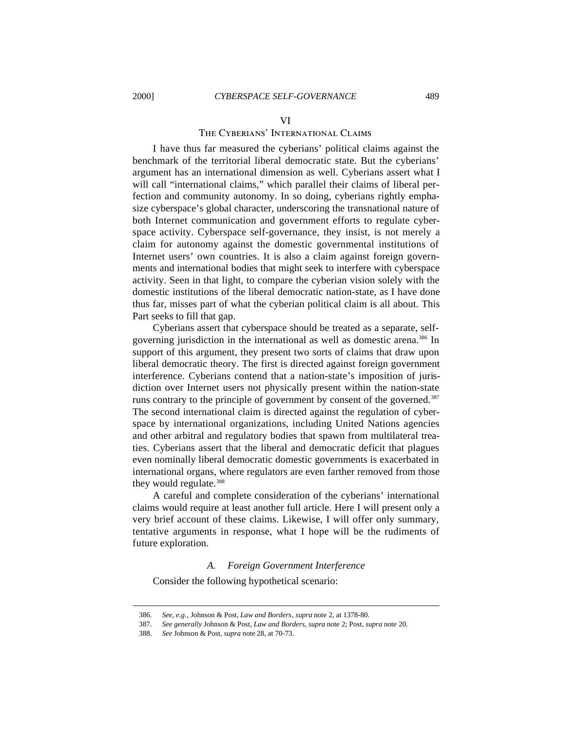#### VI

# The Cyberians' International Claims

I have thus far measured the cyberians' political claims against the benchmark of the territorial liberal democratic state. But the cyberians' argument has an international dimension as well. Cyberians assert what I will call "international claims," which parallel their claims of liberal perfection and community autonomy. In so doing, cyberians rightly emphasize cyberspace's global character, underscoring the transnational nature of both Internet communication and government efforts to regulate cyberspace activity. Cyberspace self-governance, they insist, is not merely a claim for autonomy against the domestic governmental institutions of Internet users' own countries. It is also a claim against foreign governments and international bodies that might seek to interfere with cyberspace activity. Seen in that light, to compare the cyberian vision solely with the domestic institutions of the liberal democratic nation-state, as I have done thus far, misses part of what the cyberian political claim is all about. This Part seeks to fill that gap.

Cyberians assert that cyberspace should be treated as a separate, selfgoverning jurisdiction in the international as well as domestic arena.386 In support of this argument, they present two sorts of claims that draw upon liberal democratic theory. The first is directed against foreign government interference. Cyberians contend that a nation-state's imposition of jurisdiction over Internet users not physically present within the nation-state runs contrary to the principle of government by consent of the governed.<sup>387</sup> The second international claim is directed against the regulation of cyberspace by international organizations, including United Nations agencies and other arbitral and regulatory bodies that spawn from multilateral treaties. Cyberians assert that the liberal and democratic deficit that plagues even nominally liberal democratic domestic governments is exacerbated in international organs, where regulators are even farther removed from those they would regulate.<sup>388</sup>

A careful and complete consideration of the cyberians' international claims would require at least another full article. Here I will present only a very brief account of these claims. Likewise, I will offer only summary, tentative arguments in response, what I hope will be the rudiments of future exploration.

#### *A. Foreign Government Interference*

Consider the following hypothetical scenario:

 <sup>3 8 6 .</sup> *See, e.g.*, Johnson & Post, *Law and Borders*, *supra* note 2, at 1378-80.

<sup>3 8 7 .</sup> *See generally* Johnson & Post, *Law and Borders*, *supra* note 2; Post, *supra* note 20.

<sup>3 8 8 .</sup> *See* Johnson & Post, *supra* note 28, at 70-73.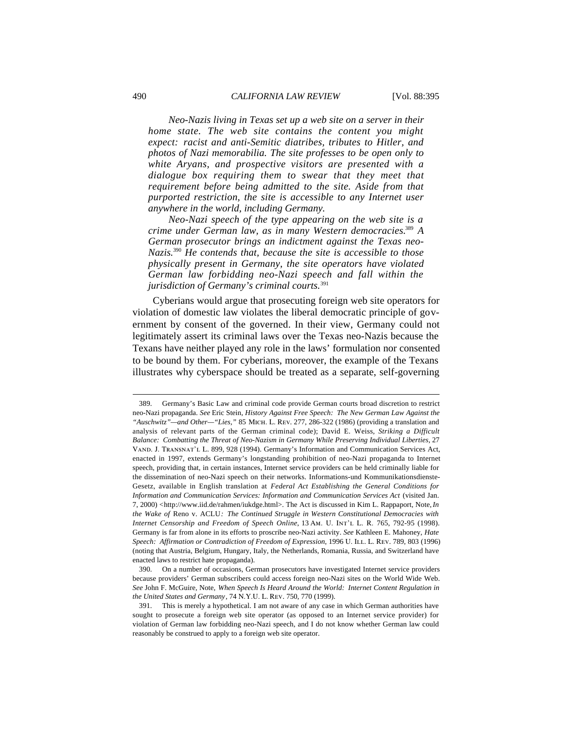*Neo-Nazis living in Texas set up a web site on a server in their home state. The web site contains the content you might expect: racist and anti-Semitic diatribes, tributes to Hitler, and photos of Nazi memorabilia. The site professes to be open only to white Aryans, and prospective visitors are presented with a dialogue box requiring them to swear that they meet that requirement before being admitted to the site. Aside from that purported restriction, the site is accessible to any Internet user anywhere in the world, including Germany.*

*Neo-Nazi speech of the type appearing on the web site is a crime under German law, as in many Western democracies.*<sup>389</sup> *A German prosecutor brings an indictment against the Texas neo-Nazis.*<sup>390</sup> *He contends that, because the site is accessible to those physically present in Germany, the site operators have violated German law forbidding neo-Nazi speech and fall within the jurisdiction of Germany's criminal courts.*<sup>391</sup>

Cyberians would argue that prosecuting foreign web site operators for violation of domestic law violates the liberal democratic principle of government by consent of the governed. In their view, Germany could not legitimately assert its criminal laws over the Texas neo-Nazis because the Texans have neither played any role in the laws' formulation nor consented to be bound by them. For cyberians, moreover, the example of the Texans illustrates why cyberspace should be treated as a separate, self-governing

<sup>389.</sup> Germany's Basic Law and criminal code provide German courts broad discretion to restrict neo-Nazi propaganda. *See* Eric Stein, *History Against Free Speech: The New German Law Against the "Auschwitz"—and Other—"Lies,"* 85 Mich. L. Rev. 277, 286-322 (1986) (providing a translation and analysis of relevant parts of the German criminal code); David E. Weiss*, Striking a Difficult Balance: Combatting the Threat of Neo-Nazism in Germany While Preserving Individual Liberties,* 27 Vand. J. Transnat'l L. 899, 928 (1994). Germany's Information and Communication Services Act, enacted in 1997, extends Germany's longstanding prohibition of neo-Nazi propaganda to Internet speech, providing that, in certain instances, Internet service providers can be held criminally liable for the dissemination of neo-Nazi speech on their networks. Informations-und Kommunikationsdienste-Gesetz, available in English translation at *Federal Act Establishing the General Conditions for Information and Communication Services: Information and Communication Services Act* (visited Jan. 7, 2000) <http://www.iid.de/rahmen/iukdge.html>. The Act is discussed in Kim L. Rappaport, Note, *In the Wake of* Reno v. ACLU*: The Continued Struggle in Western Constitutional Democracies with Internet Censorship and Freedom of Speech Online*, 13 Am. U. Int'l L. R. 765, 792-95 (1998). Germany is far from alone in its efforts to proscribe neo-Nazi activity. *See* Kathleen E. Mahoney, *Hate* Speech: Affirmation or Contradiction of Freedom of Expression, 1996 U. ILL. L. REV. 789, 803 (1996) (noting that Austria, Belgium, Hungary, Italy, the Netherlands, Romania, Russia, and Switzerland have enacted laws to restrict hate propaganda).

<sup>390.</sup> On a number of occasions, German prosecutors have investigated Internet service providers because providers' German subscribers could access foreign neo-Nazi sites on the World Wide Web. *See* John F. McGuire, Note, *When Speech Is Heard Around the World: Internet Content Regulation in the United States and Germany*, 74 N.Y.U. L. Rev. 750, 770 (1999).

<sup>391.</sup> This is merely a hypothetical. I am not aware of any case in which German authorities have sought to prosecute a foreign web site operator (as opposed to an Internet service provider) for violation of German law forbidding neo-Nazi speech, and I do not know whether German law could reasonably be construed to apply to a foreign web site operator.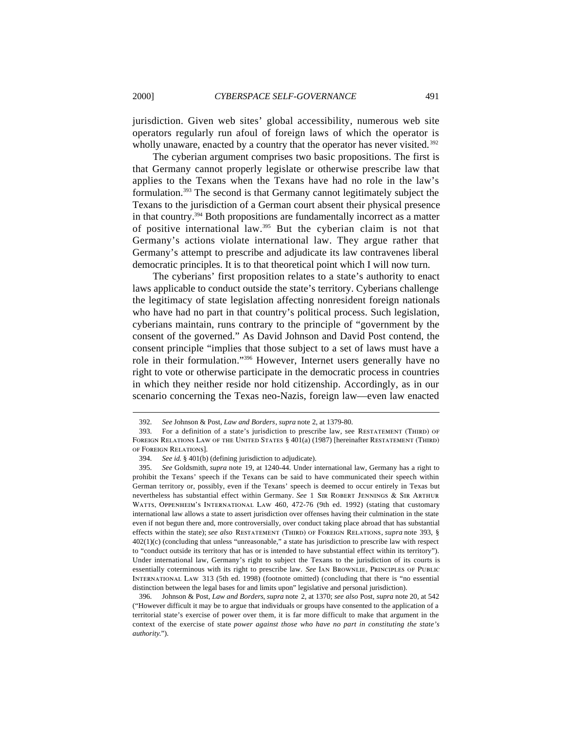jurisdiction. Given web sites' global accessibility, numerous web site operators regularly run afoul of foreign laws of which the operator is wholly unaware, enacted by a country that the operator has never visited.<sup>392</sup>

The cyberian argument comprises two basic propositions. The first is that Germany cannot properly legislate or otherwise prescribe law that applies to the Texans when the Texans have had no role in the law's formulation.393 The second is that Germany cannot legitimately subject the Texans to the jurisdiction of a German court absent their physical presence in that country.394 Both propositions are fundamentally incorrect as a matter of positive international law.395 But the cyberian claim is not that Germany's actions violate international law. They argue rather that Germany's attempt to prescribe and adjudicate its law contravenes liberal democratic principles. It is to that theoretical point which I will now turn.

The cyberians' first proposition relates to a state's authority to enact laws applicable to conduct outside the state's territory. Cyberians challenge the legitimacy of state legislation affecting nonresident foreign nationals who have had no part in that country's political process. Such legislation, cyberians maintain, runs contrary to the principle of "government by the consent of the governed." As David Johnson and David Post contend, the consent principle "implies that those subject to a set of laws must have a role in their formulation."396 However, Internet users generally have no right to vote or otherwise participate in the democratic process in countries in which they neither reside nor hold citizenship. Accordingly, as in our scenario concerning the Texas neo-Nazis, foreign law—even law enacted

 <sup>3 9 2 .</sup> *See* Johnson & Post, *Law and Borders*, *supra* note 2, at 1379-80.

<sup>393.</sup> For a definition of a state's jurisdiction to prescribe law, see RESTATEMENT (THIRD) OF FOREIGN RELATIONS LAW OF THE UNITED STATES § 401(a) (1987) [hereinafter RESTATEMENT (THIRD) of Foreign Relations].

<sup>394.</sup> *See id.* § 401(b) (defining jurisdiction to adjudicate).

<sup>3 9 5 .</sup> *See* Goldsmith, *supra* note 19, at 1240-44. Under international law, Germany has a right to prohibit the Texans' speech if the Texans can be said to have communicated their speech within German territory or, possibly, even if the Texans' speech is deemed to occur entirely in Texas but nevertheless has substantial effect within Germany. *See* 1 Sir Robert Jennings & Sir Arthur WATTS, OPPENHEIM'S INTERNATIONAL LAW 460, 472-76 (9th ed. 1992) (stating that customary international law allows a state to assert jurisdiction over offenses having their culmination in the state even if not begun there and, more controversially, over conduct taking place abroad that has substantial effects within the state); *see also* RESTATEMENT (THIRD) OF FOREIGN RELATIONS, *supra* note 393, § 402(1)(c) (concluding that unless "unreasonable," a state has jurisdiction to prescribe law with respect to "conduct outside its territory that has or is intended to have substantial effect within its territory"). Under international law, Germany's right to subject the Texans to the jurisdiction of its courts is essentially coterminous with its right to prescribe law. *See* Ian Brownlie, Principles of Public International Law 313 (5th ed. 1998) (footnote omitted) (concluding that there is "no essential distinction between the legal bases for and limits upon" legislative and personal jurisdiction).

 <sup>3 9 6 .</sup> Johnson & Post, *Law and Borders*, *supra* note 2, at 1370; *see also* Post, *supra* note 20, at 542 ("However difficult it may be to argue that individuals or groups have consented to the application of a territorial state's exercise of power over them, it is far more difficult to make that argument in the context of the exercise of state *power against those who have no part in constituting the state's authority*.").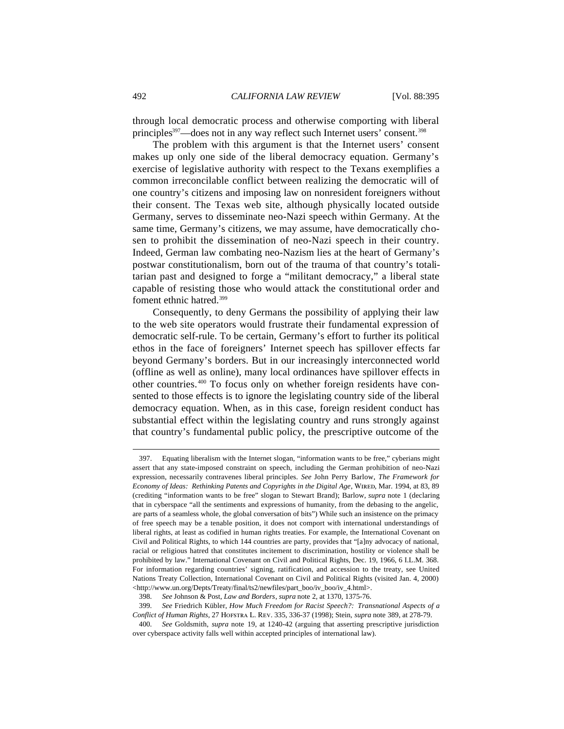through local democratic process and otherwise comporting with liberal principles<sup>397</sup>—does not in any way reflect such Internet users' consent.<sup>398</sup>

 The problem with this argument is that the Internet users' consent makes up only one side of the liberal democracy equation. Germany's exercise of legislative authority with respect to the Texans exemplifies a common irreconcilable conflict between realizing the democratic will of one country's citizens and imposing law on nonresident foreigners without their consent. The Texas web site, although physically located outside Germany, serves to disseminate neo-Nazi speech within Germany. At the same time, Germany's citizens, we may assume, have democratically chosen to prohibit the dissemination of neo-Nazi speech in their country. Indeed, German law combating neo-Nazism lies at the heart of Germany's postwar constitutionalism, born out of the trauma of that country's totalitarian past and designed to forge a "militant democracy," a liberal state capable of resisting those who would attack the constitutional order and foment ethnic hatred.399

 Consequently, to deny Germans the possibility of applying their law to the web site operators would frustrate their fundamental expression of democratic self-rule. To be certain, Germany's effort to further its political ethos in the face of foreigners' Internet speech has spillover effects far beyond Germany's borders. But in our increasingly interconnected world (offline as well as online), many local ordinances have spillover effects in other countries. 400 To focus only on whether foreign residents have consented to those effects is to ignore the legislating country side of the liberal democracy equation. When, as in this case, foreign resident conduct has substantial effect within the legislating country and runs strongly against that country's fundamental public policy, the prescriptive outcome of the

<sup>397.</sup> Equating liberalism with the Internet slogan, "information wants to be free," cyberians might assert that any state-imposed constraint on speech, including the German prohibition of neo-Nazi expression, necessarily contravenes liberal principles. *See* John Perry Barlow, *The Framework for Economy of Ideas: Rethinking Patents and Copyrights in the Digital Age, WIRED, Mar. 1994, at 83, 89* (crediting "information wants to be free" slogan to Stewart Brand); Barlow, *supra* note 1 (declaring that in cyberspace "all the sentiments and expressions of humanity, from the debasing to the angelic, are parts of a seamless whole, the global conversation of bits") While such an insistence on the primacy of free speech may be a tenable position, it does not comport with international understandings of liberal rights, at least as codified in human rights treaties. For example, the International Covenant on Civil and Political Rights, to which 144 countries are party, provides that "[a]ny advocacy of national, racial or religious hatred that constitutes incitement to discrimination, hostility or violence shall be prohibited by law." International Covenant on Civil and Political Rights, Dec. 19, 1966, 6 I.L.M. 368. For information regarding countries' signing, ratification, and accession to the treaty, see United Nations Treaty Collection, International Covenant on Civil and Political Rights (visited Jan. 4, 2000) <http://www.un.org/Depts/Treaty/final/ts2/newfiles/part\_boo/iv\_boo/iv\_4.html>.

 <sup>3 9 8 .</sup> *See* Johnson & Post, *Law and Borders*, *supra* note 2, at 1370, 1375-76.

<sup>399.</sup> See Friedrich Kübler, *How Much Freedom for Racist Speech?: Transnational Aspects of a Conflict of Human Rights*, 27 Hofstra L. Rev. 335, 336-37 (1998); Stein, *supra* note 389, at 278-79.

<sup>400.</sup> *See* Goldsmith, *supra* note 19, at 1240-42 (arguing that asserting prescriptive jurisdiction over cyberspace activity falls well within accepted principles of international law).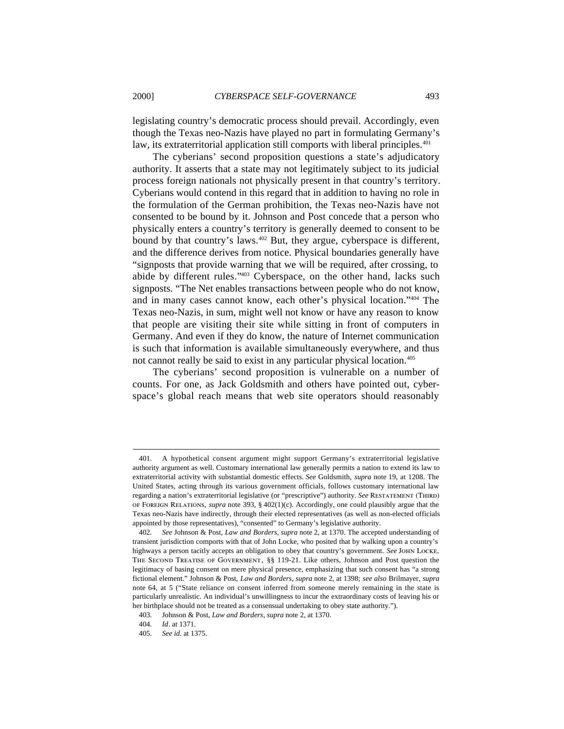legislating country's democratic process should prevail. Accordingly, even though the Texas neo-Nazis have played no part in formulating Germany's law, its extraterritorial application still comports with liberal principles.<sup>401</sup>

The cyberians' second proposition questions a state's adjudicatory authority. It asserts that a state may not legitimately subject to its judicial process foreign nationals not physically present in that country's territory. Cyberians would contend in this regard that in addition to having no role in the formulation of the German prohibition, the Texas neo-Nazis have not consented to be bound by it. Johnson and Post concede that a person who physically enters a country's territory is generally deemed to consent to be bound by that country's laws.<sup>402</sup> But, they argue, cyberspace is different, and the difference derives from notice. Physical boundaries generally have "signposts that provide warning that we will be required, after crossing, to abide by different rules."403 Cyberspace, on the other hand, lacks such signposts. "The Net enables transactions between people who do not know, and in many cases cannot know, each other's physical location."404 The Texas neo-Nazis, in sum, might well not know or have any reason to know that people are visiting their site while sitting in front of computers in Germany. And even if they do know, the nature of Internet communication is such that information is available simultaneously everywhere, and thus not cannot really be said to exist in any particular physical location.<sup>405</sup>

 The cyberians' second proposition is vulnerable on a number of counts. For one, as Jack Goldsmith and others have pointed out, cyberspace's global reach means that web site operators should reasonably

<sup>401.</sup> A hypothetical consent argument might support Germany's extraterritorial legislative authority argument as well. Customary international law generally permits a nation to extend its law to extraterritorial activity with substantial domestic effects. *See* Goldsmith, *supra* note 19, at 1208. The United States, acting through its various government officials, follows customary international law regarding a nation's extraterritorial legislative (or "prescriptive") authority. *See* RESTATEMENT (THIRD) of Foreign Relations, *supra* note 393, § 402(1)(c). Accordingly, one could plausibly argue that the Texas neo-Nazis have indirectly, through their elected representatives (as well as non-elected officials appointed by those representatives), "consented" to Germany's legislative authority.

 <sup>4 0 2 .</sup> *See* Johnson & Post, *Law and Borders*, *supra* note 2, at 1370. The accepted understanding of transient jurisdiction comports with that of John Locke, who posited that by walking upon a country's highways a person tacitly accepts an obligation to obey that country's government. *See* John Locke, The Second Treatise of Government, §§ 119-21. Like others, Johnson and Post question the legitimacy of basing consent on mere physical presence, emphasizing that such consent has "a strong fictional element." Johnson & Post, *Law and Borders*, *supra* note 2, at 1398; *see also* Brilmayer, *supra* note 64, at 5 ("State reliance on consent inferred from someone merely remaining in the state is particularly unrealistic. An individual's unwillingness to incur the extraordinary costs of leaving his or her birthplace should not be treated as a consensual undertaking to obey state authority.").

<sup>403.</sup> Johnson & Post, *Law and Borders*, *supra* note 2, at 1370.

<sup>404.</sup> *Id.* at 1371.

<sup>405.</sup> *See id.* at 1375.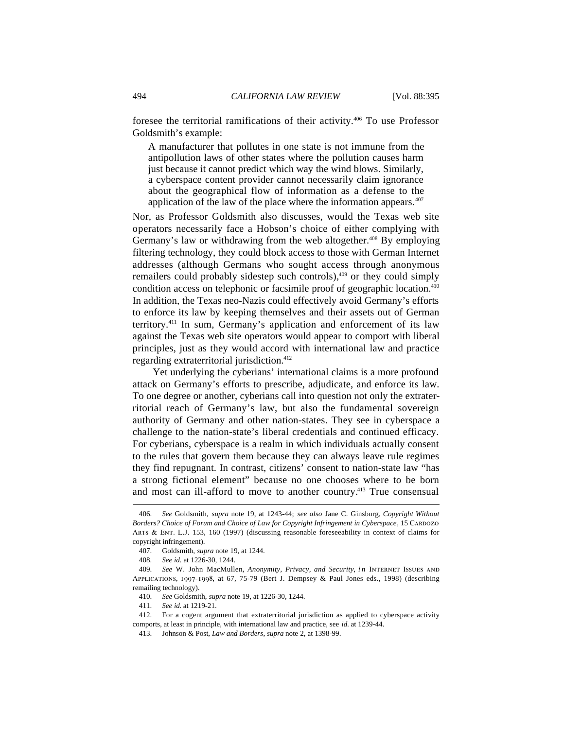foresee the territorial ramifications of their activity.406 To use Professor Goldsmith's example:

A manufacturer that pollutes in one state is not immune from the antipollution laws of other states where the pollution causes harm just because it cannot predict which way the wind blows. Similarly, a cyberspace content provider cannot necessarily claim ignorance about the geographical flow of information as a defense to the application of the law of the place where the information appears. $407$ 

 Nor, as Professor Goldsmith also discusses, would the Texas web site operators necessarily face a Hobson's choice of either complying with Germany's law or withdrawing from the web altogether.<sup>408</sup> By employing filtering technology, they could block access to those with German Internet addresses (although Germans who sought access through anonymous remailers could probably sidestep such controls),<sup>409</sup> or they could simply condition access on telephonic or facsimile proof of geographic location.<sup>410</sup> In addition, the Texas neo-Nazis could effectively avoid Germany's efforts to enforce its law by keeping themselves and their assets out of German territory.411 In sum, Germany's application and enforcement of its law against the Texas web site operators would appear to comport with liberal principles, just as they would accord with international law and practice regarding extraterritorial jurisdiction.412

 Yet underlying the cyberians' international claims is a more profound attack on Germany's efforts to prescribe, adjudicate, and enforce its law. To one degree or another, cyberians call into question not only the extraterritorial reach of Germany's law, but also the fundamental sovereign authority of Germany and other nation-states. They see in cyberspace a challenge to the nation-state's liberal credentials and continued efficacy. For cyberians, cyberspace is a realm in which individuals actually consent to the rules that govern them because they can always leave rule regimes they find repugnant. In contrast, citizens' consent to nation-state law "has a strong fictional element" because no one chooses where to be born and most can ill-afford to move to another country.<sup>413</sup> True consensual

 <sup>4 0 6 .</sup> *See* Goldsmith, *supra* note 19, at 1243-44; *see also* Jane C. Ginsburg, *Copyright Without Borders? Choice of Forum and Choice of Law for Copyright Infringement in Cyberspace, 15 CARDOZO* Arts & Ent. L.J. 153, 160 (1997) (discussing reasonable foreseeability in context of claims for copyright infringement).

<sup>407.</sup> Goldsmith, *supra* note 19, at 1244.

<sup>408.</sup> *See id.* at 1226-30, 1244.

<sup>409.</sup> *See* W. John MacMullen, *Anonymity, Privacy, and Security, in* INTERNET ISSUES AND Applications, 1997-1998, at 67, 75-79 (Bert J. Dempsey & Paul Jones eds., 1998) (describing remailing technology).

<sup>410.</sup> *See* Goldsmith, *supra* note 19, at 1226-30, 1244.

 <sup>4 1 1 .</sup> *See id.* at 1219-21.

<sup>412.</sup> For a cogent argument that extraterritorial jurisdiction as applied to cyberspace activity comports, at least in principle, with international law and practice, see *id*. at 1239-44.

<sup>413.</sup> Johnson & Post, *Law and Borders*, *supra* note 2, at 1398-99.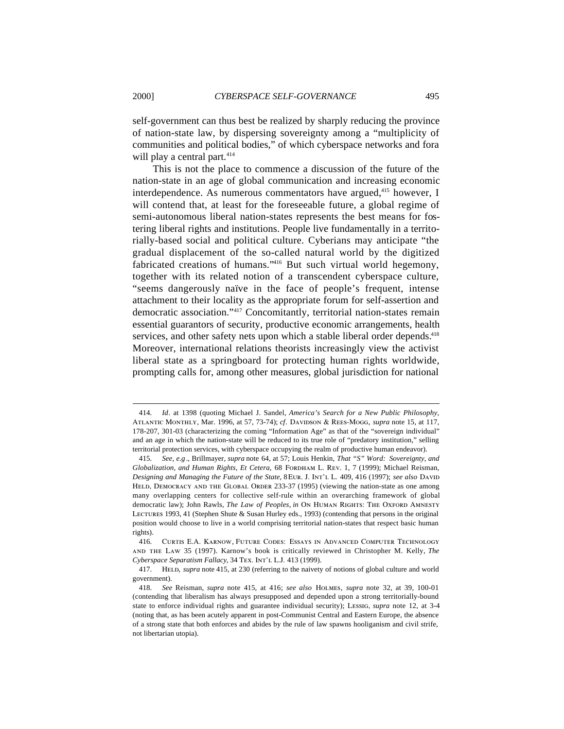self-government can thus best be realized by sharply reducing the province of nation-state law, by dispersing sovereignty among a "multiplicity of communities and political bodies," of which cyberspace networks and fora will play a central part.<sup>414</sup>

This is not the place to commence a discussion of the future of the nation-state in an age of global communication and increasing economic interdependence. As numerous commentators have argued,<sup>415</sup> however, I will contend that, at least for the foreseeable future, a global regime of semi-autonomous liberal nation-states represents the best means for fostering liberal rights and institutions. People live fundamentally in a territorially-based social and political culture. Cyberians may anticipate "the gradual displacement of the so-called natural world by the digitized fabricated creations of humans."416 But such virtual world hegemony, together with its related notion of a transcendent cyberspace culture, "seems dangerously naïve in the face of people's frequent, intense attachment to their locality as the appropriate forum for self-assertion and democratic association."417 Concomitantly, territorial nation-states remain essential guarantors of security, productive economic arrangements, health services, and other safety nets upon which a stable liberal order depends.<sup>418</sup> Moreover, international relations theorists increasingly view the activist liberal state as a springboard for protecting human rights worldwide, prompting calls for, among other measures, global jurisdiction for national

 <sup>4 1 4 .</sup> *Id*. at 1398 (quoting Michael J. Sandel, *America's Search for a New Public Philosophy*, Atlantic Monthly, Mar. 1996, at 57, 73-74); *cf*. Davidson & Rees-Mogg, *supra* note 15, at 117, 178-207, 301-03 (characterizing the coming "Information Age" as that of the "sovereign individual" and an age in which the nation-state will be reduced to its true role of "predatory institution," selling territorial protection services, with cyberspace occupying the realm of productive human endeavor).

 <sup>4 1 5 .</sup> *See, e.g*., Brillmayer, *supra* note 64, at 57; Louis Henkin, *That "S" Word: Sovereignty, and Globalization, and Human Rights, Et Cetera, 68 FORDHAM L. REV. 1, 7 (1999); Michael Reisman, Designing and Managing the Future of the State, 8 EUR. J. INT'L L. 409, 416 (1997); see also DAVID* HELD, DEMOCRACY AND THE GLOBAL ORDER 233-37 (1995) (viewing the nation-state as one among many overlapping centers for collective self-rule within an overarching framework of global democratic law); John Rawls, *The Law of Peoples*, *in* On HUMAN RIGHTS: THE OXFORD AMNESTY LECTURES 1993, 41 (Stephen Shute & Susan Hurley eds., 1993) (contending that persons in the original position would choose to live in a world comprising territorial nation-states that respect basic human rights).

<sup>416.</sup> CURTIS E.A. KARNOW, FUTURE CODES: ESSAYS IN ADVANCED COMPUTER TECHNOLOGY and the Law 35 (1997). Karnow's book is critically reviewed in Christopher M. Kelly, *The Cyberspace Separatism Fallacy*, 34 Tex. Int'l L.J. 413 (1999).

 <sup>4 1 7 .</sup> Held, *supra* note 415, at 230 (referring to the naivety of notions of global culture and world government).

 <sup>4 1 8 .</sup> *See* Reisman, *supra* note 415, at 416; *see also* Holmes, *supra* note 32, at 39, 100-01 (contending that liberalism has always presupposed and depended upon a strong territorially-bound state to enforce individual rights and guarantee individual security); Lessig, *supra* note 12, at 3-4 (noting that, as has been acutely apparent in post-Communist Central and Eastern Europe, the absence of a strong state that both enforces and abides by the rule of law spawns hooliganism and civil strife, not libertarian utopia).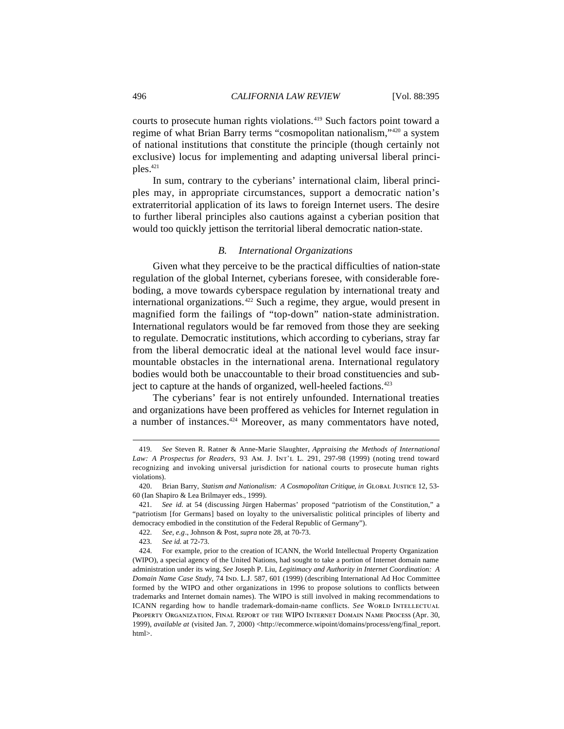courts to prosecute human rights violations.<sup>419</sup> Such factors point toward a regime of what Brian Barry terms "cosmopolitan nationalism,"420 a system of national institutions that constitute the principle (though certainly not exclusive) locus for implementing and adapting universal liberal principles.421

In sum, contrary to the cyberians' international claim, liberal principles may, in appropriate circumstances, support a democratic nation's extraterritorial application of its laws to foreign Internet users. The desire to further liberal principles also cautions against a cyberian position that would too quickly jettison the territorial liberal democratic nation-state.

## *B. International Organizations*

Given what they perceive to be the practical difficulties of nation-state regulation of the global Internet, cyberians foresee, with considerable foreboding, a move towards cyberspace regulation by international treaty and international organizations. 422 Such a regime, they argue, would present in magnified form the failings of "top-down" nation-state administration. International regulators would be far removed from those they are seeking to regulate. Democratic institutions, which according to cyberians, stray far from the liberal democratic ideal at the national level would face insurmountable obstacles in the international arena. International regulatory bodies would both be unaccountable to their broad constituencies and subject to capture at the hands of organized, well-heeled factions.<sup>423</sup>

The cyberians' fear is not entirely unfounded. International treaties and organizations have been proffered as vehicles for Internet regulation in a number of instances.424 Moreover, as many commentators have noted,

 <sup>4 1 9 .</sup> *See* Steven R. Ratner & Anne-Marie Slaughter, *Appraising the Methods of International Law: A Prospectus for Readers*, 93 Am. J. Int'l L. 291, 297-98 (1999) (noting trend toward recognizing and invoking universal jurisdiction for national courts to prosecute human rights violations).

<sup>420.</sup> Brian Barry, *Statism and Nationalism: A Cosmopolitan Critique*, *in GLOBAL JUSTICE 12, 53-*60 (Ian Shapiro & Lea Brilmayer eds., 1999).

<sup>421.</sup> See id. at 54 (discussing Jürgen Habermas' proposed "patriotism of the Constitution," a "patriotism [for Germans] based on loyalty to the universalistic political principles of liberty and democracy embodied in the constitution of the Federal Republic of Germany").

<sup>422.</sup> *See, e.g., Johnson & Post, supra note 28, at 70-73.* 

<sup>423.</sup> *See id.* at 72-73.

<sup>424.</sup> For example, prior to the creation of ICANN, the World Intellectual Property Organization (WIPO), a special agency of the United Nations, had sought to take a portion of Internet domain name administration under its wing. *See* Joseph P. Liu, *Legitimacy and Authority in Internet Coordination: A Domain Name Case Study, 74 Ind. L.J. 587, 601 (1999) (describing International Ad Hoc Committee* formed by the WIPO and other organizations in 1996 to propose solutions to conflicts between trademarks and Internet domain names). The WIPO is still involved in making recommendations to ICANN regarding how to handle trademark-domain-name conflicts. See WORLD INTELLECTUAL Property Organization, Final Report of the WIPO Internet Domain Name Process (Apr. 30, 1999), *available at* (visited Jan. 7, 2000) <http://ecommerce.wipoint/domains/process/eng/final\_report. html>.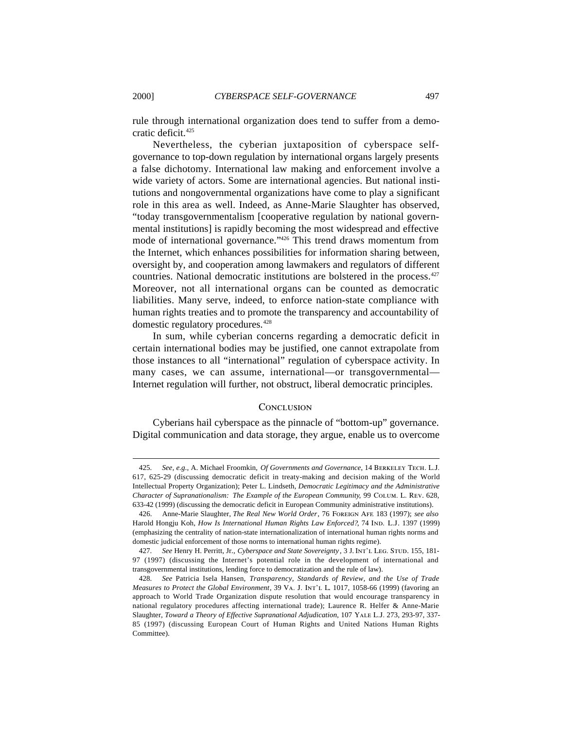rule through international organization does tend to suffer from a democratic deficit.<sup>425</sup>

Nevertheless, the cyberian juxtaposition of cyberspace selfgovernance to top-down regulation by international organs largely presents a false dichotomy. International law making and enforcement involve a wide variety of actors. Some are international agencies. But national institutions and nongovernmental organizations have come to play a significant role in this area as well. Indeed, as Anne-Marie Slaughter has observed, "today transgovernmentalism [cooperative regulation by national governmental institutions] is rapidly becoming the most widespread and effective mode of international governance."<sup>426</sup> This trend draws momentum from the Internet, which enhances possibilities for information sharing between, oversight by, and cooperation among lawmakers and regulators of different countries. National democratic institutions are bolstered in the process.<sup>427</sup> Moreover, not all international organs can be counted as democratic liabilities. Many serve, indeed, to enforce nation-state compliance with human rights treaties and to promote the transparency and accountability of domestic regulatory procedures.428

In sum, while cyberian concerns regarding a democratic deficit in certain international bodies may be justified, one cannot extrapolate from those instances to all "international" regulation of cyberspace activity. In many cases, we can assume, international—or transgovernmental— Internet regulation will further, not obstruct, liberal democratic principles.

## **CONCLUSION**

Cyberians hail cyberspace as the pinnacle of "bottom-up" governance. Digital communication and data storage, they argue, enable us to overcome

<sup>425.</sup> *See, e.g., A. Michael Froomkin, Of Governments and Governance*, 14 BERKELEY TECH. L.J. 617, 625-29 (discussing democratic deficit in treaty-making and decision making of the World Intellectual Property Organization); Peter L. Lindseth, *Democratic Legitimacy and the Administrative Character of Supranationalism: The Example of the European Community*, 99 Colum. L. Rev. 628, 633-42 (1999) (discussing the democratic deficit in European Community administrative institutions).

<sup>4 2 6 .</sup> Anne-Marie Slaughter, *The Real New World Order*, 76 Foreign Aff. 183 (1997); *see also* Harold Hongju Koh, *How Is International Human Rights Law Enforced?*, 74 IND. L.J. 1397 (1999) (emphasizing the centrality of nation-state internationalization of international human rights norms and domestic judicial enforcement of those norms to international human rights regime).

<sup>4 2 7 .</sup> *See* Henry H. Perritt, Jr., *Cyberspace and State Sovereignty*, 3 J. Int'l Leg. Stud. 155, 181- 97 (1997) (discussing the Internet's potential role in the development of international and transgovernmental institutions, lending force to democratization and the rule of law).

<sup>4 2 8 .</sup> *See* Patricia Isela Hansen, *Transparency, Standards of Review, and the Use of Trade Measures to Protect the Global Environment*, 39 Va. J. Int'l L. 1017, 1058-66 (1999) (favoring an approach to World Trade Organization dispute resolution that would encourage transparency in national regulatory procedures affecting international trade); Laurence R. Helfer & Anne-Marie Slaughter, *Toward a Theory of Effective Supranational Adjudication*, 107 Yale L.J. 273, 293-97, 337- 85 (1997) (discussing European Court of Human Rights and United Nations Human Rights Committee).